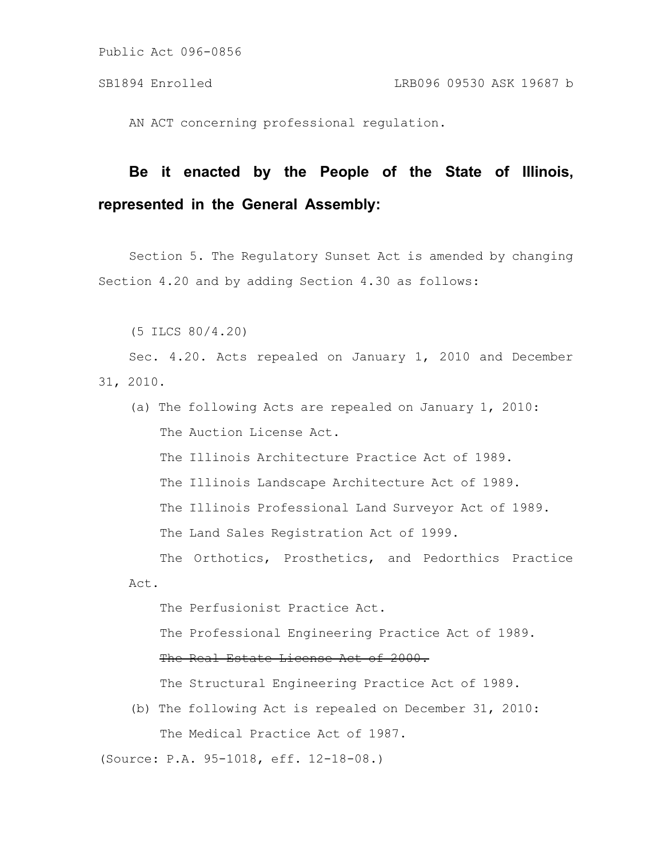AN ACT concerning professional regulation.

# **Be it enacted by the People of the State of Illinois, represented in the General Assembly:**

Section 5. The Regulatory Sunset Act is amended by changing Section 4.20 and by adding Section 4.30 as follows:

(5 ILCS 80/4.20)

Sec. 4.20. Acts repealed on January 1, 2010 and December 31, 2010.

(a) The following Acts are repealed on January 1, 2010: The Auction License Act. The Illinois Architecture Practice Act of 1989. The Illinois Landscape Architecture Act of 1989. The Illinois Professional Land Surveyor Act of 1989. The Land Sales Registration Act of 1999.

The Orthotics, Prosthetics, and Pedorthics Practice Act.

The Perfusionist Practice Act.

The Professional Engineering Practice Act of 1989.

#### The Real Estate License Act of 2000.

The Structural Engineering Practice Act of 1989.

(b) The following Act is repealed on December 31, 2010: The Medical Practice Act of 1987.

(Source: P.A. 95-1018, eff. 12-18-08.)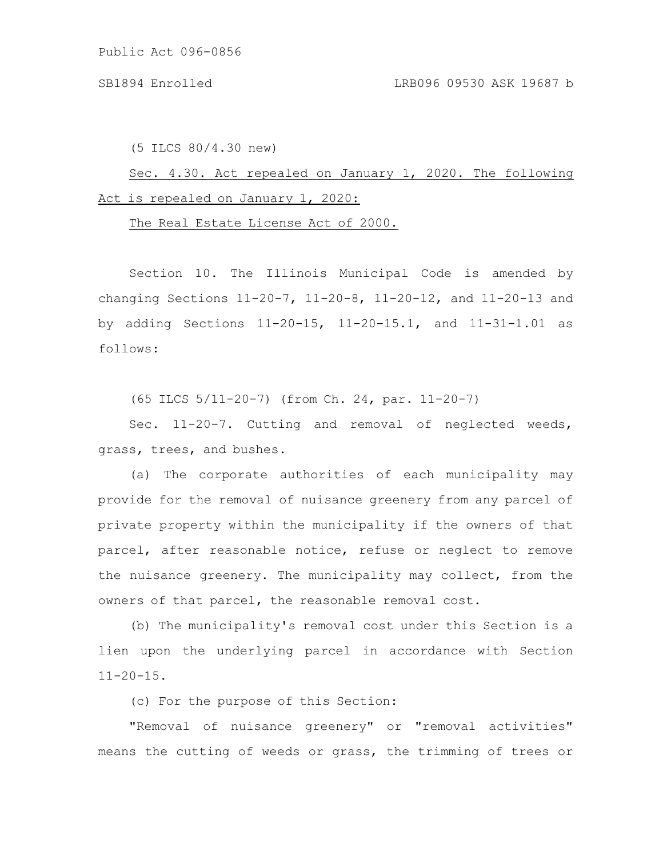(5 ILCS 80/4.30 new)

Sec. 4.30. Act repealed on January 1, 2020. The following Act is repealed on January 1, 2020:

The Real Estate License Act of 2000.

Section 10. The Illinois Municipal Code is amended by changing Sections 11-20-7, 11-20-8, 11-20-12, and 11-20-13 and by adding Sections 11-20-15, 11-20-15.1, and 11-31-1.01 as follows:

(65 ILCS 5/11-20-7) (from Ch. 24, par. 11-20-7)

Sec. 11-20-7. Cutting and removal of neglected weeds, grass, trees, and bushes.

(a) The corporate authorities of each municipality may provide for the removal of nuisance greenery from any parcel of private property within the municipality if the owners of that parcel, after reasonable notice, refuse or neglect to remove the nuisance greenery. The municipality may collect, from the owners of that parcel, the reasonable removal cost.

(b) The municipality's removal cost under this Section is a lien upon the underlying parcel in accordance with Section  $11 - 20 - 15$ .

(c) For the purpose of this Section:

"Removal of nuisance greenery" or "removal activities" means the cutting of weeds or grass, the trimming of trees or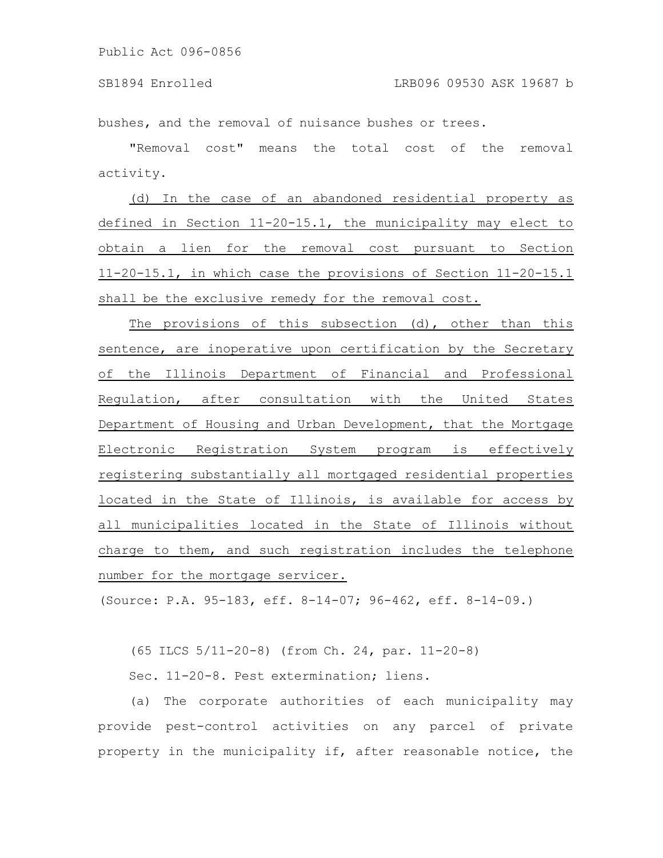bushes, and the removal of nuisance bushes or trees.

"Removal cost" means the total cost of the removal activity.

(d) In the case of an abandoned residential property as defined in Section 11-20-15.1, the municipality may elect to obtain a lien for the removal cost pursuant to Section 11-20-15.1, in which case the provisions of Section 11-20-15.1 shall be the exclusive remedy for the removal cost.

The provisions of this subsection (d), other than this sentence, are inoperative upon certification by the Secretary of the Illinois Department of Financial and Professional Regulation, after consultation with the United States Department of Housing and Urban Development, that the Mortgage Electronic Registration System program is effectively registering substantially all mortgaged residential properties located in the State of Illinois, is available for access by all municipalities located in the State of Illinois without charge to them, and such registration includes the telephone number for the mortgage servicer.

(Source: P.A. 95-183, eff. 8-14-07; 96-462, eff. 8-14-09.)

(65 ILCS 5/11-20-8) (from Ch. 24, par. 11-20-8)

Sec. 11-20-8. Pest extermination; liens.

(a) The corporate authorities of each municipality may provide pest-control activities on any parcel of private property in the municipality if, after reasonable notice, the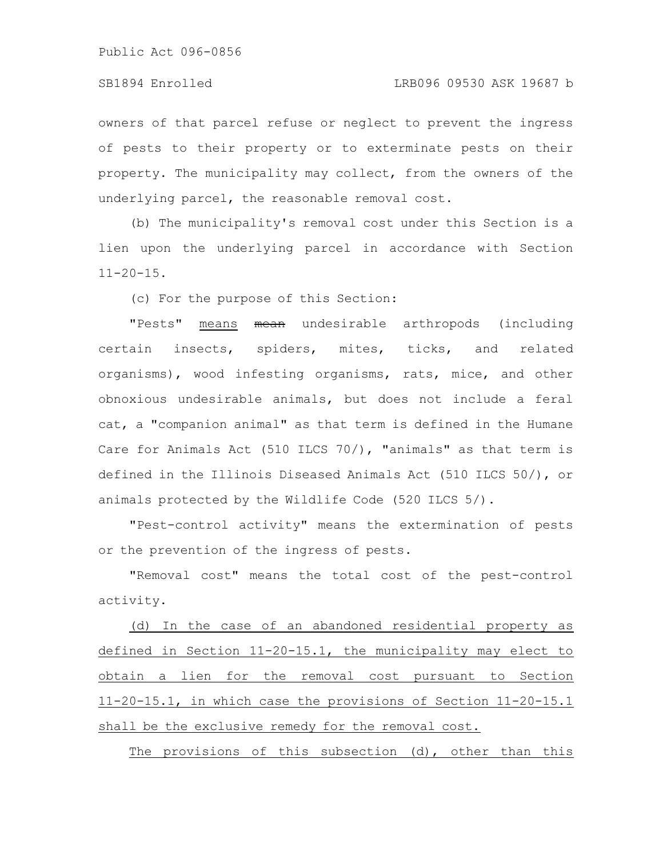### SB1894 Enrolled LRB096 09530 ASK 19687 b

owners of that parcel refuse or neglect to prevent the ingress of pests to their property or to exterminate pests on their property. The municipality may collect, from the owners of the underlying parcel, the reasonable removal cost.

(b) The municipality's removal cost under this Section is a lien upon the underlying parcel in accordance with Section  $11 - 20 - 15$ .

(c) For the purpose of this Section:

"Pests" means mean undesirable arthropods (including certain insects, spiders, mites, ticks, and related organisms), wood infesting organisms, rats, mice, and other obnoxious undesirable animals, but does not include a feral cat, a "companion animal" as that term is defined in the Humane Care for Animals Act (510 ILCS 70/), "animals" as that term is defined in the Illinois Diseased Animals Act (510 ILCS 50/), or animals protected by the Wildlife Code (520 ILCS 5/).

"Pest-control activity" means the extermination of pests or the prevention of the ingress of pests.

"Removal cost" means the total cost of the pest-control activity.

(d) In the case of an abandoned residential property as defined in Section 11-20-15.1, the municipality may elect to obtain a lien for the removal cost pursuant to Section 11-20-15.1, in which case the provisions of Section 11-20-15.1 shall be the exclusive remedy for the removal cost.

The provisions of this subsection (d), other than this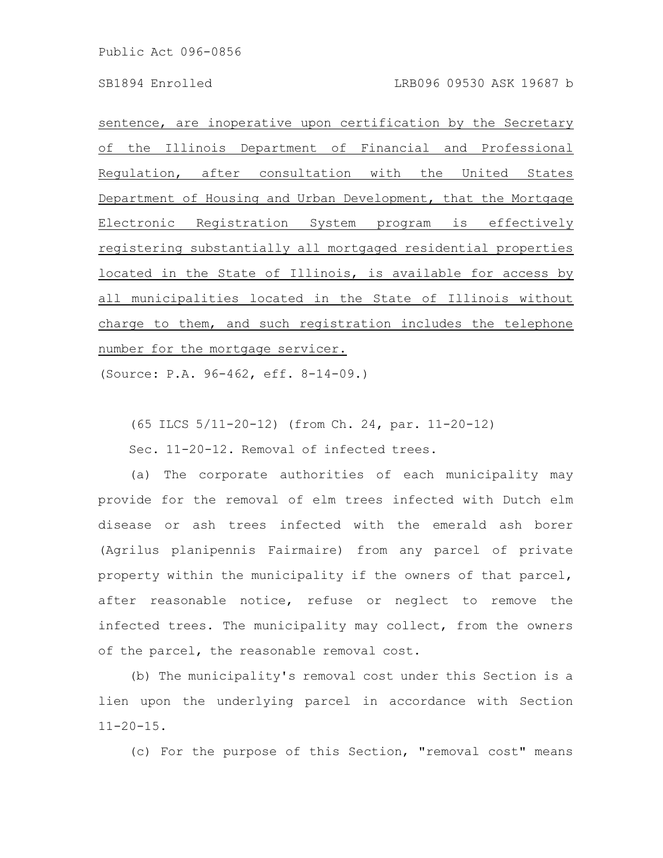sentence, are inoperative upon certification by the Secretary of the Illinois Department of Financial and Professional Regulation, after consultation with the United States Department of Housing and Urban Development, that the Mortgage Electronic Registration System program is effectively registering substantially all mortgaged residential properties located in the State of Illinois, is available for access by all municipalities located in the State of Illinois without charge to them, and such registration includes the telephone number for the mortgage servicer.

(Source: P.A. 96-462, eff. 8-14-09.)

(65 ILCS 5/11-20-12) (from Ch. 24, par. 11-20-12)

Sec. 11-20-12. Removal of infected trees.

(a) The corporate authorities of each municipality may provide for the removal of elm trees infected with Dutch elm disease or ash trees infected with the emerald ash borer (Agrilus planipennis Fairmaire) from any parcel of private property within the municipality if the owners of that parcel, after reasonable notice, refuse or neglect to remove the infected trees. The municipality may collect, from the owners of the parcel, the reasonable removal cost.

(b) The municipality's removal cost under this Section is a lien upon the underlying parcel in accordance with Section  $11 - 20 - 15$ .

(c) For the purpose of this Section, "removal cost" means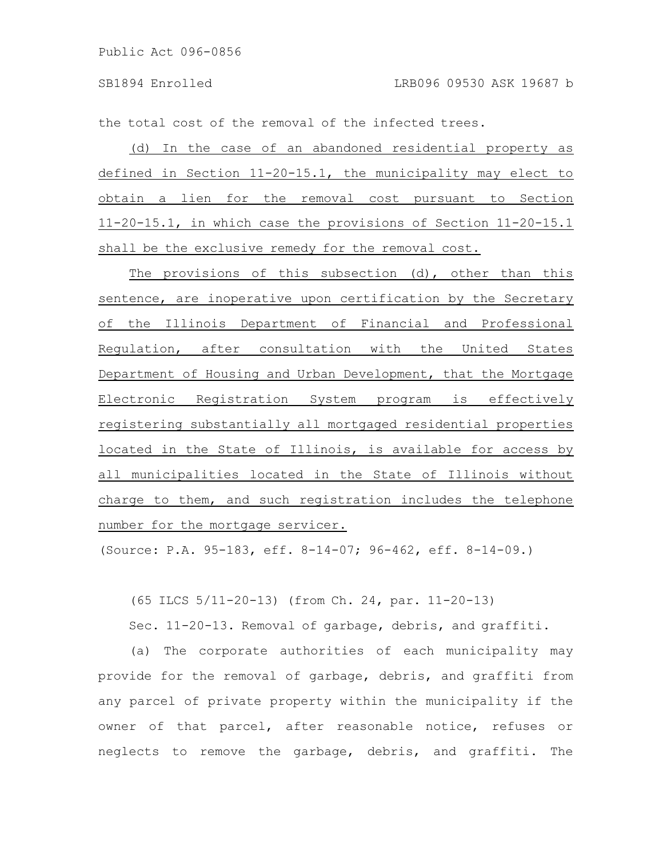the total cost of the removal of the infected trees.

(d) In the case of an abandoned residential property as defined in Section 11-20-15.1, the municipality may elect to obtain a lien for the removal cost pursuant to Section 11-20-15.1, in which case the provisions of Section 11-20-15.1 shall be the exclusive remedy for the removal cost.

The provisions of this subsection (d), other than this sentence, are inoperative upon certification by the Secretary of the Illinois Department of Financial and Professional Regulation, after consultation with the United States Department of Housing and Urban Development, that the Mortgage Electronic Registration System program is effectively registering substantially all mortgaged residential properties located in the State of Illinois, is available for access by all municipalities located in the State of Illinois without charge to them, and such registration includes the telephone number for the mortgage servicer.

(Source: P.A. 95-183, eff. 8-14-07; 96-462, eff. 8-14-09.)

(65 ILCS 5/11-20-13) (from Ch. 24, par. 11-20-13)

Sec. 11-20-13. Removal of garbage, debris, and graffiti.

(a) The corporate authorities of each municipality may provide for the removal of garbage, debris, and graffiti from any parcel of private property within the municipality if the owner of that parcel, after reasonable notice, refuses or neglects to remove the garbage, debris, and graffiti. The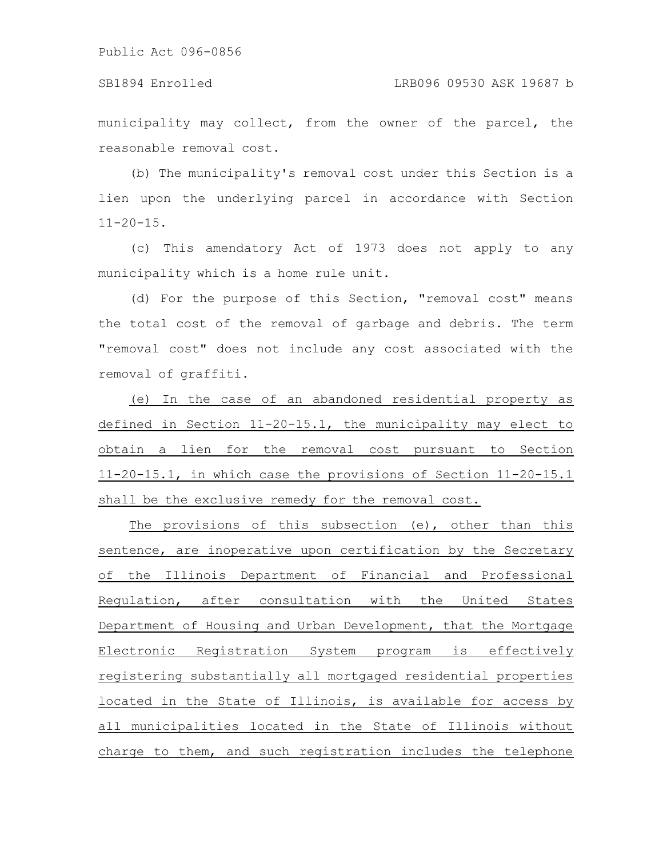#### SB1894 Enrolled LRB096 09530 ASK 19687 b

municipality may collect, from the owner of the parcel, the reasonable removal cost.

(b) The municipality's removal cost under this Section is a lien upon the underlying parcel in accordance with Section  $11 - 20 - 15$ .

(c) This amendatory Act of 1973 does not apply to any municipality which is a home rule unit.

(d) For the purpose of this Section, "removal cost" means the total cost of the removal of garbage and debris. The term "removal cost" does not include any cost associated with the removal of graffiti.

(e) In the case of an abandoned residential property as defined in Section 11-20-15.1, the municipality may elect to obtain a lien for the removal cost pursuant to Section 11-20-15.1, in which case the provisions of Section 11-20-15.1 shall be the exclusive remedy for the removal cost.

The provisions of this subsection (e), other than this sentence, are inoperative upon certification by the Secretary of the Illinois Department of Financial and Professional Regulation, after consultation with the United States Department of Housing and Urban Development, that the Mortgage Electronic Registration System program is effectively registering substantially all mortgaged residential properties located in the State of Illinois, is available for access by all municipalities located in the State of Illinois without charge to them, and such registration includes the telephone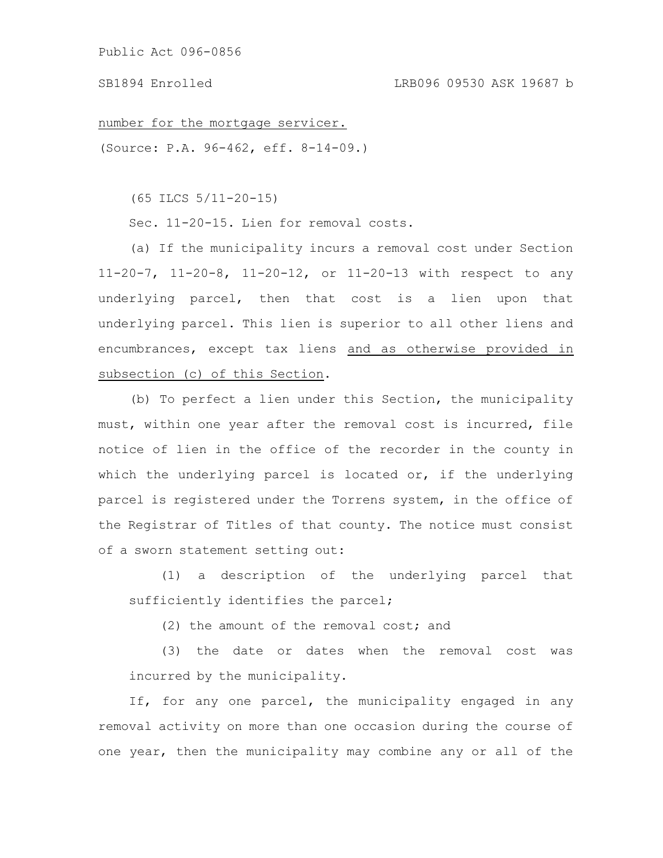### SB1894 Enrolled LRB096 09530 ASK 19687 b

number for the mortgage servicer.

(Source: P.A. 96-462, eff. 8-14-09.)

(65 ILCS 5/11-20-15)

Sec. 11-20-15. Lien for removal costs.

(a) If the municipality incurs a removal cost under Section 11-20-7, 11-20-8, 11-20-12, or 11-20-13 with respect to any underlying parcel, then that cost is a lien upon that underlying parcel. This lien is superior to all other liens and encumbrances, except tax liens and as otherwise provided in subsection (c) of this Section.

(b) To perfect a lien under this Section, the municipality must, within one year after the removal cost is incurred, file notice of lien in the office of the recorder in the county in which the underlying parcel is located or, if the underlying parcel is registered under the Torrens system, in the office of the Registrar of Titles of that county. The notice must consist of a sworn statement setting out:

(1) a description of the underlying parcel that sufficiently identifies the parcel;

(2) the amount of the removal cost; and

(3) the date or dates when the removal cost was incurred by the municipality.

If, for any one parcel, the municipality engaged in any removal activity on more than one occasion during the course of one year, then the municipality may combine any or all of the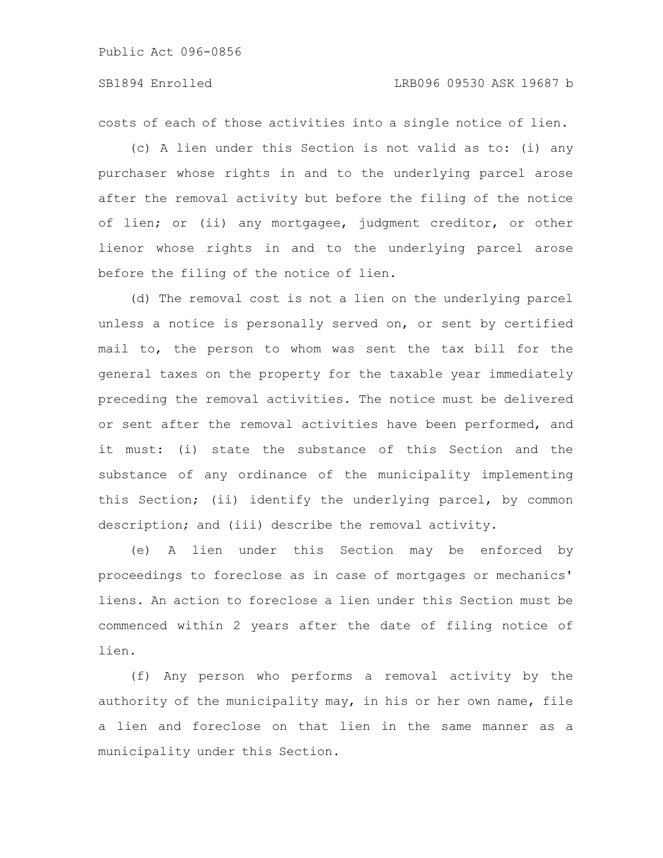## SB1894 Enrolled LRB096 09530 ASK 19687 b

costs of each of those activities into a single notice of lien.

(c) A lien under this Section is not valid as to: (i) any purchaser whose rights in and to the underlying parcel arose after the removal activity but before the filing of the notice of lien; or (ii) any mortgagee, judgment creditor, or other lienor whose rights in and to the underlying parcel arose before the filing of the notice of lien.

(d) The removal cost is not a lien on the underlying parcel unless a notice is personally served on, or sent by certified mail to, the person to whom was sent the tax bill for the general taxes on the property for the taxable year immediately preceding the removal activities. The notice must be delivered or sent after the removal activities have been performed, and it must: (i) state the substance of this Section and the substance of any ordinance of the municipality implementing this Section; (ii) identify the underlying parcel, by common description; and (iii) describe the removal activity.

(e) A lien under this Section may be enforced by proceedings to foreclose as in case of mortgages or mechanics' liens. An action to foreclose a lien under this Section must be commenced within 2 years after the date of filing notice of lien.

(f) Any person who performs a removal activity by the authority of the municipality may, in his or her own name, file a lien and foreclose on that lien in the same manner as a municipality under this Section.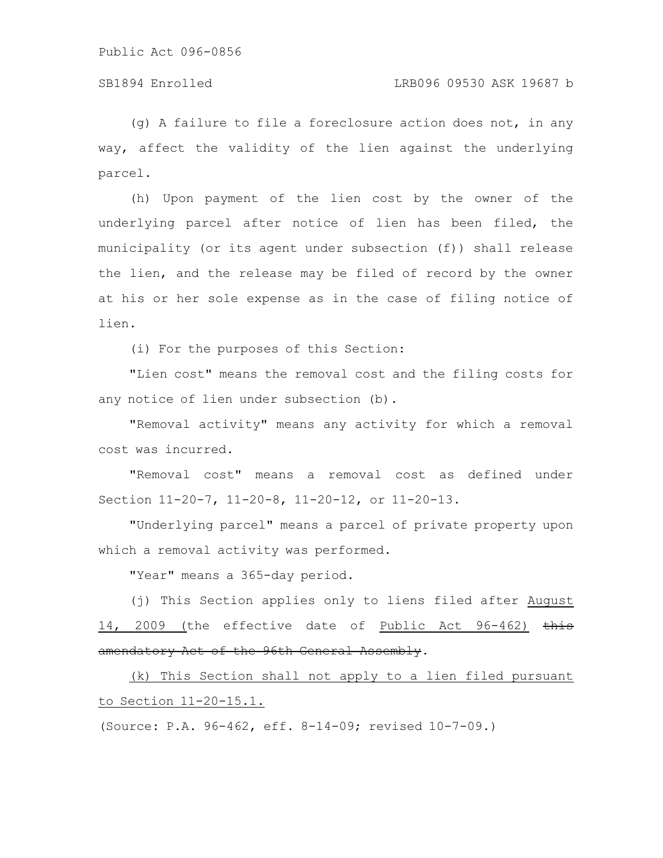(g) A failure to file a foreclosure action does not, in any way, affect the validity of the lien against the underlying parcel.

(h) Upon payment of the lien cost by the owner of the underlying parcel after notice of lien has been filed, the municipality (or its agent under subsection (f)) shall release the lien, and the release may be filed of record by the owner at his or her sole expense as in the case of filing notice of lien.

(i) For the purposes of this Section:

"Lien cost" means the removal cost and the filing costs for any notice of lien under subsection (b).

"Removal activity" means any activity for which a removal cost was incurred.

"Removal cost" means a removal cost as defined under Section 11-20-7, 11-20-8, 11-20-12, or 11-20-13.

"Underlying parcel" means a parcel of private property upon which a removal activity was performed.

"Year" means a 365-day period.

(j) This Section applies only to liens filed after August 14, 2009 (the effective date of Public Act 96-462) this amendatory Act of the 96th General Assembly.

(k) This Section shall not apply to a lien filed pursuant to Section 11-20-15.1.

(Source: P.A. 96-462, eff. 8-14-09; revised 10-7-09.)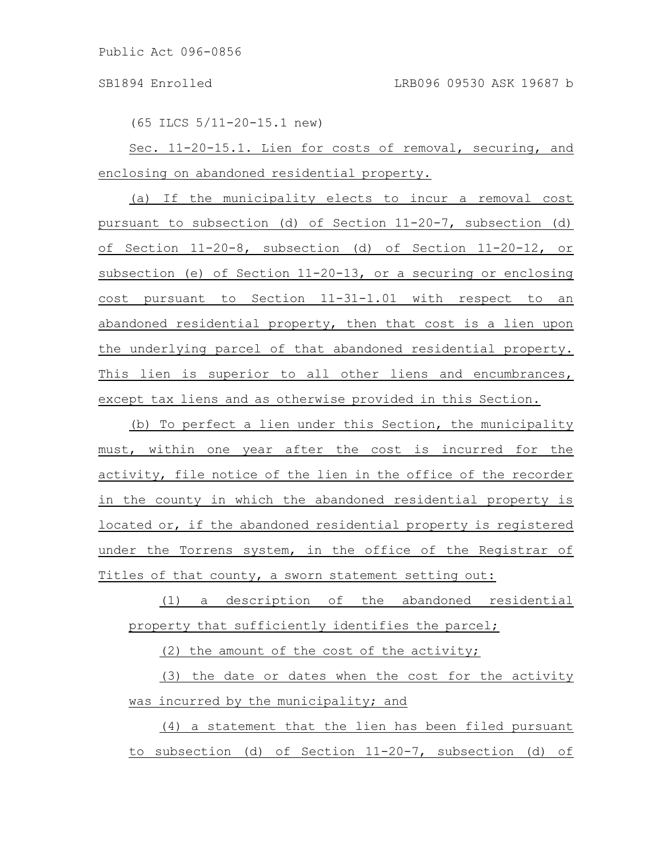(65 ILCS 5/11-20-15.1 new)

Sec. 11-20-15.1. Lien for costs of removal, securing, and enclosing on abandoned residential property.

(a) If the municipality elects to incur a removal cost pursuant to subsection (d) of Section 11-20-7, subsection (d) of Section 11-20-8, subsection (d) of Section 11-20-12, or subsection (e) of Section 11-20-13, or a securing or enclosing cost pursuant to Section 11-31-1.01 with respect to an abandoned residential property, then that cost is a lien upon the underlying parcel of that abandoned residential property. This lien is superior to all other liens and encumbrances, except tax liens and as otherwise provided in this Section.

(b) To perfect a lien under this Section, the municipality must, within one year after the cost is incurred for the activity, file notice of the lien in the office of the recorder in the county in which the abandoned residential property is located or, if the abandoned residential property is registered under the Torrens system, in the office of the Registrar of Titles of that county, a sworn statement setting out:

(1) a description of the abandoned residential property that sufficiently identifies the parcel;

(2) the amount of the cost of the activity;

(3) the date or dates when the cost for the activity was incurred by the municipality; and

(4) a statement that the lien has been filed pursuant to subsection (d) of Section 11-20-7, subsection (d) of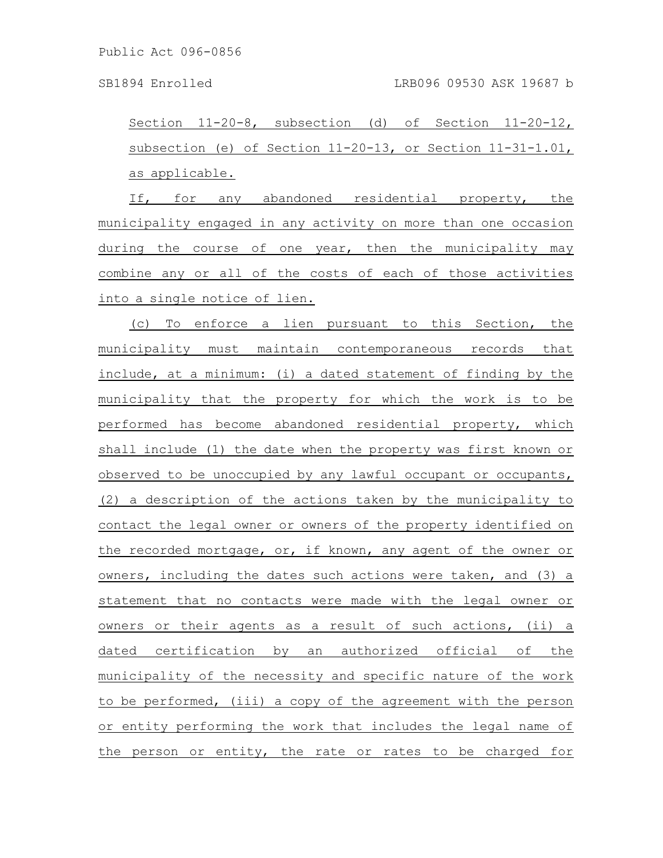Section 11-20-8, subsection (d) of Section 11-20-12, subsection (e) of Section 11-20-13, or Section 11-31-1.01, as applicable.

If, for any abandoned residential property, the municipality engaged in any activity on more than one occasion during the course of one year, then the municipality may combine any or all of the costs of each of those activities into a single notice of lien.

(c) To enforce a lien pursuant to this Section, the municipality must maintain contemporaneous records that include, at a minimum: (i) a dated statement of finding by the municipality that the property for which the work is to be performed has become abandoned residential property, which shall include (1) the date when the property was first known or observed to be unoccupied by any lawful occupant or occupants, (2) a description of the actions taken by the municipality to contact the legal owner or owners of the property identified on the recorded mortgage, or, if known, any agent of the owner or owners, including the dates such actions were taken, and (3) a statement that no contacts were made with the legal owner or owners or their agents as a result of such actions, (ii) a dated certification by an authorized official of the municipality of the necessity and specific nature of the work to be performed, (iii) a copy of the agreement with the person or entity performing the work that includes the legal name of the person or entity, the rate or rates to be charged for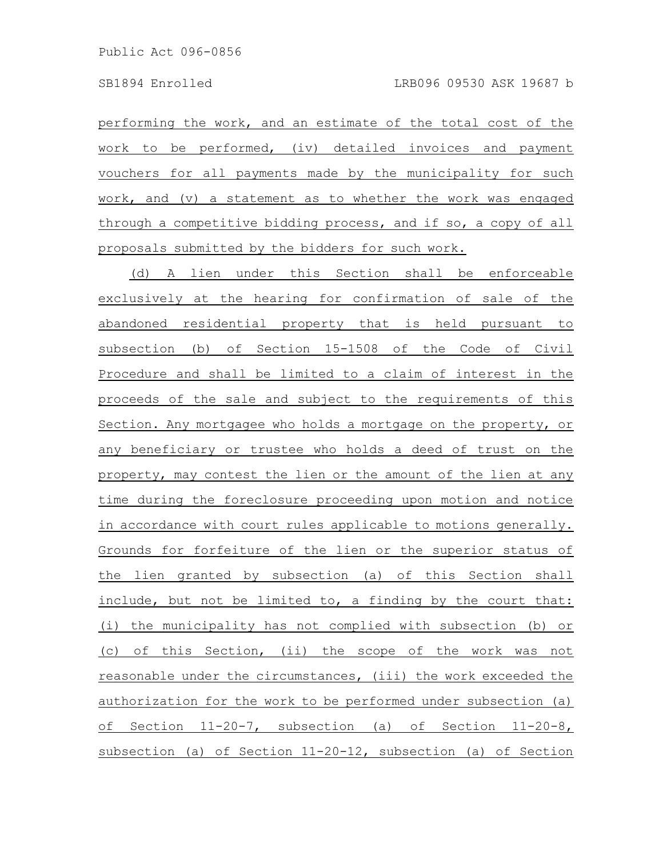performing the work, and an estimate of the total cost of the work to be performed, (iv) detailed invoices and payment vouchers for all payments made by the municipality for such work, and (v) a statement as to whether the work was engaged through a competitive bidding process, and if so, a copy of all proposals submitted by the bidders for such work.

(d) A lien under this Section shall be enforceable exclusively at the hearing for confirmation of sale of the abandoned residential property that is held pursuant to subsection (b) of Section 15-1508 of the Code of Civil Procedure and shall be limited to a claim of interest in the proceeds of the sale and subject to the requirements of this Section. Any mortgagee who holds a mortgage on the property, or any beneficiary or trustee who holds a deed of trust on the property, may contest the lien or the amount of the lien at any time during the foreclosure proceeding upon motion and notice in accordance with court rules applicable to motions generally. Grounds for forfeiture of the lien or the superior status of the lien granted by subsection (a) of this Section shall include, but not be limited to, a finding by the court that: (i) the municipality has not complied with subsection (b) or (c) of this Section, (ii) the scope of the work was not reasonable under the circumstances, (iii) the work exceeded the authorization for the work to be performed under subsection (a) of Section 11-20-7, subsection (a) of Section 11-20-8, subsection (a) of Section 11-20-12, subsection (a) of Section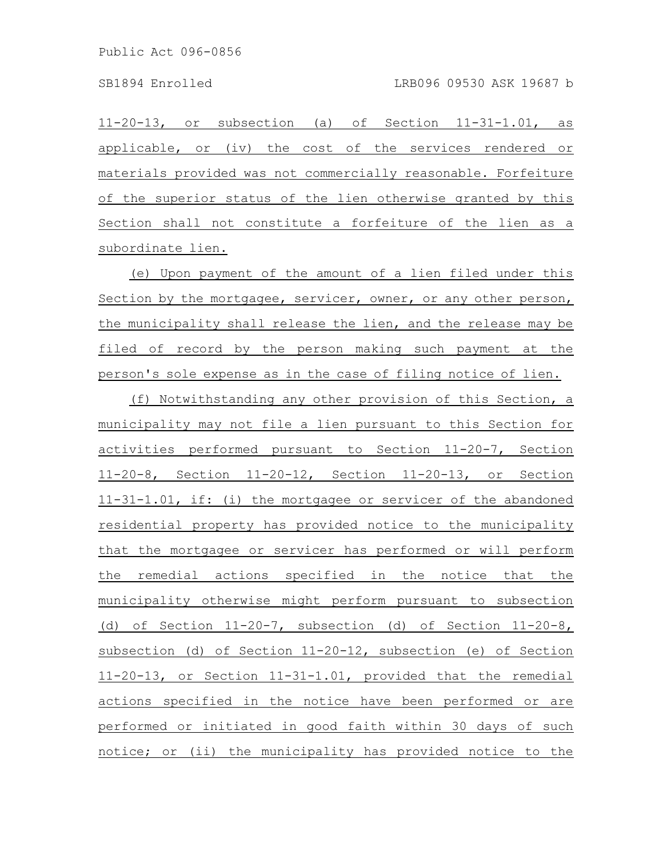11-20-13, or subsection (a) of Section 11-31-1.01, as applicable, or (iv) the cost of the services rendered or materials provided was not commercially reasonable. Forfeiture of the superior status of the lien otherwise granted by this Section shall not constitute a forfeiture of the lien as a subordinate lien.

(e) Upon payment of the amount of a lien filed under this Section by the mortgagee, servicer, owner, or any other person, the municipality shall release the lien, and the release may be filed of record by the person making such payment at the person's sole expense as in the case of filing notice of lien.

(f) Notwithstanding any other provision of this Section, a municipality may not file a lien pursuant to this Section for activities performed pursuant to Section 11-20-7, Section 11-20-8, Section 11-20-12, Section 11-20-13, or Section 11-31-1.01, if: (i) the mortgagee or servicer of the abandoned residential property has provided notice to the municipality that the mortgagee or servicer has performed or will perform the remedial actions specified in the notice that the municipality otherwise might perform pursuant to subsection (d) of Section 11-20-7, subsection (d) of Section 11-20-8, subsection (d) of Section 11-20-12, subsection (e) of Section 11-20-13, or Section 11-31-1.01, provided that the remedial actions specified in the notice have been performed or are performed or initiated in good faith within 30 days of such notice; or (ii) the municipality has provided notice to the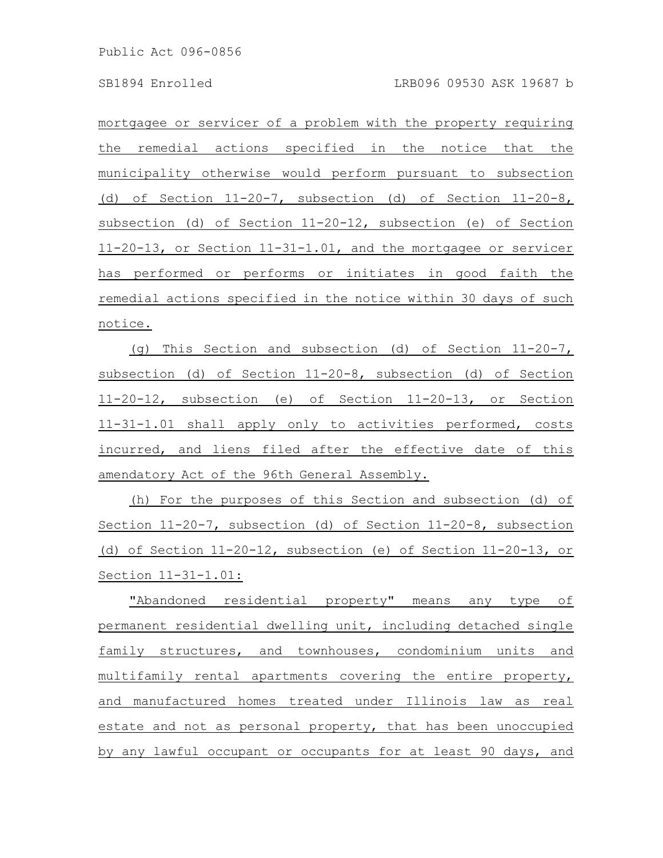mortgagee or servicer of a problem with the property requiring the remedial actions specified in the notice that the municipality otherwise would perform pursuant to subsection (d) of Section 11-20-7, subsection (d) of Section 11-20-8, subsection (d) of Section 11-20-12, subsection (e) of Section 11-20-13, or Section 11-31-1.01, and the mortgagee or servicer has performed or performs or initiates in good faith the remedial actions specified in the notice within 30 days of such notice.

(g) This Section and subsection (d) of Section 11-20-7, subsection (d) of Section 11-20-8, subsection (d) of Section 11-20-12, subsection (e) of Section 11-20-13, or Section 11-31-1.01 shall apply only to activities performed, costs incurred, and liens filed after the effective date of this amendatory Act of the 96th General Assembly.

(h) For the purposes of this Section and subsection (d) of Section 11-20-7, subsection (d) of Section 11-20-8, subsection (d) of Section 11-20-12, subsection (e) of Section 11-20-13, or Section 11-31-1.01:

"Abandoned residential property" means any type of permanent residential dwelling unit, including detached single family structures, and townhouses, condominium units and multifamily rental apartments covering the entire property, and manufactured homes treated under Illinois law as real estate and not as personal property, that has been unoccupied by any lawful occupant or occupants for at least 90 days, and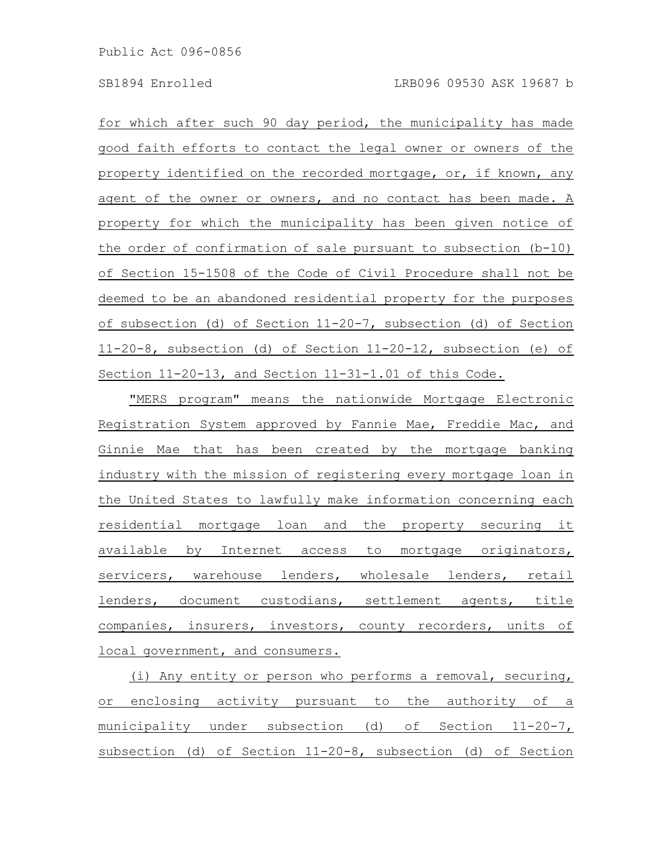for which after such 90 day period, the municipality has made good faith efforts to contact the legal owner or owners of the property identified on the recorded mortgage, or, if known, any agent of the owner or owners, and no contact has been made. A property for which the municipality has been given notice of the order of confirmation of sale pursuant to subsection (b-10) of Section 15-1508 of the Code of Civil Procedure shall not be deemed to be an abandoned residential property for the purposes of subsection (d) of Section 11-20-7, subsection (d) of Section 11-20-8, subsection (d) of Section 11-20-12, subsection (e) of Section 11-20-13, and Section 11-31-1.01 of this Code.

"MERS program" means the nationwide Mortgage Electronic Registration System approved by Fannie Mae, Freddie Mac, and Ginnie Mae that has been created by the mortgage banking industry with the mission of registering every mortgage loan in the United States to lawfully make information concerning each residential mortgage loan and the property securing it available by Internet access to mortgage originators, servicers, warehouse lenders, wholesale lenders, retail lenders, document custodians, settlement agents, title companies, insurers, investors, county recorders, units of local government, and consumers.

(i) Any entity or person who performs a removal, securing, or enclosing activity pursuant to the authority of a municipality under subsection (d) of Section 11-20-7, subsection (d) of Section 11-20-8, subsection (d) of Section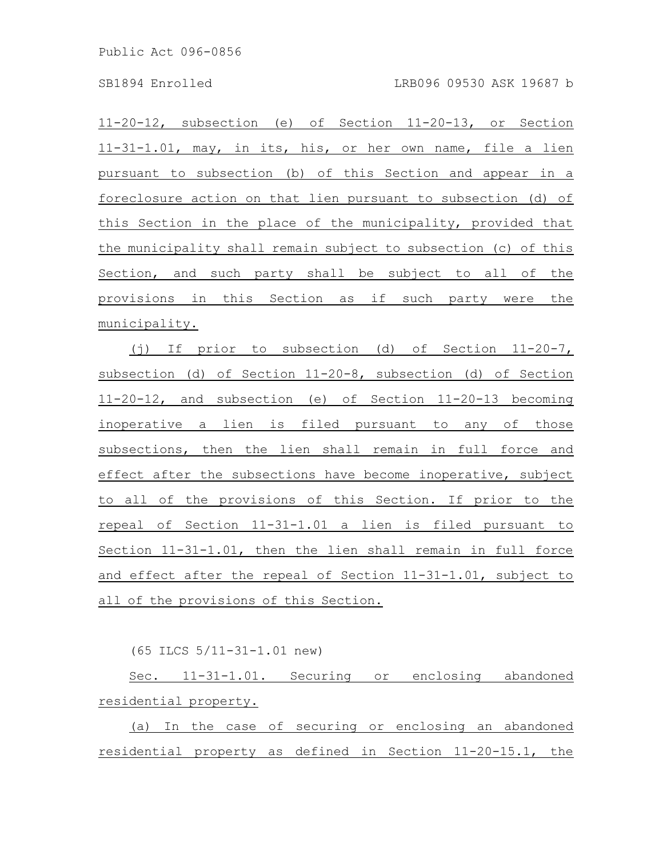11-20-12, subsection (e) of Section 11-20-13, or Section 11-31-1.01, may, in its, his, or her own name, file a lien pursuant to subsection (b) of this Section and appear in a foreclosure action on that lien pursuant to subsection (d) of this Section in the place of the municipality, provided that the municipality shall remain subject to subsection (c) of this Section, and such party shall be subject to all of the provisions in this Section as if such party were the municipality.

(j) If prior to subsection (d) of Section 11-20-7, subsection (d) of Section 11-20-8, subsection (d) of Section 11-20-12, and subsection (e) of Section 11-20-13 becoming inoperative a lien is filed pursuant to any of those subsections, then the lien shall remain in full force and effect after the subsections have become inoperative, subject to all of the provisions of this Section. If prior to the repeal of Section 11-31-1.01 a lien is filed pursuant to Section 11-31-1.01, then the lien shall remain in full force and effect after the repeal of Section 11-31-1.01, subject to all of the provisions of this Section.

(65 ILCS 5/11-31-1.01 new)

Sec. 11-31-1.01. Securing or enclosing abandoned residential property.

(a) In the case of securing or enclosing an abandoned residential property as defined in Section 11-20-15.1, the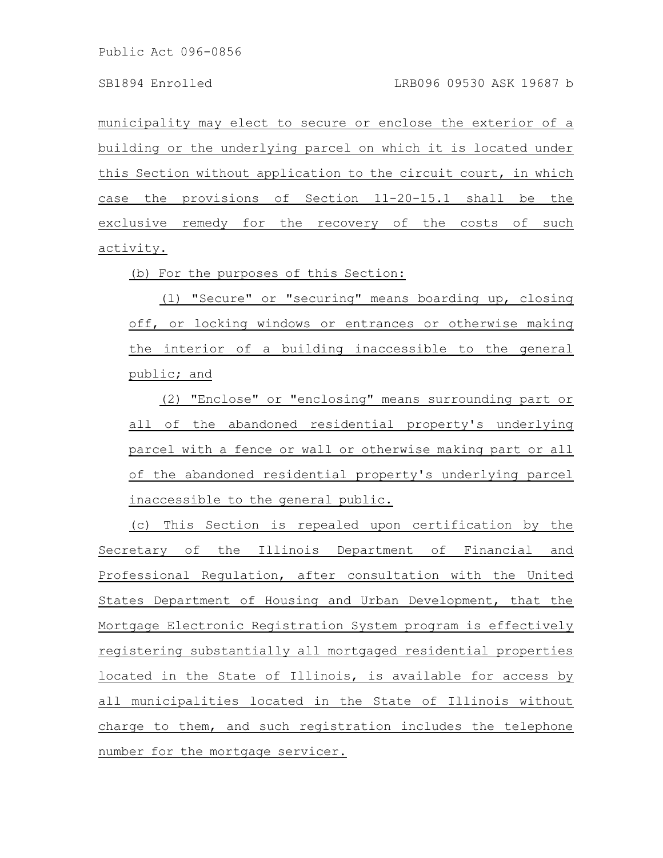municipality may elect to secure or enclose the exterior of a building or the underlying parcel on which it is located under this Section without application to the circuit court, in which case the provisions of Section 11-20-15.1 shall be the exclusive remedy for the recovery of the costs of such activity.

(b) For the purposes of this Section:

(1) "Secure" or "securing" means boarding up, closing off, or locking windows or entrances or otherwise making the interior of a building inaccessible to the general public; and

(2) "Enclose" or "enclosing" means surrounding part or all of the abandoned residential property's underlying parcel with a fence or wall or otherwise making part or all of the abandoned residential property's underlying parcel inaccessible to the general public.

(c) This Section is repealed upon certification by the Secretary of the Illinois Department of Financial and Professional Regulation, after consultation with the United States Department of Housing and Urban Development, that the Mortgage Electronic Registration System program is effectively registering substantially all mortgaged residential properties located in the State of Illinois, is available for access by all municipalities located in the State of Illinois without charge to them, and such registration includes the telephone number for the mortgage servicer.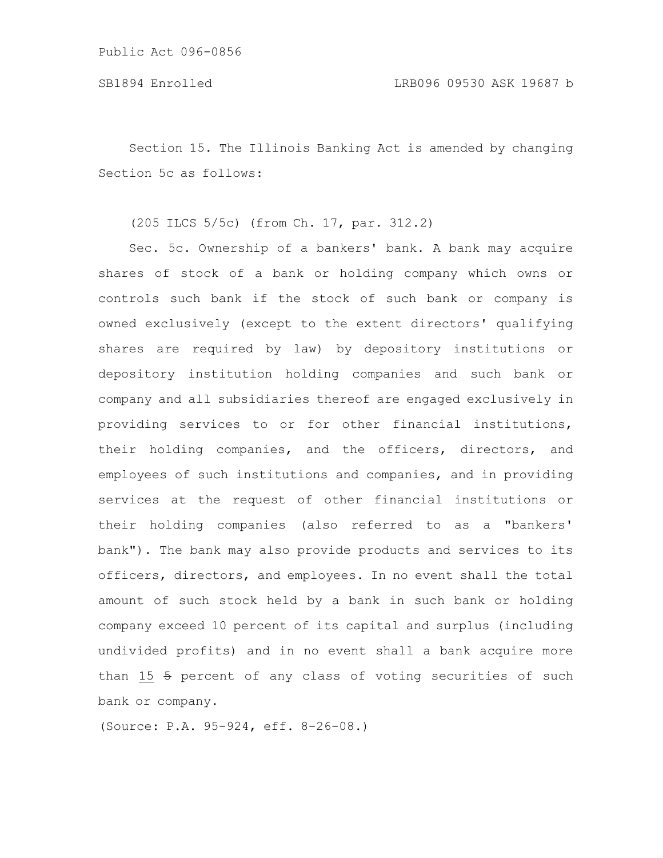Section 15. The Illinois Banking Act is amended by changing Section 5c as follows:

# (205 ILCS 5/5c) (from Ch. 17, par. 312.2)

Sec. 5c. Ownership of a bankers' bank. A bank may acquire shares of stock of a bank or holding company which owns or controls such bank if the stock of such bank or company is owned exclusively (except to the extent directors' qualifying shares are required by law) by depository institutions or depository institution holding companies and such bank or company and all subsidiaries thereof are engaged exclusively in providing services to or for other financial institutions, their holding companies, and the officers, directors, and employees of such institutions and companies, and in providing services at the request of other financial institutions or their holding companies (also referred to as a "bankers' bank"). The bank may also provide products and services to its officers, directors, and employees. In no event shall the total amount of such stock held by a bank in such bank or holding company exceed 10 percent of its capital and surplus (including undivided profits) and in no event shall a bank acquire more than 15 5 percent of any class of voting securities of such bank or company.

(Source: P.A. 95-924, eff. 8-26-08.)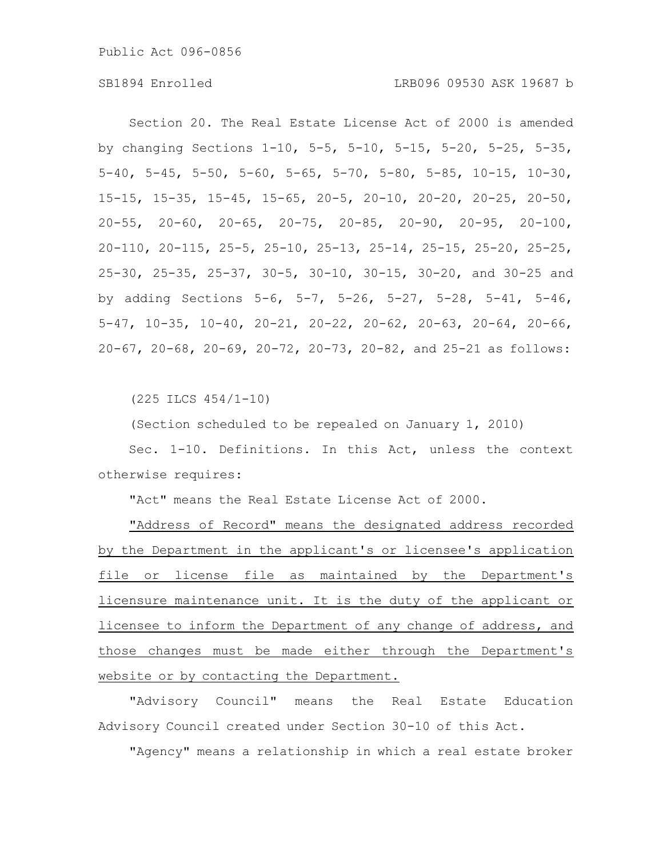Section 20. The Real Estate License Act of 2000 is amended by changing Sections 1-10, 5-5, 5-10, 5-15, 5-20, 5-25, 5-35, 5-40, 5-45, 5-50, 5-60, 5-65, 5-70, 5-80, 5-85, 10-15, 10-30, 15-15, 15-35, 15-45, 15-65, 20-5, 20-10, 20-20, 20-25, 20-50, 20-55, 20-60, 20-65, 20-75, 20-85, 20-90, 20-95, 20-100, 20-110, 20-115, 25-5, 25-10, 25-13, 25-14, 25-15, 25-20, 25-25, 25-30, 25-35, 25-37, 30-5, 30-10, 30-15, 30-20, and 30-25 and by adding Sections 5-6, 5-7, 5-26, 5-27, 5-28, 5-41, 5-46, 5-47, 10-35, 10-40, 20-21, 20-22, 20-62, 20-63, 20-64, 20-66, 20-67, 20-68, 20-69, 20-72, 20-73, 20-82, and 25-21 as follows:

(225 ILCS 454/1-10)

(Section scheduled to be repealed on January 1, 2010)

Sec. 1-10. Definitions. In this Act, unless the context otherwise requires:

"Act" means the Real Estate License Act of 2000.

"Address of Record" means the designated address recorded by the Department in the applicant's or licensee's application file or license file as maintained by the Department's licensure maintenance unit. It is the duty of the applicant or licensee to inform the Department of any change of address, and those changes must be made either through the Department's website or by contacting the Department.

"Advisory Council" means the Real Estate Education Advisory Council created under Section 30-10 of this Act.

"Agency" means a relationship in which a real estate broker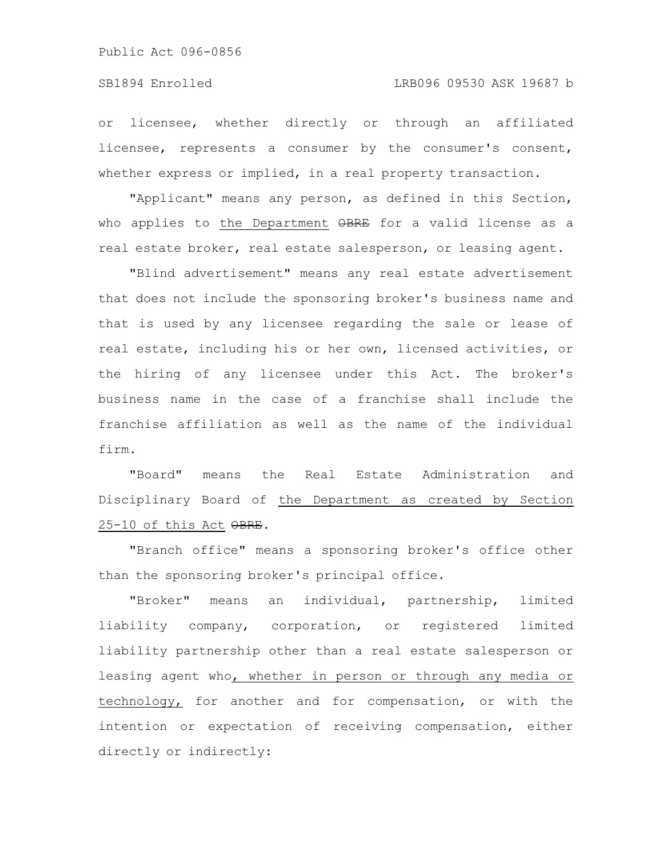### SB1894 Enrolled LRB096 09530 ASK 19687 b

or licensee, whether directly or through an affiliated licensee, represents a consumer by the consumer's consent, whether express or implied, in a real property transaction.

"Applicant" means any person, as defined in this Section, who applies to the Department OBRE for a valid license as a real estate broker, real estate salesperson, or leasing agent.

"Blind advertisement" means any real estate advertisement that does not include the sponsoring broker's business name and that is used by any licensee regarding the sale or lease of real estate, including his or her own, licensed activities, or the hiring of any licensee under this Act. The broker's business name in the case of a franchise shall include the franchise affiliation as well as the name of the individual firm.

"Board" means the Real Estate Administration and Disciplinary Board of the Department as created by Section 25-10 of this Act OBRE.

"Branch office" means a sponsoring broker's office other than the sponsoring broker's principal office.

"Broker" means an individual, partnership, limited liability company, corporation, or registered limited liability partnership other than a real estate salesperson or leasing agent who, whether in person or through any media or technology, for another and for compensation, or with the intention or expectation of receiving compensation, either directly or indirectly: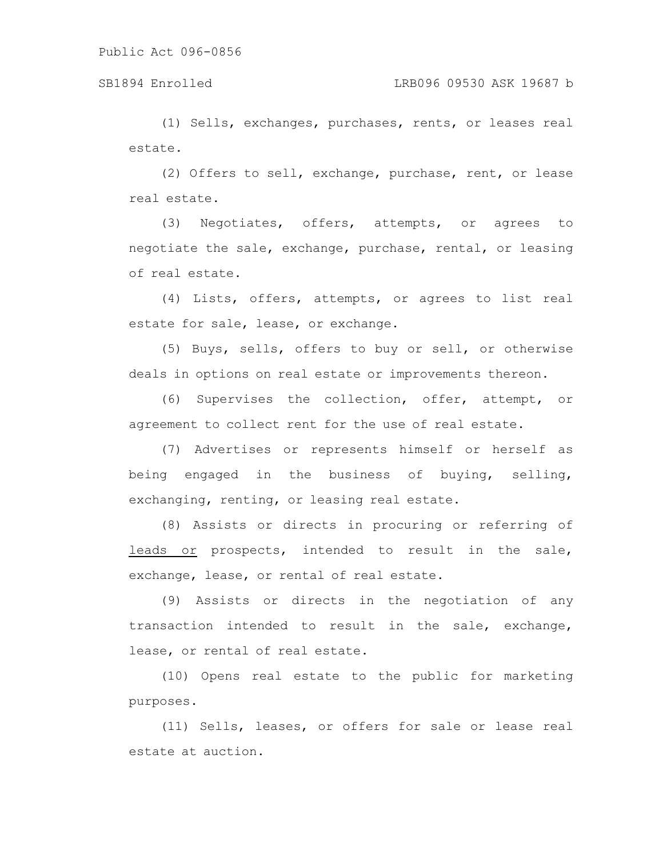### SB1894 Enrolled LRB096 09530 ASK 19687 b

(1) Sells, exchanges, purchases, rents, or leases real estate.

(2) Offers to sell, exchange, purchase, rent, or lease real estate.

(3) Negotiates, offers, attempts, or agrees to negotiate the sale, exchange, purchase, rental, or leasing of real estate.

(4) Lists, offers, attempts, or agrees to list real estate for sale, lease, or exchange.

(5) Buys, sells, offers to buy or sell, or otherwise deals in options on real estate or improvements thereon.

(6) Supervises the collection, offer, attempt, or agreement to collect rent for the use of real estate.

(7) Advertises or represents himself or herself as being engaged in the business of buying, selling, exchanging, renting, or leasing real estate.

(8) Assists or directs in procuring or referring of leads or prospects, intended to result in the sale, exchange, lease, or rental of real estate.

(9) Assists or directs in the negotiation of any transaction intended to result in the sale, exchange, lease, or rental of real estate.

(10) Opens real estate to the public for marketing purposes.

(11) Sells, leases, or offers for sale or lease real estate at auction.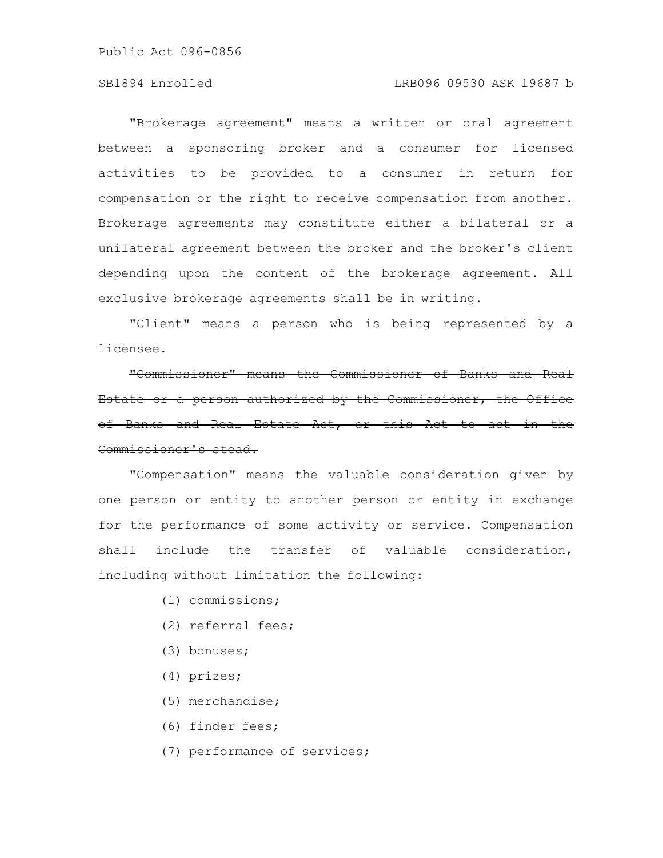#### SB1894 Enrolled LRB096 09530 ASK 19687 b

"Brokerage agreement" means a written or oral agreement between a sponsoring broker and a consumer for licensed activities to be provided to a consumer in return for compensation or the right to receive compensation from another. Brokerage agreements may constitute either a bilateral or a unilateral agreement between the broker and the broker's client depending upon the content of the brokerage agreement. All exclusive brokerage agreements shall be in writing.

"Client" means a person who is being represented by a licensee.

"Commissioner" means the Commissioner of Banks and Real Estate or a person authorized by the Commissioner, the Office of Banks and Real Estate Act, or this Act Commissioner's stead.

"Compensation" means the valuable consideration given by one person or entity to another person or entity in exchange for the performance of some activity or service. Compensation shall include the transfer of valuable consideration, including without limitation the following:

- (1) commissions;
- (2) referral fees;
- (3) bonuses;
- (4) prizes;
- (5) merchandise;
- (6) finder fees;
- (7) performance of services;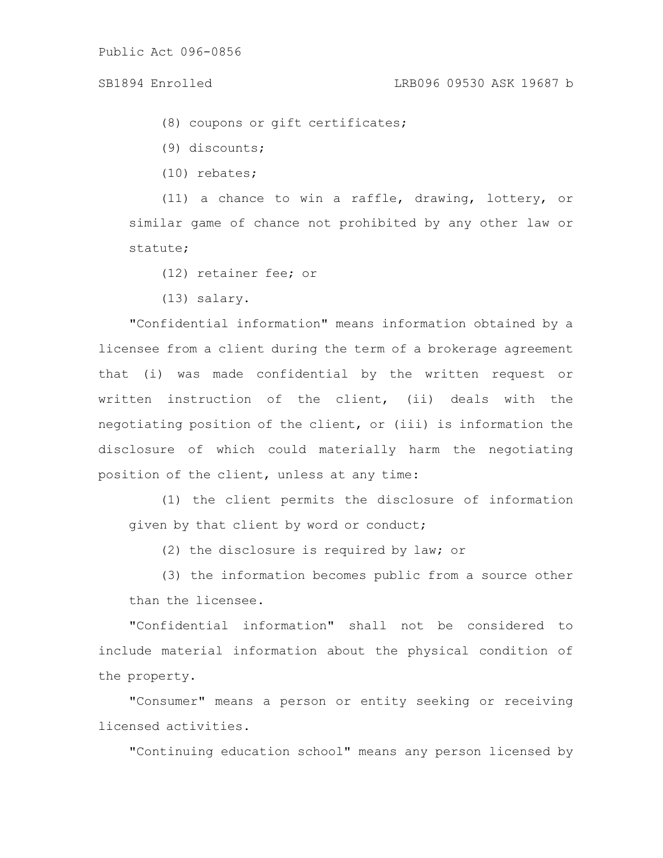(8) coupons or gift certificates;

(9) discounts;

(10) rebates;

(11) a chance to win a raffle, drawing, lottery, or similar game of chance not prohibited by any other law or statute;

- (12) retainer fee; or
- (13) salary.

"Confidential information" means information obtained by a licensee from a client during the term of a brokerage agreement that (i) was made confidential by the written request or written instruction of the client, (ii) deals with the negotiating position of the client, or (iii) is information the disclosure of which could materially harm the negotiating position of the client, unless at any time:

(1) the client permits the disclosure of information given by that client by word or conduct;

(2) the disclosure is required by law; or

(3) the information becomes public from a source other than the licensee.

"Confidential information" shall not be considered to include material information about the physical condition of the property.

"Consumer" means a person or entity seeking or receiving licensed activities.

"Continuing education school" means any person licensed by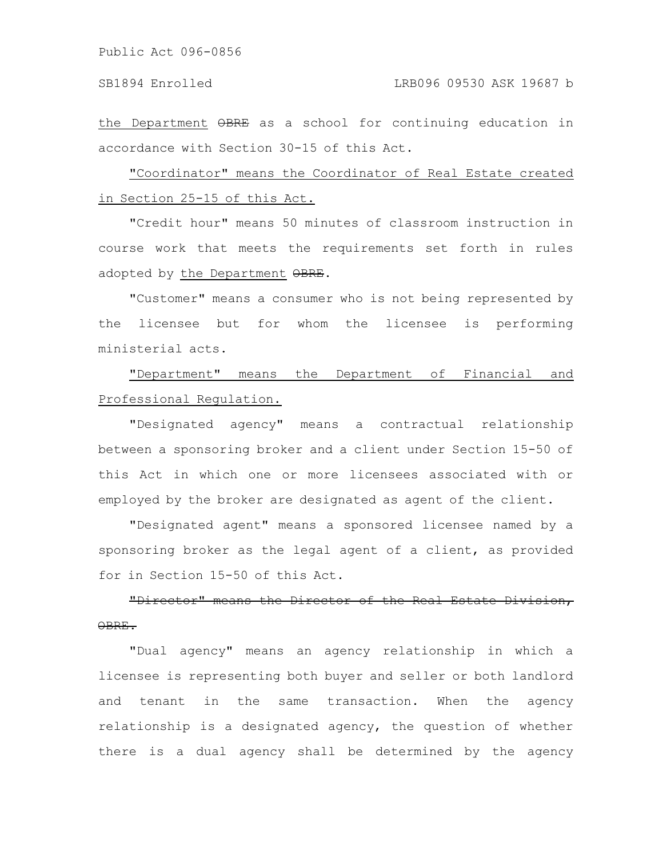the Department OBRE as a school for continuing education in accordance with Section 30-15 of this Act.

"Coordinator" means the Coordinator of Real Estate created in Section 25-15 of this Act.

"Credit hour" means 50 minutes of classroom instruction in course work that meets the requirements set forth in rules adopted by the Department OBRE.

"Customer" means a consumer who is not being represented by the licensee but for whom the licensee is performing ministerial acts.

"Department" means the Department of Financial and Professional Regulation.

"Designated agency" means a contractual relationship between a sponsoring broker and a client under Section 15-50 of this Act in which one or more licensees associated with or employed by the broker are designated as agent of the client.

"Designated agent" means a sponsored licensee named by a sponsoring broker as the legal agent of a client, as provided for in Section 15-50 of this Act.

"Director" means the Director of the Real Estate OBRE.

"Dual agency" means an agency relationship in which a licensee is representing both buyer and seller or both landlord and tenant in the same transaction. When the agency relationship is a designated agency, the question of whether there is a dual agency shall be determined by the agency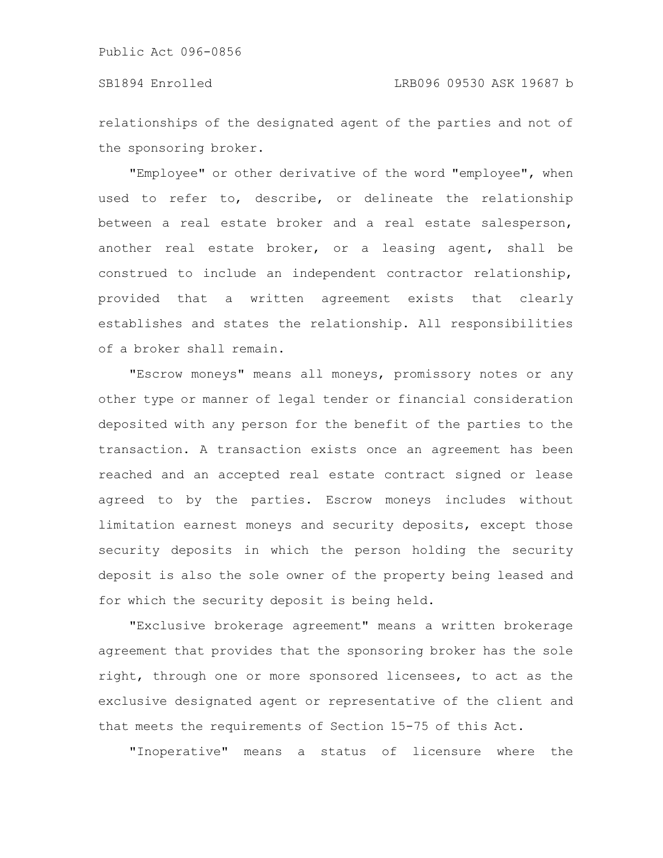relationships of the designated agent of the parties and not of the sponsoring broker.

"Employee" or other derivative of the word "employee", when used to refer to, describe, or delineate the relationship between a real estate broker and a real estate salesperson, another real estate broker, or a leasing agent, shall be construed to include an independent contractor relationship, provided that a written agreement exists that clearly establishes and states the relationship. All responsibilities of a broker shall remain.

"Escrow moneys" means all moneys, promissory notes or any other type or manner of legal tender or financial consideration deposited with any person for the benefit of the parties to the transaction. A transaction exists once an agreement has been reached and an accepted real estate contract signed or lease agreed to by the parties. Escrow moneys includes without limitation earnest moneys and security deposits, except those security deposits in which the person holding the security deposit is also the sole owner of the property being leased and for which the security deposit is being held.

"Exclusive brokerage agreement" means a written brokerage agreement that provides that the sponsoring broker has the sole right, through one or more sponsored licensees, to act as the exclusive designated agent or representative of the client and that meets the requirements of Section 15-75 of this Act.

"Inoperative" means a status of licensure where the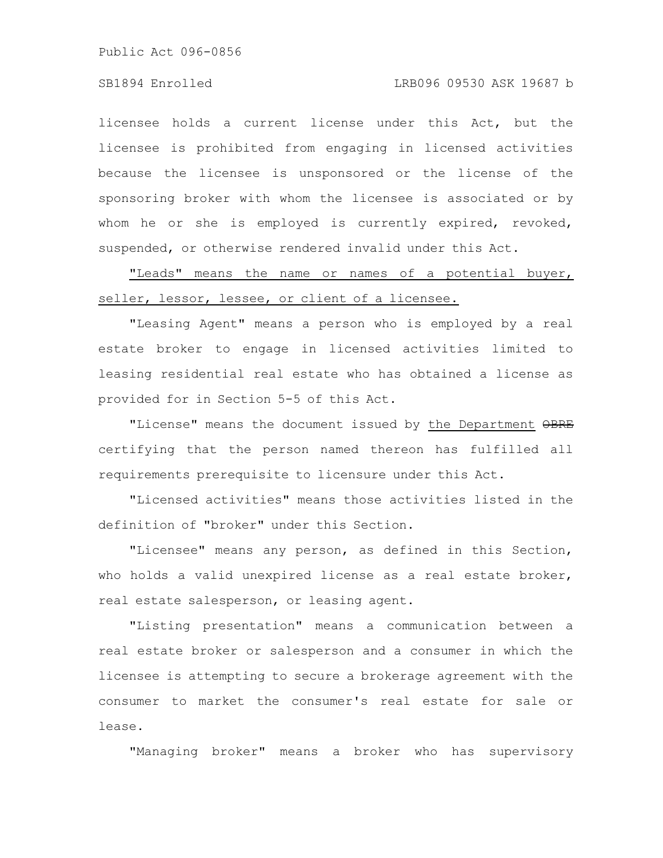### SB1894 Enrolled LRB096 09530 ASK 19687 b

licensee holds a current license under this Act, but the licensee is prohibited from engaging in licensed activities because the licensee is unsponsored or the license of the sponsoring broker with whom the licensee is associated or by whom he or she is employed is currently expired, revoked, suspended, or otherwise rendered invalid under this Act.

"Leads" means the name or names of a potential buyer, seller, lessor, lessee, or client of a licensee.

"Leasing Agent" means a person who is employed by a real estate broker to engage in licensed activities limited to leasing residential real estate who has obtained a license as provided for in Section 5-5 of this Act.

"License" means the document issued by the Department OBRE certifying that the person named thereon has fulfilled all requirements prerequisite to licensure under this Act.

"Licensed activities" means those activities listed in the definition of "broker" under this Section.

"Licensee" means any person, as defined in this Section, who holds a valid unexpired license as a real estate broker, real estate salesperson, or leasing agent.

"Listing presentation" means a communication between a real estate broker or salesperson and a consumer in which the licensee is attempting to secure a brokerage agreement with the consumer to market the consumer's real estate for sale or lease.

"Managing broker" means a broker who has supervisory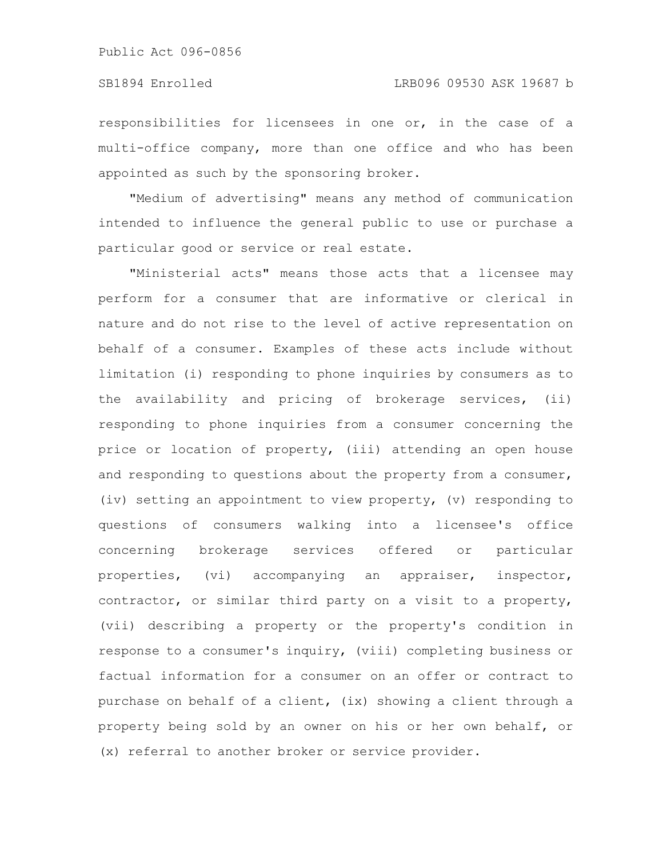### SB1894 Enrolled LRB096 09530 ASK 19687 b

responsibilities for licensees in one or, in the case of a multi-office company, more than one office and who has been appointed as such by the sponsoring broker.

"Medium of advertising" means any method of communication intended to influence the general public to use or purchase a particular good or service or real estate.

"Ministerial acts" means those acts that a licensee may perform for a consumer that are informative or clerical in nature and do not rise to the level of active representation on behalf of a consumer. Examples of these acts include without limitation (i) responding to phone inquiries by consumers as to the availability and pricing of brokerage services, (ii) responding to phone inquiries from a consumer concerning the price or location of property, (iii) attending an open house and responding to questions about the property from a consumer, (iv) setting an appointment to view property, (v) responding to questions of consumers walking into a licensee's office concerning brokerage services offered or particular properties, (vi) accompanying an appraiser, inspector, contractor, or similar third party on a visit to a property, (vii) describing a property or the property's condition in response to a consumer's inquiry, (viii) completing business or factual information for a consumer on an offer or contract to purchase on behalf of a client, (ix) showing a client through a property being sold by an owner on his or her own behalf, or (x) referral to another broker or service provider.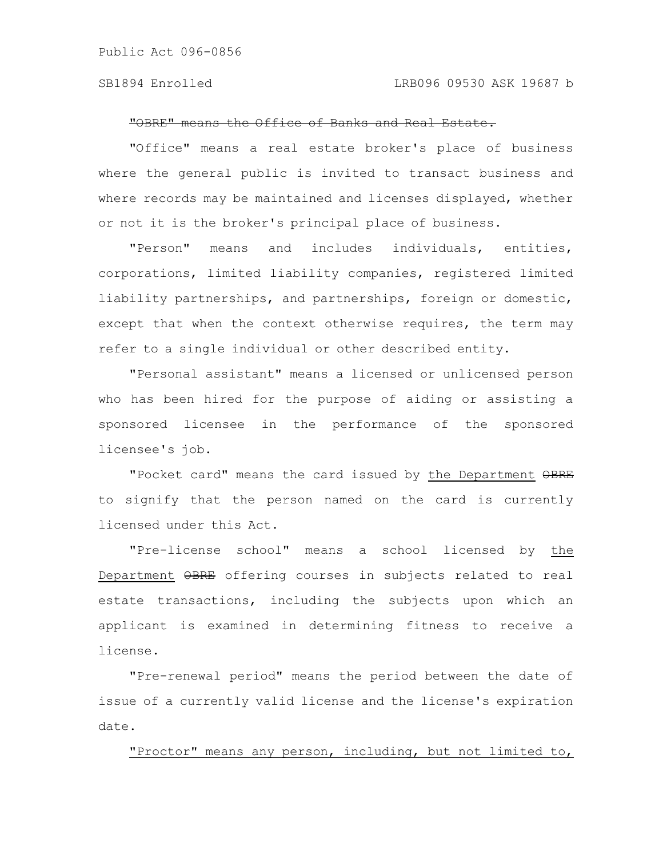#### "OBRE" means the Office of Banks and Real Estate.

"Office" means a real estate broker's place of business where the general public is invited to transact business and where records may be maintained and licenses displayed, whether or not it is the broker's principal place of business.

"Person" means and includes individuals, entities, corporations, limited liability companies, registered limited liability partnerships, and partnerships, foreign or domestic, except that when the context otherwise requires, the term may refer to a single individual or other described entity.

"Personal assistant" means a licensed or unlicensed person who has been hired for the purpose of aiding or assisting a sponsored licensee in the performance of the sponsored licensee's job.

"Pocket card" means the card issued by the Department OBRE to signify that the person named on the card is currently licensed under this Act.

"Pre-license school" means a school licensed by the Department OBRE offering courses in subjects related to real estate transactions, including the subjects upon which an applicant is examined in determining fitness to receive a license.

"Pre-renewal period" means the period between the date of issue of a currently valid license and the license's expiration date.

"Proctor" means any person, including, but not limited to,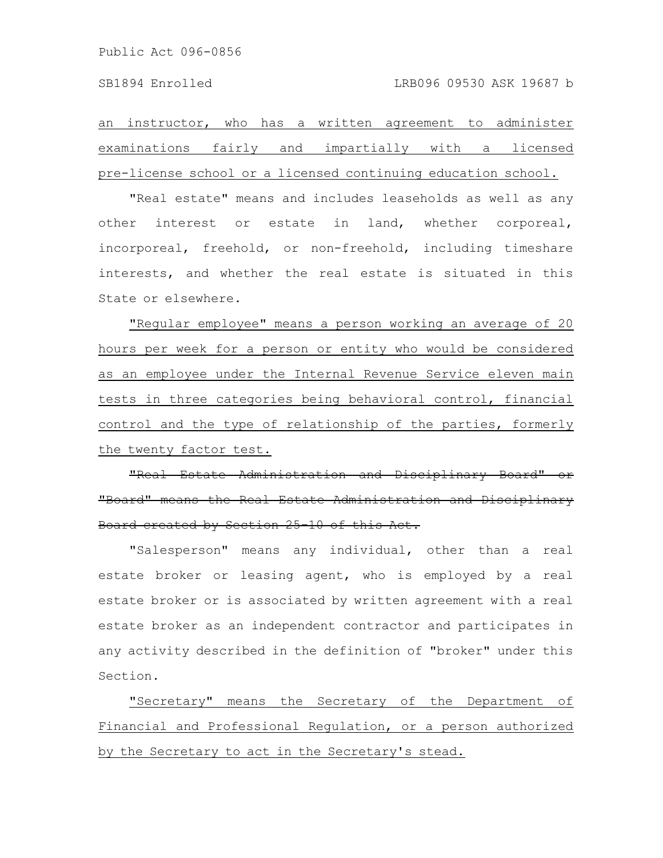an instructor, who has a written agreement to administer examinations fairly and impartially with a licensed pre-license school or a licensed continuing education school.

"Real estate" means and includes leaseholds as well as any other interest or estate in land, whether corporeal, incorporeal, freehold, or non-freehold, including timeshare interests, and whether the real estate is situated in this State or elsewhere.

"Regular employee" means a person working an average of 20 hours per week for a person or entity who would be considered as an employee under the Internal Revenue Service eleven main tests in three categories being behavioral control, financial control and the type of relationship of the parties, formerly the twenty factor test.

"Real Estate Administration and Disciplinary "Board" means the Real Estate Administration and Board created by Section 25-10 of this Act.

"Salesperson" means any individual, other than a real estate broker or leasing agent, who is employed by a real estate broker or is associated by written agreement with a real estate broker as an independent contractor and participates in any activity described in the definition of "broker" under this Section.

"Secretary" means the Secretary of the Department of Financial and Professional Regulation, or a person authorized by the Secretary to act in the Secretary's stead.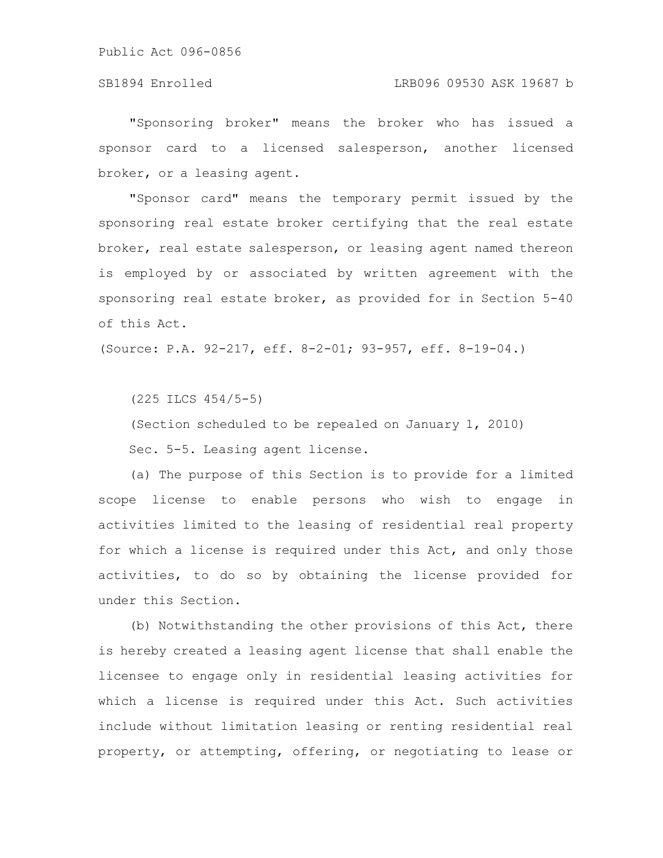### SB1894 Enrolled LRB096 09530 ASK 19687 b

"Sponsoring broker" means the broker who has issued a sponsor card to a licensed salesperson, another licensed broker, or a leasing agent.

"Sponsor card" means the temporary permit issued by the sponsoring real estate broker certifying that the real estate broker, real estate salesperson, or leasing agent named thereon is employed by or associated by written agreement with the sponsoring real estate broker, as provided for in Section 5-40 of this Act.

(Source: P.A. 92-217, eff. 8-2-01; 93-957, eff. 8-19-04.)

(225 ILCS 454/5-5)

(Section scheduled to be repealed on January 1, 2010)

Sec. 5-5. Leasing agent license.

(a) The purpose of this Section is to provide for a limited scope license to enable persons who wish to engage in activities limited to the leasing of residential real property for which a license is required under this Act, and only those activities, to do so by obtaining the license provided for under this Section.

(b) Notwithstanding the other provisions of this Act, there is hereby created a leasing agent license that shall enable the licensee to engage only in residential leasing activities for which a license is required under this Act. Such activities include without limitation leasing or renting residential real property, or attempting, offering, or negotiating to lease or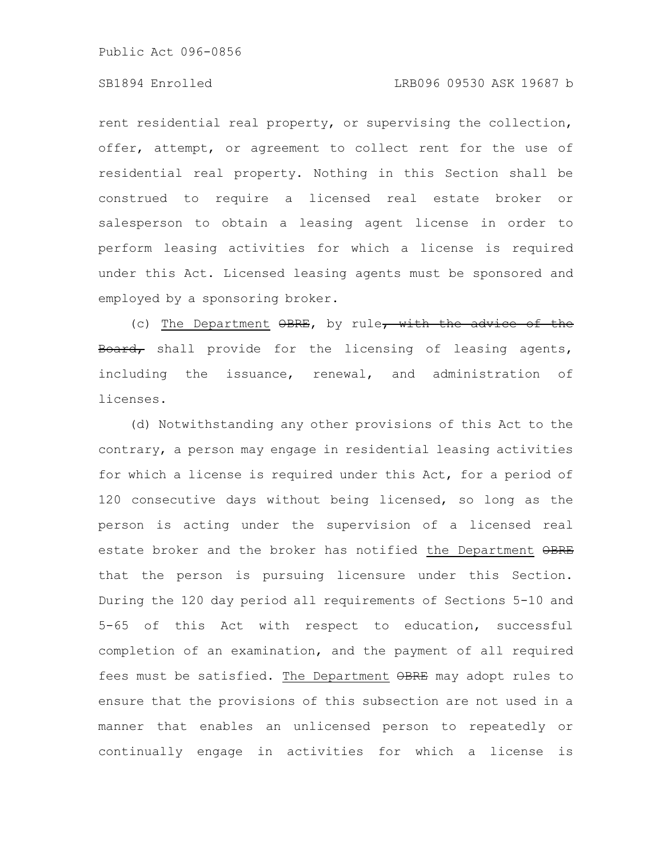### SB1894 Enrolled LRB096 09530 ASK 19687 b

rent residential real property, or supervising the collection, offer, attempt, or agreement to collect rent for the use of residential real property. Nothing in this Section shall be construed to require a licensed real estate broker or salesperson to obtain a leasing agent license in order to perform leasing activities for which a license is required under this Act. Licensed leasing agents must be sponsored and employed by a sponsoring broker.

(c) The Department  $\Theta$ BRE, by rule, with the advice of the Board, shall provide for the licensing of leasing agents, including the issuance, renewal, and administration of licenses.

(d) Notwithstanding any other provisions of this Act to the contrary, a person may engage in residential leasing activities for which a license is required under this Act, for a period of 120 consecutive days without being licensed, so long as the person is acting under the supervision of a licensed real estate broker and the broker has notified the Department OBRE that the person is pursuing licensure under this Section. During the 120 day period all requirements of Sections 5-10 and 5-65 of this Act with respect to education, successful completion of an examination, and the payment of all required fees must be satisfied. The Department  $\Theta$ BRE may adopt rules to ensure that the provisions of this subsection are not used in a manner that enables an unlicensed person to repeatedly or continually engage in activities for which a license is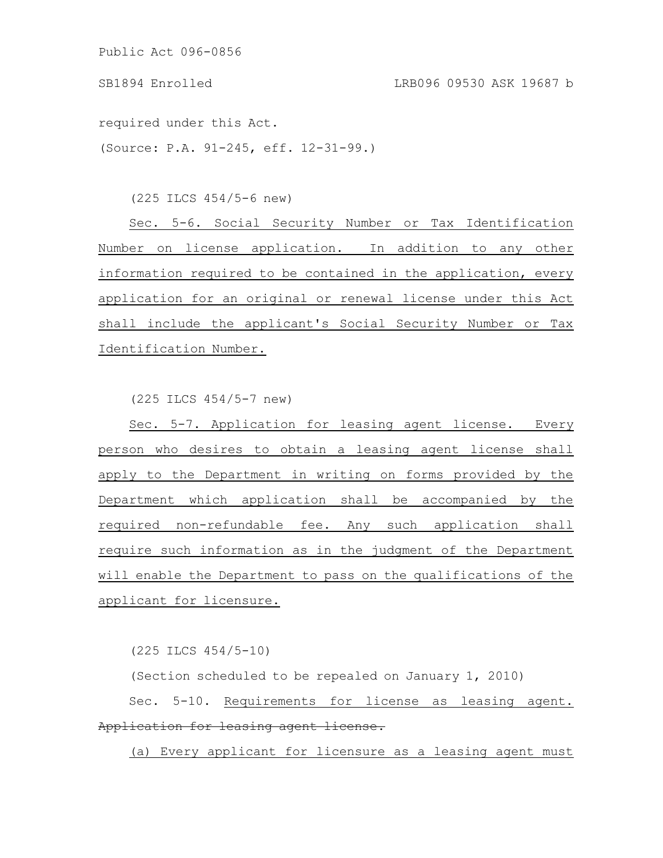required under this Act.

(Source: P.A. 91-245, eff. 12-31-99.)

(225 ILCS 454/5-6 new)

Sec. 5-6. Social Security Number or Tax Identification Number on license application. In addition to any other information required to be contained in the application, every application for an original or renewal license under this Act shall include the applicant's Social Security Number or Tax Identification Number.

(225 ILCS 454/5-7 new)

Sec. 5-7. Application for leasing agent license. Every person who desires to obtain a leasing agent license shall apply to the Department in writing on forms provided by the Department which application shall be accompanied by the required non-refundable fee. Any such application shall require such information as in the judgment of the Department will enable the Department to pass on the qualifications of the applicant for licensure.

(225 ILCS 454/5-10)

(Section scheduled to be repealed on January 1, 2010)

Sec. 5-10. Requirements for license as leasing agent. Application for leasing agent license.

(a) Every applicant for licensure as a leasing agent must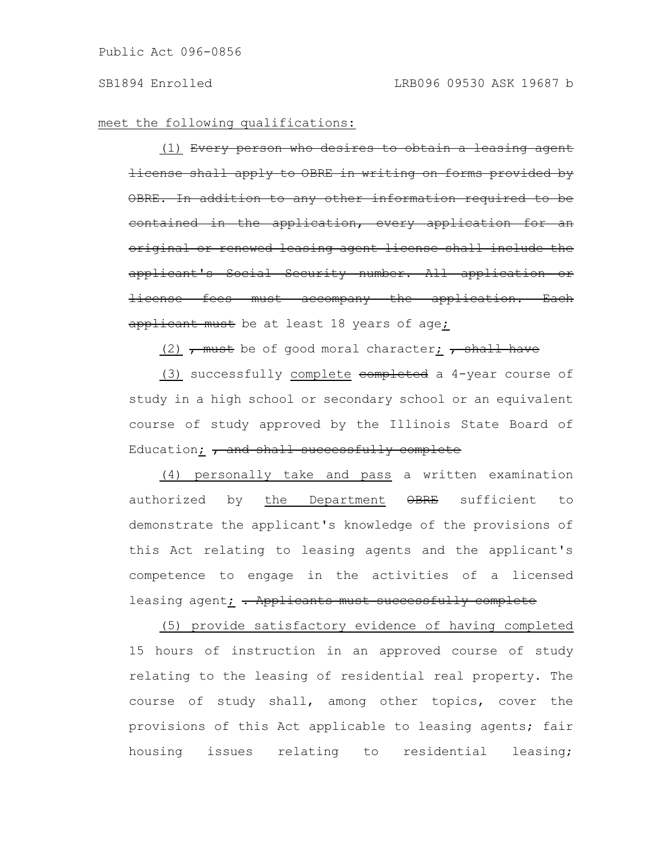meet the following qualifications:

(1) Every person who desires to obtain a leasing agent license shall apply to OBRE in writing on forms provided by OBRE. In addition to any other information required contained in the application, every application for an original or renewed leasing agent license shall include the applicant's Social Security number. All application or license fees must accompany the application. Each applicant must be at least 18 years of age;

 $(2)$  , must be of good moral character; , shall have

(3) successfully complete completed a 4-year course of study in a high school or secondary school or an equivalent course of study approved by the Illinois State Board of Education;  $\tau$  and shall successfully complete

(4) personally take and pass a written examination authorized by the Department OBRE sufficient to demonstrate the applicant's knowledge of the provisions of this Act relating to leasing agents and the applicant's competence to engage in the activities of a licensed leasing agent $\frac{\cdot}{\cdot}$  . Applicants must successfully complete

(5) provide satisfactory evidence of having completed 15 hours of instruction in an approved course of study relating to the leasing of residential real property. The course of study shall, among other topics, cover the provisions of this Act applicable to leasing agents; fair housing issues relating to residential leasing;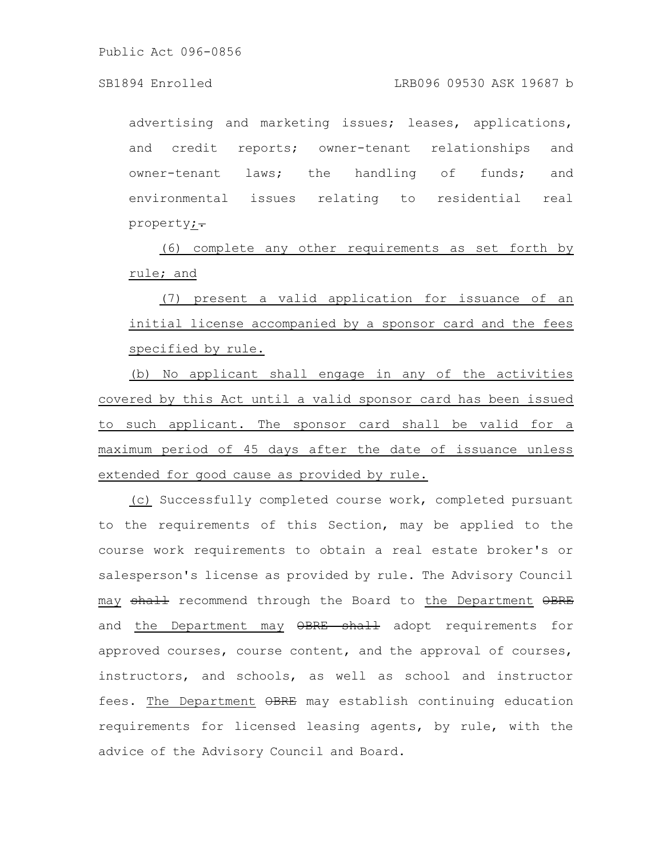advertising and marketing issues; leases, applications, and credit reports; owner-tenant relationships and owner-tenant laws; the handling of funds; and environmental issues relating to residential real property;-

(6) complete any other requirements as set forth by rule; and

(7) present a valid application for issuance of an initial license accompanied by a sponsor card and the fees specified by rule.

(b) No applicant shall engage in any of the activities covered by this Act until a valid sponsor card has been issued to such applicant. The sponsor card shall be valid for a maximum period of 45 days after the date of issuance unless extended for good cause as provided by rule.

(c) Successfully completed course work, completed pursuant to the requirements of this Section, may be applied to the course work requirements to obtain a real estate broker's or salesperson's license as provided by rule. The Advisory Council may shall recommend through the Board to the Department OBRE and the Department may OBRE shall adopt requirements for approved courses, course content, and the approval of courses, instructors, and schools, as well as school and instructor fees. The Department  $\Theta$ BRE may establish continuing education requirements for licensed leasing agents, by rule, with the advice of the Advisory Council and Board.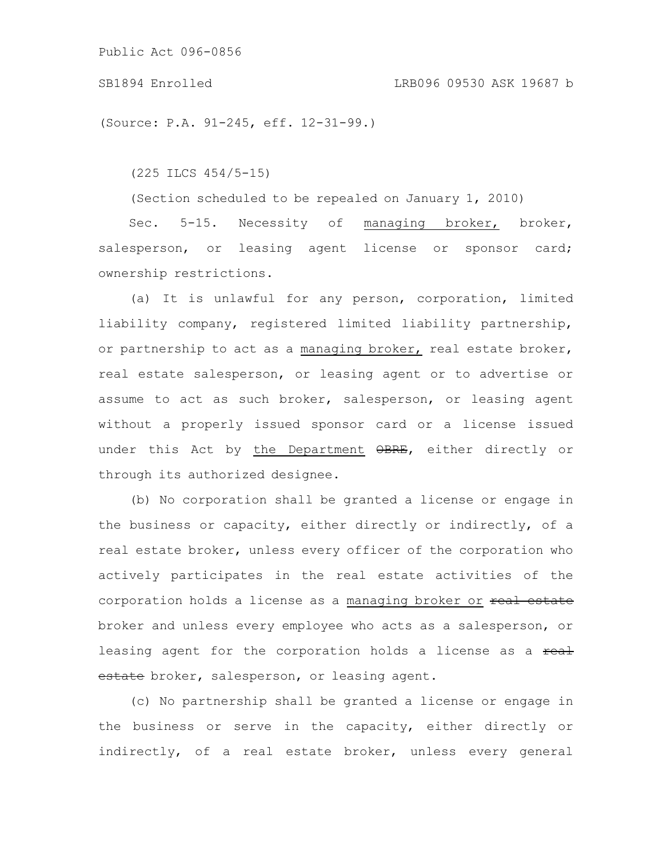SB1894 Enrolled LRB096 09530 ASK 19687 b

(Source: P.A. 91-245, eff. 12-31-99.)

(225 ILCS 454/5-15)

(Section scheduled to be repealed on January 1, 2010)

Sec. 5-15. Necessity of managing broker, broker, salesperson, or leasing agent license or sponsor card; ownership restrictions.

(a) It is unlawful for any person, corporation, limited liability company, registered limited liability partnership, or partnership to act as a managing broker, real estate broker, real estate salesperson, or leasing agent or to advertise or assume to act as such broker, salesperson, or leasing agent without a properly issued sponsor card or a license issued under this Act by the Department OBRE, either directly or through its authorized designee.

(b) No corporation shall be granted a license or engage in the business or capacity, either directly or indirectly, of a real estate broker, unless every officer of the corporation who actively participates in the real estate activities of the corporation holds a license as a managing broker or real estate broker and unless every employee who acts as a salesperson, or leasing agent for the corporation holds a license as a real estate broker, salesperson, or leasing agent.

(c) No partnership shall be granted a license or engage in the business or serve in the capacity, either directly or indirectly, of a real estate broker, unless every general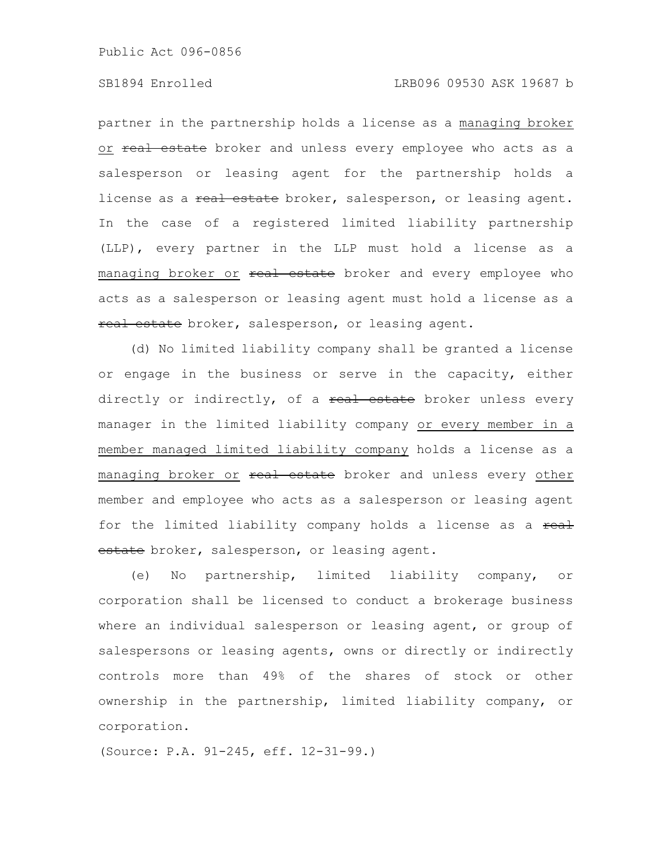## SB1894 Enrolled LRB096 09530 ASK 19687 b

partner in the partnership holds a license as a managing broker or real estate broker and unless every employee who acts as a salesperson or leasing agent for the partnership holds a license as a real estate broker, salesperson, or leasing agent. In the case of a registered limited liability partnership (LLP), every partner in the LLP must hold a license as a managing broker or real estate broker and every employee who acts as a salesperson or leasing agent must hold a license as a real estate broker, salesperson, or leasing agent.

(d) No limited liability company shall be granted a license or engage in the business or serve in the capacity, either directly or indirectly, of a  $real$  estate broker unless every manager in the limited liability company or every member in a member managed limited liability company holds a license as a managing broker or real estate broker and unless every other member and employee who acts as a salesperson or leasing agent for the limited liability company holds a license as a real estate broker, salesperson, or leasing agent.

(e) No partnership, limited liability company, or corporation shall be licensed to conduct a brokerage business where an individual salesperson or leasing agent, or group of salespersons or leasing agents, owns or directly or indirectly controls more than 49% of the shares of stock or other ownership in the partnership, limited liability company, or corporation.

(Source: P.A. 91-245, eff. 12-31-99.)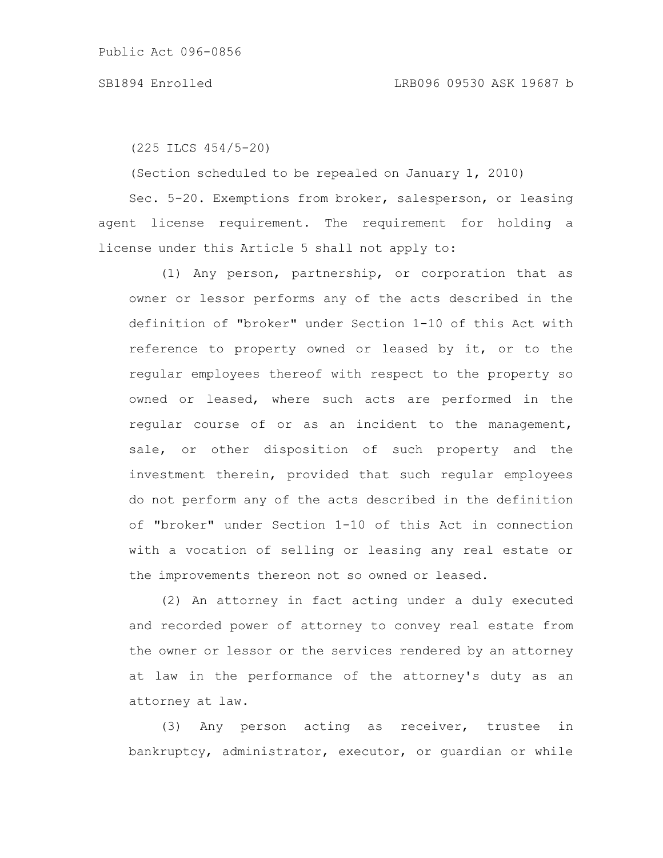(225 ILCS 454/5-20)

(Section scheduled to be repealed on January 1, 2010)

Sec. 5-20. Exemptions from broker, salesperson, or leasing agent license requirement. The requirement for holding a license under this Article 5 shall not apply to:

(1) Any person, partnership, or corporation that as owner or lessor performs any of the acts described in the definition of "broker" under Section 1-10 of this Act with reference to property owned or leased by it, or to the regular employees thereof with respect to the property so owned or leased, where such acts are performed in the regular course of or as an incident to the management, sale, or other disposition of such property and the investment therein, provided that such regular employees do not perform any of the acts described in the definition of "broker" under Section 1-10 of this Act in connection with a vocation of selling or leasing any real estate or the improvements thereon not so owned or leased.

(2) An attorney in fact acting under a duly executed and recorded power of attorney to convey real estate from the owner or lessor or the services rendered by an attorney at law in the performance of the attorney's duty as an attorney at law.

(3) Any person acting as receiver, trustee in bankruptcy, administrator, executor, or guardian or while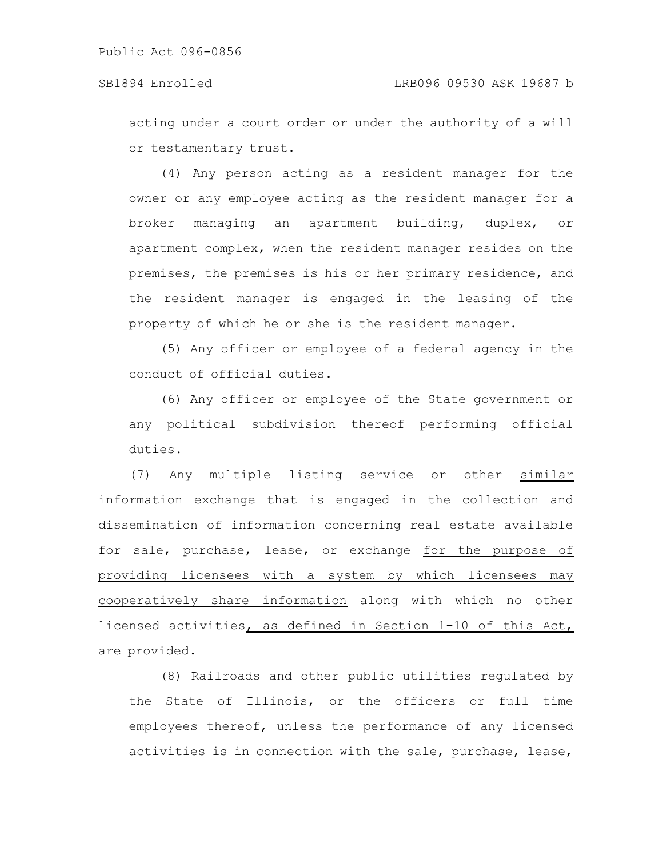acting under a court order or under the authority of a will or testamentary trust.

(4) Any person acting as a resident manager for the owner or any employee acting as the resident manager for a broker managing an apartment building, duplex, or apartment complex, when the resident manager resides on the premises, the premises is his or her primary residence, and the resident manager is engaged in the leasing of the property of which he or she is the resident manager.

(5) Any officer or employee of a federal agency in the conduct of official duties.

(6) Any officer or employee of the State government or any political subdivision thereof performing official duties.

(7) Any multiple listing service or other similar information exchange that is engaged in the collection and dissemination of information concerning real estate available for sale, purchase, lease, or exchange for the purpose of providing licensees with a system by which licensees may cooperatively share information along with which no other licensed activities, as defined in Section 1-10 of this Act, are provided.

(8) Railroads and other public utilities regulated by the State of Illinois, or the officers or full time employees thereof, unless the performance of any licensed activities is in connection with the sale, purchase, lease,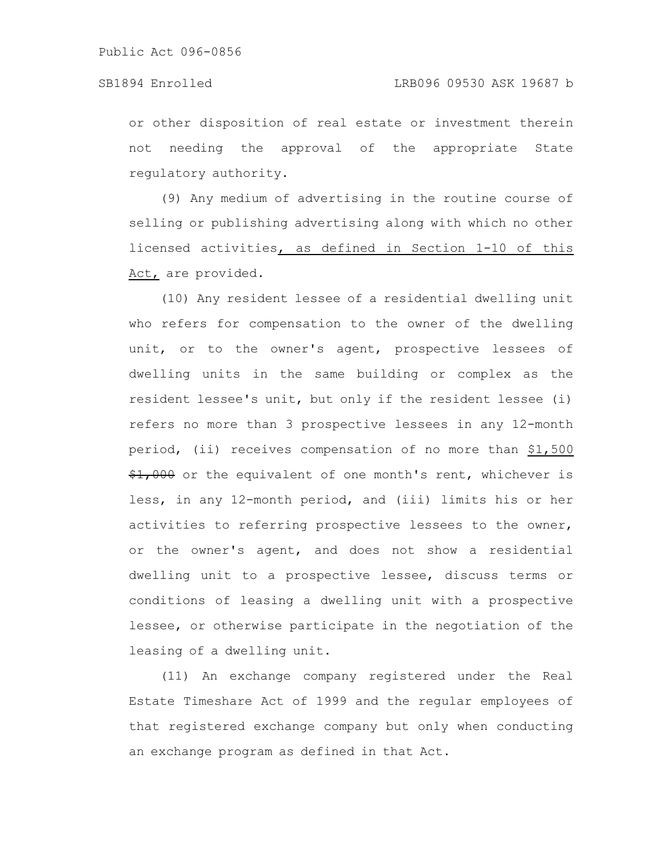or other disposition of real estate or investment therein not needing the approval of the appropriate State regulatory authority.

(9) Any medium of advertising in the routine course of selling or publishing advertising along with which no other licensed activities, as defined in Section 1-10 of this Act, are provided.

(10) Any resident lessee of a residential dwelling unit who refers for compensation to the owner of the dwelling unit, or to the owner's agent, prospective lessees of dwelling units in the same building or complex as the resident lessee's unit, but only if the resident lessee (i) refers no more than 3 prospective lessees in any 12-month period, (ii) receives compensation of no more than \$1,500  $\frac{1}{2}$ ,000 or the equivalent of one month's rent, whichever is less, in any 12-month period, and (iii) limits his or her activities to referring prospective lessees to the owner, or the owner's agent, and does not show a residential dwelling unit to a prospective lessee, discuss terms or conditions of leasing a dwelling unit with a prospective lessee, or otherwise participate in the negotiation of the leasing of a dwelling unit.

(11) An exchange company registered under the Real Estate Timeshare Act of 1999 and the regular employees of that registered exchange company but only when conducting an exchange program as defined in that Act.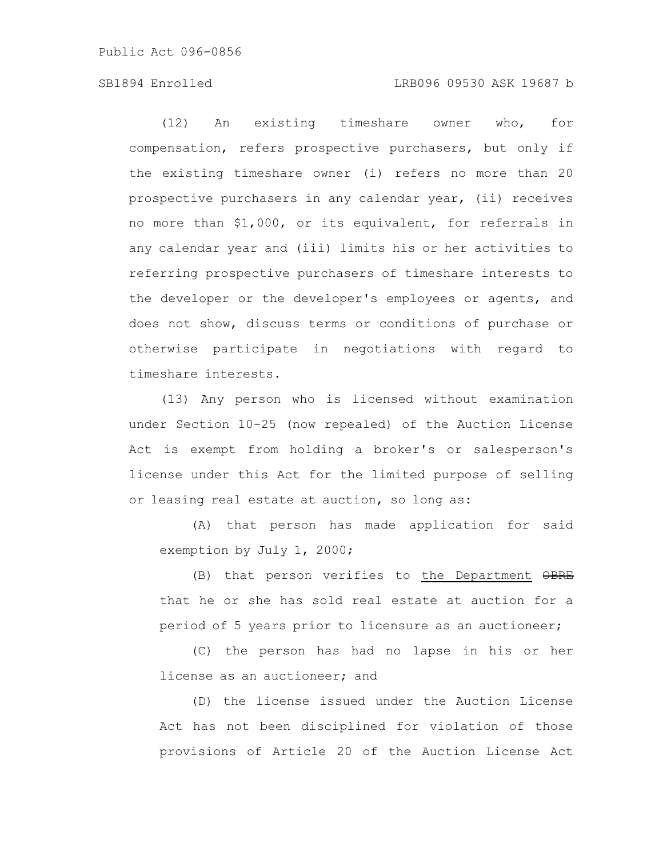## SB1894 Enrolled LRB096 09530 ASK 19687 b

(12) An existing timeshare owner who, for compensation, refers prospective purchasers, but only if the existing timeshare owner (i) refers no more than 20 prospective purchasers in any calendar year, (ii) receives no more than \$1,000, or its equivalent, for referrals in any calendar year and (iii) limits his or her activities to referring prospective purchasers of timeshare interests to the developer or the developer's employees or agents, and does not show, discuss terms or conditions of purchase or otherwise participate in negotiations with regard to timeshare interests.

(13) Any person who is licensed without examination under Section 10-25 (now repealed) of the Auction License Act is exempt from holding a broker's or salesperson's license under this Act for the limited purpose of selling or leasing real estate at auction, so long as:

(A) that person has made application for said exemption by July 1, 2000;

(B) that person verifies to the Department OBRE that he or she has sold real estate at auction for a period of 5 years prior to licensure as an auctioneer;

(C) the person has had no lapse in his or her license as an auctioneer; and

(D) the license issued under the Auction License Act has not been disciplined for violation of those provisions of Article 20 of the Auction License Act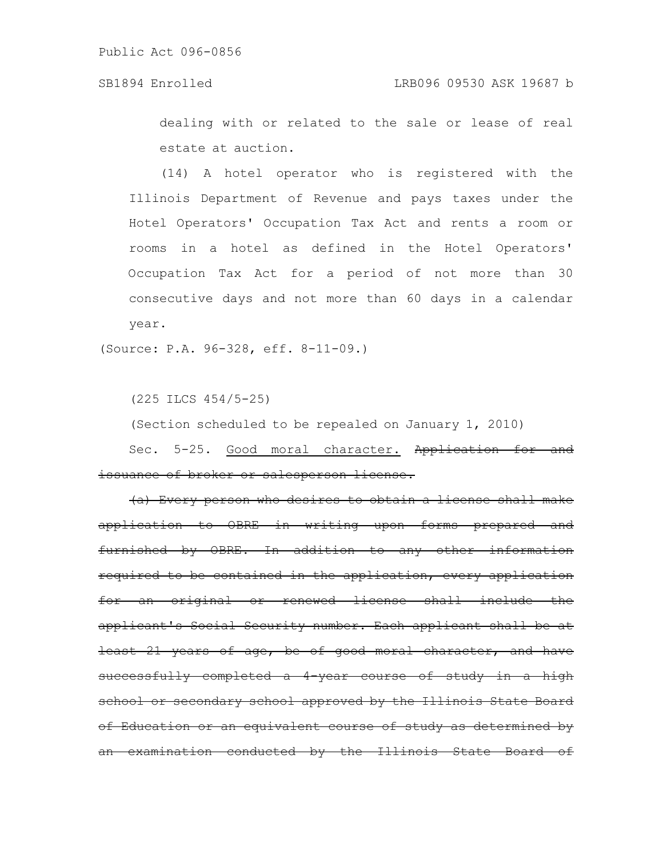# SB1894 Enrolled LRB096 09530 ASK 19687 b

dealing with or related to the sale or lease of real estate at auction.

(14) A hotel operator who is registered with the Illinois Department of Revenue and pays taxes under the Hotel Operators' Occupation Tax Act and rents a room or rooms in a hotel as defined in the Hotel Operators' Occupation Tax Act for a period of not more than 30 consecutive days and not more than 60 days in a calendar year.

(Source: P.A. 96-328, eff. 8-11-09.)

(225 ILCS 454/5-25)

(Section scheduled to be repealed on January 1, 2010)

Sec. 5-25. Good moral character. Application for and issuance of broker or salesperson license.

(a) Every person who desires to obtain a license shall make application to OBRE in writing upon forms prepared and furnished by OBRE. In addition to any other information required to be contained in the application, every application for an original or renewed license shall include the applicant's Social Security number. Each applicant shall be at least 21 years of age, be of good moral character, and have successfully completed a 4-year course of study in a high school or secondary school approved by the Illinois State Board of Education or an equivalent course of study as determined by an examination conducted by the Illinois State Board of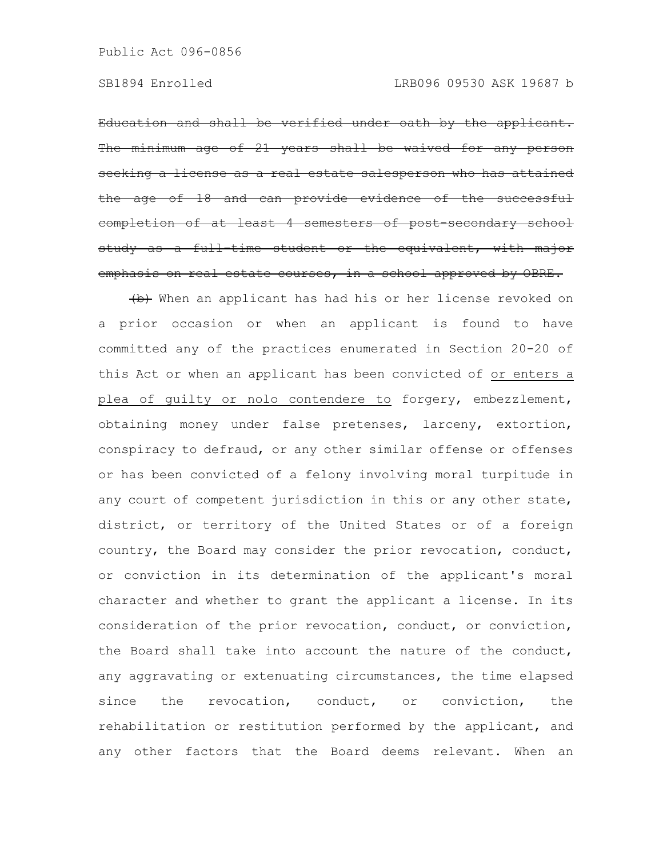Education and shall be verified under oath by the applicant. minimum age of 21 years shall be waived for any person seeking a license as a real estate salesperson who of 18 and can provide eviden completion of at least 4 semesters of post-secondary school study as a full time student or the equivalent, with major emphasis on real estate courses, in a school approved by OBRE.

(b) When an applicant has had his or her license revoked on a prior occasion or when an applicant is found to have committed any of the practices enumerated in Section 20-20 of this Act or when an applicant has been convicted of or enters a plea of guilty or nolo contendere to forgery, embezzlement, obtaining money under false pretenses, larceny, extortion, conspiracy to defraud, or any other similar offense or offenses or has been convicted of a felony involving moral turpitude in any court of competent jurisdiction in this or any other state, district, or territory of the United States or of a foreign country, the Board may consider the prior revocation, conduct, or conviction in its determination of the applicant's moral character and whether to grant the applicant a license. In its consideration of the prior revocation, conduct, or conviction, the Board shall take into account the nature of the conduct, any aggravating or extenuating circumstances, the time elapsed since the revocation, conduct, or conviction, the rehabilitation or restitution performed by the applicant, and any other factors that the Board deems relevant. When an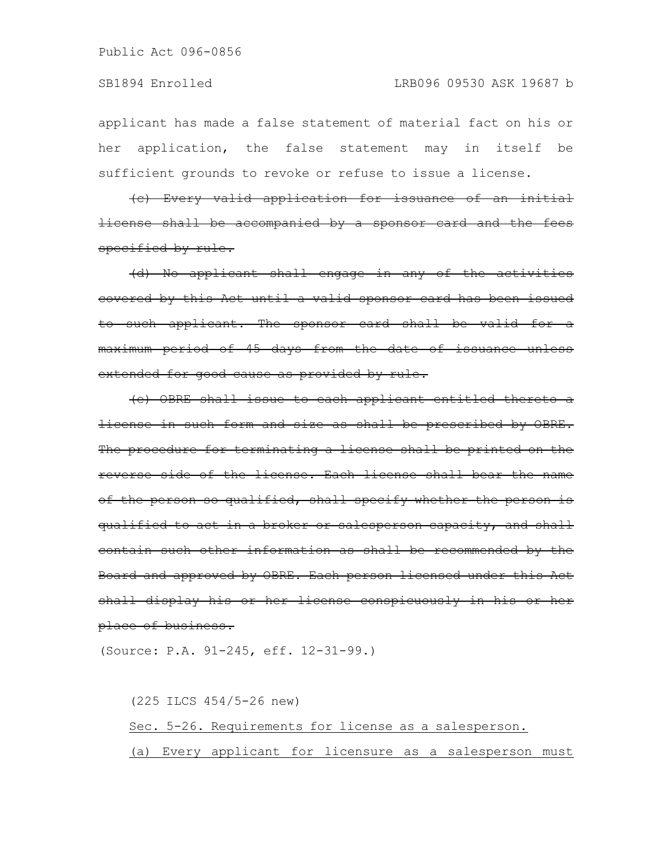applicant has made a false statement of material fact on his or her application, the false statement may in itself be sufficient grounds to revoke or refuse to issue a license.

(c) Every valid application for issuance of an initial license shall be accompanied by a sponsor card and the fees specified by rule.

(d) No applicant shall engage in any of the activities covered by this Act until a valid sponsor card has been issued to such applicant. The sponsor card shall be valid for a maximum period of 45 days from the date of issuance unless extended for good cause as provided by rule.

(e) OBRE shall issue to each applicant entitled thereto a license in such form and size as shall be prescribed by OBRE. The procedure for terminating a license shall be printed on the reverse side of the license. Each license shall bear the name of the person so qualified, shall specify whether the person is qualified to act in a broker or salesperson capacity, and shall contain such other information as shall be recommended by the Board and approved by OBRE. Each person licensed under this Act shall display his or her license conspicuously in his or her place of business.

(Source: P.A. 91-245, eff. 12-31-99.)

(225 ILCS 454/5-26 new) Sec. 5-26. Requirements for license as a salesperson. (a) Every applicant for licensure as a salesperson must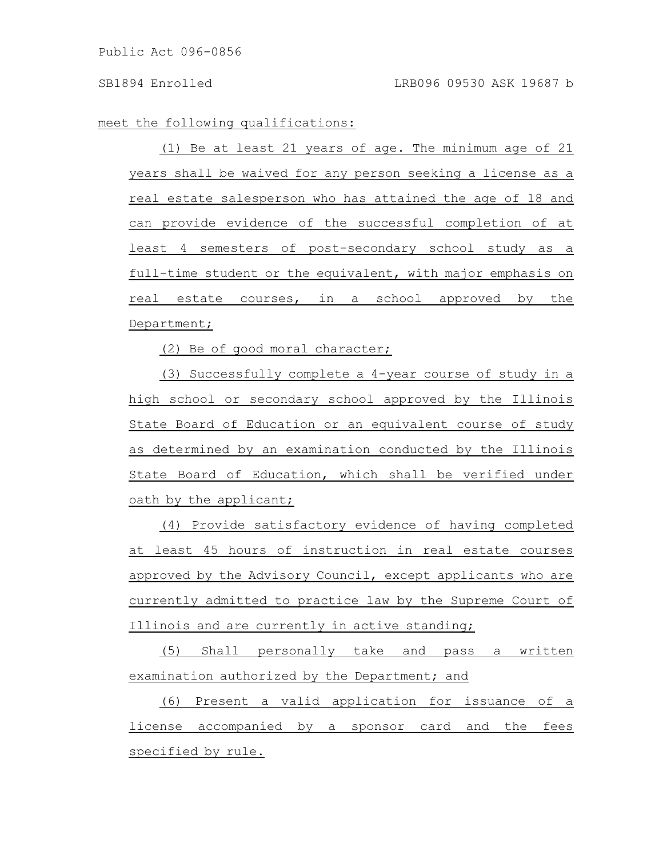meet the following qualifications:

(1) Be at least 21 years of age. The minimum age of 21 years shall be waived for any person seeking a license as a real estate salesperson who has attained the age of 18 and can provide evidence of the successful completion of at least 4 semesters of post-secondary school study as a full-time student or the equivalent, with major emphasis on real estate courses, in a school approved by the Department;

(2) Be of good moral character;

(3) Successfully complete a 4-year course of study in a high school or secondary school approved by the Illinois State Board of Education or an equivalent course of study as determined by an examination conducted by the Illinois State Board of Education, which shall be verified under oath by the applicant;

(4) Provide satisfactory evidence of having completed at least 45 hours of instruction in real estate courses approved by the Advisory Council, except applicants who are currently admitted to practice law by the Supreme Court of Illinois and are currently in active standing;

(5) Shall personally take and pass a written examination authorized by the Department; and

(6) Present a valid application for issuance of a license accompanied by a sponsor card and the fees specified by rule.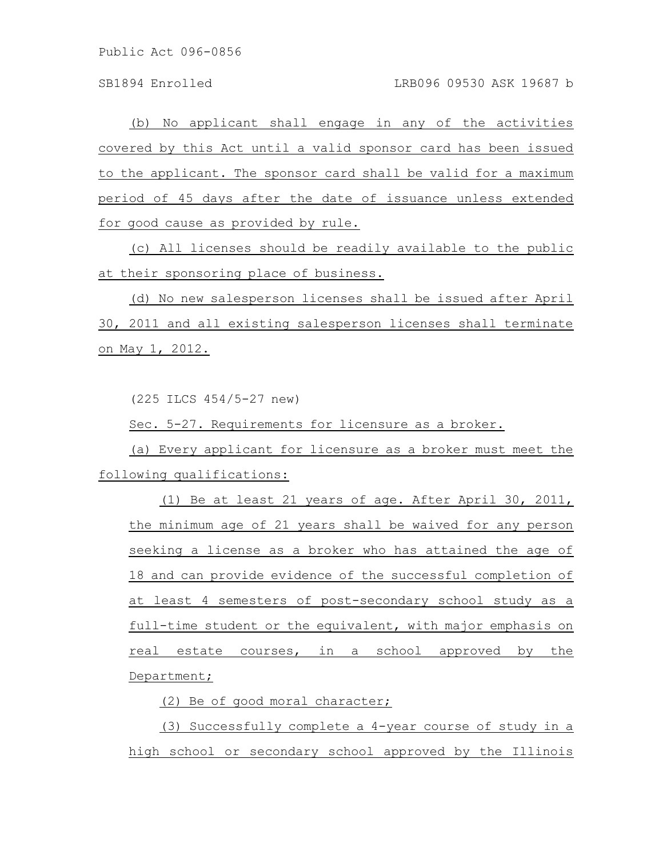(b) No applicant shall engage in any of the activities covered by this Act until a valid sponsor card has been issued to the applicant. The sponsor card shall be valid for a maximum period of 45 days after the date of issuance unless extended for good cause as provided by rule.

(c) All licenses should be readily available to the public at their sponsoring place of business.

(d) No new salesperson licenses shall be issued after April 30, 2011 and all existing salesperson licenses shall terminate on May 1, 2012.

(225 ILCS 454/5-27 new)

Sec. 5-27. Requirements for licensure as a broker.

(a) Every applicant for licensure as a broker must meet the following qualifications:

(1) Be at least 21 years of age. After April 30, 2011, the minimum age of 21 years shall be waived for any person seeking a license as a broker who has attained the age of 18 and can provide evidence of the successful completion of at least 4 semesters of post-secondary school study as a full-time student or the equivalent, with major emphasis on real estate courses, in a school approved by the Department;

(2) Be of good moral character;

(3) Successfully complete a 4-year course of study in a high school or secondary school approved by the Illinois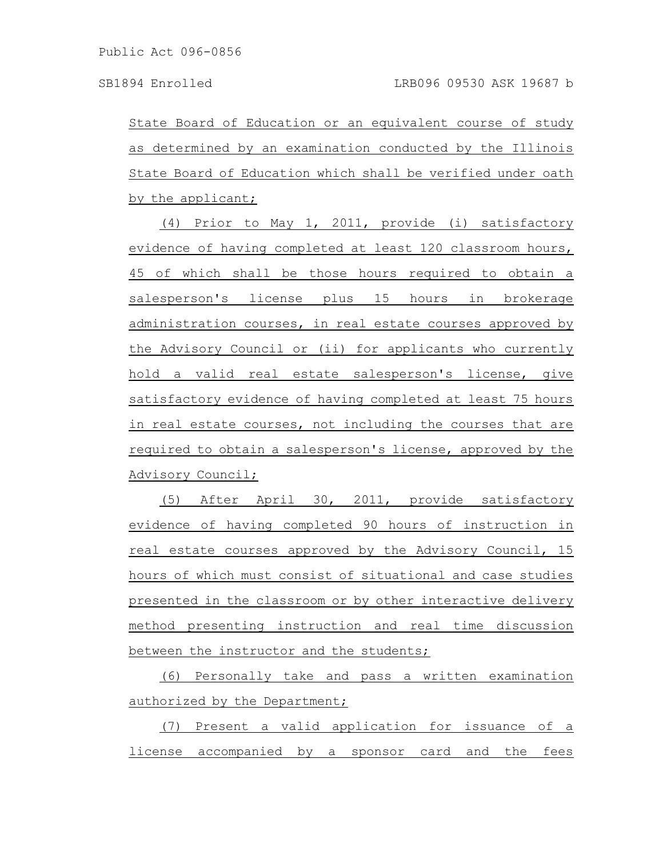State Board of Education or an equivalent course of study as determined by an examination conducted by the Illinois State Board of Education which shall be verified under oath by the applicant;

(4) Prior to May 1, 2011, provide (i) satisfactory evidence of having completed at least 120 classroom hours, 45 of which shall be those hours required to obtain a salesperson's license plus 15 hours in brokerage administration courses, in real estate courses approved by the Advisory Council or (ii) for applicants who currently hold a valid real estate salesperson's license, give satisfactory evidence of having completed at least 75 hours in real estate courses, not including the courses that are required to obtain a salesperson's license, approved by the Advisory Council;

(5) After April 30, 2011, provide satisfactory evidence of having completed 90 hours of instruction in real estate courses approved by the Advisory Council, 15 hours of which must consist of situational and case studies presented in the classroom or by other interactive delivery method presenting instruction and real time discussion between the instructor and the students;

(6) Personally take and pass a written examination authorized by the Department;

(7) Present a valid application for issuance of a license accompanied by a sponsor card and the fees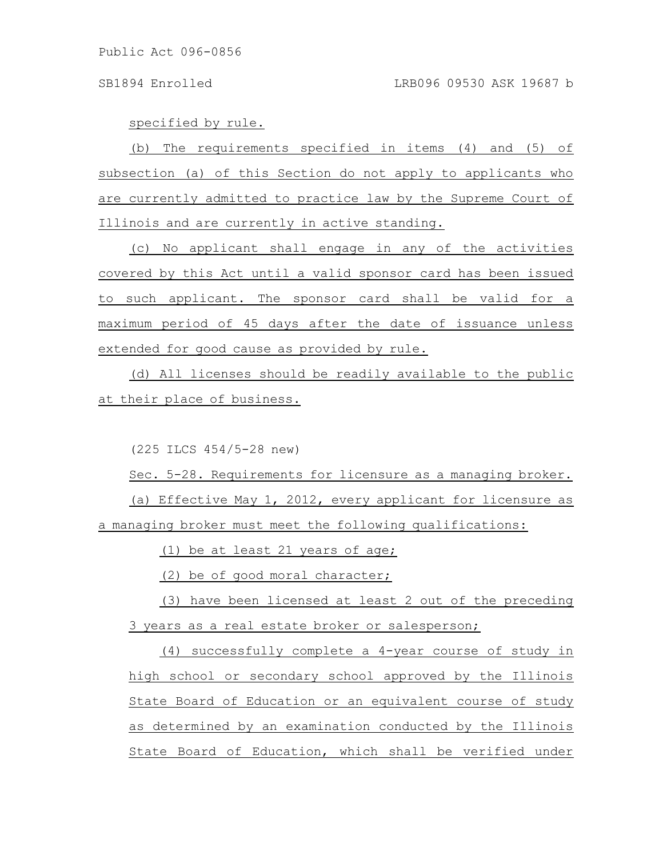specified by rule.

(b) The requirements specified in items (4) and (5) of subsection (a) of this Section do not apply to applicants who are currently admitted to practice law by the Supreme Court of Illinois and are currently in active standing.

(c) No applicant shall engage in any of the activities covered by this Act until a valid sponsor card has been issued to such applicant. The sponsor card shall be valid for a maximum period of 45 days after the date of issuance unless extended for good cause as provided by rule.

(d) All licenses should be readily available to the public at their place of business.

(225 ILCS 454/5-28 new)

Sec. 5-28. Requirements for licensure as a managing broker. (a) Effective May 1, 2012, every applicant for licensure as a managing broker must meet the following qualifications:

(1) be at least 21 years of age;

(2) be of good moral character;

(3) have been licensed at least 2 out of the preceding 3 years as a real estate broker or salesperson;

(4) successfully complete a 4-year course of study in high school or secondary school approved by the Illinois State Board of Education or an equivalent course of study as determined by an examination conducted by the Illinois State Board of Education, which shall be verified under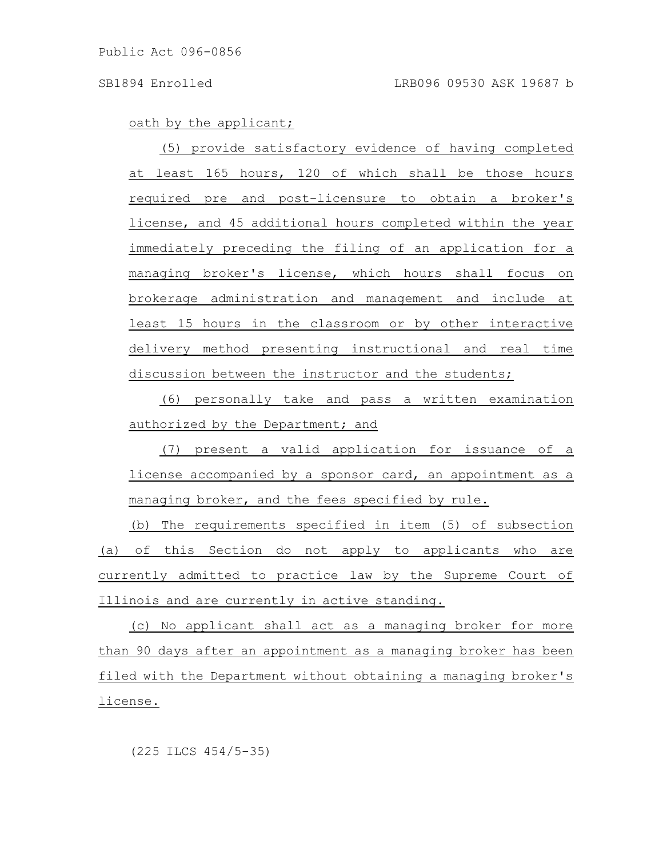oath by the applicant;

(5) provide satisfactory evidence of having completed at least 165 hours, 120 of which shall be those hours required pre and post-licensure to obtain a broker's license, and 45 additional hours completed within the year immediately preceding the filing of an application for a managing broker's license, which hours shall focus on brokerage administration and management and include at least 15 hours in the classroom or by other interactive delivery method presenting instructional and real time discussion between the instructor and the students;

(6) personally take and pass a written examination authorized by the Department; and

(7) present a valid application for issuance of a license accompanied by a sponsor card, an appointment as a managing broker, and the fees specified by rule.

(b) The requirements specified in item (5) of subsection (a) of this Section do not apply to applicants who are currently admitted to practice law by the Supreme Court of Illinois and are currently in active standing.

(c) No applicant shall act as a managing broker for more than 90 days after an appointment as a managing broker has been filed with the Department without obtaining a managing broker's license.

(225 ILCS 454/5-35)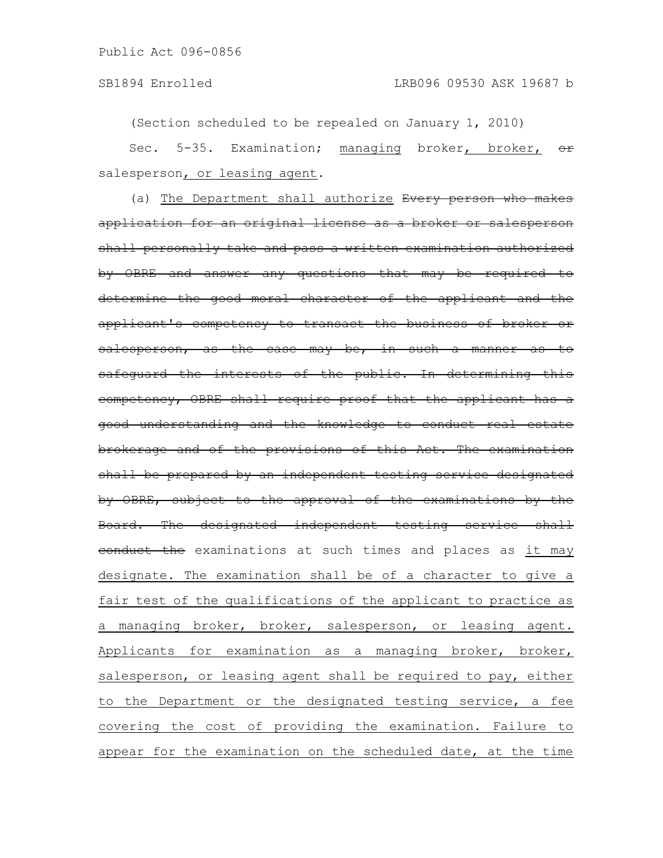(Section scheduled to be repealed on January 1, 2010)

Sec. 5-35. Examination; managing broker, broker, or salesperson, or leasing agent.

(a) The Department shall authorize Every person who makes application for an original license as a broker or salesperson shall personally take and pass a written examination authorized by OBRE and answer any questions that may be required to determine the good moral character of the applicant and the applicant's competency to transact the business of broker or salesperson, as the case may be, in such a manner as to safeguard the interests of the public. In determining this competency, OBRE shall require proof that the applicant has a good understanding and the knowledge to conduct real brokerage and of the provisions of this Act. The examination shall be prepared by an independent testing service designated by OBRE, subject to the approval of the examinations by the Board. The designated independent testing service shall conduct the examinations at such times and places as it may designate. The examination shall be of a character to give a fair test of the qualifications of the applicant to practice as a managing broker, broker, salesperson, or leasing agent. Applicants for examination as a managing broker, broker, salesperson, or leasing agent shall be required to pay, either to the Department or the designated testing service, a fee covering the cost of providing the examination. Failure to appear for the examination on the scheduled date, at the time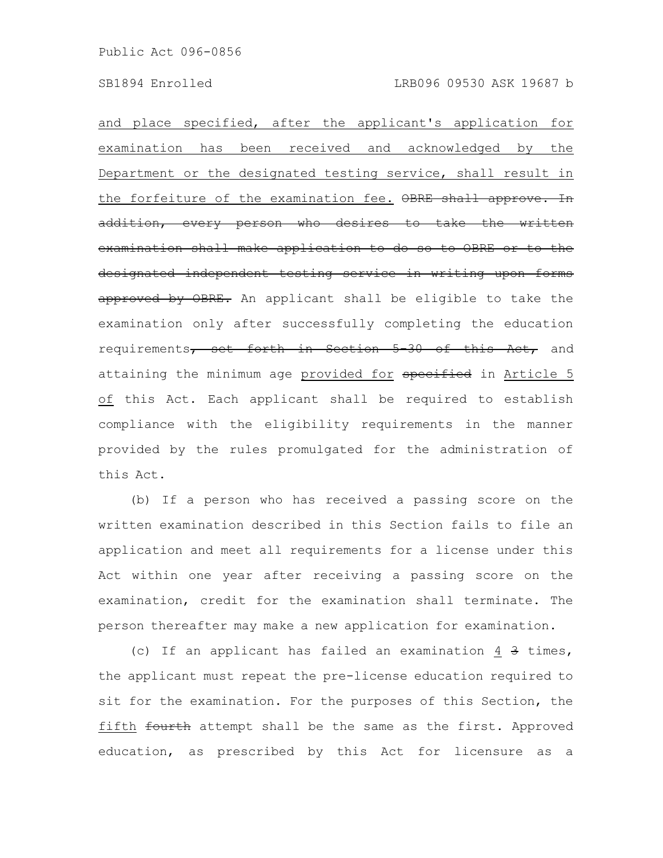and place specified, after the applicant's application for examination has been received and acknowledged by the Department or the designated testing service, shall result in the forfeiture of the examination fee. OBRE shall approve. In addition, every person who desires to take the written examination shall make application to do so to OBRE or to the designated independent testing service in writing upon forms approved by OBRE. An applicant shall be eligible to take the examination only after successfully completing the education requirements, set forth in Section 5-30 of this Act, and attaining the minimum age provided for specified in Article 5 of this Act. Each applicant shall be required to establish compliance with the eligibility requirements in the manner provided by the rules promulgated for the administration of this Act.

(b) If a person who has received a passing score on the written examination described in this Section fails to file an application and meet all requirements for a license under this Act within one year after receiving a passing score on the examination, credit for the examination shall terminate. The person thereafter may make a new application for examination.

(c) If an applicant has failed an examination 4 3 times, the applicant must repeat the pre-license education required to sit for the examination. For the purposes of this Section, the fifth fourth attempt shall be the same as the first. Approved education, as prescribed by this Act for licensure as a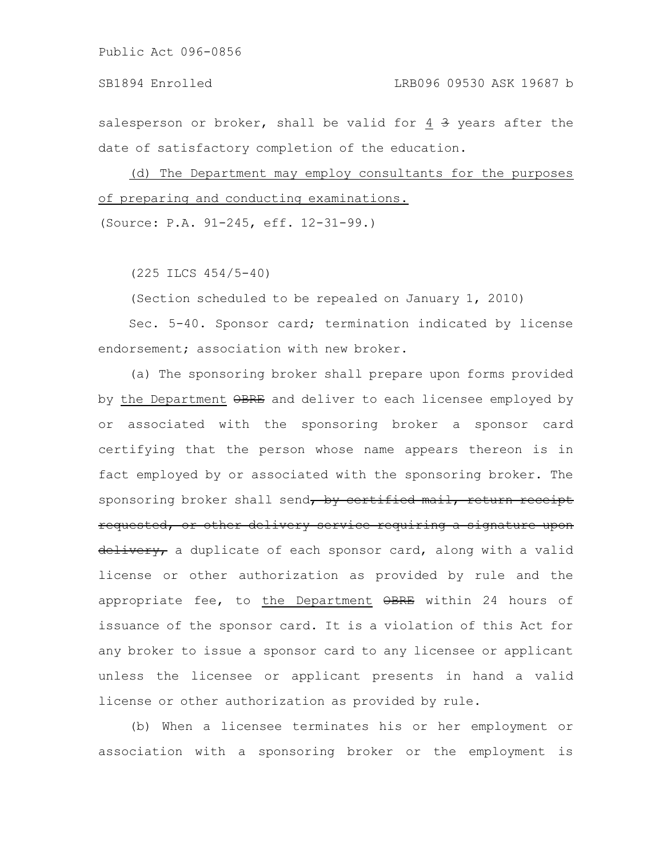salesperson or broker, shall be valid for 4 3 years after the date of satisfactory completion of the education.

(d) The Department may employ consultants for the purposes of preparing and conducting examinations.

(Source: P.A. 91-245, eff. 12-31-99.)

(225 ILCS 454/5-40)

(Section scheduled to be repealed on January 1, 2010)

Sec. 5-40. Sponsor card; termination indicated by license endorsement: association with new broker.

(a) The sponsoring broker shall prepare upon forms provided by the Department OBRE and deliver to each licensee employed by or associated with the sponsoring broker a sponsor card certifying that the person whose name appears thereon is in fact employed by or associated with the sponsoring broker. The sponsoring broker shall send, by certified mail, return receipt requested, or other delivery service requiring a signature upon delivery, a duplicate of each sponsor card, along with a valid license or other authorization as provided by rule and the appropriate fee, to the Department OBRE within 24 hours of issuance of the sponsor card. It is a violation of this Act for any broker to issue a sponsor card to any licensee or applicant unless the licensee or applicant presents in hand a valid license or other authorization as provided by rule.

(b) When a licensee terminates his or her employment or association with a sponsoring broker or the employment is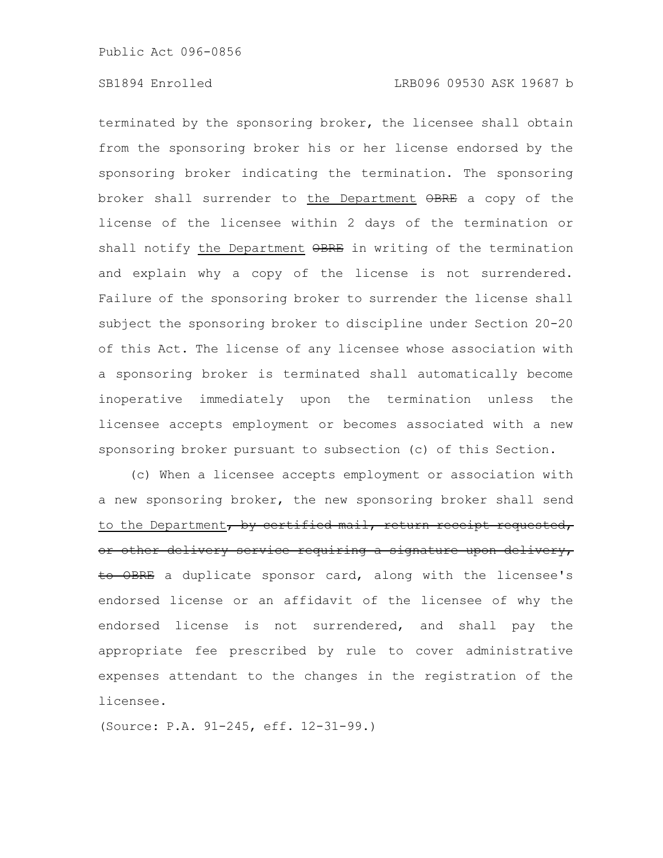terminated by the sponsoring broker, the licensee shall obtain from the sponsoring broker his or her license endorsed by the sponsoring broker indicating the termination. The sponsoring broker shall surrender to the Department OBRE a copy of the license of the licensee within 2 days of the termination or shall notify the Department  $\Theta$ BRE in writing of the termination and explain why a copy of the license is not surrendered. Failure of the sponsoring broker to surrender the license shall subject the sponsoring broker to discipline under Section 20-20 of this Act. The license of any licensee whose association with a sponsoring broker is terminated shall automatically become inoperative immediately upon the termination unless the licensee accepts employment or becomes associated with a new sponsoring broker pursuant to subsection (c) of this Section.

(c) When a licensee accepts employment or association with a new sponsoring broker, the new sponsoring broker shall send to the Department, by certified mail, return receipt requested, or other delivery service requiring a signature upon delivery, to OBRE a duplicate sponsor card, along with the licensee's endorsed license or an affidavit of the licensee of why the endorsed license is not surrendered, and shall pay the appropriate fee prescribed by rule to cover administrative expenses attendant to the changes in the registration of the licensee.

(Source: P.A. 91-245, eff. 12-31-99.)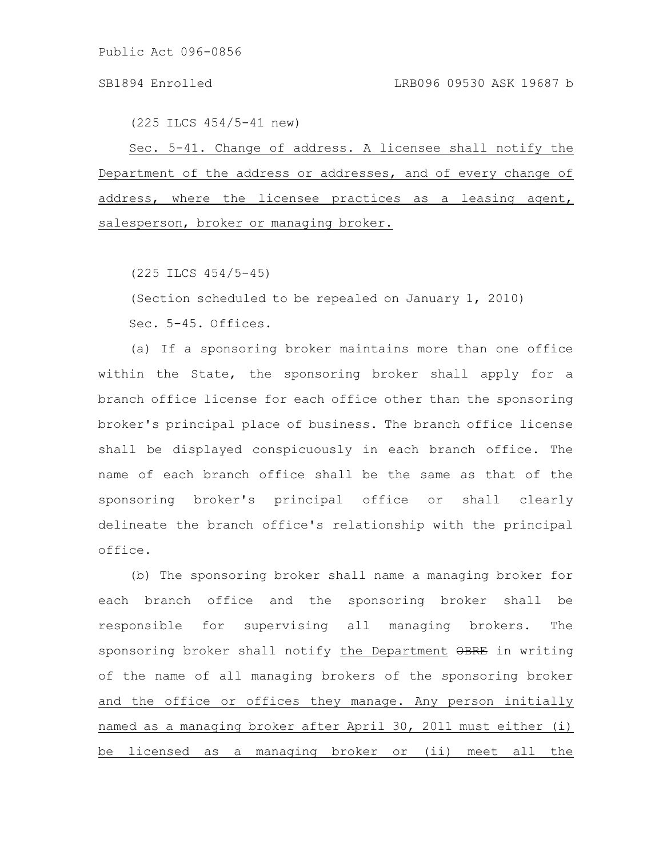(225 ILCS 454/5-41 new)

Sec. 5-41. Change of address. A licensee shall notify the Department of the address or addresses, and of every change of address, where the licensee practices as a leasing agent, salesperson, broker or managing broker.

(225 ILCS 454/5-45)

(Section scheduled to be repealed on January 1, 2010)

Sec. 5-45. Offices.

(a) If a sponsoring broker maintains more than one office within the State, the sponsoring broker shall apply for a branch office license for each office other than the sponsoring broker's principal place of business. The branch office license shall be displayed conspicuously in each branch office. The name of each branch office shall be the same as that of the sponsoring broker's principal office or shall clearly delineate the branch office's relationship with the principal office.

(b) The sponsoring broker shall name a managing broker for each branch office and the sponsoring broker shall be responsible for supervising all managing brokers. The sponsoring broker shall notify the Department OBRE in writing of the name of all managing brokers of the sponsoring broker and the office or offices they manage. Any person initially named as a managing broker after April 30, 2011 must either (i) be licensed as a managing broker or (ii) meet all the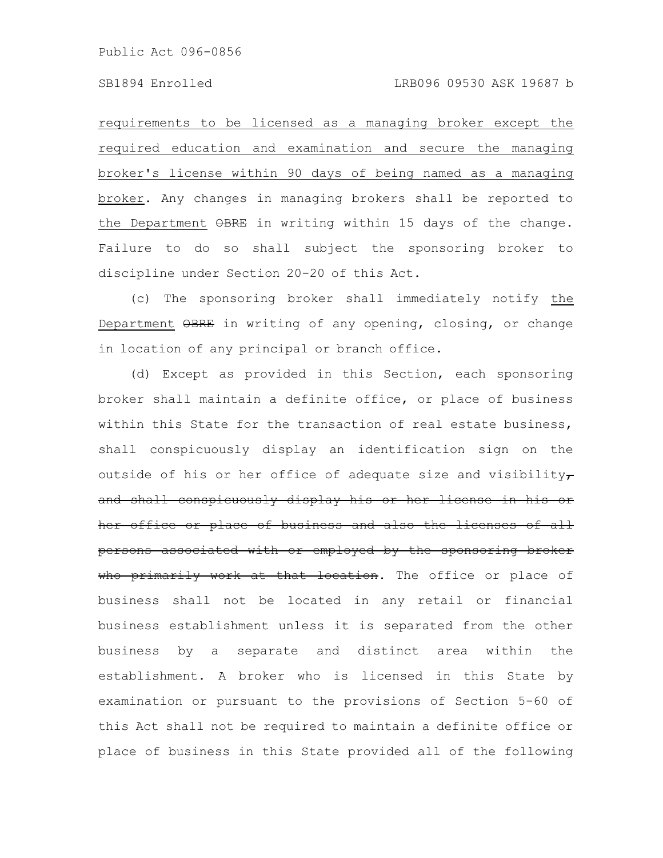requirements to be licensed as a managing broker except the required education and examination and secure the managing broker's license within 90 days of being named as a managing broker. Any changes in managing brokers shall be reported to the Department  $\Theta$ BRE in writing within 15 days of the change. Failure to do so shall subject the sponsoring broker to discipline under Section 20-20 of this Act.

(c) The sponsoring broker shall immediately notify the Department OBRE in writing of any opening, closing, or change in location of any principal or branch office.

(d) Except as provided in this Section, each sponsoring broker shall maintain a definite office, or place of business within this State for the transaction of real estate business, shall conspicuously display an identification sign on the outside of his or her office of adequate size and visibility $\tau$ and shall conspicuously display his or her license her office or place of business and also the licenses of all persons associated with or employed by the sponsoring broker who primarily work at that location. The office or place of business shall not be located in any retail or financial business establishment unless it is separated from the other business by a separate and distinct area within the establishment. A broker who is licensed in this State by examination or pursuant to the provisions of Section 5-60 of this Act shall not be required to maintain a definite office or place of business in this State provided all of the following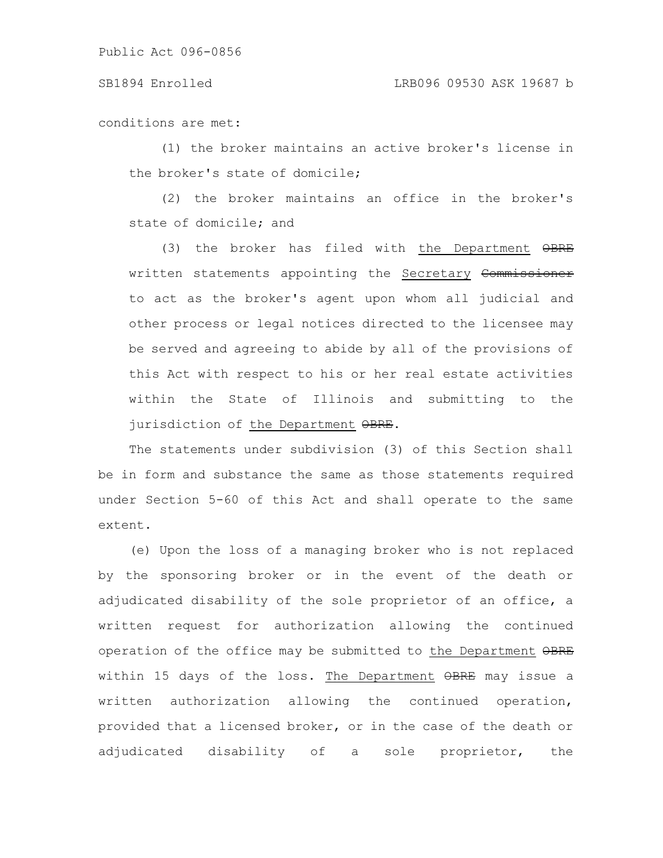## SB1894 Enrolled LRB096 09530 ASK 19687 b

conditions are met:

(1) the broker maintains an active broker's license in the broker's state of domicile;

(2) the broker maintains an office in the broker's state of domicile; and

(3) the broker has filed with the Department OBRE written statements appointing the Secretary Commissioner to act as the broker's agent upon whom all judicial and other process or legal notices directed to the licensee may be served and agreeing to abide by all of the provisions of this Act with respect to his or her real estate activities within the State of Illinois and submitting to the jurisdiction of the Department OBRE.

The statements under subdivision (3) of this Section shall be in form and substance the same as those statements required under Section 5-60 of this Act and shall operate to the same extent.

(e) Upon the loss of a managing broker who is not replaced by the sponsoring broker or in the event of the death or adjudicated disability of the sole proprietor of an office, a written request for authorization allowing the continued operation of the office may be submitted to the Department OBRE within 15 days of the loss. The Department OBRE may issue a written authorization allowing the continued operation, provided that a licensed broker, or in the case of the death or adjudicated disability of a sole proprietor, the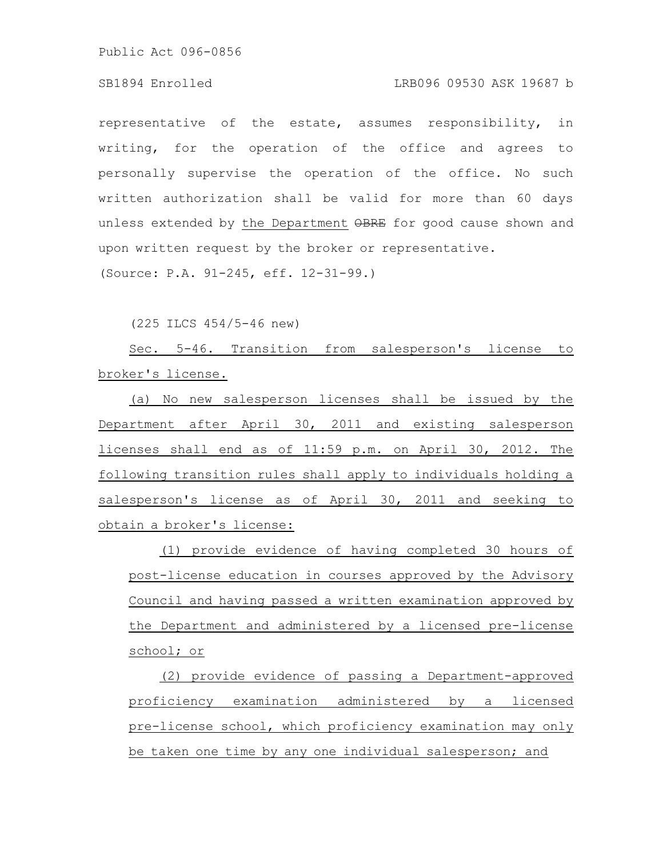# SB1894 Enrolled LRB096 09530 ASK 19687 b

representative of the estate, assumes responsibility, in writing, for the operation of the office and agrees to personally supervise the operation of the office. No such written authorization shall be valid for more than 60 days unless extended by the Department  $\Theta$ BRE for good cause shown and upon written request by the broker or representative. (Source: P.A. 91-245, eff. 12-31-99.)

(225 ILCS 454/5-46 new)

Sec. 5-46. Transition from salesperson's license to broker's license.

(a) No new salesperson licenses shall be issued by the Department after April 30, 2011 and existing salesperson licenses shall end as of 11:59 p.m. on April 30, 2012. The following transition rules shall apply to individuals holding a salesperson's license as of April 30, 2011 and seeking to obtain a broker's license:

(1) provide evidence of having completed 30 hours of post-license education in courses approved by the Advisory Council and having passed a written examination approved by the Department and administered by a licensed pre-license school; or

(2) provide evidence of passing a Department-approved proficiency examination administered by a licensed pre-license school, which proficiency examination may only be taken one time by any one individual salesperson; and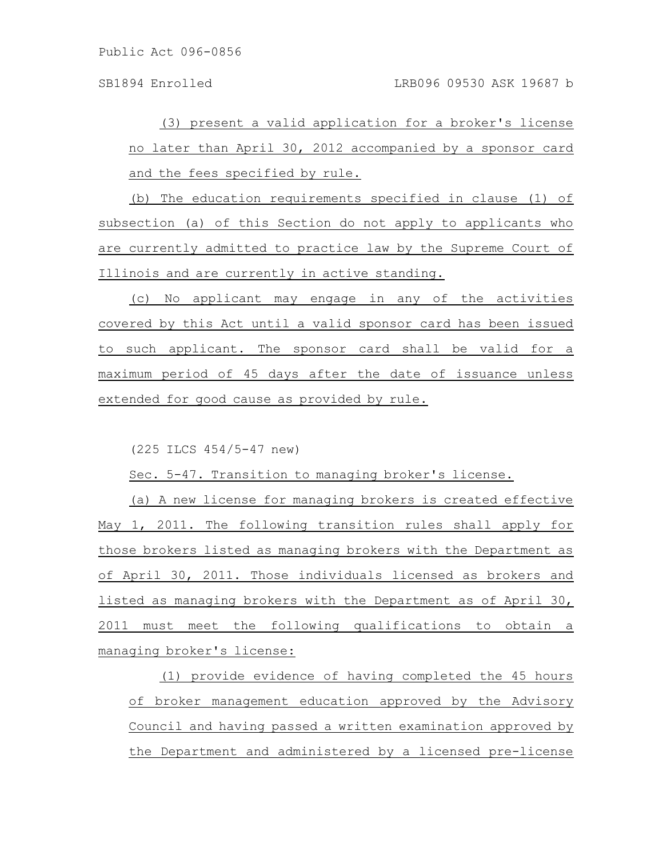(3) present a valid application for a broker's license no later than April 30, 2012 accompanied by a sponsor card and the fees specified by rule.

(b) The education requirements specified in clause (1) of subsection (a) of this Section do not apply to applicants who are currently admitted to practice law by the Supreme Court of Illinois and are currently in active standing.

(c) No applicant may engage in any of the activities covered by this Act until a valid sponsor card has been issued to such applicant. The sponsor card shall be valid for a maximum period of 45 days after the date of issuance unless extended for good cause as provided by rule.

(225 ILCS 454/5-47 new)

Sec. 5-47. Transition to managing broker's license.

(a) A new license for managing brokers is created effective May 1, 2011. The following transition rules shall apply for those brokers listed as managing brokers with the Department as of April 30, 2011. Those individuals licensed as brokers and listed as managing brokers with the Department as of April 30, 2011 must meet the following qualifications to obtain a managing broker's license:

(1) provide evidence of having completed the 45 hours of broker management education approved by the Advisory Council and having passed a written examination approved by the Department and administered by a licensed pre-license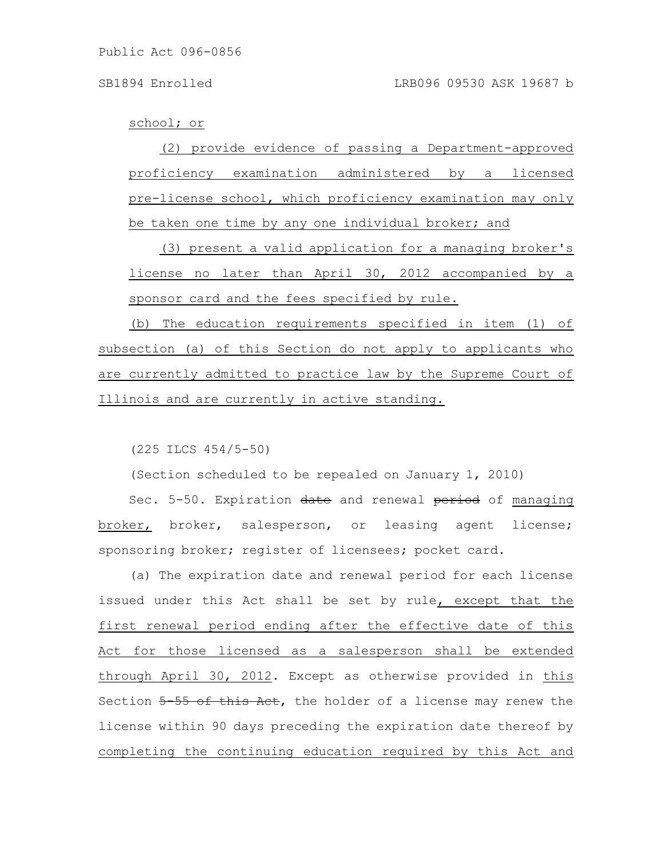school; or

(2) provide evidence of passing a Department-approved proficiency examination administered by a licensed pre-license school, which proficiency examination may only be taken one time by any one individual broker; and

(3) present a valid application for a managing broker's license no later than April 30, 2012 accompanied by a sponsor card and the fees specified by rule.

(b) The education requirements specified in item (1) of subsection (a) of this Section do not apply to applicants who are currently admitted to practice law by the Supreme Court of Illinois and are currently in active standing.

(225 ILCS 454/5-50)

(Section scheduled to be repealed on January 1, 2010)

Sec. 5-50. Expiration date and renewal period of managing broker, broker, salesperson, or leasing agent license; sponsoring broker; register of licensees; pocket card.

(a) The expiration date and renewal period for each license issued under this Act shall be set by rule, except that the first renewal period ending after the effective date of this Act for those licensed as a salesperson shall be extended through April 30, 2012. Except as otherwise provided in this Section  $5-55$  of this Act, the holder of a license may renew the license within 90 days preceding the expiration date thereof by completing the continuing education required by this Act and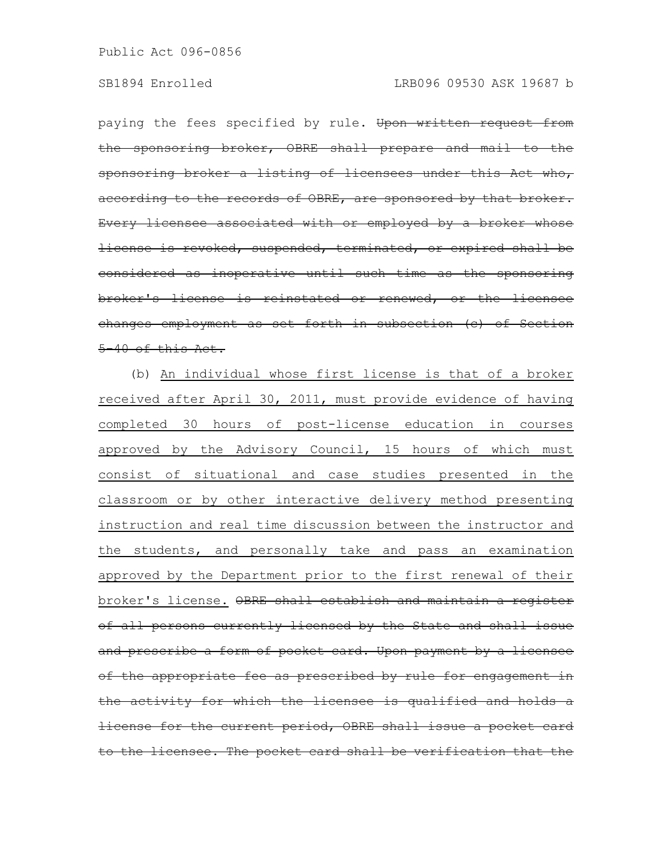paying the fees specified by rule. Upon written request from the sponsoring broker, OBRE shall prepare and mail to the sponsoring broker a listing of licensees under this Act who, according to the records of OBRE, are sponsored by that broker. Every licensee associated with or employed by a broker whose license is revoked, suspended, terminated, or expired shall be considered as inoperative until such time as the sponsoring broker's license is reinstated or renewed, or the licensee changes employment as set forth in subsection (c) of Section 5-40 of this Act.

(b) An individual whose first license is that of a broker received after April 30, 2011, must provide evidence of having completed 30 hours of post-license education in courses approved by the Advisory Council, 15 hours of which must consist of situational and case studies presented in the classroom or by other interactive delivery method presenting instruction and real time discussion between the instructor and the students, and personally take and pass an examination approved by the Department prior to the first renewal of their broker's license. OBRE shall establish and maintain a register of all persons currently licensed by the State and shall issue and prescribe a form of pocket card. Upon payment by a licensee of the appropriate fee as prescribed by rule for engagement the activity for which the licensee is qualified and holds a license for the current period, OBRE shall issue a pocket card to the licensee. The pocket card shall be verification that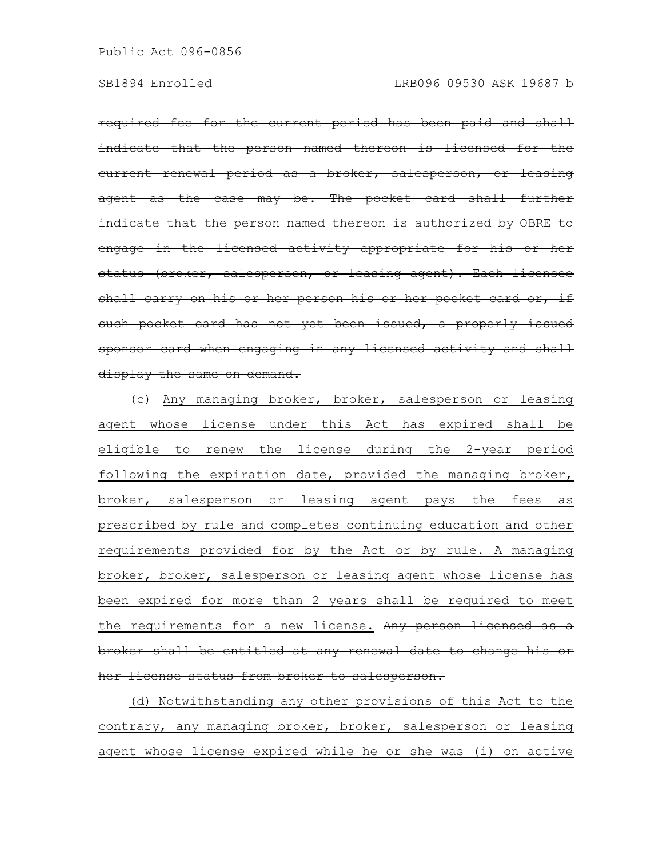required fee for the current period has been paid and shall indicate that the person named thereon is licensed for the current renewal period as a broker, salesperson, or leasing agent as the case may be. The pocket card indicate that the person named thereon is authorized by OBRE to engage in the licensed activity appropriate for his or her status (broker, salesperson, or leasing agent). Each licensee shall carry on his or her person his or her pocket card or, such pocket card has not yet been issued, a properly issued sponsor card when engaging in any licensed activity and shall display the same on demand.

(c) Any managing broker, broker, salesperson or leasing agent whose license under this Act has expired shall be eligible to renew the license during the 2-year period following the expiration date, provided the managing broker, broker, salesperson or leasing agent pays the fees as prescribed by rule and completes continuing education and other requirements provided for by the Act or by rule. A managing broker, broker, salesperson or leasing agent whose license has been expired for more than 2 years shall be required to meet the requirements for a new license. Any person licensed as a broker shall be entitled at any renewal date to change his or her license status from broker to salesperson.

(d) Notwithstanding any other provisions of this Act to the contrary, any managing broker, broker, salesperson or leasing agent whose license expired while he or she was (i) on active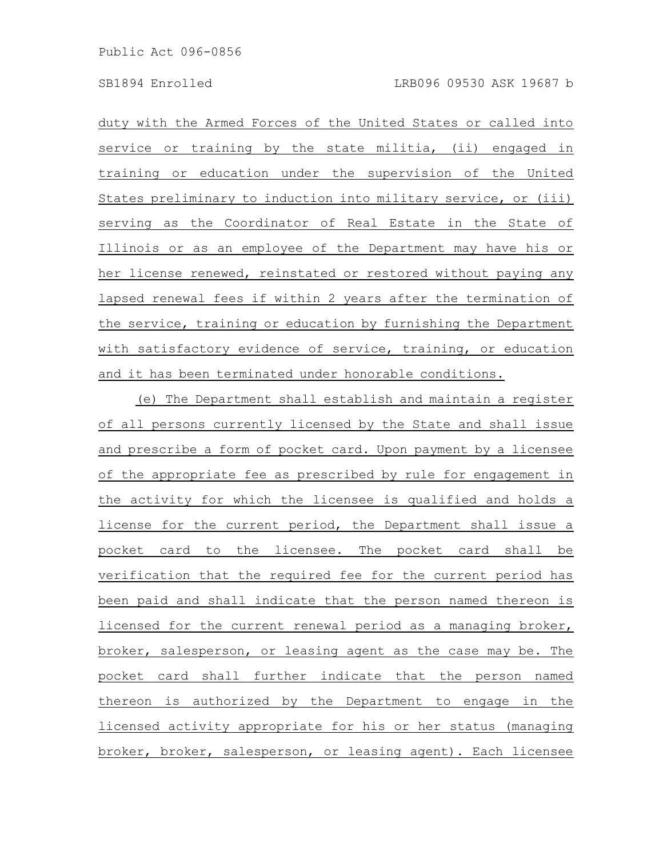duty with the Armed Forces of the United States or called into service or training by the state militia, (ii) engaged in training or education under the supervision of the United States preliminary to induction into military service, or (iii) serving as the Coordinator of Real Estate in the State of Illinois or as an employee of the Department may have his or her license renewed, reinstated or restored without paying any lapsed renewal fees if within 2 years after the termination of the service, training or education by furnishing the Department with satisfactory evidence of service, training, or education and it has been terminated under honorable conditions.

(e) The Department shall establish and maintain a register of all persons currently licensed by the State and shall issue and prescribe a form of pocket card. Upon payment by a licensee of the appropriate fee as prescribed by rule for engagement in the activity for which the licensee is qualified and holds a license for the current period, the Department shall issue a pocket card to the licensee. The pocket card shall be verification that the required fee for the current period has been paid and shall indicate that the person named thereon is licensed for the current renewal period as a managing broker, broker, salesperson, or leasing agent as the case may be. The pocket card shall further indicate that the person named thereon is authorized by the Department to engage in the licensed activity appropriate for his or her status (managing broker, broker, salesperson, or leasing agent). Each licensee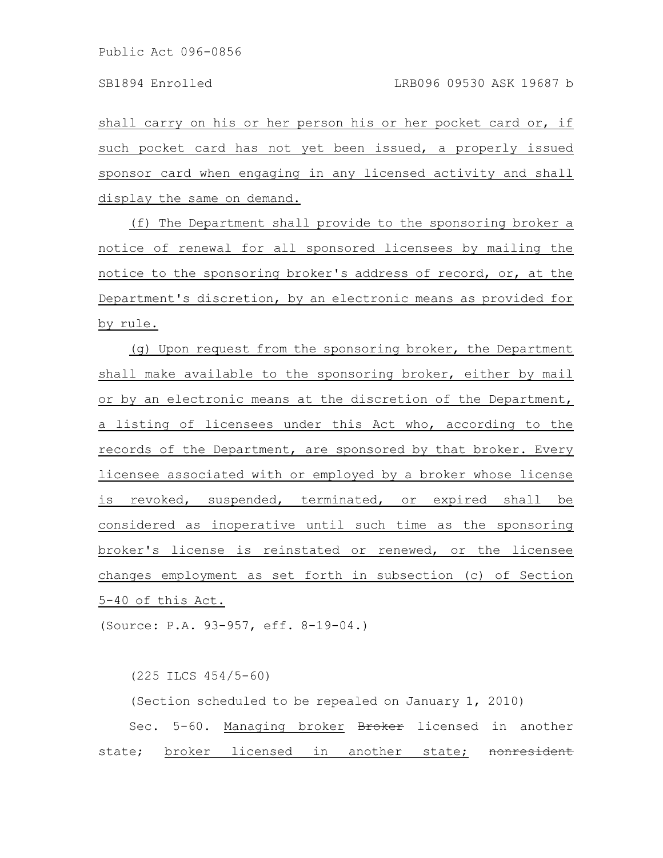shall carry on his or her person his or her pocket card or, if such pocket card has not yet been issued, a properly issued sponsor card when engaging in any licensed activity and shall display the same on demand.

(f) The Department shall provide to the sponsoring broker a notice of renewal for all sponsored licensees by mailing the notice to the sponsoring broker's address of record, or, at the Department's discretion, by an electronic means as provided for by rule.

(g) Upon request from the sponsoring broker, the Department shall make available to the sponsoring broker, either by mail or by an electronic means at the discretion of the Department, a listing of licensees under this Act who, according to the records of the Department, are sponsored by that broker. Every licensee associated with or employed by a broker whose license is revoked, suspended, terminated, or expired shall be considered as inoperative until such time as the sponsoring broker's license is reinstated or renewed, or the licensee changes employment as set forth in subsection (c) of Section 5-40 of this Act.

(Source: P.A. 93-957, eff. 8-19-04.)

(225 ILCS 454/5-60)

(Section scheduled to be repealed on January 1, 2010) Sec. 5-60. Managing broker Broker licensed in another state; broker licensed in another state; nonresident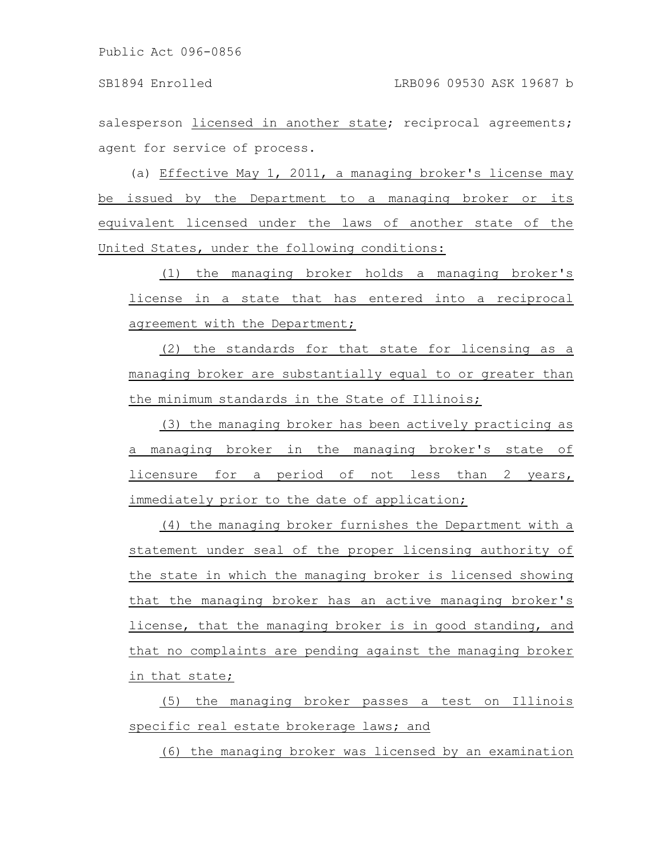salesperson licensed in another state; reciprocal agreements; agent for service of process.

(a) Effective May 1, 2011, a managing broker's license may be issued by the Department to a managing broker or its equivalent licensed under the laws of another state of the United States, under the following conditions:

(1) the managing broker holds a managing broker's license in a state that has entered into a reciprocal agreement with the Department;

(2) the standards for that state for licensing as a managing broker are substantially equal to or greater than the minimum standards in the State of Illinois;

(3) the managing broker has been actively practicing as a managing broker in the managing broker's state of licensure for a period of not less than 2 years, immediately prior to the date of application;

(4) the managing broker furnishes the Department with a statement under seal of the proper licensing authority of the state in which the managing broker is licensed showing that the managing broker has an active managing broker's license, that the managing broker is in good standing, and that no complaints are pending against the managing broker in that state;

(5) the managing broker passes a test on Illinois specific real estate brokerage laws; and

(6) the managing broker was licensed by an examination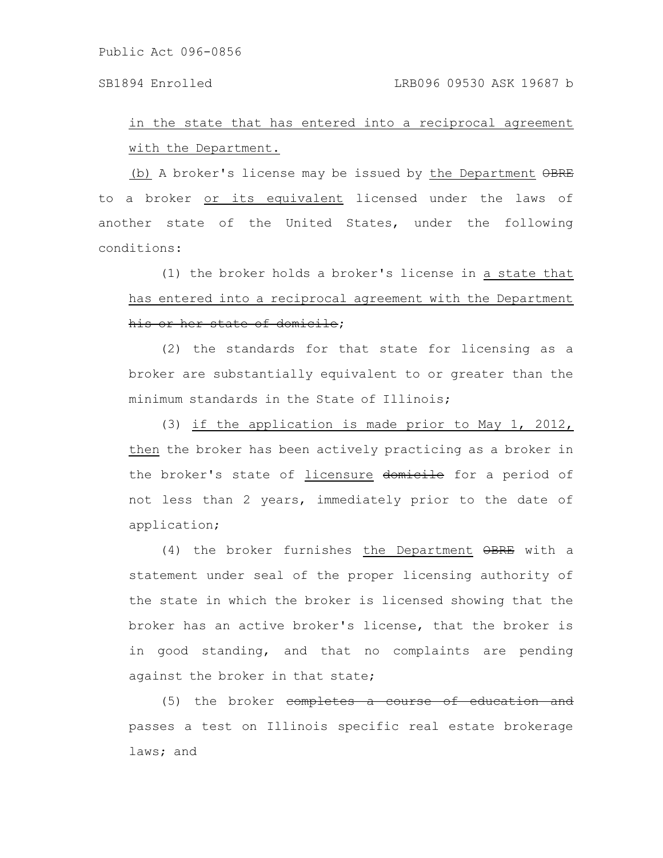## SB1894 Enrolled LRB096 09530 ASK 19687 b

# in the state that has entered into a reciprocal agreement with the Department.

(b) A broker's license may be issued by the Department OBRE to a broker or its equivalent licensed under the laws of another state of the United States, under the following conditions:

(1) the broker holds a broker's license in a state that has entered into a reciprocal agreement with the Department his or her state of domicile;

(2) the standards for that state for licensing as a broker are substantially equivalent to or greater than the minimum standards in the State of Illinois;

(3) if the application is made prior to May 1, 2012, then the broker has been actively practicing as a broker in the broker's state of licensure domicile for a period of not less than 2 years, immediately prior to the date of application;

(4) the broker furnishes the Department OBRE with a statement under seal of the proper licensing authority of the state in which the broker is licensed showing that the broker has an active broker's license, that the broker is in good standing, and that no complaints are pending against the broker in that state;

(5) the broker <del>completes a course of education and</del> passes a test on Illinois specific real estate brokerage laws; and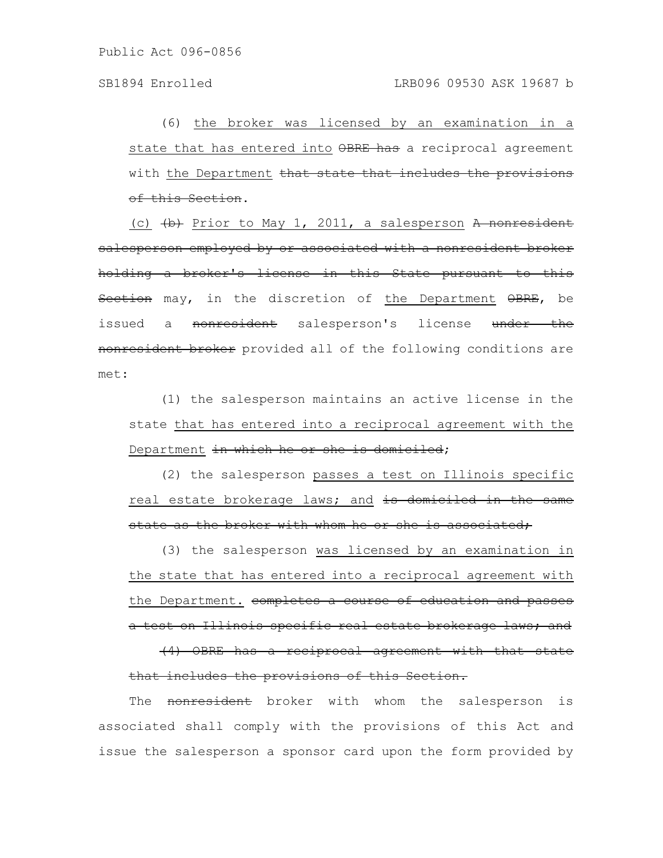(6) the broker was licensed by an examination in a state that has entered into OBRE has a reciprocal agreement with the Department that state that includes the provisions of this Section.

(c)  $\left\{\rightarrow\right\}$  Prior to May 1, 2011, a salesperson A nonresident salesperson employed by or associated with a nonresident broker holding a broker's license in this State pursuant to this Section may, in the discretion of the Department OBRE, be issued a <del>nonresident</del> salesperson's license under the nonresident broker provided all of the following conditions are met:

(1) the salesperson maintains an active license in the state that has entered into a reciprocal agreement with the Department in which he or she is domiciled;

(2) the salesperson passes a test on Illinois specific real estate brokerage laws; and is domiciled in the same state as the broker with whom he or she is associated;

(3) the salesperson was licensed by an examination in the state that has entered into a reciprocal agreement with the Department. completes a course of education and passes a test on Illinois specific real estate brokerage laws; and

(4) OBRE has a reciprocal agreement with that state that includes the provisions of this Section.

The nonresident broker with whom the salesperson is associated shall comply with the provisions of this Act and issue the salesperson a sponsor card upon the form provided by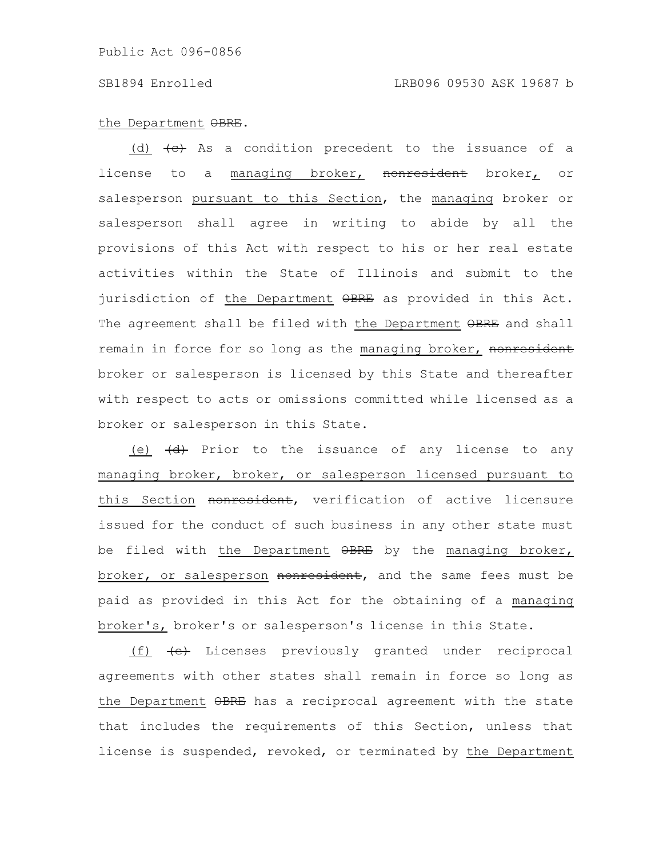## SB1894 Enrolled LRB096 09530 ASK 19687 b

### the Department OBRE.

(d)  $\left\langle e\right\rangle$  As a condition precedent to the issuance of a license to a managing broker, nonresident broker, or salesperson pursuant to this Section, the managing broker or salesperson shall agree in writing to abide by all the provisions of this Act with respect to his or her real estate activities within the State of Illinois and submit to the jurisdiction of the Department OBRE as provided in this Act. The agreement shall be filed with the Department OBRE and shall remain in force for so long as the managing broker, nonresident broker or salesperson is licensed by this State and thereafter with respect to acts or omissions committed while licensed as a broker or salesperson in this State.

(e)  $\left(\frac{d}{dt}\right)$  Prior to the issuance of any license to any managing broker, broker, or salesperson licensed pursuant to this Section nonresident, verification of active licensure issued for the conduct of such business in any other state must be filed with the Department  $\Theta$ BRE by the managing broker, broker, or salesperson nonresident, and the same fees must be paid as provided in this Act for the obtaining of a managing broker's, broker's or salesperson's license in this State.

(f)  $\leftarrow$  Licenses previously granted under reciprocal agreements with other states shall remain in force so long as the Department OBRE has a reciprocal agreement with the state that includes the requirements of this Section, unless that license is suspended, revoked, or terminated by the Department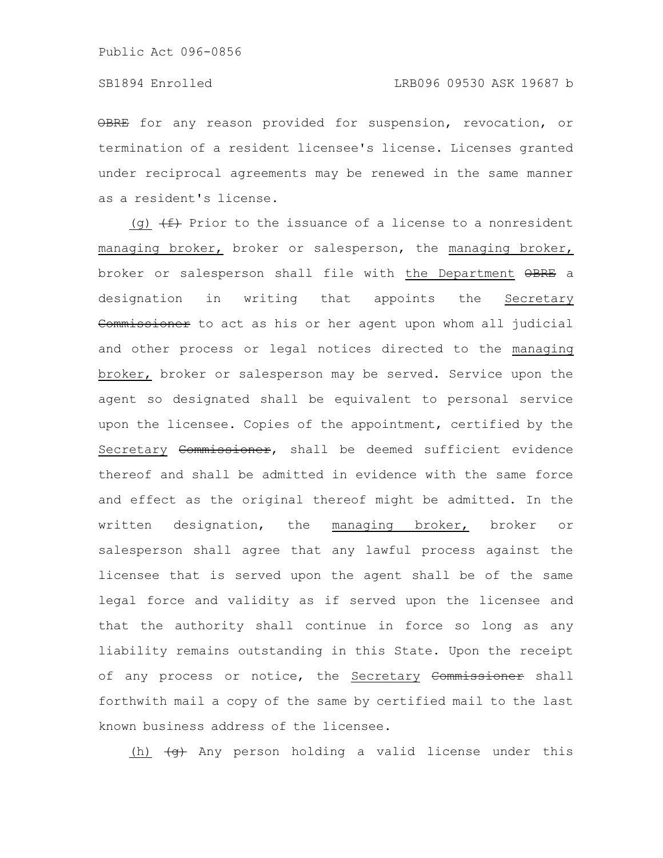OBRE for any reason provided for suspension, revocation, or termination of a resident licensee's license. Licenses granted under reciprocal agreements may be renewed in the same manner as a resident's license.

(g)  $(f)$  Prior to the issuance of a license to a nonresident managing broker, broker or salesperson, the managing broker, broker or salesperson shall file with the Department  $\Theta$ BRE a designation in writing that appoints the Secretary Commissioner to act as his or her agent upon whom all judicial and other process or legal notices directed to the managing broker, broker or salesperson may be served. Service upon the agent so designated shall be equivalent to personal service upon the licensee. Copies of the appointment, certified by the Secretary Commissioner, shall be deemed sufficient evidence thereof and shall be admitted in evidence with the same force and effect as the original thereof might be admitted. In the written designation, the managing broker, broker or salesperson shall agree that any lawful process against the licensee that is served upon the agent shall be of the same legal force and validity as if served upon the licensee and that the authority shall continue in force so long as any liability remains outstanding in this State. Upon the receipt of any process or notice, the Secretary Commissioner shall forthwith mail a copy of the same by certified mail to the last known business address of the licensee.

 $(h)$   $(g)$  Any person holding a valid license under this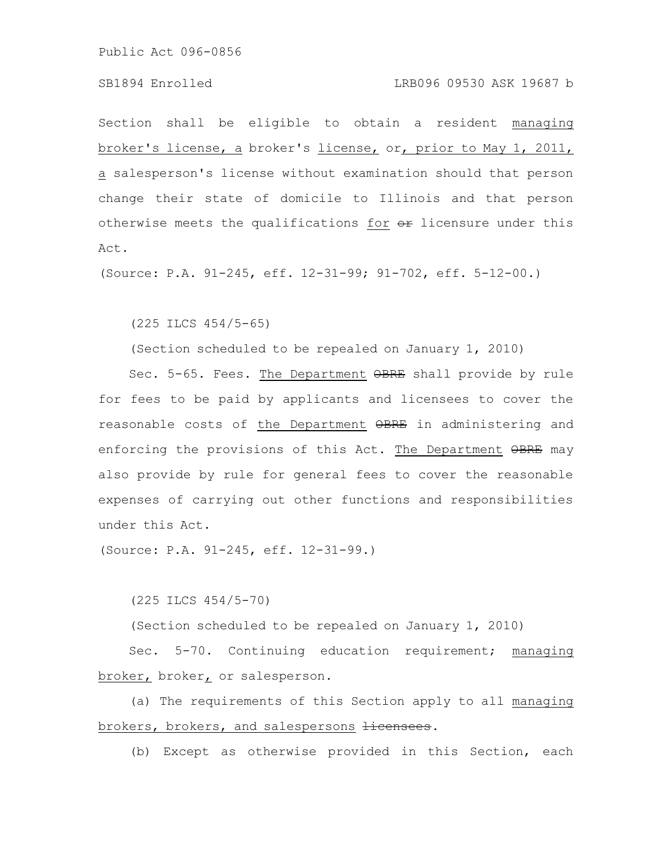## SB1894 Enrolled LRB096 09530 ASK 19687 b

Section shall be eligible to obtain a resident managing broker's license, a broker's license, or, prior to May 1, 2011, a salesperson's license without examination should that person change their state of domicile to Illinois and that person otherwise meets the qualifications for  $e$  licensure under this Act.

(Source: P.A. 91-245, eff. 12-31-99; 91-702, eff. 5-12-00.)

(225 ILCS 454/5-65)

(Section scheduled to be repealed on January 1, 2010)

Sec. 5-65. Fees. The Department  $\Theta$ BRE shall provide by rule for fees to be paid by applicants and licensees to cover the reasonable costs of the Department OBRE in administering and enforcing the provisions of this Act. The Department OBRE may also provide by rule for general fees to cover the reasonable expenses of carrying out other functions and responsibilities under this Act.

(Source: P.A. 91-245, eff. 12-31-99.)

(225 ILCS 454/5-70)

(Section scheduled to be repealed on January 1, 2010)

Sec. 5-70. Continuing education requirement; managing broker, broker, or salesperson.

(a) The requirements of this Section apply to all managing brokers, brokers, and salespersons *licensees*.

(b) Except as otherwise provided in this Section, each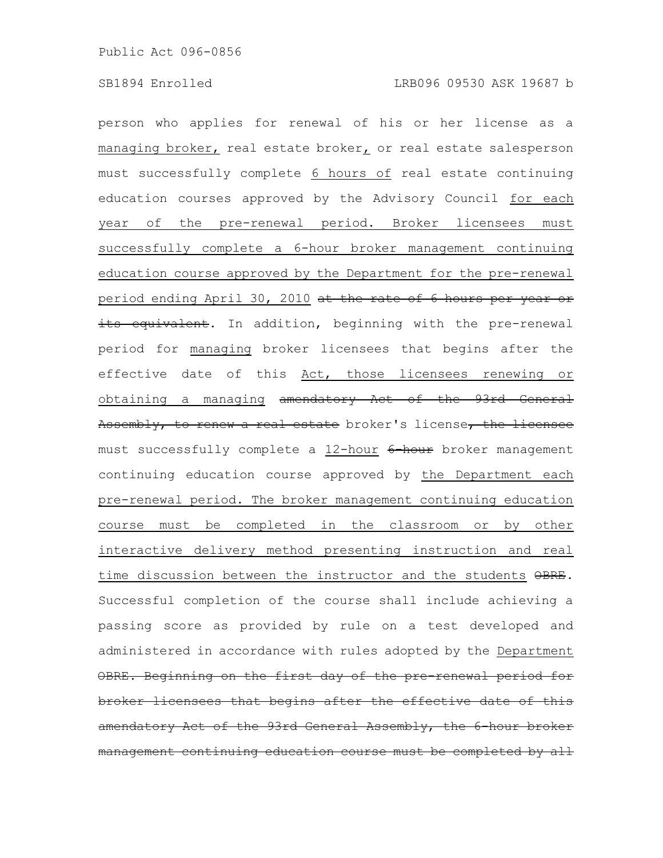person who applies for renewal of his or her license as a managing broker, real estate broker, or real estate salesperson must successfully complete 6 hours of real estate continuing education courses approved by the Advisory Council for each year of the pre-renewal period. Broker licensees must successfully complete a 6-hour broker management continuing education course approved by the Department for the pre-renewal period ending April 30, 2010 at the rate of 6 hours per year or its equivalent. In addition, beginning with the pre-renewal period for managing broker licensees that begins after the effective date of this Act, those licensees renewing or obtaining a managing amendatory Act of the 93rd General Assembly, to renew a real estate broker's license, the licensee must successfully complete a 12-hour 6-hour broker management continuing education course approved by the Department each pre-renewal period. The broker management continuing education course must be completed in the classroom or by other interactive delivery method presenting instruction and real time discussion between the instructor and the students  $\theta$ BRE. Successful completion of the course shall include achieving a passing score as provided by rule on a test developed and administered in accordance with rules adopted by the Department OBRE. Beginning on the first day of the pre-renewal period broker licensees that begins after the effective date amendatory Act of the 93rd General Assembly, the 6-hour broker management continuing education course must be completed by all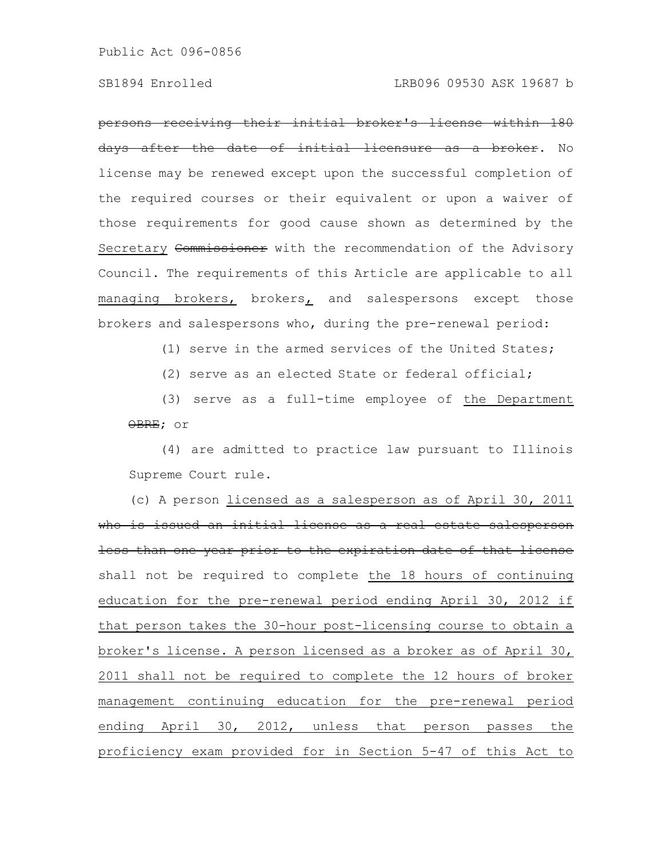persons receiving their initial broker's license within 180 days after the date of initial licensure as a broker. No license may be renewed except upon the successful completion of the required courses or their equivalent or upon a waiver of those requirements for good cause shown as determined by the Secretary Commissioner with the recommendation of the Advisory Council. The requirements of this Article are applicable to all managing brokers, brokers, and salespersons except those brokers and salespersons who, during the pre-renewal period:

(1) serve in the armed services of the United States;

(2) serve as an elected State or federal official;

(3) serve as a full-time employee of the Department OBRE; or

(4) are admitted to practice law pursuant to Illinois Supreme Court rule.

(c) A person licensed as a salesperson as of April 30, 2011 who is issued an initial license as a real estate salesperson less than one year prior to the expiration date of that license shall not be required to complete the 18 hours of continuing education for the pre-renewal period ending April 30, 2012 if that person takes the 30-hour post-licensing course to obtain a broker's license. A person licensed as a broker as of April 30, 2011 shall not be required to complete the 12 hours of broker management continuing education for the pre-renewal period ending April 30, 2012, unless that person passes the proficiency exam provided for in Section 5-47 of this Act to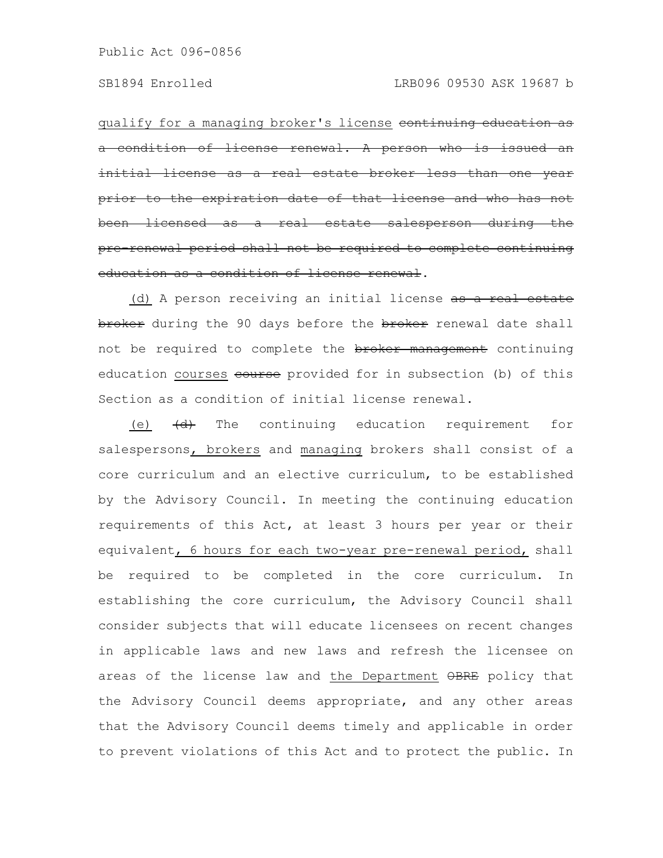qualify for a managing broker's license continuing education as condition of license renewal. A person who initial license as a real estate broker less than expiration date of that license and been licensed as a real estate salesperson during pre-renewal period shall not be required to complete continuing education as a condition of license renewal.

(d) A person receiving an initial license as a real estate broker during the 90 days before the broker renewal date shall not be required to complete the **broker management** continuing education courses course provided for in subsection (b) of this Section as a condition of initial license renewal.

(e)  $\left(\frac{d}{dt}\right)$  The continuing education requirement for salespersons, brokers and managing brokers shall consist of a core curriculum and an elective curriculum, to be established by the Advisory Council. In meeting the continuing education requirements of this Act, at least 3 hours per year or their equivalent, 6 hours for each two-year pre-renewal period, shall be required to be completed in the core curriculum. In establishing the core curriculum, the Advisory Council shall consider subjects that will educate licensees on recent changes in applicable laws and new laws and refresh the licensee on areas of the license law and the Department  $\Theta$ PRE policy that the Advisory Council deems appropriate, and any other areas that the Advisory Council deems timely and applicable in order to prevent violations of this Act and to protect the public. In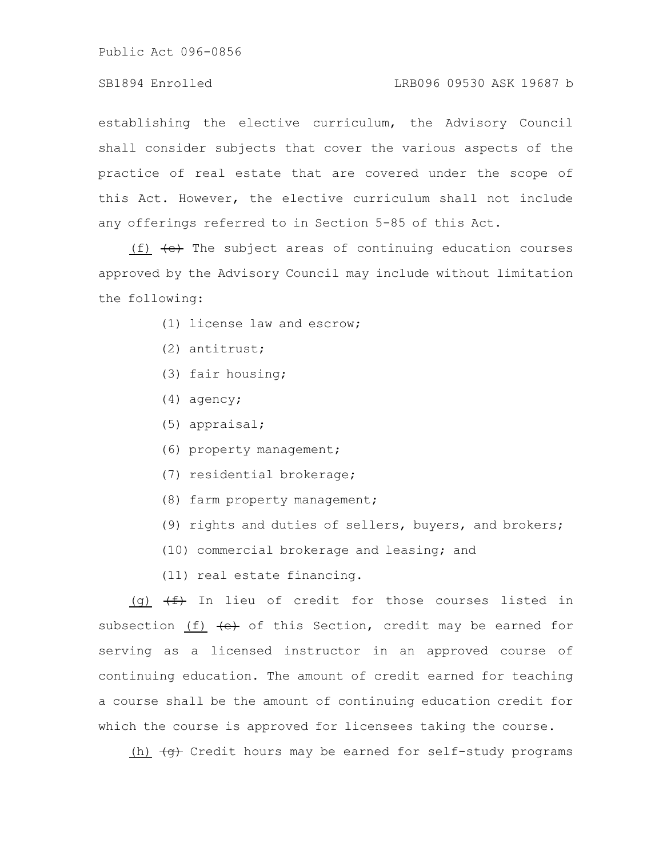# SB1894 Enrolled LRB096 09530 ASK 19687 b

establishing the elective curriculum, the Advisory Council shall consider subjects that cover the various aspects of the practice of real estate that are covered under the scope of this Act. However, the elective curriculum shall not include any offerings referred to in Section 5-85 of this Act.

(f)  $(e)$  The subject areas of continuing education courses approved by the Advisory Council may include without limitation the following:

- (1) license law and escrow;
- (2) antitrust;
- (3) fair housing;
- (4) agency;
- (5) appraisal;
- (6) property management;
- (7) residential brokerage;
- (8) farm property management;
- (9) rights and duties of sellers, buyers, and brokers;
- (10) commercial brokerage and leasing; and
- (11) real estate financing.

(g)  $\overline{f}$  In lieu of credit for those courses listed in subsection (f)  $\leftarrow$  of this Section, credit may be earned for serving as a licensed instructor in an approved course of continuing education. The amount of credit earned for teaching a course shall be the amount of continuing education credit for which the course is approved for licensees taking the course.

(h)  $\overline{+q}$  Credit hours may be earned for self-study programs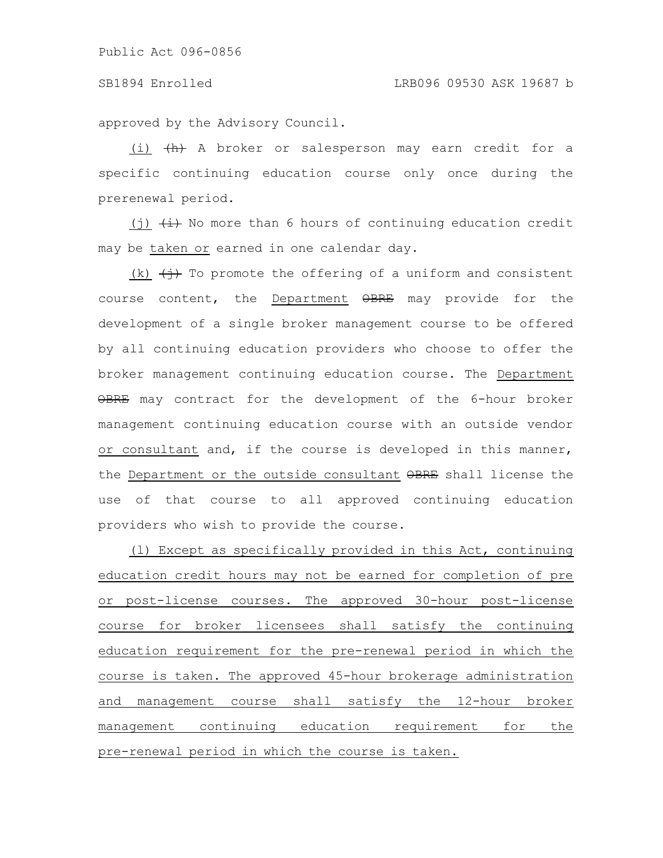approved by the Advisory Council.

(i)  $\{h\}$  A broker or salesperson may earn credit for a specific continuing education course only once during the prerenewal period.

(j)  $\overline{t}$  No more than 6 hours of continuing education credit may be taken or earned in one calendar day.

(k)  $\leftrightarrow$  To promote the offering of a uniform and consistent course content, the Department OBRE may provide for the development of a single broker management course to be offered by all continuing education providers who choose to offer the broker management continuing education course. The Department OBRE may contract for the development of the 6-hour broker management continuing education course with an outside vendor or consultant and, if the course is developed in this manner, the Department or the outside consultant OBRE shall license the use of that course to all approved continuing education providers who wish to provide the course.

(l) Except as specifically provided in this Act, continuing education credit hours may not be earned for completion of pre or post-license courses. The approved 30-hour post-license course for broker licensees shall satisfy the continuing education requirement for the pre-renewal period in which the course is taken. The approved 45-hour brokerage administration and management course shall satisfy the 12-hour broker management continuing education requirement for the pre-renewal period in which the course is taken.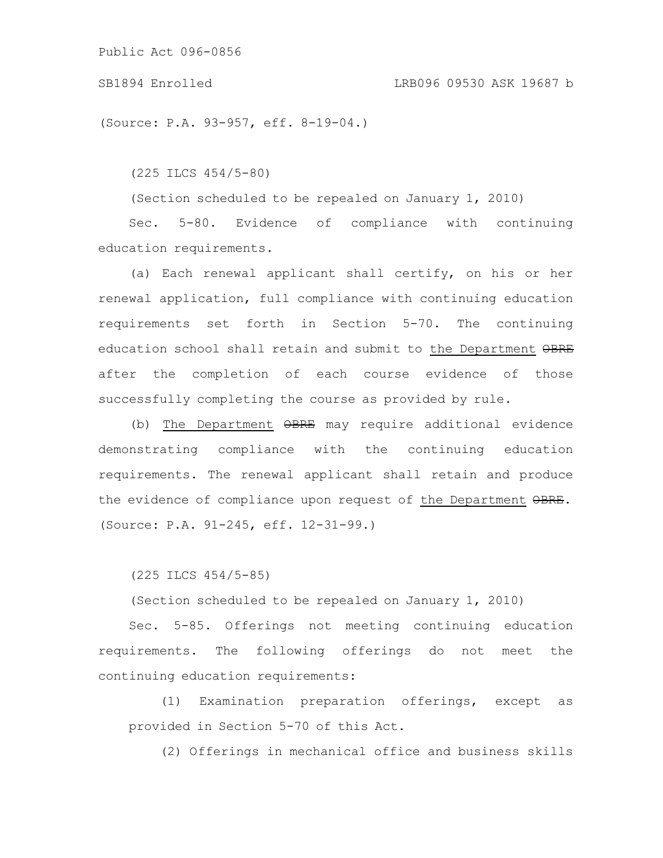### SB1894 Enrolled LRB096 09530 ASK 19687 b

(Source: P.A. 93-957, eff. 8-19-04.)

(225 ILCS 454/5-80)

(Section scheduled to be repealed on January 1, 2010)

Sec. 5-80. Evidence of compliance with continuing education requirements.

(a) Each renewal applicant shall certify, on his or her renewal application, full compliance with continuing education requirements set forth in Section 5-70. The continuing education school shall retain and submit to the Department OBRE after the completion of each course evidence of those successfully completing the course as provided by rule.

(b) The Department OBRE may require additional evidence demonstrating compliance with the continuing education requirements. The renewal applicant shall retain and produce the evidence of compliance upon request of the Department OBRE. (Source: P.A. 91-245, eff. 12-31-99.)

(225 ILCS 454/5-85)

(Section scheduled to be repealed on January 1, 2010)

Sec. 5-85. Offerings not meeting continuing education requirements. The following offerings do not meet the continuing education requirements:

(1) Examination preparation offerings, except as provided in Section 5-70 of this Act.

(2) Offerings in mechanical office and business skills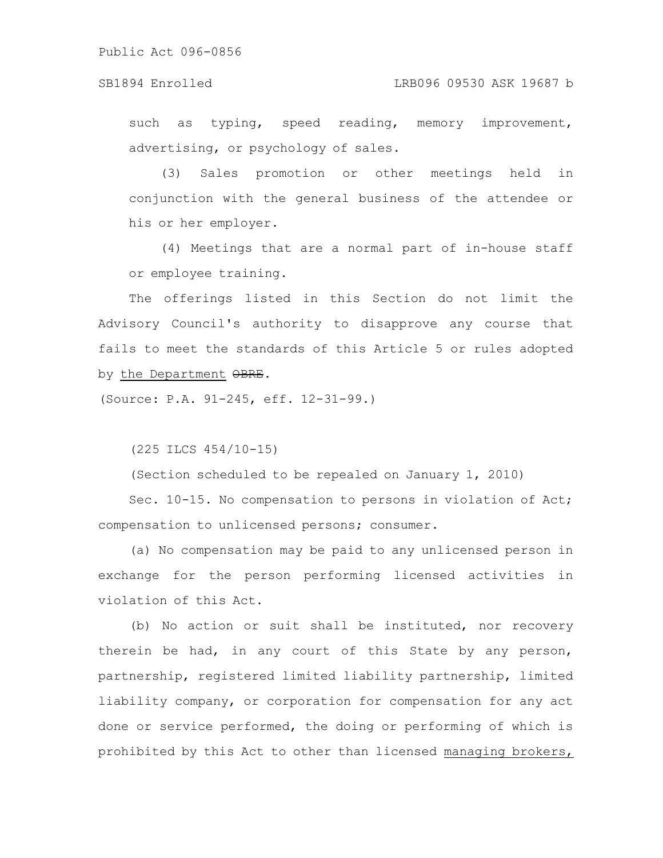such as typing, speed reading, memory improvement, advertising, or psychology of sales.

(3) Sales promotion or other meetings held in conjunction with the general business of the attendee or his or her employer.

(4) Meetings that are a normal part of in-house staff or employee training.

The offerings listed in this Section do not limit the Advisory Council's authority to disapprove any course that fails to meet the standards of this Article 5 or rules adopted by the Department OBRE.

(Source: P.A. 91-245, eff. 12-31-99.)

(225 ILCS 454/10-15)

(Section scheduled to be repealed on January 1, 2010)

Sec. 10-15. No compensation to persons in violation of Act; compensation to unlicensed persons; consumer.

(a) No compensation may be paid to any unlicensed person in exchange for the person performing licensed activities in violation of this Act.

(b) No action or suit shall be instituted, nor recovery therein be had, in any court of this State by any person, partnership, registered limited liability partnership, limited liability company, or corporation for compensation for any act done or service performed, the doing or performing of which is prohibited by this Act to other than licensed managing brokers,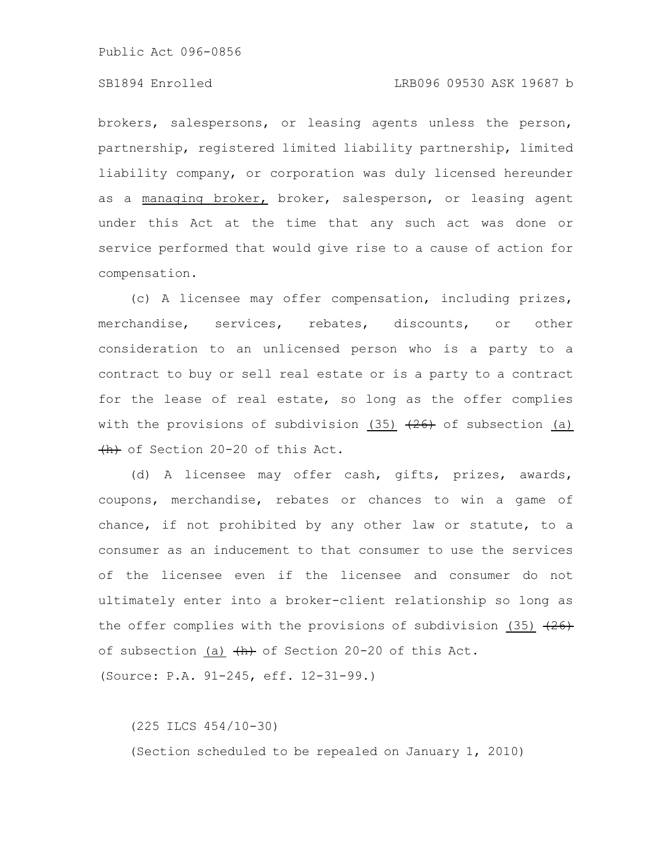## SB1894 Enrolled LRB096 09530 ASK 19687 b

brokers, salespersons, or leasing agents unless the person, partnership, registered limited liability partnership, limited liability company, or corporation was duly licensed hereunder as a managing broker, broker, salesperson, or leasing agent under this Act at the time that any such act was done or service performed that would give rise to a cause of action for compensation.

(c) A licensee may offer compensation, including prizes, merchandise, services, rebates, discounts, or other consideration to an unlicensed person who is a party to a contract to buy or sell real estate or is a party to a contract for the lease of real estate, so long as the offer complies with the provisions of subdivision (35)  $(26)$  of subsection (a) (h) of Section 20-20 of this Act.

(d) A licensee may offer cash, gifts, prizes, awards, coupons, merchandise, rebates or chances to win a game of chance, if not prohibited by any other law or statute, to a consumer as an inducement to that consumer to use the services of the licensee even if the licensee and consumer do not ultimately enter into a broker-client relationship so long as the offer complies with the provisions of subdivision (35)  $(26)$ of subsection (a)  $\{h\}$  of Section 20-20 of this Act.

(Source: P.A. 91-245, eff. 12-31-99.)

(225 ILCS 454/10-30)

(Section scheduled to be repealed on January 1, 2010)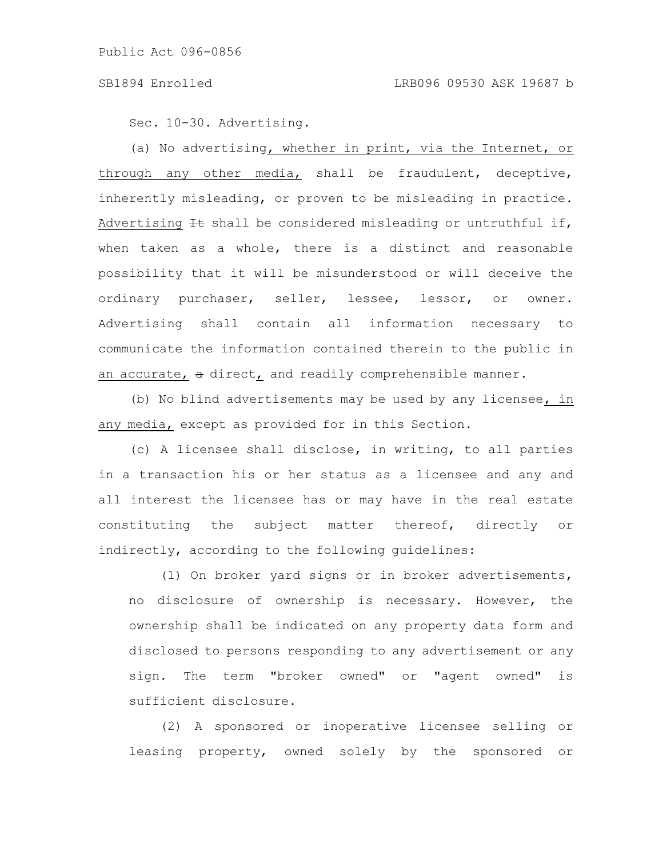Sec. 10-30. Advertising.

(a) No advertising, whether in print, via the Internet, or through any other media, shall be fraudulent, deceptive, inherently misleading, or proven to be misleading in practice. Advertising  $H$  shall be considered misleading or untruthful if, when taken as a whole, there is a distinct and reasonable possibility that it will be misunderstood or will deceive the ordinary purchaser, seller, lessee, lessor, or owner. Advertising shall contain all information necessary to communicate the information contained therein to the public in an accurate, a direct, and readily comprehensible manner.

(b) No blind advertisements may be used by any licensee, in any media, except as provided for in this Section.

(c) A licensee shall disclose, in writing, to all parties in a transaction his or her status as a licensee and any and all interest the licensee has or may have in the real estate constituting the subject matter thereof, directly or indirectly, according to the following guidelines:

(1) On broker yard signs or in broker advertisements, no disclosure of ownership is necessary. However, the ownership shall be indicated on any property data form and disclosed to persons responding to any advertisement or any sign. The term "broker owned" or "agent owned" is sufficient disclosure.

(2) A sponsored or inoperative licensee selling or leasing property, owned solely by the sponsored or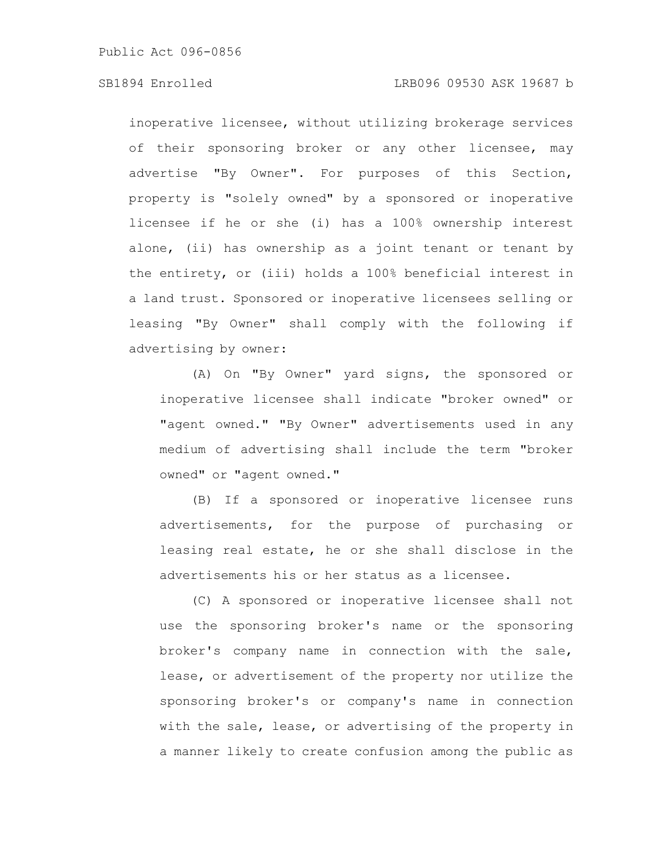## SB1894 Enrolled LRB096 09530 ASK 19687 b

inoperative licensee, without utilizing brokerage services of their sponsoring broker or any other licensee, may advertise "By Owner". For purposes of this Section, property is "solely owned" by a sponsored or inoperative licensee if he or she (i) has a 100% ownership interest alone, (ii) has ownership as a joint tenant or tenant by the entirety, or (iii) holds a 100% beneficial interest in a land trust. Sponsored or inoperative licensees selling or leasing "By Owner" shall comply with the following if advertising by owner:

(A) On "By Owner" yard signs, the sponsored or inoperative licensee shall indicate "broker owned" or "agent owned." "By Owner" advertisements used in any medium of advertising shall include the term "broker owned" or "agent owned."

(B) If a sponsored or inoperative licensee runs advertisements, for the purpose of purchasing or leasing real estate, he or she shall disclose in the advertisements his or her status as a licensee.

(C) A sponsored or inoperative licensee shall not use the sponsoring broker's name or the sponsoring broker's company name in connection with the sale, lease, or advertisement of the property nor utilize the sponsoring broker's or company's name in connection with the sale, lease, or advertising of the property in a manner likely to create confusion among the public as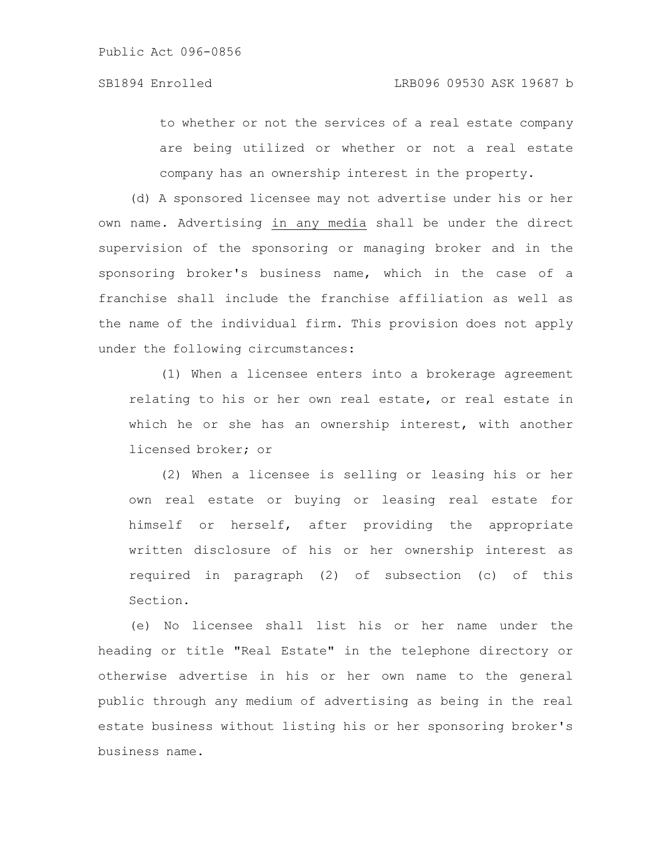to whether or not the services of a real estate company are being utilized or whether or not a real estate company has an ownership interest in the property.

(d) A sponsored licensee may not advertise under his or her own name. Advertising in any media shall be under the direct supervision of the sponsoring or managing broker and in the sponsoring broker's business name, which in the case of a franchise shall include the franchise affiliation as well as the name of the individual firm. This provision does not apply under the following circumstances:

(1) When a licensee enters into a brokerage agreement relating to his or her own real estate, or real estate in which he or she has an ownership interest, with another licensed broker; or

(2) When a licensee is selling or leasing his or her own real estate or buying or leasing real estate for himself or herself, after providing the appropriate written disclosure of his or her ownership interest as required in paragraph (2) of subsection (c) of this Section.

(e) No licensee shall list his or her name under the heading or title "Real Estate" in the telephone directory or otherwise advertise in his or her own name to the general public through any medium of advertising as being in the real estate business without listing his or her sponsoring broker's business name.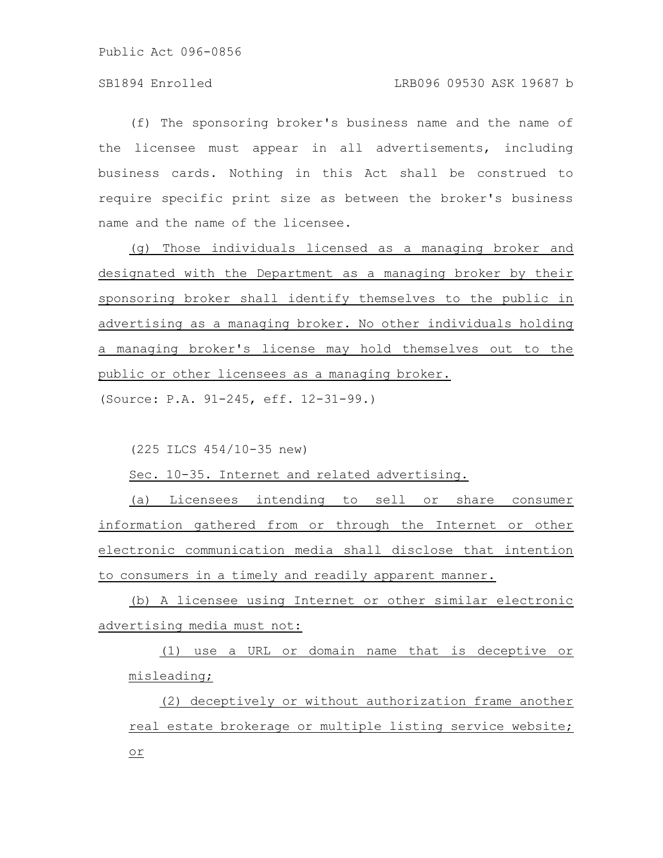(f) The sponsoring broker's business name and the name of the licensee must appear in all advertisements, including business cards. Nothing in this Act shall be construed to require specific print size as between the broker's business name and the name of the licensee.

(g) Those individuals licensed as a managing broker and designated with the Department as a managing broker by their sponsoring broker shall identify themselves to the public in advertising as a managing broker. No other individuals holding a managing broker's license may hold themselves out to the public or other licensees as a managing broker.

(Source: P.A. 91-245, eff. 12-31-99.)

(225 ILCS 454/10-35 new)

Sec. 10-35. Internet and related advertising.

(a) Licensees intending to sell or share consumer information gathered from or through the Internet or other electronic communication media shall disclose that intention to consumers in a timely and readily apparent manner.

(b) A licensee using Internet or other similar electronic advertising media must not:

(1) use a URL or domain name that is deceptive or misleading;

(2) deceptively or without authorization frame another real estate brokerage or multiple listing service website; or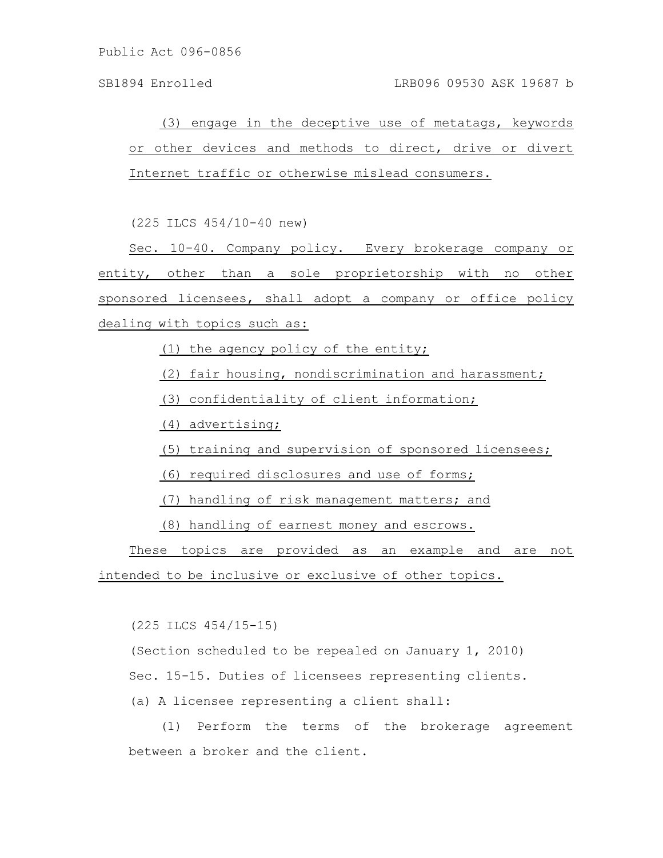(3) engage in the deceptive use of metatags, keywords or other devices and methods to direct, drive or divert Internet traffic or otherwise mislead consumers.

(225 ILCS 454/10-40 new)

Sec. 10-40. Company policy. Every brokerage company or entity, other than a sole proprietorship with no other sponsored licensees, shall adopt a company or office policy dealing with topics such as:

(1) the agency policy of the entity;

(2) fair housing, nondiscrimination and harassment;

(3) confidentiality of client information;

(4) advertising;

(5) training and supervision of sponsored licensees;

(6) required disclosures and use of forms;

(7) handling of risk management matters; and

(8) handling of earnest money and escrows.

These topics are provided as an example and are not intended to be inclusive or exclusive of other topics.

(225 ILCS 454/15-15)

(Section scheduled to be repealed on January 1, 2010)

Sec. 15-15. Duties of licensees representing clients.

(a) A licensee representing a client shall:

(1) Perform the terms of the brokerage agreement between a broker and the client.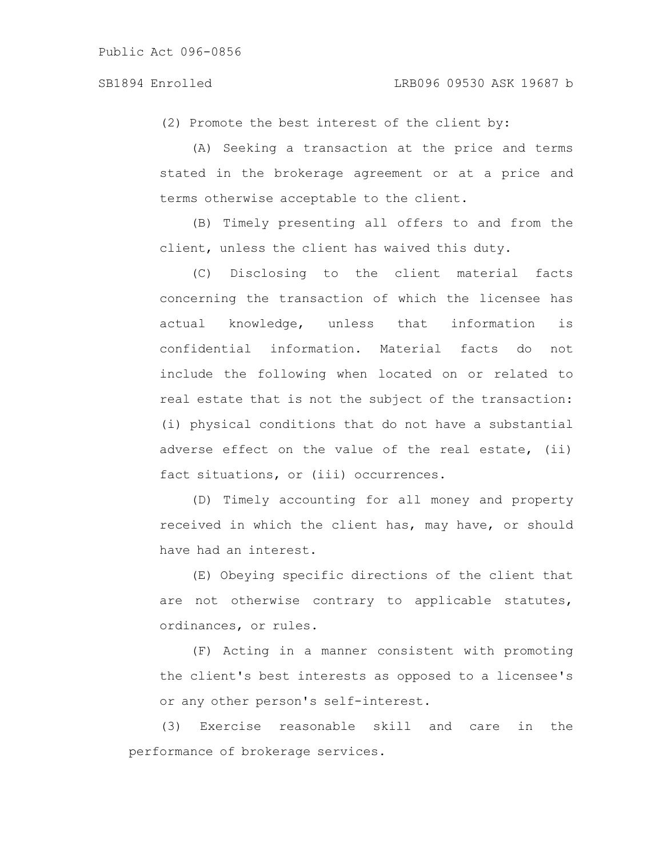(2) Promote the best interest of the client by:

(A) Seeking a transaction at the price and terms stated in the brokerage agreement or at a price and terms otherwise acceptable to the client.

(B) Timely presenting all offers to and from the client, unless the client has waived this duty.

(C) Disclosing to the client material facts concerning the transaction of which the licensee has actual knowledge, unless that information is confidential information. Material facts do not include the following when located on or related to real estate that is not the subject of the transaction: (i) physical conditions that do not have a substantial adverse effect on the value of the real estate, (ii) fact situations, or (iii) occurrences.

(D) Timely accounting for all money and property received in which the client has, may have, or should have had an interest.

(E) Obeying specific directions of the client that are not otherwise contrary to applicable statutes, ordinances, or rules.

(F) Acting in a manner consistent with promoting the client's best interests as opposed to a licensee's or any other person's self-interest.

(3) Exercise reasonable skill and care in the performance of brokerage services.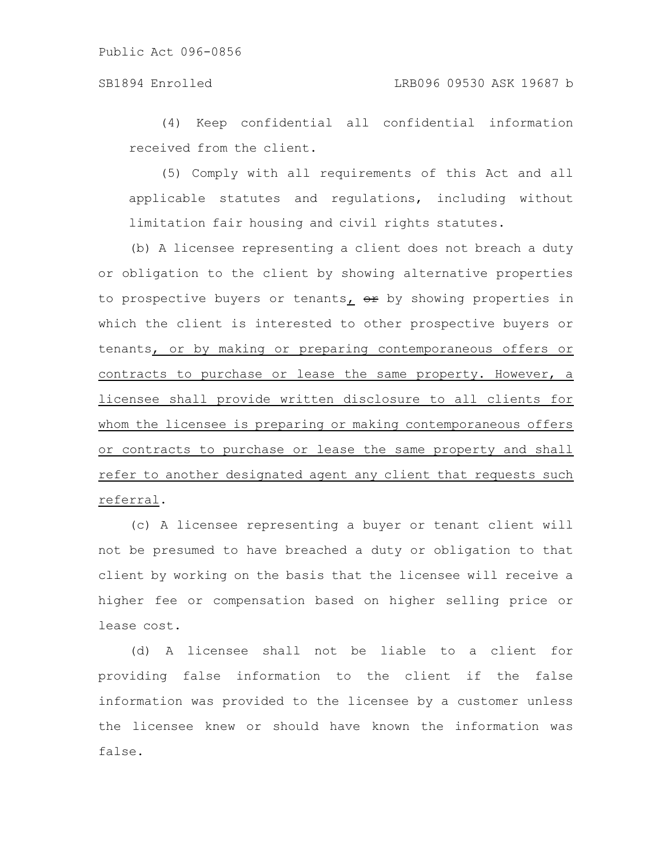# SB1894 Enrolled LRB096 09530 ASK 19687 b

(4) Keep confidential all confidential information received from the client.

(5) Comply with all requirements of this Act and all applicable statutes and regulations, including without limitation fair housing and civil rights statutes.

(b) A licensee representing a client does not breach a duty or obligation to the client by showing alternative properties to prospective buyers or tenants,  $er$  by showing properties in which the client is interested to other prospective buyers or tenants, or by making or preparing contemporaneous offers or contracts to purchase or lease the same property. However, a licensee shall provide written disclosure to all clients for whom the licensee is preparing or making contemporaneous offers or contracts to purchase or lease the same property and shall refer to another designated agent any client that requests such referral.

(c) A licensee representing a buyer or tenant client will not be presumed to have breached a duty or obligation to that client by working on the basis that the licensee will receive a higher fee or compensation based on higher selling price or lease cost.

(d) A licensee shall not be liable to a client for providing false information to the client if the false information was provided to the licensee by a customer unless the licensee knew or should have known the information was false.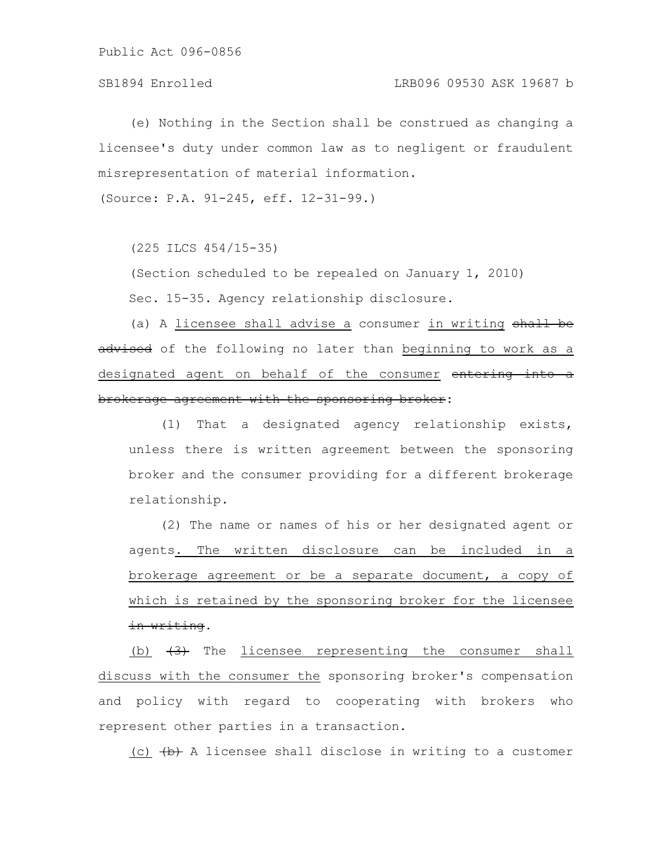(e) Nothing in the Section shall be construed as changing a licensee's duty under common law as to negligent or fraudulent misrepresentation of material information.

(Source: P.A. 91-245, eff. 12-31-99.)

(225 ILCS 454/15-35)

(Section scheduled to be repealed on January 1, 2010) Sec. 15-35. Agency relationship disclosure.

(a) A licensee shall advise a consumer in writing shall be advised of the following no later than beginning to work as a designated agent on behalf of the consumer entering into a brokerage agreement with the sponsoring broker:

(1) That a designated agency relationship exists, unless there is written agreement between the sponsoring broker and the consumer providing for a different brokerage relationship.

(2) The name or names of his or her designated agent or agents. The written disclosure can be included in a brokerage agreement or be a separate document, a copy of which is retained by the sponsoring broker for the licensee in writing.

(b)  $\left(3\right)$  The licensee representing the consumer shall discuss with the consumer the sponsoring broker's compensation and policy with regard to cooperating with brokers who represent other parties in a transaction.

(c)  $(b)$  A licensee shall disclose in writing to a customer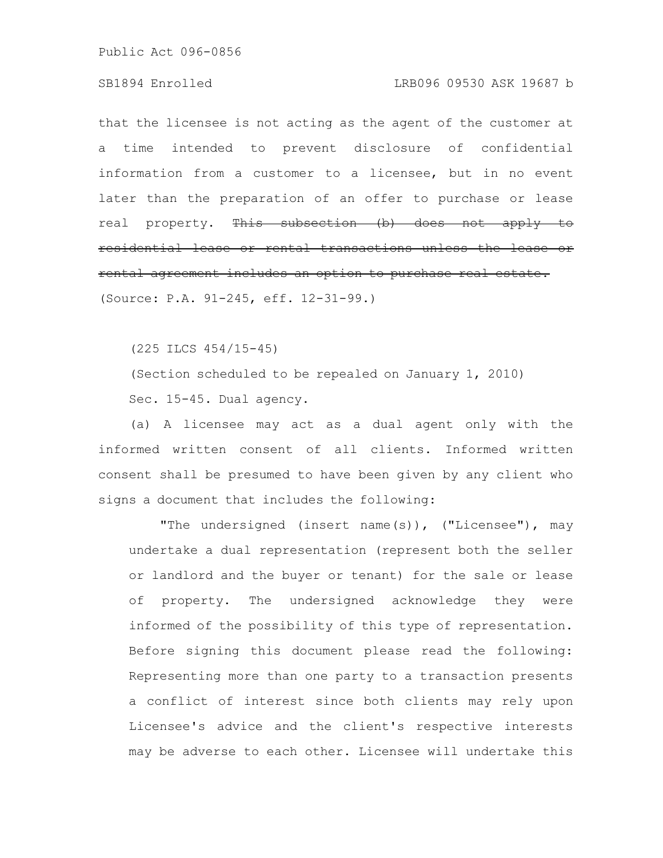### SB1894 Enrolled LRB096 09530 ASK 19687 b

that the licensee is not acting as the agent of the customer at a time intended to prevent disclosure of confidential information from a customer to a licensee, but in no event later than the preparation of an offer to purchase or lease real property. This subsection (b) does not apply residential lease or rental transactions unless the rental agreement includes an option to purchase real

(Source: P.A. 91-245, eff. 12-31-99.)

(225 ILCS 454/15-45)

(Section scheduled to be repealed on January 1, 2010) Sec. 15-45. Dual agency.

(a) A licensee may act as a dual agent only with the informed written consent of all clients. Informed written consent shall be presumed to have been given by any client who signs a document that includes the following:

"The undersigned (insert name(s)), ("Licensee"), may undertake a dual representation (represent both the seller or landlord and the buyer or tenant) for the sale or lease of property. The undersigned acknowledge they were informed of the possibility of this type of representation. Before signing this document please read the following: Representing more than one party to a transaction presents a conflict of interest since both clients may rely upon Licensee's advice and the client's respective interests may be adverse to each other. Licensee will undertake this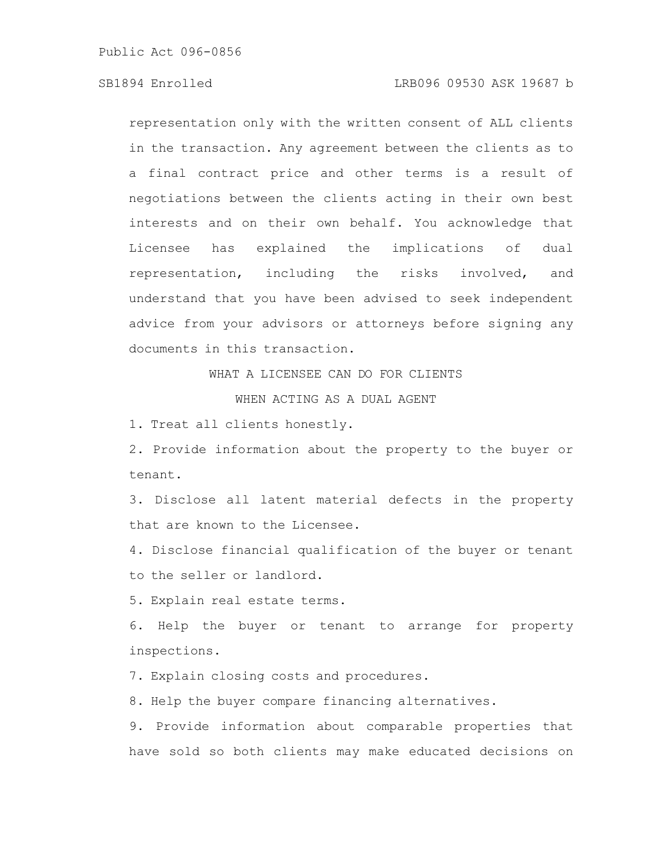## SB1894 Enrolled LRB096 09530 ASK 19687 b

representation only with the written consent of ALL clients in the transaction. Any agreement between the clients as to a final contract price and other terms is a result of negotiations between the clients acting in their own best interests and on their own behalf. You acknowledge that Licensee has explained the implications of dual representation, including the risks involved, and understand that you have been advised to seek independent advice from your advisors or attorneys before signing any documents in this transaction.

WHAT A LICENSEE CAN DO FOR CLIENTS

WHEN ACTING AS A DUAL AGENT

1. Treat all clients honestly.

2. Provide information about the property to the buyer or tenant.

3. Disclose all latent material defects in the property that are known to the Licensee.

4. Disclose financial qualification of the buyer or tenant to the seller or landlord.

5. Explain real estate terms.

6. Help the buyer or tenant to arrange for property inspections.

7. Explain closing costs and procedures.

8. Help the buyer compare financing alternatives.

9. Provide information about comparable properties that have sold so both clients may make educated decisions on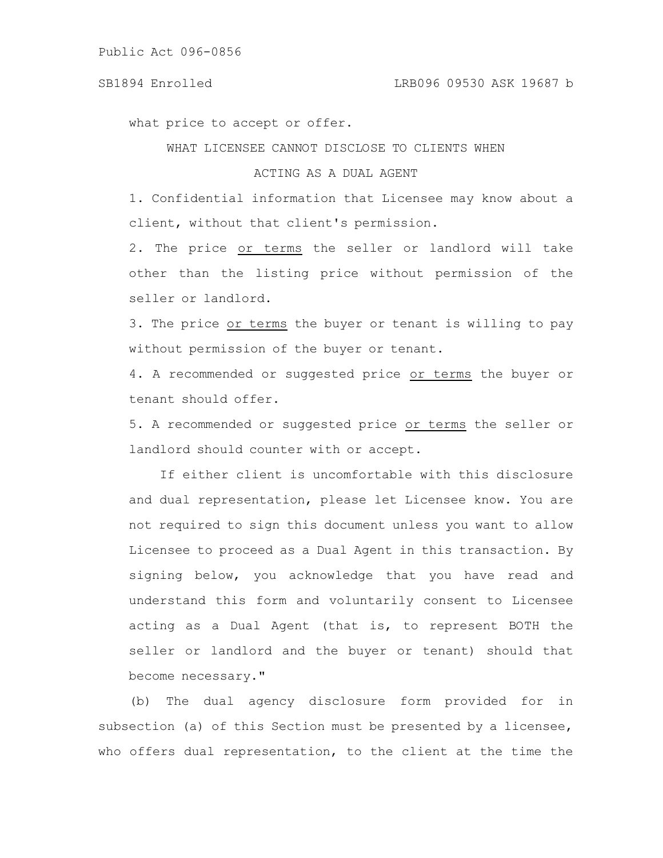### SB1894 Enrolled LRB096 09530 ASK 19687 b

what price to accept or offer.

WHAT LICENSEE CANNOT DISCLOSE TO CLIENTS WHEN

# ACTING AS A DUAL AGENT

1. Confidential information that Licensee may know about a client, without that client's permission.

2. The price or terms the seller or landlord will take other than the listing price without permission of the seller or landlord.

3. The price or terms the buyer or tenant is willing to pay without permission of the buyer or tenant.

4. A recommended or suggested price or terms the buyer or tenant should offer.

5. A recommended or suggested price or terms the seller or landlord should counter with or accept.

If either client is uncomfortable with this disclosure and dual representation, please let Licensee know. You are not required to sign this document unless you want to allow Licensee to proceed as a Dual Agent in this transaction. By signing below, you acknowledge that you have read and understand this form and voluntarily consent to Licensee acting as a Dual Agent (that is, to represent BOTH the seller or landlord and the buyer or tenant) should that become necessary."

(b) The dual agency disclosure form provided for in subsection (a) of this Section must be presented by a licensee, who offers dual representation, to the client at the time the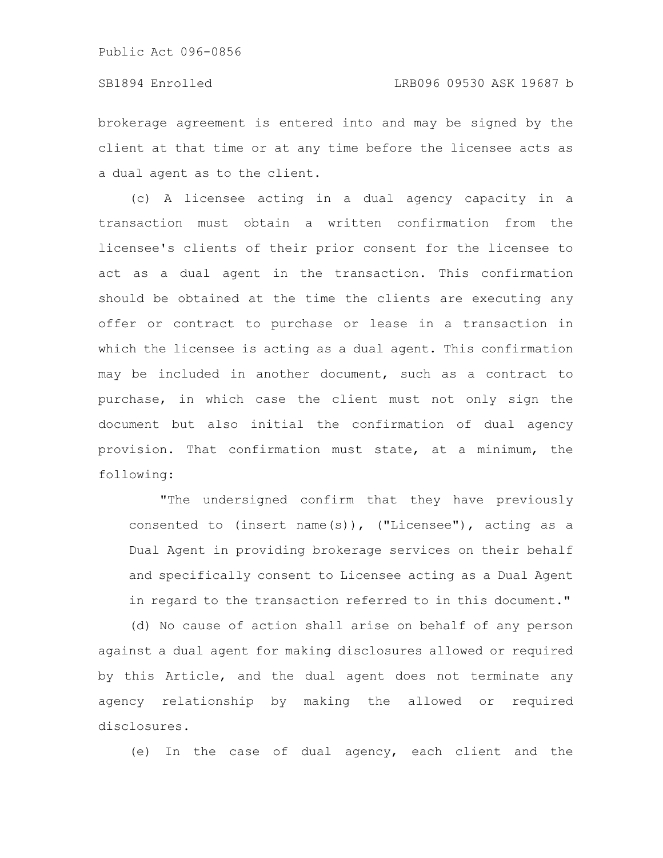### SB1894 Enrolled LRB096 09530 ASK 19687 b

brokerage agreement is entered into and may be signed by the client at that time or at any time before the licensee acts as a dual agent as to the client.

(c) A licensee acting in a dual agency capacity in a transaction must obtain a written confirmation from the licensee's clients of their prior consent for the licensee to act as a dual agent in the transaction. This confirmation should be obtained at the time the clients are executing any offer or contract to purchase or lease in a transaction in which the licensee is acting as a dual agent. This confirmation may be included in another document, such as a contract to purchase, in which case the client must not only sign the document but also initial the confirmation of dual agency provision. That confirmation must state, at a minimum, the following:

"The undersigned confirm that they have previously consented to (insert name(s)), ("Licensee"), acting as a Dual Agent in providing brokerage services on their behalf and specifically consent to Licensee acting as a Dual Agent in regard to the transaction referred to in this document."

(d) No cause of action shall arise on behalf of any person against a dual agent for making disclosures allowed or required by this Article, and the dual agent does not terminate any agency relationship by making the allowed or required disclosures.

(e) In the case of dual agency, each client and the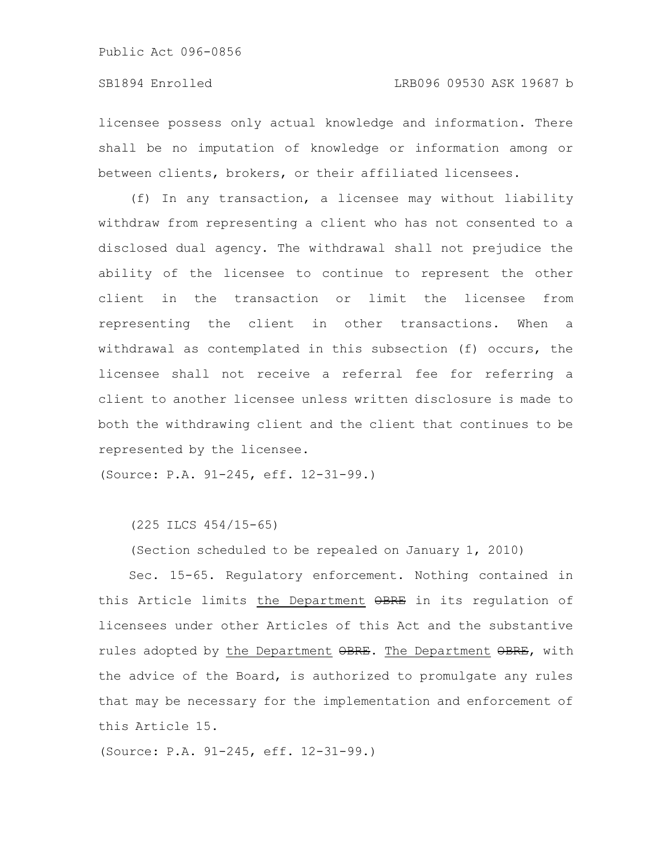licensee possess only actual knowledge and information. There shall be no imputation of knowledge or information among or between clients, brokers, or their affiliated licensees.

(f) In any transaction, a licensee may without liability withdraw from representing a client who has not consented to a disclosed dual agency. The withdrawal shall not prejudice the ability of the licensee to continue to represent the other client in the transaction or limit the licensee from representing the client in other transactions. When a withdrawal as contemplated in this subsection (f) occurs, the licensee shall not receive a referral fee for referring a client to another licensee unless written disclosure is made to both the withdrawing client and the client that continues to be represented by the licensee.

(Source: P.A. 91-245, eff. 12-31-99.)

(225 ILCS 454/15-65)

(Section scheduled to be repealed on January 1, 2010)

Sec. 15-65. Regulatory enforcement. Nothing contained in this Article limits the Department OBRE in its regulation of licensees under other Articles of this Act and the substantive rules adopted by the Department OBRE. The Department OBRE, with the advice of the Board, is authorized to promulgate any rules that may be necessary for the implementation and enforcement of this Article 15.

(Source: P.A. 91-245, eff. 12-31-99.)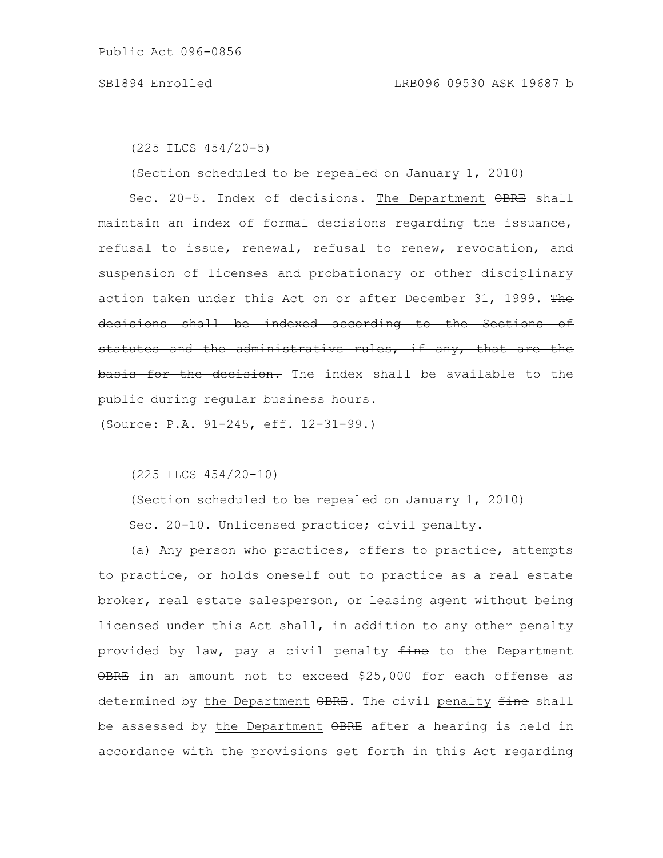(225 ILCS 454/20-5)

(Section scheduled to be repealed on January 1, 2010)

Sec. 20-5. Index of decisions. The Department OBRE shall maintain an index of formal decisions regarding the issuance, refusal to issue, renewal, refusal to renew, revocation, and suspension of licenses and probationary or other disciplinary action taken under this Act on or after December 31, 1999. The decisions shall be indexed according to the Sections of statutes and the administrative rules, if any, that are the basis for the decision. The index shall be available to the public during regular business hours.

(Source: P.A. 91-245, eff. 12-31-99.)

(225 ILCS 454/20-10)

(Section scheduled to be repealed on January 1, 2010) Sec. 20-10. Unlicensed practice; civil penalty.

(a) Any person who practices, offers to practice, attempts to practice, or holds oneself out to practice as a real estate broker, real estate salesperson, or leasing agent without being licensed under this Act shall, in addition to any other penalty provided by law, pay a civil penalty fine to the Department OBRE in an amount not to exceed \$25,000 for each offense as determined by the Department OBRE. The civil penalty fine shall be assessed by the Department OBRE after a hearing is held in accordance with the provisions set forth in this Act regarding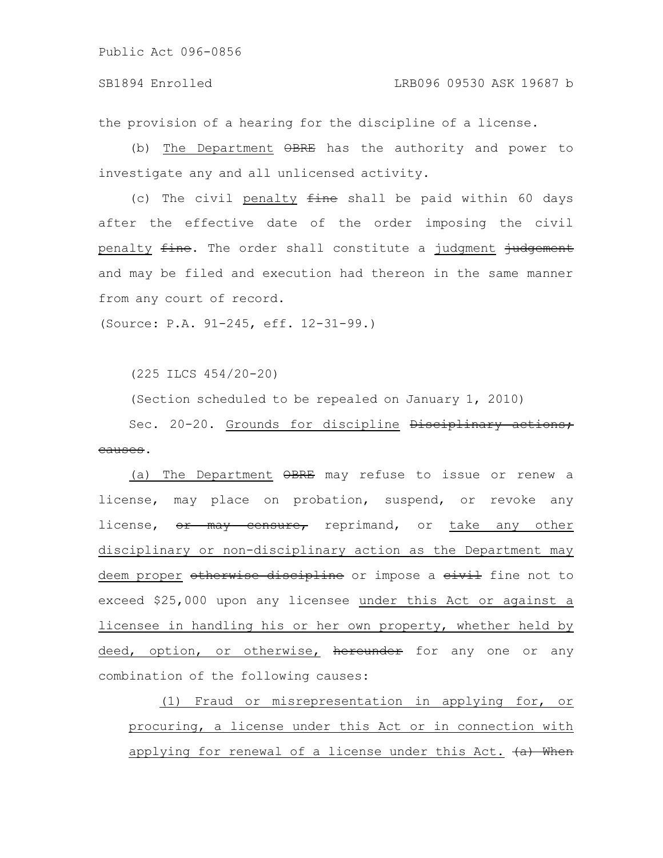the provision of a hearing for the discipline of a license.

(b) The Department OBRE has the authority and power to investigate any and all unlicensed activity.

(c) The civil penalty  $fine$  shall be paid within 60 days after the effective date of the order imposing the civil penalty fine. The order shall constitute a judgment judgement and may be filed and execution had thereon in the same manner from any court of record.

(Source: P.A. 91-245, eff. 12-31-99.)

(225 ILCS 454/20-20)

(Section scheduled to be repealed on January 1, 2010)

Sec. 20-20. Grounds for discipline Disciplinary actions; causes.

(a) The Department OBRE may refuse to issue or renew a license, may place on probation, suspend, or revoke any license, or may censure, reprimand, or take any other disciplinary or non-disciplinary action as the Department may deem proper otherwise discipline or impose a eivil fine not to exceed \$25,000 upon any licensee under this Act or against a licensee in handling his or her own property, whether held by deed, option, or otherwise, hereunder for any one or any combination of the following causes:

(1) Fraud or misrepresentation in applying for, or procuring, a license under this Act or in connection with applying for renewal of a license under this Act.  $(a)$  When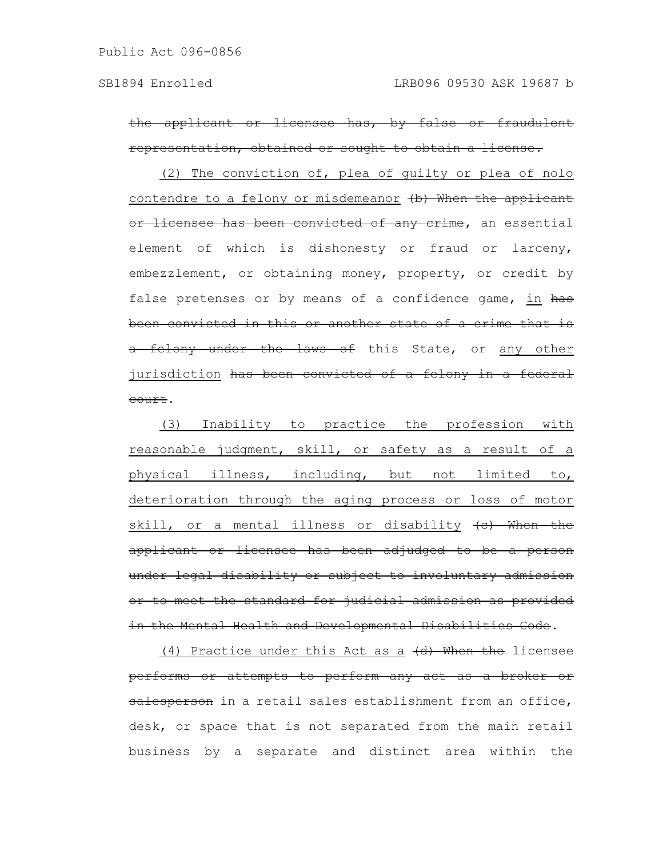the applicant or licensee has, by false or fraudulent representation, obtained or sought to obtain a license.

(2) The conviction of, plea of guilty or plea of nolo contendre to a felony or misdemeanor (b) When the applicant or licensee has been convicted of any crime, an essential element of which is dishonesty or fraud or larceny, embezzlement, or obtaining money, property, or credit by false pretenses or by means of a confidence game, in has been convicted in this or another state of a crime that is a felony under the laws of this State, or any other jurisdiction has been convicted of a felony in a federal court.

(3) Inability to practice the profession with reasonable judgment, skill, or safety as a result of a physical illness, including, but not limited to, deterioration through the aging process or loss of motor skill, or a mental illness or disability  $(e)$  When the applicant or licensee has been adjudged to be a person under legal disability or subject to involuntary admission or to meet the standard for judicial admission as provided in the Mental Health and Developmental Disabilities Code.

(4) Practice under this Act as a (d) When the licensee performs or attempts to perform any act as a broker or salesperson in a retail sales establishment from an office, desk, or space that is not separated from the main retail business by a separate and distinct area within the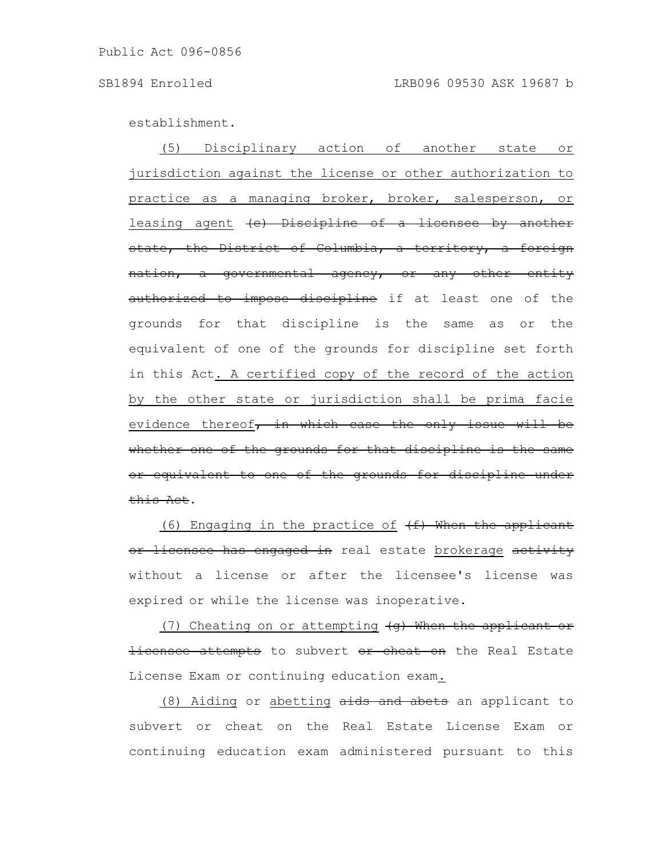establishment.

(5) Disciplinary action of another state or jurisdiction against the license or other authorization to practice as a managing broker, broker, salesperson, or leasing agent (e) Discipline of a licensee by another state, the District of Columbia, a territory, a foreign nation, a governmental agency, or any other entity authorized to impose discipline if at least one of the grounds for that discipline is the same as or the equivalent of one of the grounds for discipline set forth in this Act. A certified copy of the record of the action by the other state or jurisdiction shall be prima facie evidence thereof $\frac{1}{r}$  in which case the only issue will be whether one of the grounds for that discipline is the same or equivalent to one of the grounds for discipline under this Act.

(6) Engaging in the practice of  $(f)$  When the applicant or licensee has engaged in real estate brokerage activity without a license or after the licensee's license was expired or while the license was inoperative.

(7) Cheating on or attempting  $\left( q\right)$  When the applicant or licensee attempts to subvert or cheat on the Real Estate License Exam or continuing education exam.

(8) Aiding or abetting aids and abets an applicant to subvert or cheat on the Real Estate License Exam or continuing education exam administered pursuant to this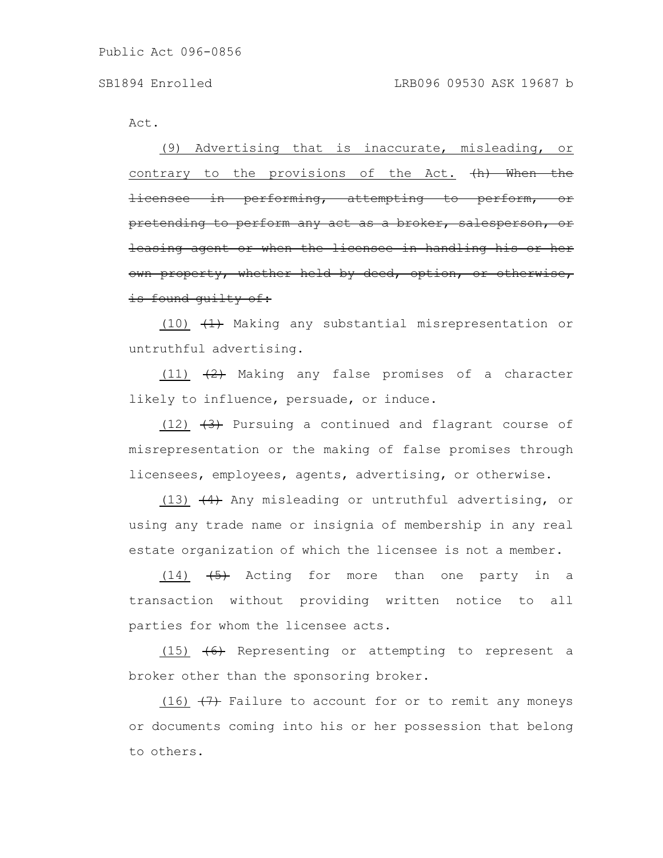Act.

(9) Advertising that is inaccurate, misleading, or contrary to the provisions of the Act. (h) When the licensee in performing, attempting to perform, pretending to perform any act as a broker, salesperson, or leasing agent or when the licensee in handling his or own property, whether held by deed, option, is found quilty of:

(10)  $(1)$  Making any substantial misrepresentation or untruthful advertising.

(11)  $(2)$  Making any false promises of a character likely to influence, persuade, or induce.

(12)  $(3)$  Pursuing a continued and flagrant course of misrepresentation or the making of false promises through licensees, employees, agents, advertising, or otherwise.

(13)  $(4)$  Any misleading or untruthful advertising, or using any trade name or insignia of membership in any real estate organization of which the licensee is not a member.

 $(14)$   $\leftarrow$  Acting for more than one party in a transaction without providing written notice to all parties for whom the licensee acts.

(15) (6) Representing or attempting to represent a broker other than the sponsoring broker.

(16)  $(7)$  Failure to account for or to remit any moneys or documents coming into his or her possession that belong to others.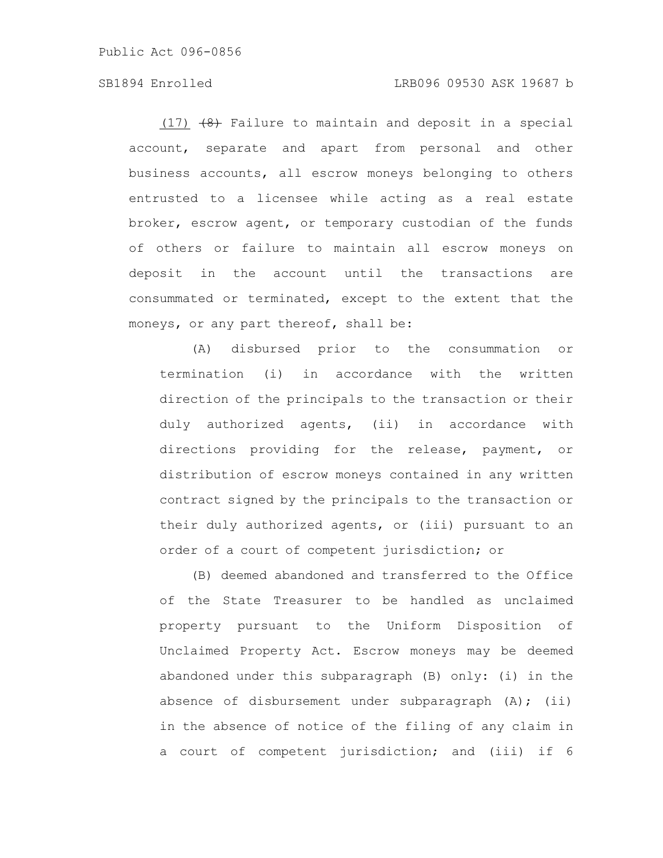# SB1894 Enrolled LRB096 09530 ASK 19687 b

 $(17)$   $(8)$  Failure to maintain and deposit in a special account, separate and apart from personal and other business accounts, all escrow moneys belonging to others entrusted to a licensee while acting as a real estate broker, escrow agent, or temporary custodian of the funds of others or failure to maintain all escrow moneys on deposit in the account until the transactions are consummated or terminated, except to the extent that the moneys, or any part thereof, shall be:

(A) disbursed prior to the consummation or termination (i) in accordance with the written direction of the principals to the transaction or their duly authorized agents, (ii) in accordance with directions providing for the release, payment, or distribution of escrow moneys contained in any written contract signed by the principals to the transaction or their duly authorized agents, or (iii) pursuant to an order of a court of competent jurisdiction; or

(B) deemed abandoned and transferred to the Office of the State Treasurer to be handled as unclaimed property pursuant to the Uniform Disposition of Unclaimed Property Act. Escrow moneys may be deemed abandoned under this subparagraph (B) only: (i) in the absence of disbursement under subparagraph (A); (ii) in the absence of notice of the filing of any claim in a court of competent jurisdiction; and (iii) if 6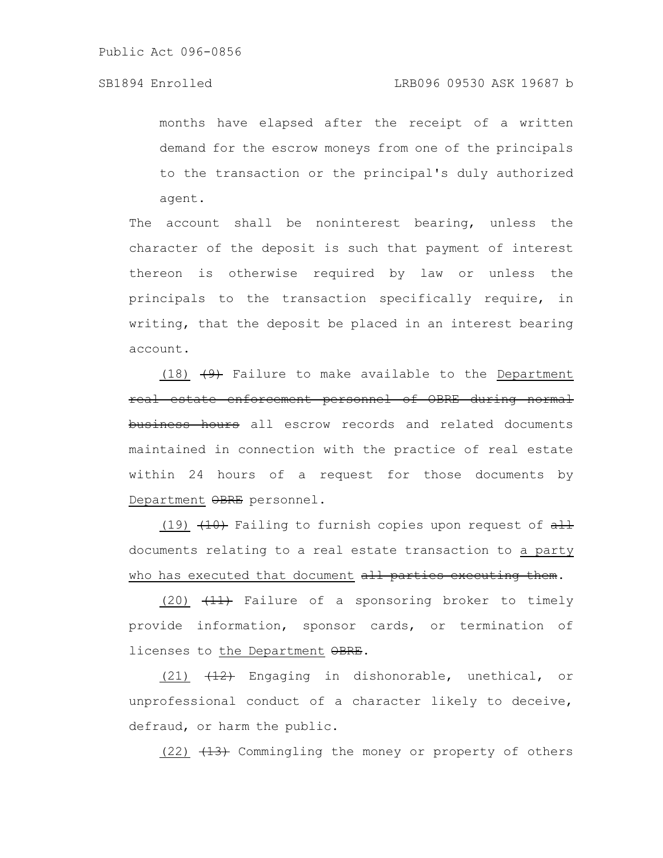months have elapsed after the receipt of a written demand for the escrow moneys from one of the principals to the transaction or the principal's duly authorized agent.

The account shall be noninterest bearing, unless the character of the deposit is such that payment of interest thereon is otherwise required by law or unless the principals to the transaction specifically require, in writing, that the deposit be placed in an interest bearing account.

(18)  $\left(9\right)$  Failure to make available to the Department real estate enforcement personnel of OBRE during normal business hours all escrow records and related documents maintained in connection with the practice of real estate within 24 hours of a request for those documents by Department OBRE personnel.

(19)  $(10)$  Failing to furnish copies upon request of  $\frac{11}{10}$ documents relating to a real estate transaction to a party who has executed that document all parties executing them.

(20) (11) Failure of a sponsoring broker to timely provide information, sponsor cards, or termination of licenses to the Department OBRE.

(21)  $\overline{42}$  Engaging in dishonorable, unethical, or unprofessional conduct of a character likely to deceive, defraud, or harm the public.

 $(22)$   $(13)$  Commingling the money or property of others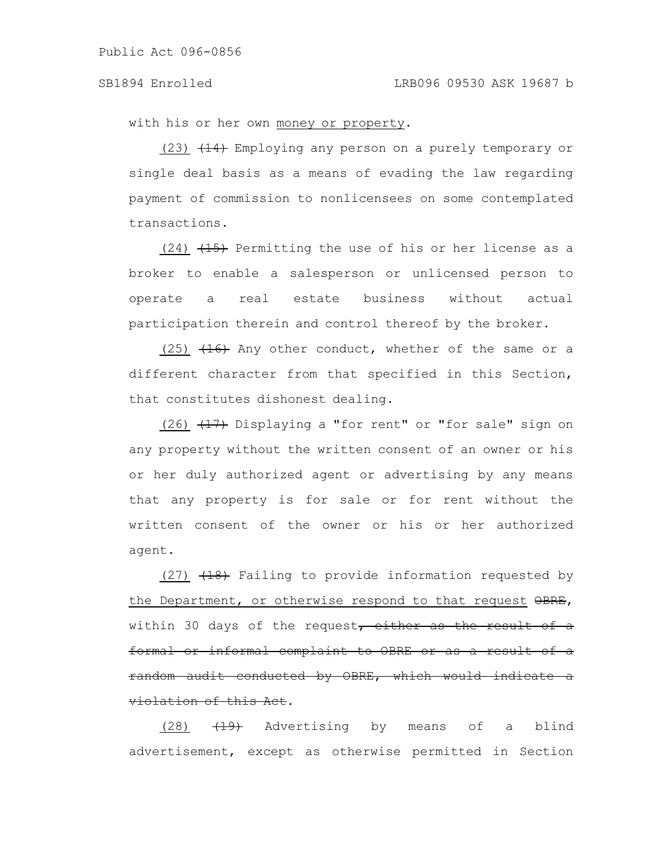with his or her own money or property.

 $(23)$   $(14)$  Employing any person on a purely temporary or single deal basis as a means of evading the law regarding payment of commission to nonlicensees on some contemplated transactions.

 $(24)$   $(15)$  Permitting the use of his or her license as a broker to enable a salesperson or unlicensed person to operate a real estate business without actual participation therein and control thereof by the broker.

 $(25)$   $(16)$  Any other conduct, whether of the same or a different character from that specified in this Section, that constitutes dishonest dealing.

(26)  $(17)$  Displaying a "for rent" or "for sale" sign on any property without the written consent of an owner or his or her duly authorized agent or advertising by any means that any property is for sale or for rent without the written consent of the owner or his or her authorized agent.

 $(27)$   $(18)$  Failing to provide information requested by the Department, or otherwise respond to that request OBRE, within 30 days of the request, either as the result of a formal or informal complaint to OBRE or as a result of a random audit conducted by OBRE, which would violation of this Act.

(28)  $\left( \frac{19}{12} \right)$  Advertising by means of a blind advertisement, except as otherwise permitted in Section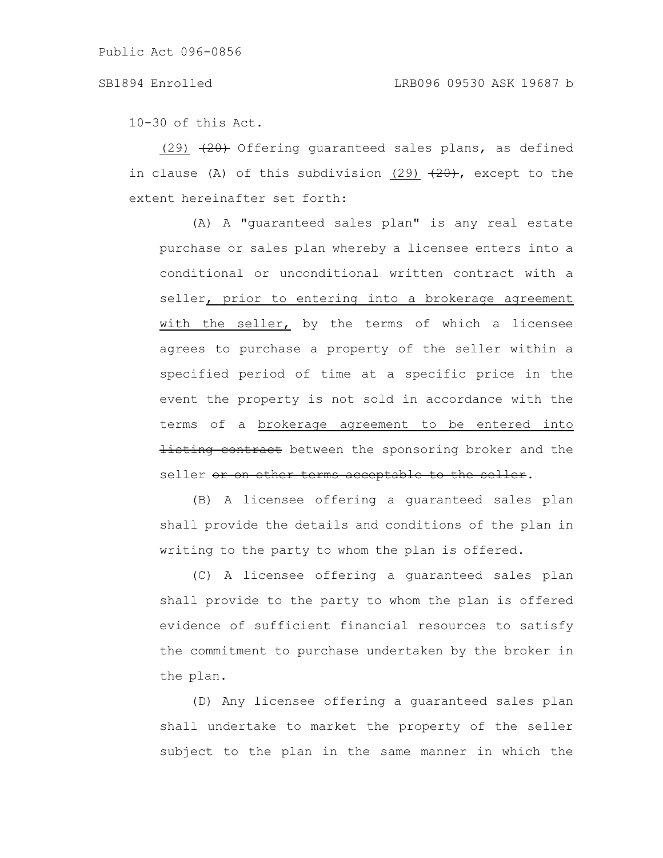10-30 of this Act.

 $(29)$   $(29)$  Offering guaranteed sales plans, as defined in clause (A) of this subdivision (29)  $(29)$ , except to the extent hereinafter set forth:

(A) A "guaranteed sales plan" is any real estate purchase or sales plan whereby a licensee enters into a conditional or unconditional written contract with a seller, prior to entering into a brokerage agreement with the seller, by the terms of which a licensee agrees to purchase a property of the seller within a specified period of time at a specific price in the event the property is not sold in accordance with the terms of a brokerage agreement to be entered into **listing contract** between the sponsoring broker and the seller or on other terms acceptable to the seller.

(B) A licensee offering a guaranteed sales plan shall provide the details and conditions of the plan in writing to the party to whom the plan is offered.

(C) A licensee offering a guaranteed sales plan shall provide to the party to whom the plan is offered evidence of sufficient financial resources to satisfy the commitment to purchase undertaken by the broker in the plan.

(D) Any licensee offering a guaranteed sales plan shall undertake to market the property of the seller subject to the plan in the same manner in which the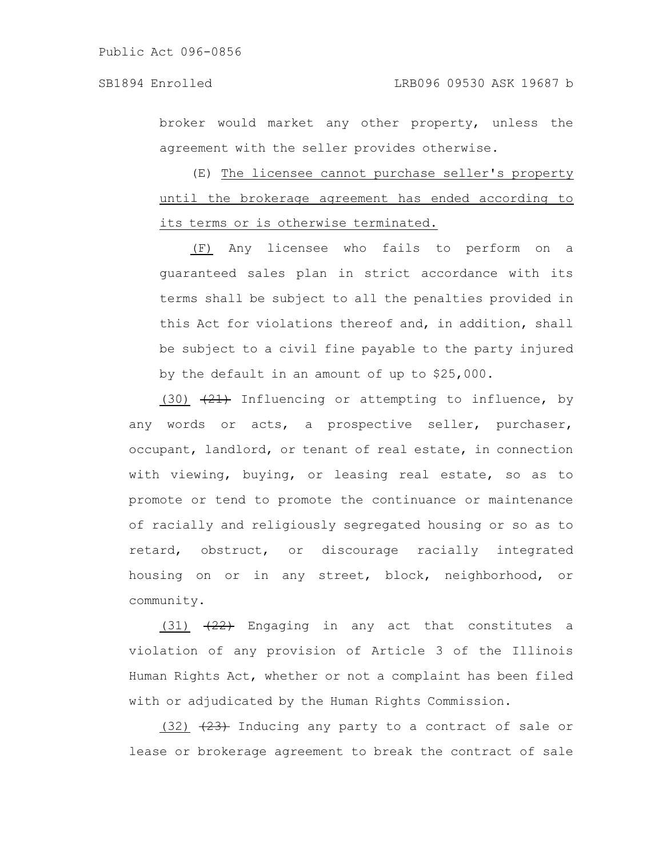broker would market any other property, unless the agreement with the seller provides otherwise.

(E) The licensee cannot purchase seller's property until the brokerage agreement has ended according to its terms or is otherwise terminated.

(F) Any licensee who fails to perform on a guaranteed sales plan in strict accordance with its terms shall be subject to all the penalties provided in this Act for violations thereof and, in addition, shall be subject to a civil fine payable to the party injured by the default in an amount of up to \$25,000.

(30)  $(21)$  Influencing or attempting to influence, by any words or acts, a prospective seller, purchaser, occupant, landlord, or tenant of real estate, in connection with viewing, buying, or leasing real estate, so as to promote or tend to promote the continuance or maintenance of racially and religiously segregated housing or so as to retard, obstruct, or discourage racially integrated housing on or in any street, block, neighborhood, or community.

(31)  $(22)$  Engaging in any act that constitutes a violation of any provision of Article 3 of the Illinois Human Rights Act, whether or not a complaint has been filed with or adjudicated by the Human Rights Commission.

 $(32)$   $(23)$  Inducing any party to a contract of sale or lease or brokerage agreement to break the contract of sale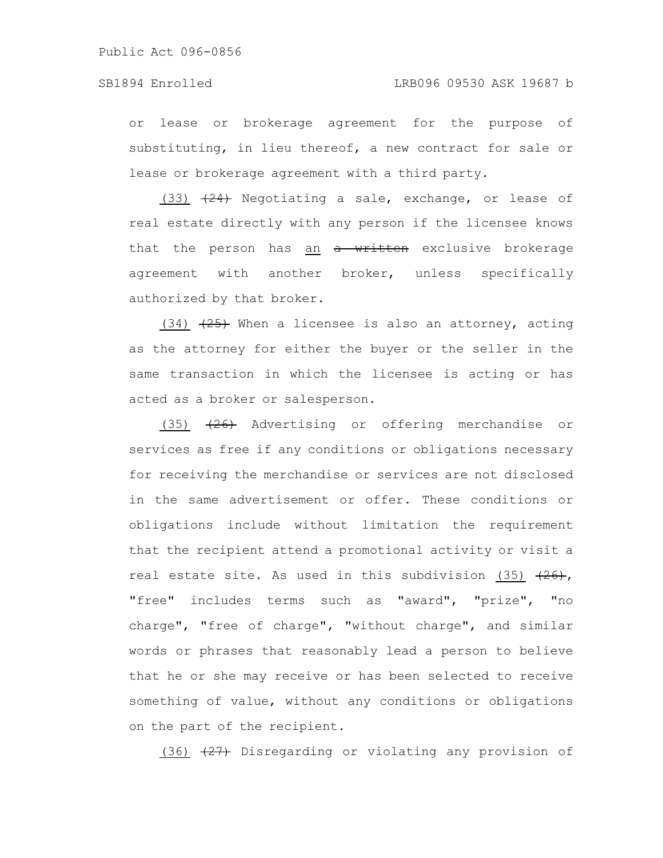or lease or brokerage agreement for the purpose of substituting, in lieu thereof, a new contract for sale or lease or brokerage agreement with a third party.

(33)  $(24)$  Negotiating a sale, exchange, or lease of real estate directly with any person if the licensee knows that the person has an a written exclusive brokerage agreement with another broker, unless specifically authorized by that broker.

 $(34)$   $(25)$  When a licensee is also an attorney, acting as the attorney for either the buyer or the seller in the same transaction in which the licensee is acting or has acted as a broker or salesperson.

 $(35)$   $(26)$  Advertising or offering merchandise or services as free if any conditions or obligations necessary for receiving the merchandise or services are not disclosed in the same advertisement or offer. These conditions or obligations include without limitation the requirement that the recipient attend a promotional activity or visit a real estate site. As used in this subdivision (35)  $(26)$ , "free" includes terms such as "award", "prize", "no charge", "free of charge", "without charge", and similar words or phrases that reasonably lead a person to believe that he or she may receive or has been selected to receive something of value, without any conditions or obligations on the part of the recipient.

(36)  $\left(27\right)$  Disregarding or violating any provision of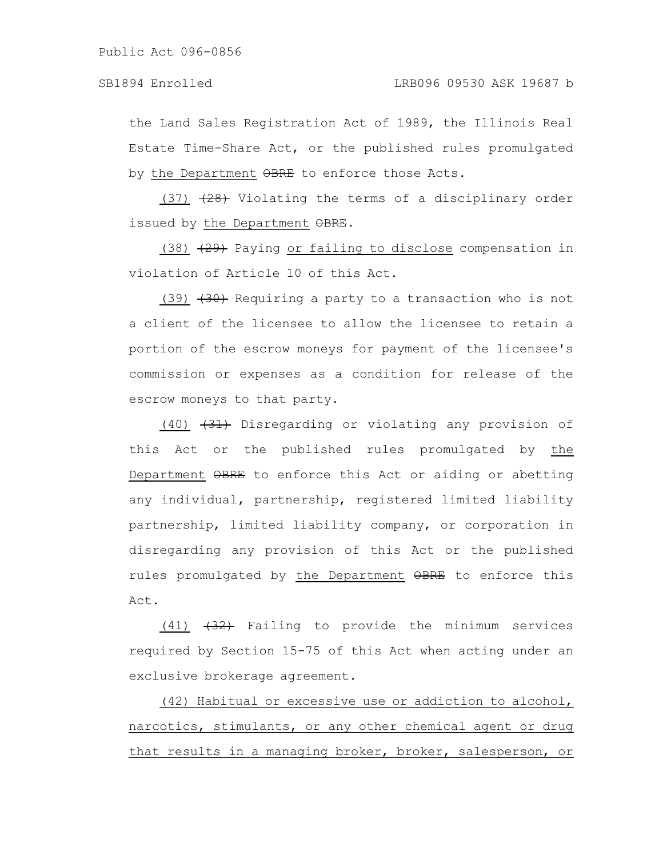the Land Sales Registration Act of 1989, the Illinois Real Estate Time-Share Act, or the published rules promulgated by the Department OBRE to enforce those Acts.

 $(37)$   $(28)$  Violating the terms of a disciplinary order issued by the Department OBRE.

 $(38)$   $(29)$  Paying or failing to disclose compensation in violation of Article 10 of this Act.

(39)  $(39)$  Requiring a party to a transaction who is not a client of the licensee to allow the licensee to retain a portion of the escrow moneys for payment of the licensee's commission or expenses as a condition for release of the escrow moneys to that party.

(40) (31) Disregarding or violating any provision of this Act or the published rules promulgated by the Department OBRE to enforce this Act or aiding or abetting any individual, partnership, registered limited liability partnership, limited liability company, or corporation in disregarding any provision of this Act or the published rules promulgated by the Department OBRE to enforce this Act.

 $(41)$   $(32)$  Failing to provide the minimum services required by Section 15-75 of this Act when acting under an exclusive brokerage agreement.

(42) Habitual or excessive use or addiction to alcohol, narcotics, stimulants, or any other chemical agent or drug that results in a managing broker, broker, salesperson, or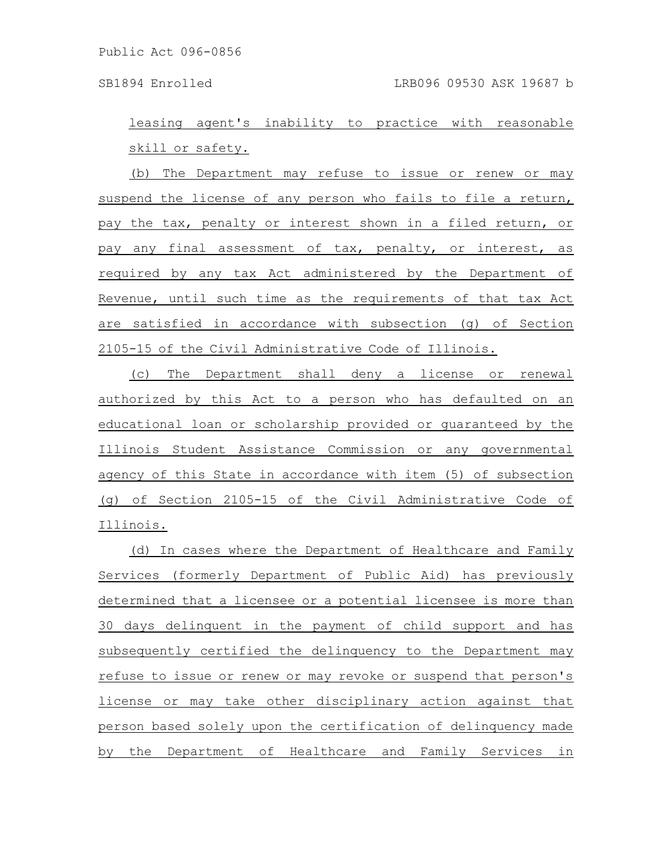leasing agent's inability to practice with reasonable skill or safety.

(b) The Department may refuse to issue or renew or may suspend the license of any person who fails to file a return, pay the tax, penalty or interest shown in a filed return, or pay any final assessment of tax, penalty, or interest, as required by any tax Act administered by the Department of Revenue, until such time as the requirements of that tax Act are satisfied in accordance with subsection (g) of Section 2105-15 of the Civil Administrative Code of Illinois.

(c) The Department shall deny a license or renewal authorized by this Act to a person who has defaulted on an educational loan or scholarship provided or guaranteed by the Illinois Student Assistance Commission or any governmental agency of this State in accordance with item (5) of subsection (g) of Section 2105-15 of the Civil Administrative Code of Illinois.

(d) In cases where the Department of Healthcare and Family Services (formerly Department of Public Aid) has previously determined that a licensee or a potential licensee is more than 30 days delinquent in the payment of child support and has subsequently certified the delinquency to the Department may refuse to issue or renew or may revoke or suspend that person's license or may take other disciplinary action against that person based solely upon the certification of delinquency made by the Department of Healthcare and Family Services in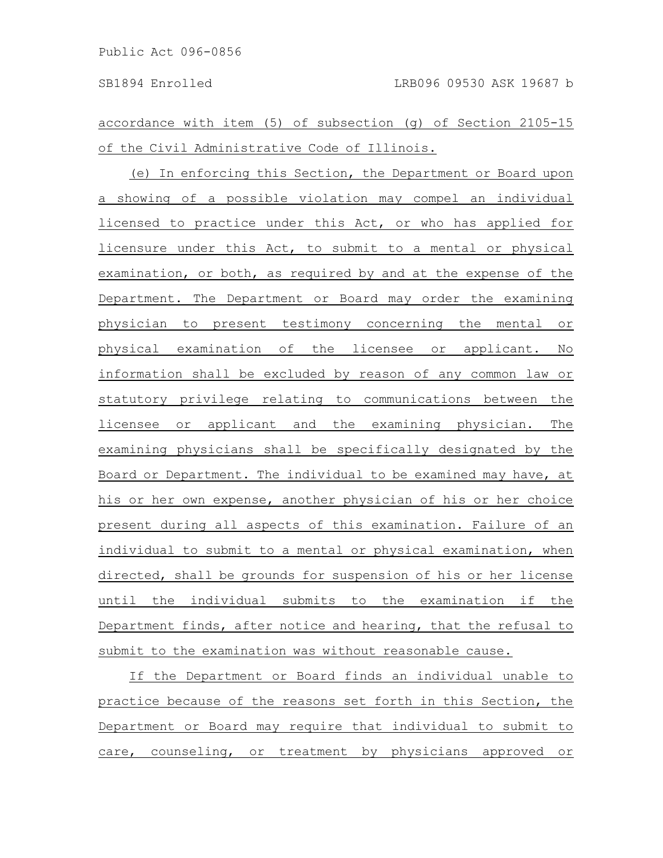accordance with item (5) of subsection (g) of Section 2105-15 of the Civil Administrative Code of Illinois.

(e) In enforcing this Section, the Department or Board upon a showing of a possible violation may compel an individual licensed to practice under this Act, or who has applied for licensure under this Act, to submit to a mental or physical examination, or both, as required by and at the expense of the Department. The Department or Board may order the examining physician to present testimony concerning the mental or physical examination of the licensee or applicant. No information shall be excluded by reason of any common law or statutory privilege relating to communications between the licensee or applicant and the examining physician. The examining physicians shall be specifically designated by the Board or Department. The individual to be examined may have, at his or her own expense, another physician of his or her choice present during all aspects of this examination. Failure of an individual to submit to a mental or physical examination, when directed, shall be grounds for suspension of his or her license until the individual submits to the examination if the Department finds, after notice and hearing, that the refusal to submit to the examination was without reasonable cause.

If the Department or Board finds an individual unable to practice because of the reasons set forth in this Section, the Department or Board may require that individual to submit to care, counseling, or treatment by physicians approved or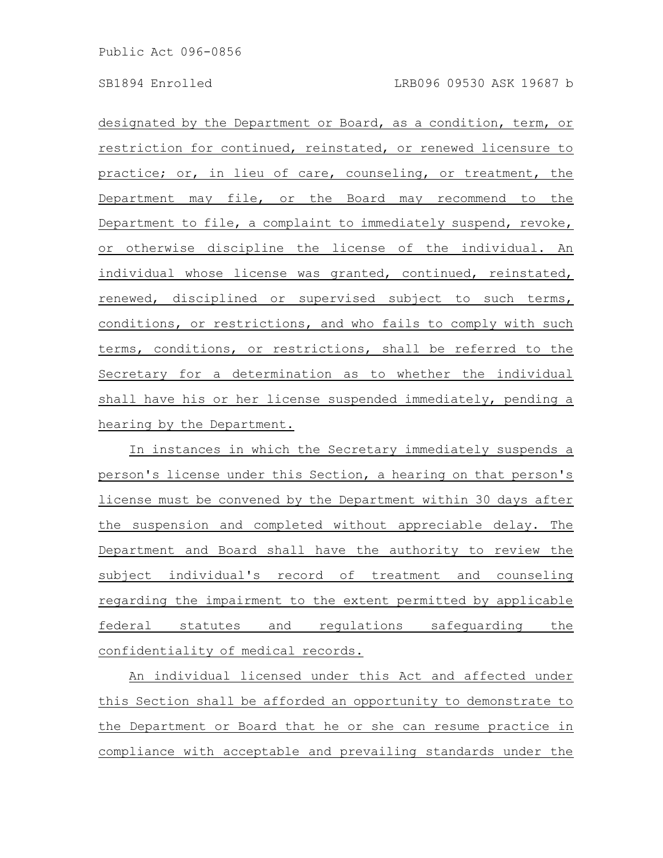designated by the Department or Board, as a condition, term, or restriction for continued, reinstated, or renewed licensure to practice; or, in lieu of care, counseling, or treatment, the Department may file, or the Board may recommend to the Department to file, a complaint to immediately suspend, revoke, or otherwise discipline the license of the individual. An individual whose license was granted, continued, reinstated, renewed, disciplined or supervised subject to such terms, conditions, or restrictions, and who fails to comply with such terms, conditions, or restrictions, shall be referred to the Secretary for a determination as to whether the individual shall have his or her license suspended immediately, pending a hearing by the Department.

In instances in which the Secretary immediately suspends a person's license under this Section, a hearing on that person's license must be convened by the Department within 30 days after the suspension and completed without appreciable delay. The Department and Board shall have the authority to review the subject individual's record of treatment and counseling regarding the impairment to the extent permitted by applicable federal statutes and regulations safeguarding the confidentiality of medical records.

An individual licensed under this Act and affected under this Section shall be afforded an opportunity to demonstrate to the Department or Board that he or she can resume practice in compliance with acceptable and prevailing standards under the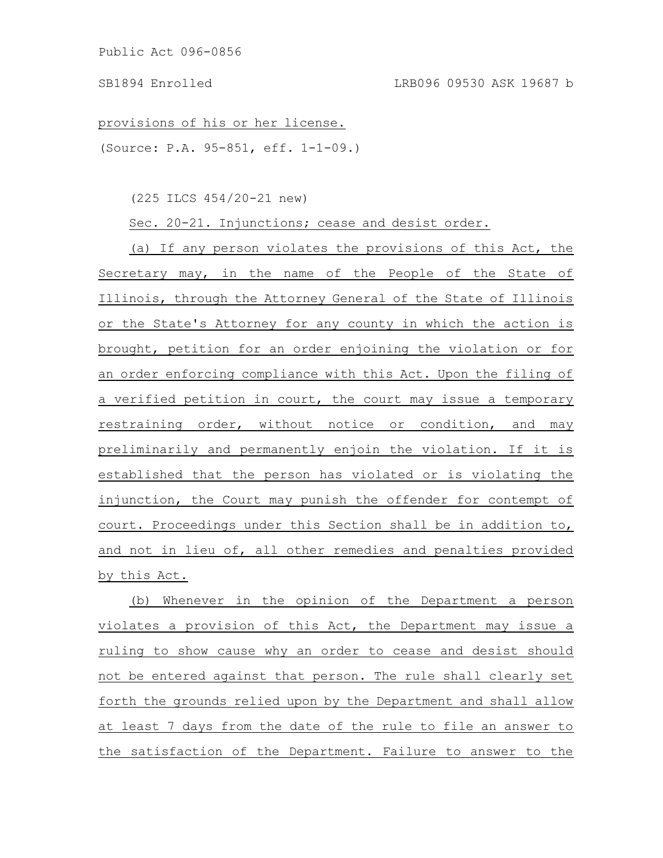provisions of his or her license.

(Source: P.A. 95-851, eff. 1-1-09.)

(225 ILCS 454/20-21 new)

Sec. 20-21. Injunctions; cease and desist order.

(a) If any person violates the provisions of this Act, the Secretary may, in the name of the People of the State of Illinois, through the Attorney General of the State of Illinois or the State's Attorney for any county in which the action is brought, petition for an order enjoining the violation or for an order enforcing compliance with this Act. Upon the filing of a verified petition in court, the court may issue a temporary restraining order, without notice or condition, and may preliminarily and permanently enjoin the violation. If it is established that the person has violated or is violating the injunction, the Court may punish the offender for contempt of court. Proceedings under this Section shall be in addition to, and not in lieu of, all other remedies and penalties provided by this Act.

(b) Whenever in the opinion of the Department a person violates a provision of this Act, the Department may issue a ruling to show cause why an order to cease and desist should not be entered against that person. The rule shall clearly set forth the grounds relied upon by the Department and shall allow at least 7 days from the date of the rule to file an answer to the satisfaction of the Department. Failure to answer to the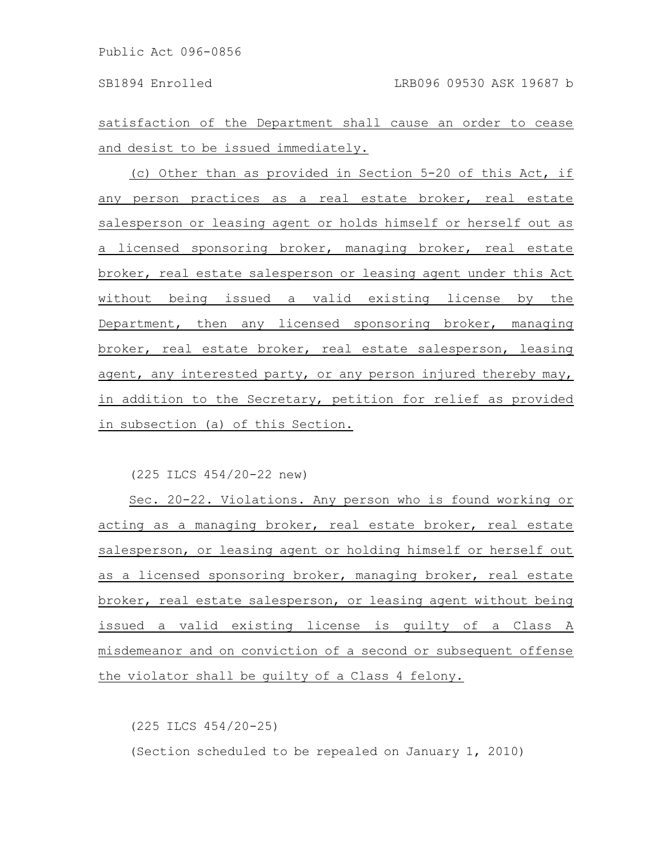satisfaction of the Department shall cause an order to cease and desist to be issued immediately.

(c) Other than as provided in Section 5-20 of this Act, if any person practices as a real estate broker, real estate salesperson or leasing agent or holds himself or herself out as a licensed sponsoring broker, managing broker, real estate broker, real estate salesperson or leasing agent under this Act without being issued a valid existing license by the Department, then any licensed sponsoring broker, managing broker, real estate broker, real estate salesperson, leasing agent, any interested party, or any person injured thereby may, in addition to the Secretary, petition for relief as provided in subsection (a) of this Section.

(225 ILCS 454/20-22 new)

Sec. 20-22. Violations. Any person who is found working or acting as a managing broker, real estate broker, real estate salesperson, or leasing agent or holding himself or herself out as a licensed sponsoring broker, managing broker, real estate broker, real estate salesperson, or leasing agent without being issued a valid existing license is guilty of a Class A misdemeanor and on conviction of a second or subsequent offense the violator shall be guilty of a Class 4 felony.

(225 ILCS 454/20-25)

(Section scheduled to be repealed on January 1, 2010)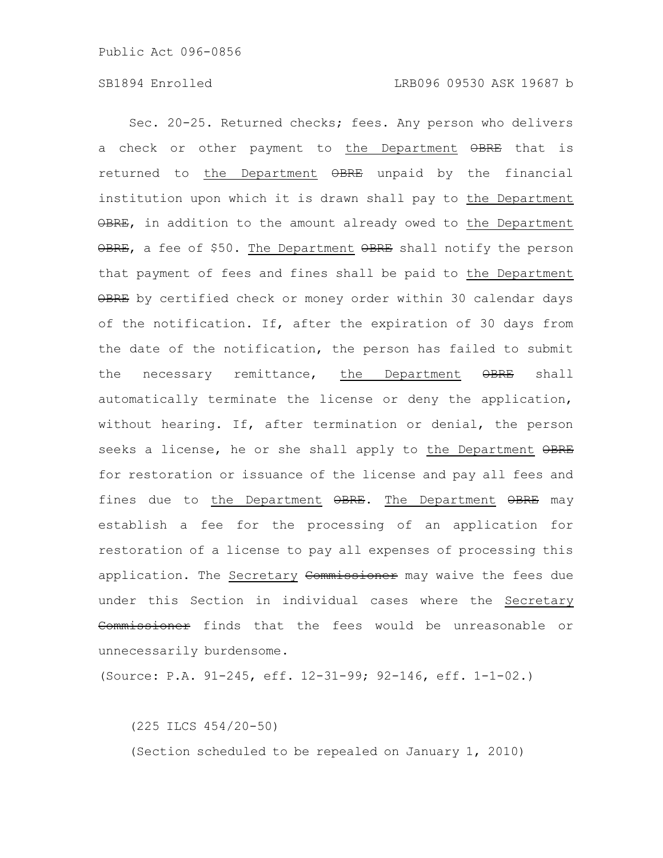Sec. 20-25. Returned checks; fees. Any person who delivers a check or other payment to the Department OBRE that is returned to the Department OBRE unpaid by the financial institution upon which it is drawn shall pay to the Department OBRE, in addition to the amount already owed to the Department OBRE, a fee of \$50. The Department OBRE shall notify the person that payment of fees and fines shall be paid to the Department OBRE by certified check or money order within 30 calendar days of the notification. If, after the expiration of 30 days from the date of the notification, the person has failed to submit the necessary remittance, the Department  $\Theta$ BRE shall automatically terminate the license or deny the application, without hearing. If, after termination or denial, the person seeks a license, he or she shall apply to the Department OBRE for restoration or issuance of the license and pay all fees and fines due to the Department  $\Theta$ BRE. The Department  $\Theta$ BRE may establish a fee for the processing of an application for restoration of a license to pay all expenses of processing this application. The Secretary Commissioner may waive the fees due under this Section in individual cases where the Secretary Commissioner finds that the fees would be unreasonable or unnecessarily burdensome.

(Source: P.A. 91-245, eff. 12-31-99; 92-146, eff. 1-1-02.)

(225 ILCS 454/20-50)

(Section scheduled to be repealed on January 1, 2010)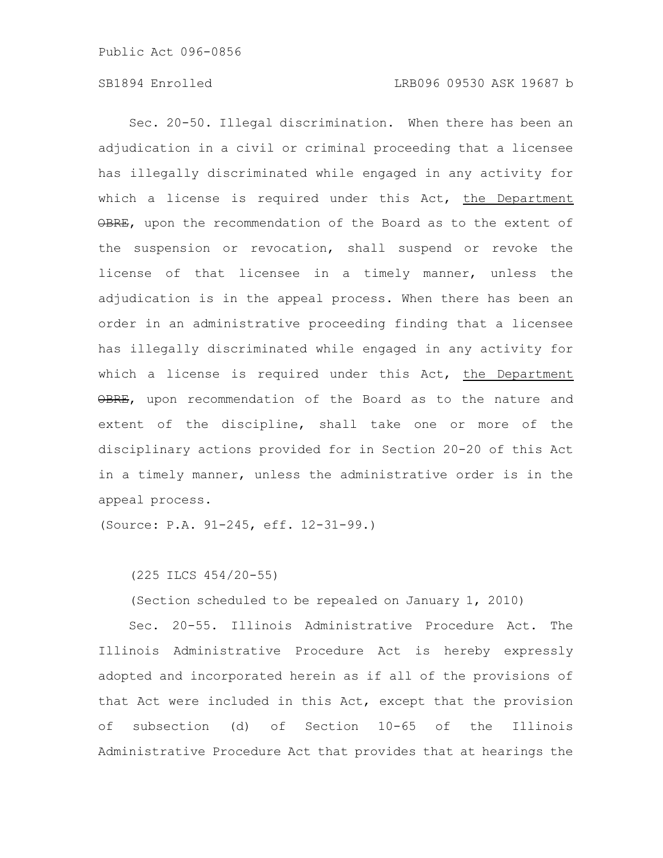# SB1894 Enrolled LRB096 09530 ASK 19687 b

Sec. 20-50. Illegal discrimination. When there has been an adjudication in a civil or criminal proceeding that a licensee has illegally discriminated while engaged in any activity for which a license is required under this Act, the Department OBRE, upon the recommendation of the Board as to the extent of the suspension or revocation, shall suspend or revoke the license of that licensee in a timely manner, unless the adjudication is in the appeal process. When there has been an order in an administrative proceeding finding that a licensee has illegally discriminated while engaged in any activity for which a license is required under this Act, the Department OBRE, upon recommendation of the Board as to the nature and extent of the discipline, shall take one or more of the disciplinary actions provided for in Section 20-20 of this Act in a timely manner, unless the administrative order is in the appeal process.

(Source: P.A. 91-245, eff. 12-31-99.)

(225 ILCS 454/20-55)

(Section scheduled to be repealed on January 1, 2010)

Sec. 20-55. Illinois Administrative Procedure Act. The Illinois Administrative Procedure Act is hereby expressly adopted and incorporated herein as if all of the provisions of that Act were included in this Act, except that the provision of subsection (d) of Section 10-65 of the Illinois Administrative Procedure Act that provides that at hearings the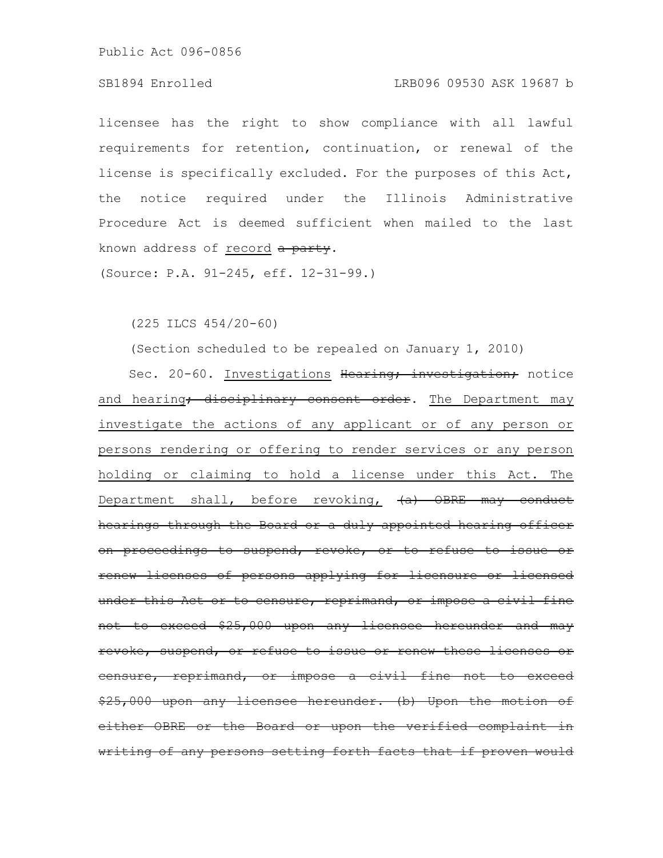# SB1894 Enrolled LRB096 09530 ASK 19687 b

licensee has the right to show compliance with all lawful requirements for retention, continuation, or renewal of the license is specifically excluded. For the purposes of this Act, the notice required under the Illinois Administrative Procedure Act is deemed sufficient when mailed to the last known address of record a party.

(Source: P.A. 91-245, eff. 12-31-99.)

(225 ILCS 454/20-60)

(Section scheduled to be repealed on January 1, 2010)

Sec. 20-60. Investigations Hearing; investigation; notice and hearing<del>; disciplinary consent order</del>. The Department may investigate the actions of any applicant or of any person or persons rendering or offering to render services or any person holding or claiming to hold a license under this Act. The Department shall, before revoking,  $(a)$  OBRE may conduct hearings through the Board or a duly appointed hearing officer on proceedings to suspend, revoke, or to refuse to renew licenses of persons applying for licensure or licensed under this Act or to censure, reprimand, or impose a civil fine not to exceed \$25,000 upon any licensee hereunder and may revoke, suspend, or refuse to issue or renew these licenses or censure, reprimand, or impose a civil fine not  $$25,000$  upon any licensee hereunder. (b) Upon the motion either OBRE or the Board or upon the verified complaint writing of any persons setting forth facts that if proven would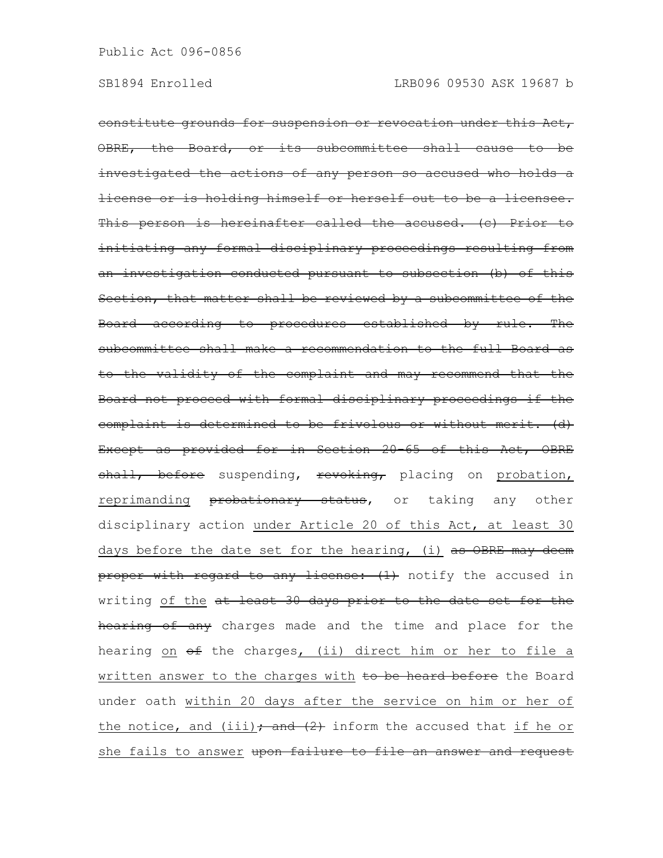constitute grounds for suspension or revocation under this Act, OBRE, the Board, or its subcommittee shall cause to be investigated the actions of any person so accused who holds a license or is holding himself or herself out to be a licensee. This person is hereinafter called the accused. (c) Prior to initiating any formal disciplinary proceedings resulting from an investigation conducted pursuant to subsection (b) of this Section, that matter shall be reviewed by a subcommittee of the Board according to procedures established by rule. The subcommittee shall make a recommendation to the full Board as to the validity of the complaint and may recommend that the Board not proceed with formal disciplinary proceedings if the complaint is determined to be frivolous or without merit. (d) Except as provided for in Section 20-65 of this Act, OBRE shall, before suspending, revoking, placing on probation, reprimanding **probationary status,** or taking any other disciplinary action under Article 20 of this Act, at least 30 days before the date set for the hearing, (i)  $as$  OBRE may deem proper with regard to any license: (1) notify the accused in writing of the at least 30 days prior to the date set for the hearing of any charges made and the time and place for the hearing on  $\theta$  the charges, (ii) direct him or her to file a written answer to the charges with to be heard before the Board under oath within 20 days after the service on him or her of the notice, and (iii)  $\rightarrow$  and  $(2)$  inform the accused that if he or she fails to answer upon failure to file an answer and request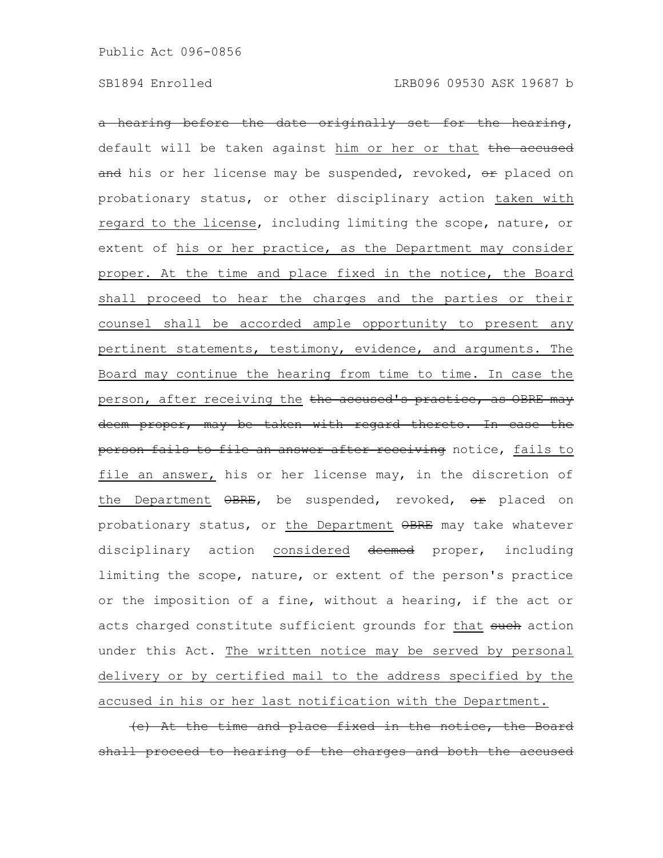a hearing before the date originally set for the hearing, default will be taken against him or her or that the accused and his or her license may be suspended, revoked, or placed on probationary status, or other disciplinary action taken with regard to the license, including limiting the scope, nature, or extent of his or her practice, as the Department may consider proper. At the time and place fixed in the notice, the Board shall proceed to hear the charges and the parties or their counsel shall be accorded ample opportunity to present any pertinent statements, testimony, evidence, and arguments. The Board may continue the hearing from time to time. In case the person, after receiving the the accused's practice, as OBRE may deem proper, may be taken with regard thereto. In case the person fails to file an answer after receiving notice, fails to file an answer, his or her license may, in the discretion of the Department OBRE, be suspended, revoked, or placed on probationary status, or the Department OBRE may take whatever disciplinary action considered deemed proper, including limiting the scope, nature, or extent of the person's practice or the imposition of a fine, without a hearing, if the act or acts charged constitute sufficient grounds for that such action under this Act. The written notice may be served by personal delivery or by certified mail to the address specified by the accused in his or her last notification with the Department.

(e) At the time and place fixed in the notice, the Board proceed to hearing of the charges and both the accused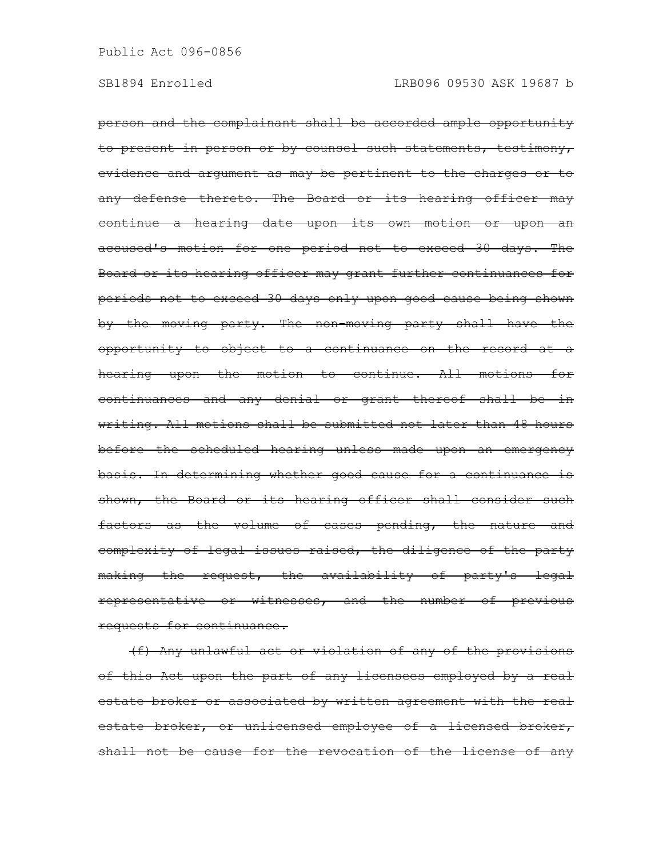person and the complainant shall be accorded ample opportunity to present in person or by counsel such statements, testimony, evidence and argument as may be pertinent to the charges or to any defense thereto. The Board or its hearing officer may continue a hearing date upon its own motion or upon an accused's motion for one period not to exceed 30 days. The Board or its hearing officer may grant further continuances for periods not to exceed 30 days only upon good cause being shown by the moving party. The non-moving party shall have the opportunity to object to a continuance on the record at a hearing upon the motion to continue. All motions for continuances and any denial or grant thereof shall be in writing. All motions shall be submitted not later than 48 hours before the scheduled hearing unless made upon an emergency basis. In determining whether good cause for a continuance is shown, the Board or its hearing officer shall consider such factors as the volume of cases pending, the nature and complexity of legal issues raised, the diligence of the party making the request, the availability of party's legal representative or witnesses, and the number of previous requests for continuance.

(f) Any unlawful act or violation of any of the provisions of this Act upon the part of any licensees employed by a real estate broker or associated by written agreement with the real estate broker, or unlicensed employee of a licensed broker, shall not be cause for the revocation of the license of any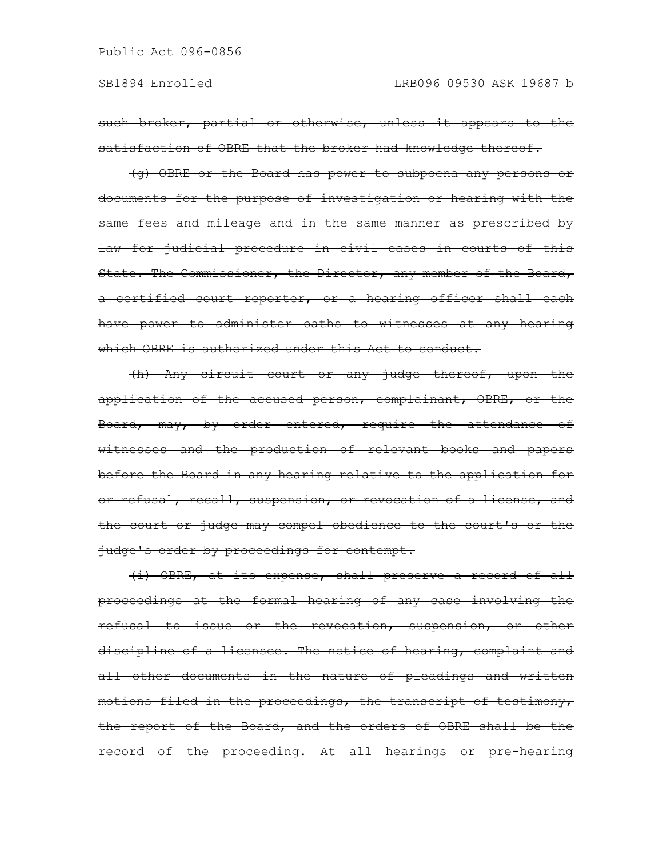such broker, partial or otherwise, unless it appears to the satisfaction of OBRE that the broker had knowledge thereof.

(g) OBRE or the Board has power to subpoena any persons or documents for the purpose of investigation or hearing with the same fees and mileage and in the same manner as prescribed by law for judicial procedure in civil cases in courts of this State. The Commissioner, the Director, any member of the Board, a certified court reporter, or a hearing officer shall each have power to administer oaths to witnesses at any hearing which OBRE is authorized under this Act to conduct.

(h) Any circuit court or any judge thereof, upon the application of the accused person, complainant, OBRE, or the Board, may, by order entered, require the attendance of witnesses and the production of relevant books and papers before the Board in any hearing relative to the application for or refusal, recall, suspension, or revocation of a license, and the court or judge may compel obedience to the court's or the judge's order by proceedings for contempt.

(i) OBRE, at its expense, shall preserve a record of all proceedings at the formal hearing of any case involving the refusal to issue or the revocation, suspension, or other discipline of a licensee. The notice of hearing, complaint and all other documents in the nature of pleadings and written motions filed in the proceedings, the transcript of testimony, the report of the Board, and the orders of OBRE shall be the record of the proceeding. At all hearings or pre-hearing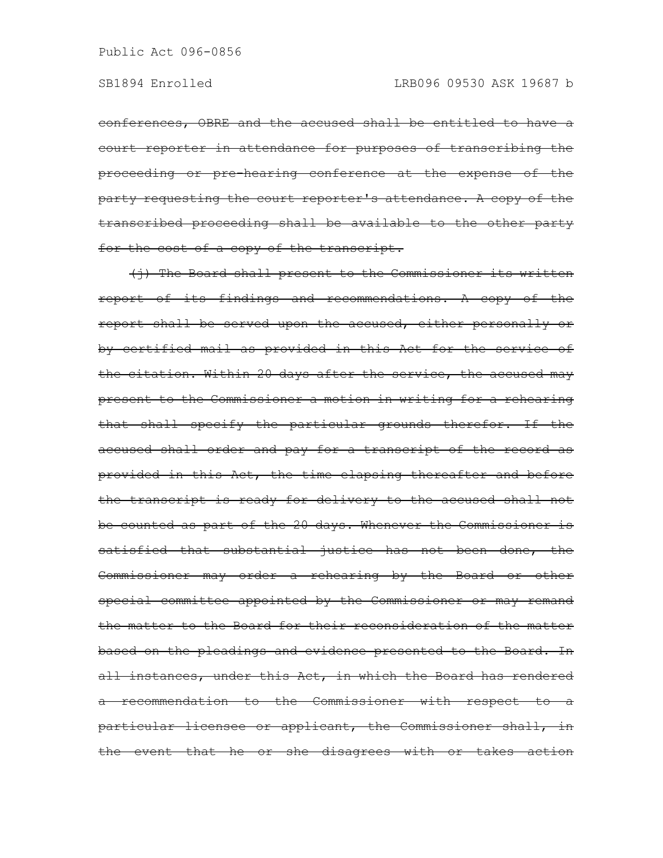conferences, OBRE and the accused shall be entitled to have a court reporter in attendance for purposes of transcribing the proceeding or pre-hearing conference at the expense of the party requesting the court reporter's attendance. A copy of the transcribed proceeding shall be available to the other party for the cost of a copy of the transcript.

(i) The Board shall present to the Commissioner its written report of its findings and recommendations. A copy of the report shall be served upon the accused, either personally or by certified mail as provided in this Act for the service of the citation. Within 20 days after the service, the accused may present to the Commissioner a motion in writing for a rehearing that shall specify the particular grounds therefor. If the accused shall order and pay for a transcript of the record as provided in this Act, the time elapsing thereafter and before the transcript is ready for delivery to the accused shall not be counted as part of the 20 days. Whenever the Commissioner is satisfied that substantial justice has not been done, the Commissioner may order a rehearing by the Board or other special committee appointed by the Commissioner or may remand the matter to the Board for their reconsideration of the matter based on the pleadings and evidence presented to the Board. In all instances, under this Act, in which the Board has rendered a recommendation to the Commissioner with respect to a particular licensee or applicant, the Commissioner shall, in the event that he or she disagrees with or takes action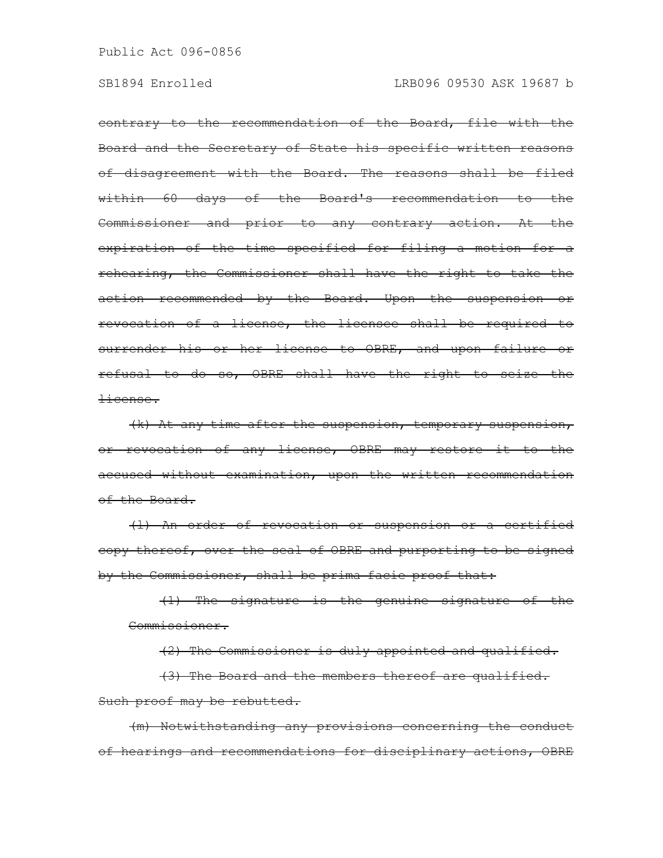contrary to the recommendation of the Board, file with the Board and the Secretary of State his specific written reasons of disagreement with the Board. The reasons shall be filed within 60 days of the Board's recommendation to the Commissioner and prior to any contrary action. At the expiration of the time specified for filing a motion for a rehearing, the Commissioner shall have the right to take the action recommended by the Board. Upon the suspension or revocation of a license, the licensee shall be required to surrender his or her license to OBRE, and upon failure or refusal to do so, OBRE shall have the right to seize the license.

(k) At any time after the suspension, temporary suspension, or revocation of any license, OBRE may restore it to the accused without examination, upon the written recommendation of the Board.

(l) An order of revocation or suspension or a certified copy thereof, over the seal of OBRE and purporting to be signed by the Commissioner, shall be prima facie proof that:

(1) The signature is the genuine signature of the Commissioner.

(2) The Commissioner is duly appointed and qualified. (3) The Board and the members thereof are qualified. Such proof may be rebutted.

(m) Notwithstanding any provisions concerning the conduct of hearings and recommendations for disciplinary actions, OBRE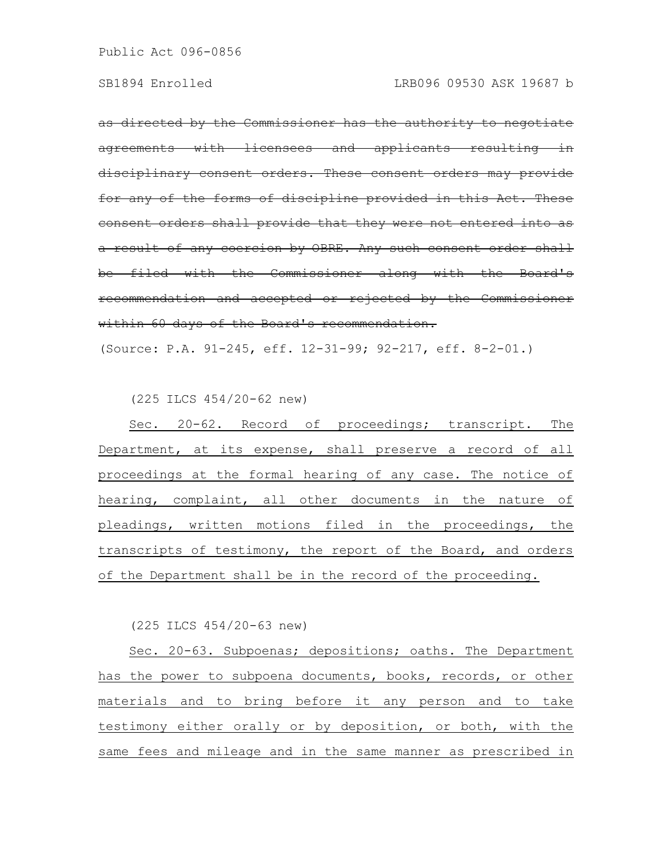as directed by the Commissioner has the authority to negotiate agreements with licensees and applicants resulting disciplinary consent orders. These consent orders may provide for any of the forms of discipline provided in this consent orders shall provide that they were not entered into as a result of any coercion by OBRE. Any such consent order shall be filed with the Commissioner along with the Board's recommendation and accepted or rejected by the Commissioner within 60 days of the Board's recommendation.

(Source: P.A. 91-245, eff. 12-31-99; 92-217, eff. 8-2-01.)

(225 ILCS 454/20-62 new)

Sec. 20-62. Record of proceedings; transcript. The Department, at its expense, shall preserve a record of all proceedings at the formal hearing of any case. The notice of hearing, complaint, all other documents in the nature of pleadings, written motions filed in the proceedings, the transcripts of testimony, the report of the Board, and orders of the Department shall be in the record of the proceeding.

(225 ILCS 454/20-63 new)

Sec. 20-63. Subpoenas; depositions; oaths. The Department has the power to subpoena documents, books, records, or other materials and to bring before it any person and to take testimony either orally or by deposition, or both, with the same fees and mileage and in the same manner as prescribed in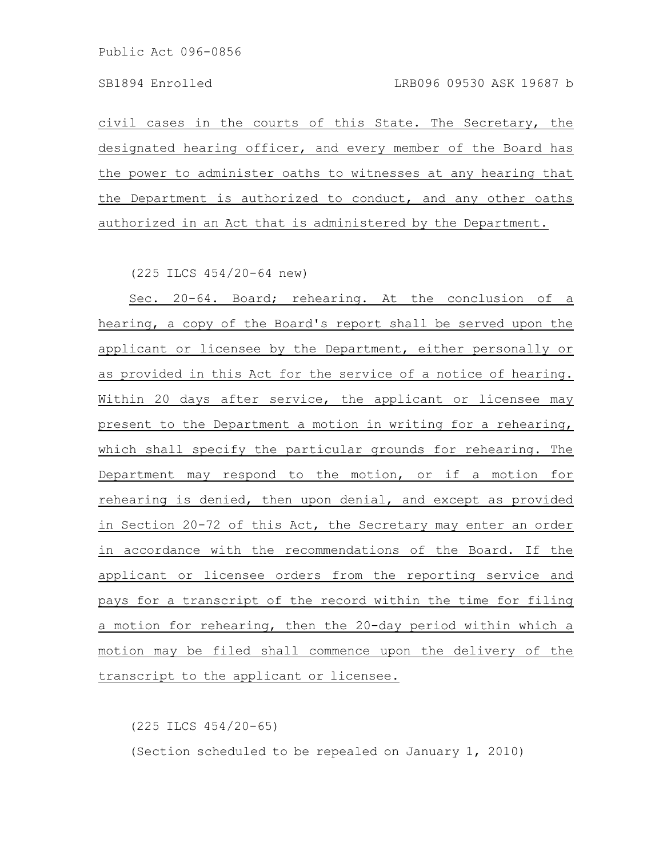civil cases in the courts of this State. The Secretary, the designated hearing officer, and every member of the Board has the power to administer oaths to witnesses at any hearing that the Department is authorized to conduct, and any other oaths authorized in an Act that is administered by the Department.

(225 ILCS 454/20-64 new)

Sec. 20-64. Board; rehearing. At the conclusion of a hearing, a copy of the Board's report shall be served upon the applicant or licensee by the Department, either personally or as provided in this Act for the service of a notice of hearing. Within 20 days after service, the applicant or licensee may present to the Department a motion in writing for a rehearing, which shall specify the particular grounds for rehearing. The Department may respond to the motion, or if a motion for rehearing is denied, then upon denial, and except as provided in Section 20-72 of this Act, the Secretary may enter an order in accordance with the recommendations of the Board. If the applicant or licensee orders from the reporting service and pays for a transcript of the record within the time for filing a motion for rehearing, then the 20-day period within which a motion may be filed shall commence upon the delivery of the transcript to the applicant or licensee.

(225 ILCS 454/20-65)

(Section scheduled to be repealed on January 1, 2010)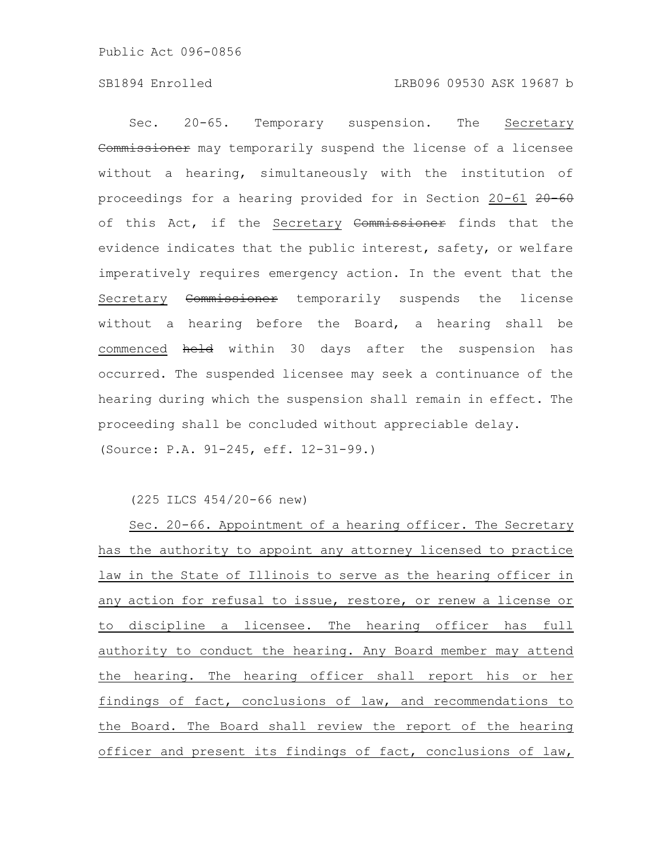Sec. 20-65. Temporary suspension. The Secretary Commissioner may temporarily suspend the license of a licensee without a hearing, simultaneously with the institution of proceedings for a hearing provided for in Section 20-61 20-60 of this Act, if the Secretary Commissioner finds that the evidence indicates that the public interest, safety, or welfare imperatively requires emergency action. In the event that the Secretary Commissioner temporarily suspends the license without a hearing before the Board, a hearing shall be commenced held within 30 days after the suspension has occurred. The suspended licensee may seek a continuance of the hearing during which the suspension shall remain in effect. The proceeding shall be concluded without appreciable delay. (Source: P.A. 91-245, eff. 12-31-99.)

(225 ILCS 454/20-66 new)

Sec. 20-66. Appointment of a hearing officer. The Secretary has the authority to appoint any attorney licensed to practice law in the State of Illinois to serve as the hearing officer in any action for refusal to issue, restore, or renew a license or to discipline a licensee. The hearing officer has full authority to conduct the hearing. Any Board member may attend the hearing. The hearing officer shall report his or her findings of fact, conclusions of law, and recommendations to the Board. The Board shall review the report of the hearing officer and present its findings of fact, conclusions of law,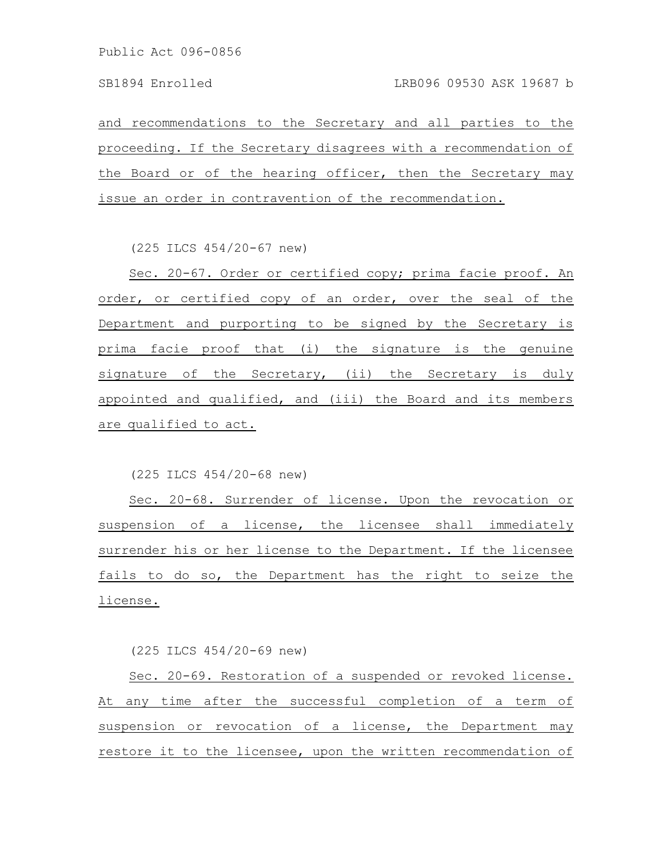and recommendations to the Secretary and all parties to the proceeding. If the Secretary disagrees with a recommendation of the Board or of the hearing officer, then the Secretary may issue an order in contravention of the recommendation.

(225 ILCS 454/20-67 new)

Sec. 20-67. Order or certified copy; prima facie proof. An order, or certified copy of an order, over the seal of the Department and purporting to be signed by the Secretary is prima facie proof that (i) the signature is the genuine signature of the Secretary, (ii) the Secretary is duly appointed and qualified, and (iii) the Board and its members are qualified to act.

(225 ILCS 454/20-68 new)

Sec. 20-68. Surrender of license. Upon the revocation or suspension of a license, the licensee shall immediately surrender his or her license to the Department. If the licensee fails to do so, the Department has the right to seize the license.

(225 ILCS 454/20-69 new)

Sec. 20-69. Restoration of a suspended or revoked license. At any time after the successful completion of a term of suspension or revocation of a license, the Department may restore it to the licensee, upon the written recommendation of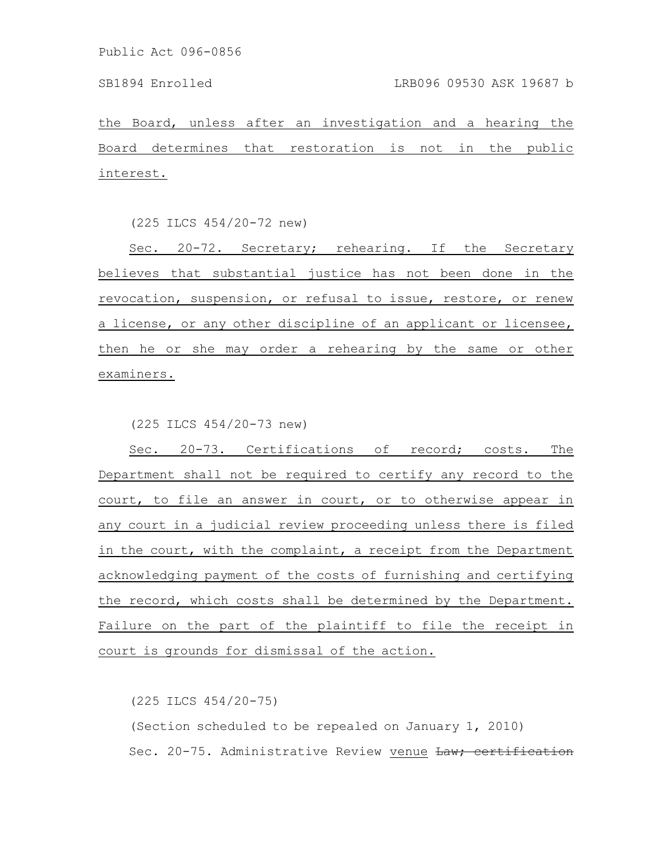the Board, unless after an investigation and a hearing the Board determines that restoration is not in the public interest.

(225 ILCS 454/20-72 new)

Sec. 20-72. Secretary; rehearing. If the Secretary believes that substantial justice has not been done in the revocation, suspension, or refusal to issue, restore, or renew a license, or any other discipline of an applicant or licensee, then he or she may order a rehearing by the same or other examiners.

(225 ILCS 454/20-73 new)

Sec. 20-73. Certifications of record; costs. The Department shall not be required to certify any record to the court, to file an answer in court, or to otherwise appear in any court in a judicial review proceeding unless there is filed in the court, with the complaint, a receipt from the Department acknowledging payment of the costs of furnishing and certifying the record, which costs shall be determined by the Department. Failure on the part of the plaintiff to file the receipt in court is grounds for dismissal of the action.

(225 ILCS 454/20-75)

(Section scheduled to be repealed on January 1, 2010) Sec. 20-75. Administrative Review venue Law; certification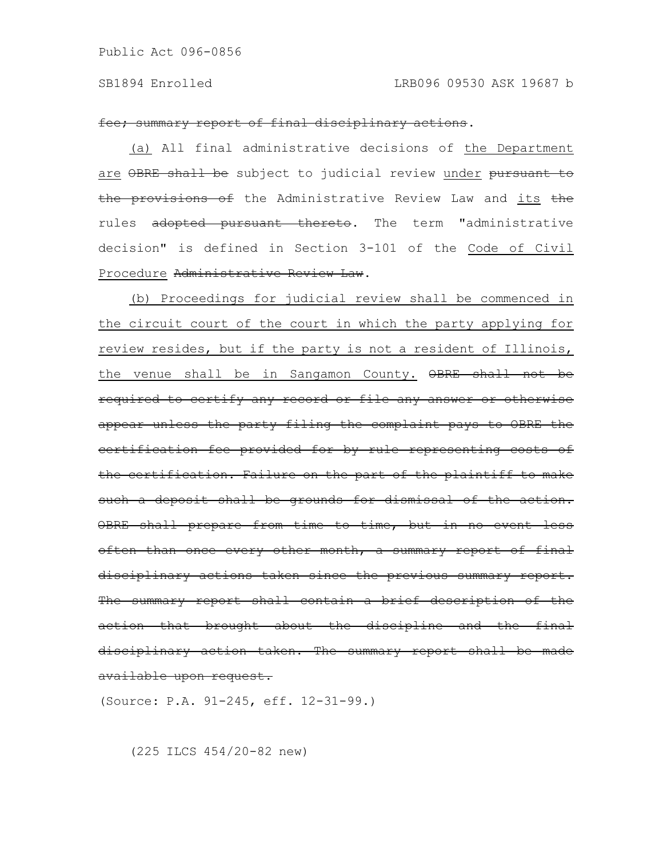### SB1894 Enrolled LRB096 09530 ASK 19687 b

### fee; summary report of final disciplinary actions.

(a) All final administrative decisions of the Department are OBRE shall be subject to judicial review under pursuant to the provisions of the Administrative Review Law and its the rules adopted pursuant thereto. The term "administrative decision" is defined in Section 3-101 of the Code of Civil Procedure Administrative Review Law.

(b) Proceedings for judicial review shall be commenced in the circuit court of the court in which the party applying for review resides, but if the party is not a resident of Illinois, the venue shall be in Sangamon County. OBRE shall not be required to certify any record or file any answer or otherwise appear unless the party filing the complaint pays to OBRE the certification fee provided for by rule representing costs of the certification. Failure on the part of the plaintiff to make such a deposit shall be grounds for dismissal of the action. OBRE shall prepare from time to time, but in no event less often than once every other month, a summary report of final disciplinary actions taken since the previous summary report. The summary report shall contain a brief description of the action that brought about the discipline and the final disciplinary action taken. The summary report shall be made available upon request.

(Source: P.A. 91-245, eff. 12-31-99.)

(225 ILCS 454/20-82 new)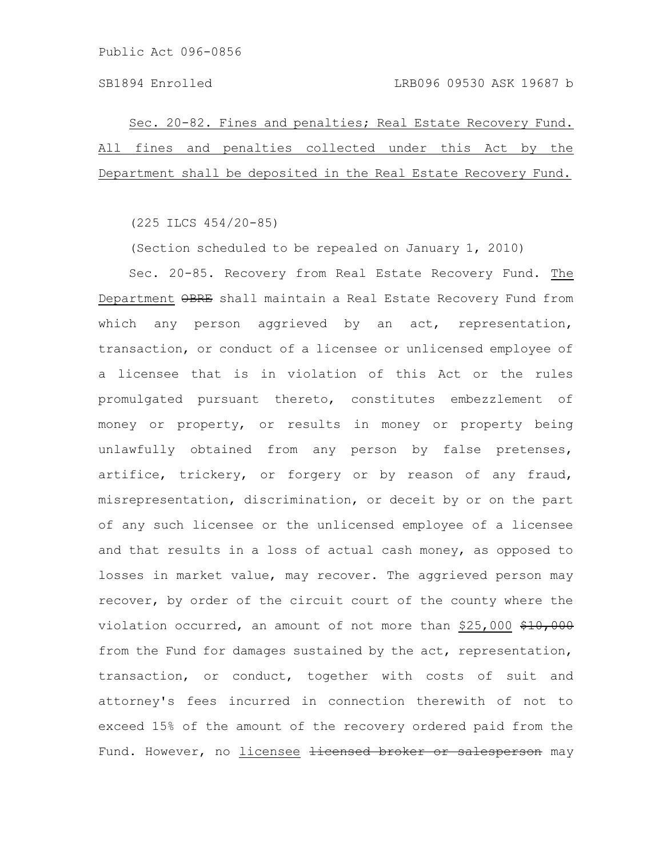Sec. 20-82. Fines and penalties; Real Estate Recovery Fund. All fines and penalties collected under this Act by the Department shall be deposited in the Real Estate Recovery Fund.

(225 ILCS 454/20-85)

(Section scheduled to be repealed on January 1, 2010)

Sec. 20-85. Recovery from Real Estate Recovery Fund. The Department OBRE shall maintain a Real Estate Recovery Fund from which any person aggrieved by an act, representation, transaction, or conduct of a licensee or unlicensed employee of a licensee that is in violation of this Act or the rules promulgated pursuant thereto, constitutes embezzlement of money or property, or results in money or property being unlawfully obtained from any person by false pretenses, artifice, trickery, or forgery or by reason of any fraud, misrepresentation, discrimination, or deceit by or on the part of any such licensee or the unlicensed employee of a licensee and that results in a loss of actual cash money, as opposed to losses in market value, may recover. The aggrieved person may recover, by order of the circuit court of the county where the violation occurred, an amount of not more than \$25,000 \$10,000 from the Fund for damages sustained by the act, representation, transaction, or conduct, together with costs of suit and attorney's fees incurred in connection therewith of not to exceed 15% of the amount of the recovery ordered paid from the Fund. However, no licensee <del>licensed broker or salesperson</del> may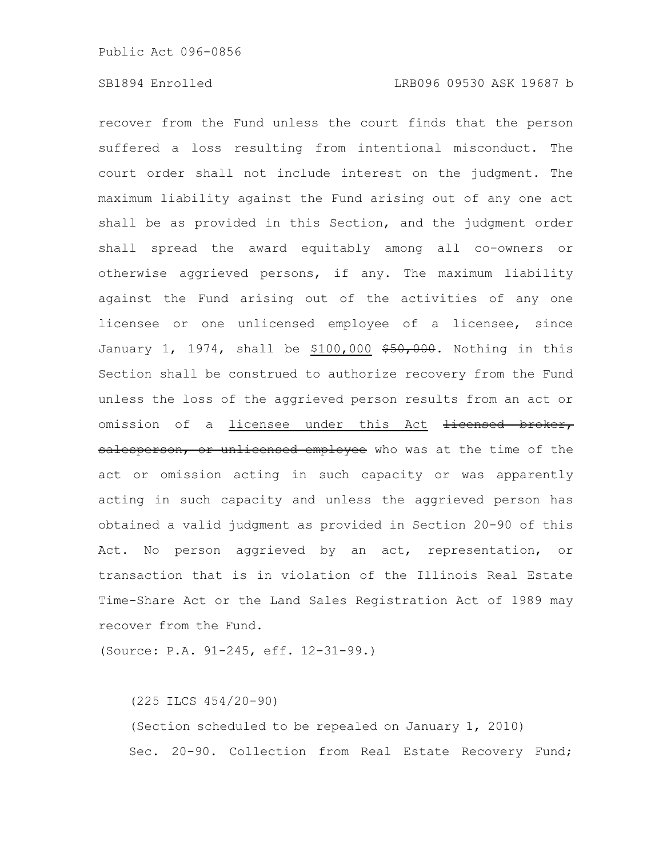recover from the Fund unless the court finds that the person suffered a loss resulting from intentional misconduct. The court order shall not include interest on the judgment. The maximum liability against the Fund arising out of any one act shall be as provided in this Section, and the judgment order shall spread the award equitably among all co-owners or otherwise aggrieved persons, if any. The maximum liability against the Fund arising out of the activities of any one licensee or one unlicensed employee of a licensee, since January 1, 1974, shall be \$100,000  $$50,000$ . Nothing in this Section shall be construed to authorize recovery from the Fund unless the loss of the aggrieved person results from an act or omission of a licensee under this Act <del>licensed broker,</del> salesperson, or unlicensed employee who was at the time of the act or omission acting in such capacity or was apparently acting in such capacity and unless the aggrieved person has obtained a valid judgment as provided in Section 20-90 of this Act. No person aggrieved by an act, representation, or transaction that is in violation of the Illinois Real Estate Time-Share Act or the Land Sales Registration Act of 1989 may recover from the Fund.

(Source: P.A. 91-245, eff. 12-31-99.)

(225 ILCS 454/20-90) (Section scheduled to be repealed on January 1, 2010) Sec. 20-90. Collection from Real Estate Recovery Fund;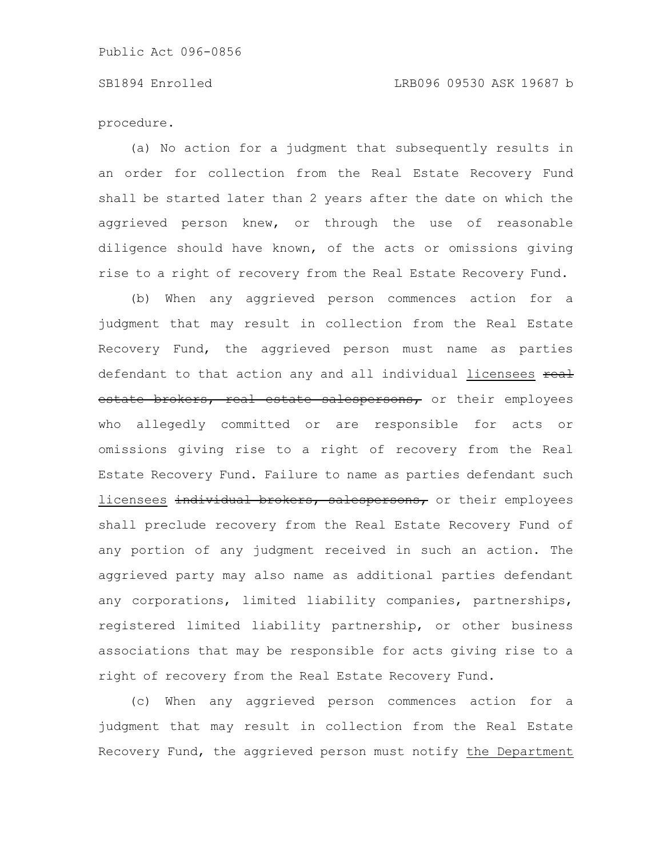# SB1894 Enrolled LRB096 09530 ASK 19687 b

procedure.

(a) No action for a judgment that subsequently results in an order for collection from the Real Estate Recovery Fund shall be started later than 2 years after the date on which the aggrieved person knew, or through the use of reasonable diligence should have known, of the acts or omissions giving rise to a right of recovery from the Real Estate Recovery Fund.

(b) When any aggrieved person commences action for a judgment that may result in collection from the Real Estate Recovery Fund, the aggrieved person must name as parties defendant to that action any and all individual licensees real estate brokers, real estate salespersons, or their employees who allegedly committed or are responsible for acts or omissions giving rise to a right of recovery from the Real Estate Recovery Fund. Failure to name as parties defendant such licensees individual brokers, salespersons, or their employees shall preclude recovery from the Real Estate Recovery Fund of any portion of any judgment received in such an action. The aggrieved party may also name as additional parties defendant any corporations, limited liability companies, partnerships, registered limited liability partnership, or other business associations that may be responsible for acts giving rise to a right of recovery from the Real Estate Recovery Fund.

(c) When any aggrieved person commences action for a judgment that may result in collection from the Real Estate Recovery Fund, the aggrieved person must notify the Department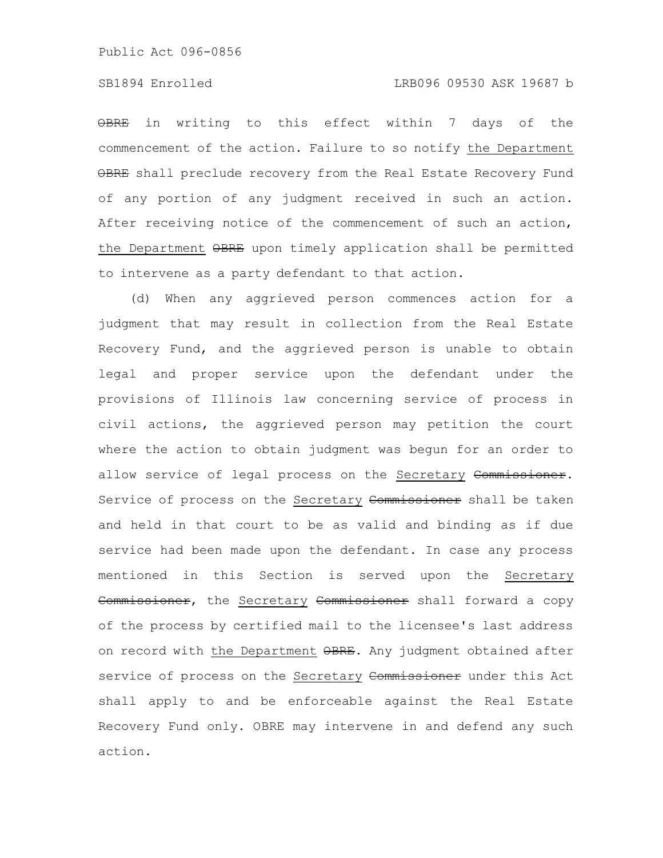# SB1894 Enrolled LRB096 09530 ASK 19687 b

OBRE in writing to this effect within 7 days of the commencement of the action. Failure to so notify the Department OBRE shall preclude recovery from the Real Estate Recovery Fund of any portion of any judgment received in such an action. After receiving notice of the commencement of such an action, the Department OBRE upon timely application shall be permitted to intervene as a party defendant to that action.

(d) When any aggrieved person commences action for a judgment that may result in collection from the Real Estate Recovery Fund, and the aggrieved person is unable to obtain legal and proper service upon the defendant under the provisions of Illinois law concerning service of process in civil actions, the aggrieved person may petition the court where the action to obtain judgment was begun for an order to allow service of legal process on the Secretary Commissioner. Service of process on the Secretary Commissioner shall be taken and held in that court to be as valid and binding as if due service had been made upon the defendant. In case any process mentioned in this Section is served upon the Secretary Commissioner, the Secretary Commissioner shall forward a copy of the process by certified mail to the licensee's last address on record with the Department OBRE. Any judgment obtained after service of process on the Secretary Commissioner under this Act shall apply to and be enforceable against the Real Estate Recovery Fund only. OBRE may intervene in and defend any such action.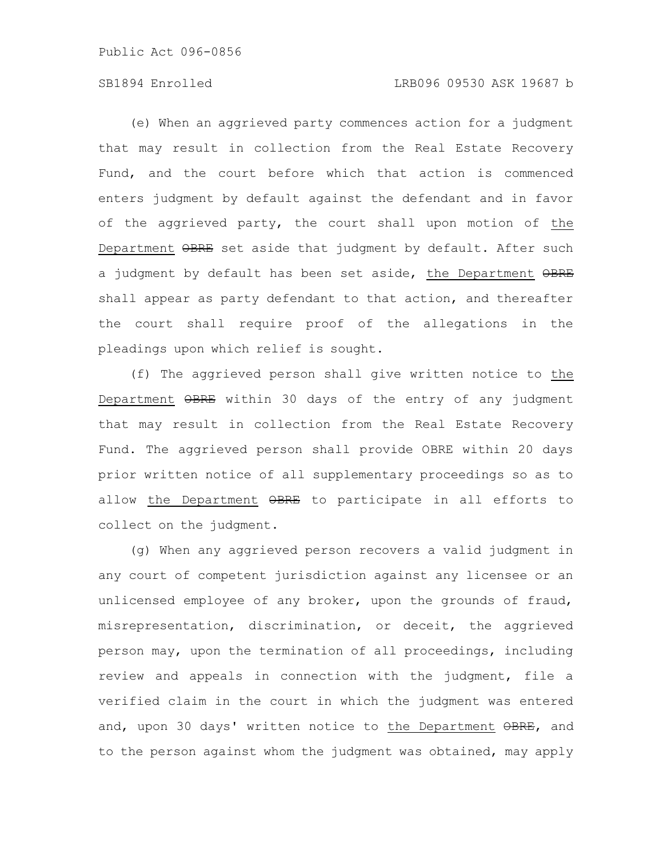# SB1894 Enrolled LRB096 09530 ASK 19687 b

(e) When an aggrieved party commences action for a judgment that may result in collection from the Real Estate Recovery Fund, and the court before which that action is commenced enters judgment by default against the defendant and in favor of the aggrieved party, the court shall upon motion of the Department OBRE set aside that judgment by default. After such a judgment by default has been set aside, the Department OBRE shall appear as party defendant to that action, and thereafter the court shall require proof of the allegations in the pleadings upon which relief is sought.

(f) The aggrieved person shall give written notice to the Department OBRE within 30 days of the entry of any judgment that may result in collection from the Real Estate Recovery Fund. The aggrieved person shall provide OBRE within 20 days prior written notice of all supplementary proceedings so as to allow the Department OBRE to participate in all efforts to collect on the judgment.

(g) When any aggrieved person recovers a valid judgment in any court of competent jurisdiction against any licensee or an unlicensed employee of any broker, upon the grounds of fraud, misrepresentation, discrimination, or deceit, the aggrieved person may, upon the termination of all proceedings, including review and appeals in connection with the judgment, file a verified claim in the court in which the judgment was entered and, upon 30 days' written notice to the Department OBRE, and to the person against whom the judgment was obtained, may apply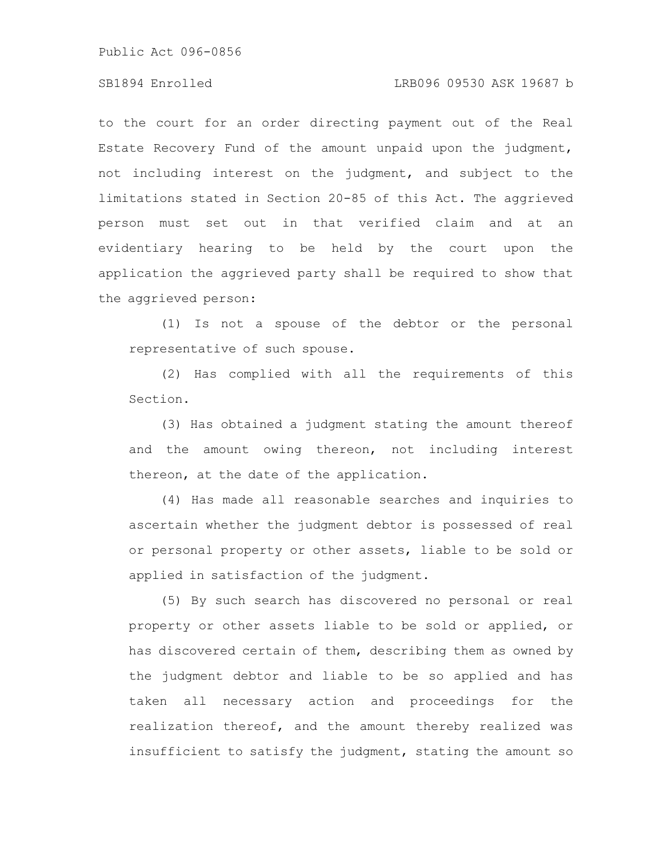# SB1894 Enrolled LRB096 09530 ASK 19687 b

to the court for an order directing payment out of the Real Estate Recovery Fund of the amount unpaid upon the judgment, not including interest on the judgment, and subject to the limitations stated in Section 20-85 of this Act. The aggrieved person must set out in that verified claim and at an evidentiary hearing to be held by the court upon the application the aggrieved party shall be required to show that the aggrieved person:

(1) Is not a spouse of the debtor or the personal representative of such spouse.

(2) Has complied with all the requirements of this Section.

(3) Has obtained a judgment stating the amount thereof and the amount owing thereon, not including interest thereon, at the date of the application.

(4) Has made all reasonable searches and inquiries to ascertain whether the judgment debtor is possessed of real or personal property or other assets, liable to be sold or applied in satisfaction of the judgment.

(5) By such search has discovered no personal or real property or other assets liable to be sold or applied, or has discovered certain of them, describing them as owned by the judgment debtor and liable to be so applied and has taken all necessary action and proceedings for the realization thereof, and the amount thereby realized was insufficient to satisfy the judgment, stating the amount so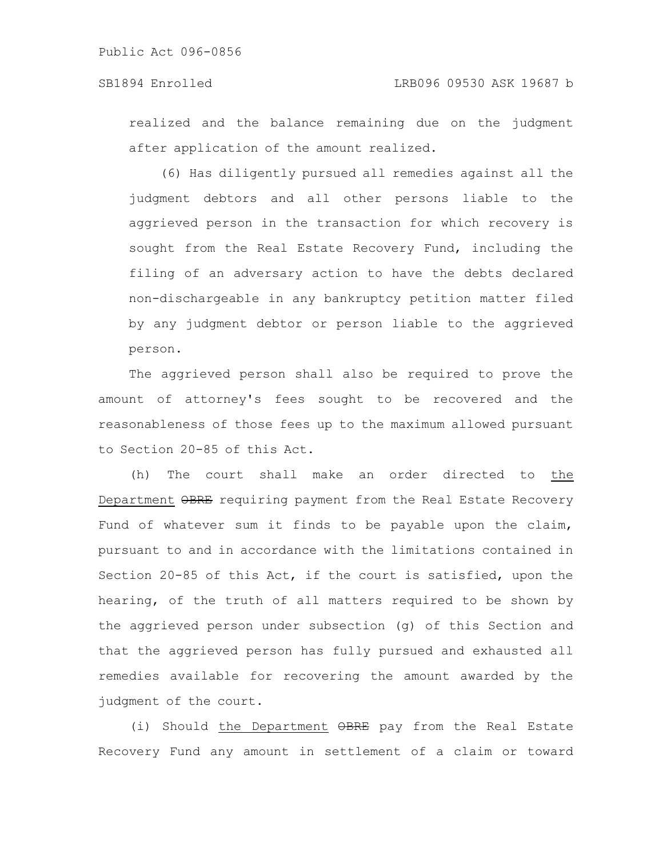realized and the balance remaining due on the judgment after application of the amount realized.

(6) Has diligently pursued all remedies against all the judgment debtors and all other persons liable to the aggrieved person in the transaction for which recovery is sought from the Real Estate Recovery Fund, including the filing of an adversary action to have the debts declared non-dischargeable in any bankruptcy petition matter filed by any judgment debtor or person liable to the aggrieved person.

The aggrieved person shall also be required to prove the amount of attorney's fees sought to be recovered and the reasonableness of those fees up to the maximum allowed pursuant to Section 20-85 of this Act.

(h) The court shall make an order directed to the Department OBRE requiring payment from the Real Estate Recovery Fund of whatever sum it finds to be payable upon the claim, pursuant to and in accordance with the limitations contained in Section 20-85 of this Act, if the court is satisfied, upon the hearing, of the truth of all matters required to be shown by the aggrieved person under subsection (g) of this Section and that the aggrieved person has fully pursued and exhausted all remedies available for recovering the amount awarded by the judgment of the court.

(i) Should the Department OBRE pay from the Real Estate Recovery Fund any amount in settlement of a claim or toward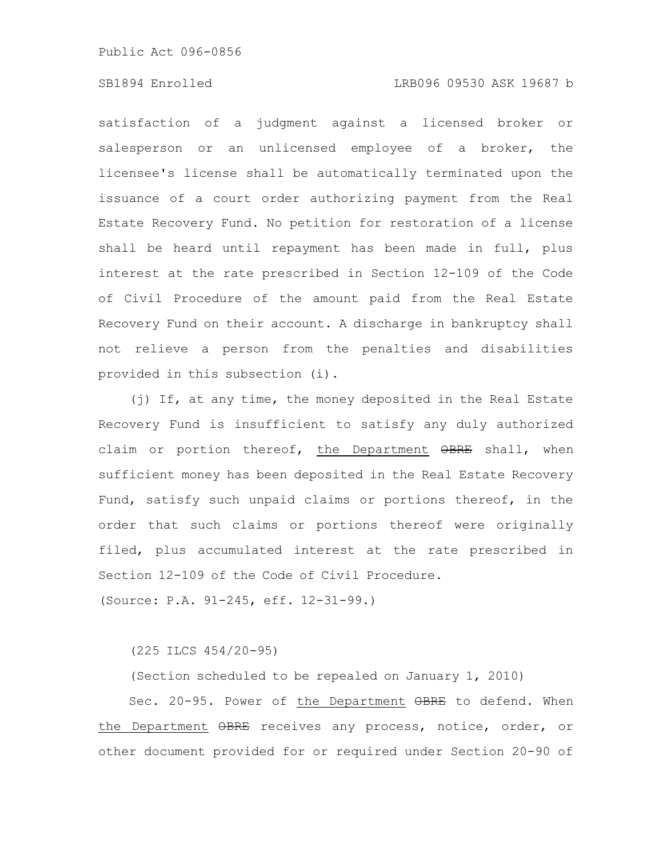# SB1894 Enrolled LRB096 09530 ASK 19687 b

satisfaction of a judgment against a licensed broker or salesperson or an unlicensed employee of a broker, the licensee's license shall be automatically terminated upon the issuance of a court order authorizing payment from the Real Estate Recovery Fund. No petition for restoration of a license shall be heard until repayment has been made in full, plus interest at the rate prescribed in Section 12-109 of the Code of Civil Procedure of the amount paid from the Real Estate Recovery Fund on their account. A discharge in bankruptcy shall not relieve a person from the penalties and disabilities provided in this subsection (i).

(j) If, at any time, the money deposited in the Real Estate Recovery Fund is insufficient to satisfy any duly authorized claim or portion thereof, the Department  $\Theta$ BRE shall, when sufficient money has been deposited in the Real Estate Recovery Fund, satisfy such unpaid claims or portions thereof, in the order that such claims or portions thereof were originally filed, plus accumulated interest at the rate prescribed in Section 12-109 of the Code of Civil Procedure.

(Source: P.A. 91-245, eff. 12-31-99.)

(225 ILCS 454/20-95)

(Section scheduled to be repealed on January 1, 2010)

Sec. 20-95. Power of the Department OBRE to defend. When the Department OBRE receives any process, notice, order, or other document provided for or required under Section 20-90 of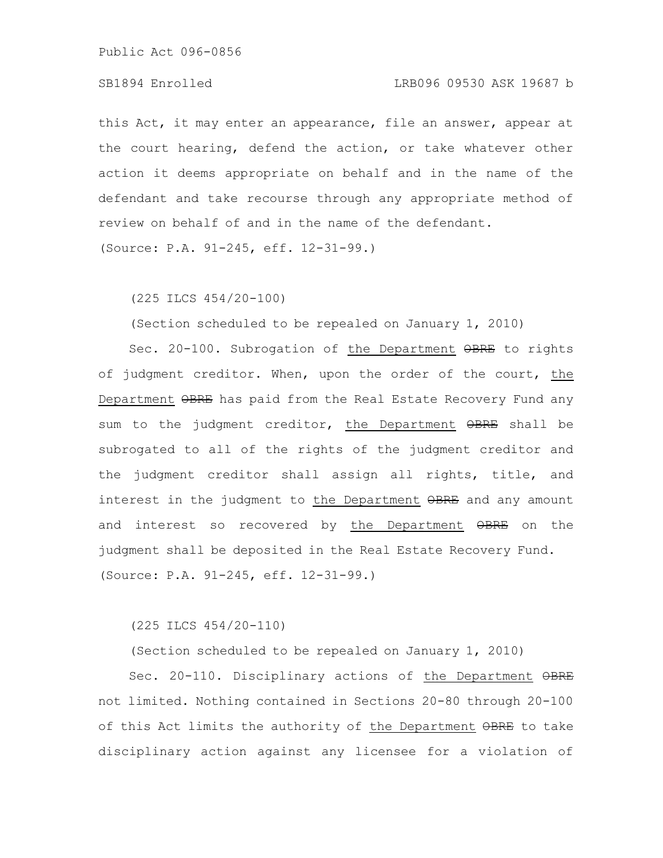# SB1894 Enrolled LRB096 09530 ASK 19687 b

this Act, it may enter an appearance, file an answer, appear at the court hearing, defend the action, or take whatever other action it deems appropriate on behalf and in the name of the defendant and take recourse through any appropriate method of review on behalf of and in the name of the defendant.

(Source: P.A. 91-245, eff. 12-31-99.)

(225 ILCS 454/20-100)

(Section scheduled to be repealed on January 1, 2010)

Sec. 20-100. Subrogation of the Department OBRE to rights of judgment creditor. When, upon the order of the court, the Department OBRE has paid from the Real Estate Recovery Fund any sum to the judgment creditor, the Department OBRE shall be subrogated to all of the rights of the judgment creditor and the judgment creditor shall assign all rights, title, and interest in the judgment to the Department OBRE and any amount and interest so recovered by the Department OBRE on the judgment shall be deposited in the Real Estate Recovery Fund. (Source: P.A. 91-245, eff. 12-31-99.)

(225 ILCS 454/20-110)

(Section scheduled to be repealed on January 1, 2010)

Sec. 20-110. Disciplinary actions of the Department  $\Theta$ BRE not limited. Nothing contained in Sections 20-80 through 20-100 of this Act limits the authority of the Department OBRE to take disciplinary action against any licensee for a violation of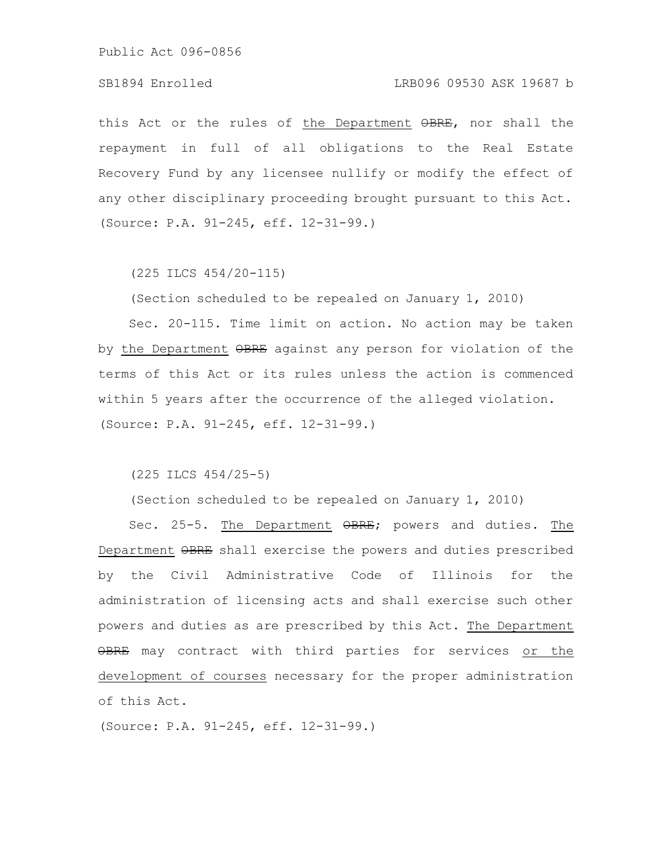# SB1894 Enrolled LRB096 09530 ASK 19687 b

this Act or the rules of the Department  $\theta$ BRE, nor shall the repayment in full of all obligations to the Real Estate Recovery Fund by any licensee nullify or modify the effect of any other disciplinary proceeding brought pursuant to this Act. (Source: P.A. 91-245, eff. 12-31-99.)

(225 ILCS 454/20-115)

(Section scheduled to be repealed on January 1, 2010)

Sec. 20-115. Time limit on action. No action may be taken by the Department  $\Theta$ BRE against any person for violation of the terms of this Act or its rules unless the action is commenced within 5 years after the occurrence of the alleged violation. (Source: P.A. 91-245, eff. 12-31-99.)

(225 ILCS 454/25-5)

(Section scheduled to be repealed on January 1, 2010)

Sec. 25-5. The Department  $\Theta$ BRE; powers and duties. The Department  $\Theta$ BRE shall exercise the powers and duties prescribed by the Civil Administrative Code of Illinois for the administration of licensing acts and shall exercise such other powers and duties as are prescribed by this Act. The Department OBRE may contract with third parties for services or the development of courses necessary for the proper administration of this Act.

(Source: P.A. 91-245, eff. 12-31-99.)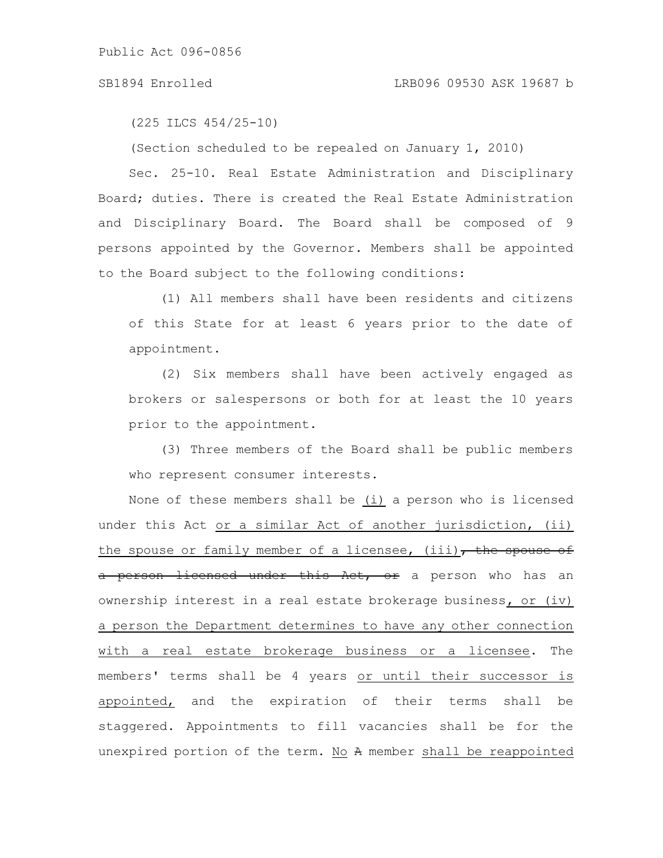### SB1894 Enrolled LRB096 09530 ASK 19687 b

(225 ILCS 454/25-10)

(Section scheduled to be repealed on January 1, 2010)

Sec. 25-10. Real Estate Administration and Disciplinary Board; duties. There is created the Real Estate Administration and Disciplinary Board. The Board shall be composed of 9 persons appointed by the Governor. Members shall be appointed to the Board subject to the following conditions:

(1) All members shall have been residents and citizens of this State for at least 6 years prior to the date of appointment.

(2) Six members shall have been actively engaged as brokers or salespersons or both for at least the 10 years prior to the appointment.

(3) Three members of the Board shall be public members who represent consumer interests.

None of these members shall be (i) a person who is licensed under this Act or a similar Act of another jurisdiction, (ii) the spouse or family member of a licensee, (iii), the spouse of a person licensed under this Act, or a person who has an ownership interest in a real estate brokerage business, or (iv) a person the Department determines to have any other connection with a real estate brokerage business or a licensee. The members' terms shall be 4 years or until their successor is appointed, and the expiration of their terms shall be staggered. Appointments to fill vacancies shall be for the unexpired portion of the term. No A member shall be reappointed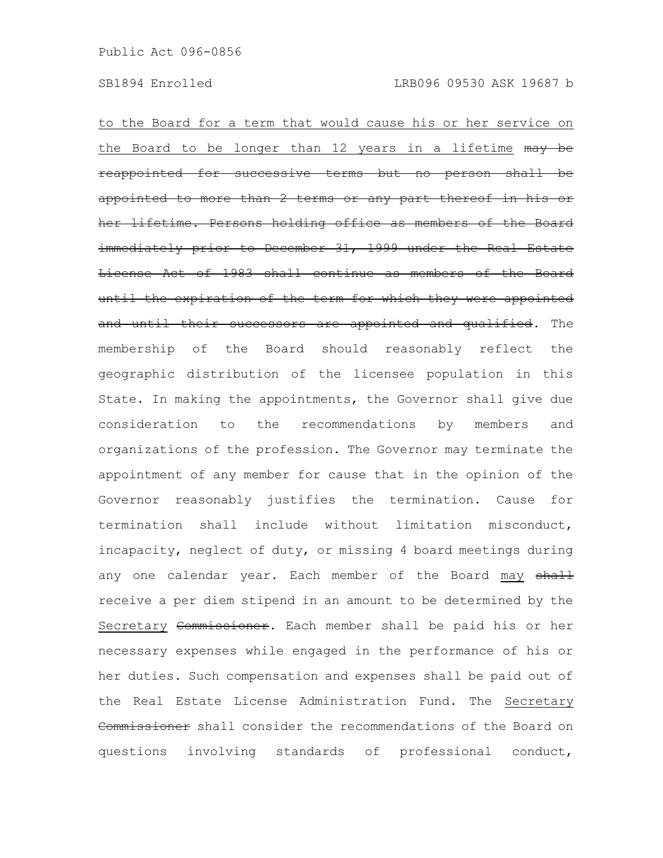to the Board for a term that would cause his or her service on the Board to be longer than 12 years in a lifetime may be reappointed for successive terms but no person more than 2 terms or any part her lifetime. Persons holding office as members immediately prior to December 31, 1999 under the Real Estate License Act of 1983 shall continue as members of the Board until the expiration of the term for which they were appointed and until their successors are appointed and qualified. The membership of the Board should reasonably reflect the geographic distribution of the licensee population in this State. In making the appointments, the Governor shall give due consideration to the recommendations by members and organizations of the profession. The Governor may terminate the appointment of any member for cause that in the opinion of the Governor reasonably justifies the termination. Cause for termination shall include without limitation misconduct, incapacity, neglect of duty, or missing 4 board meetings during any one calendar year. Each member of the Board may shall receive a per diem stipend in an amount to be determined by the Secretary Commissioner. Each member shall be paid his or her necessary expenses while engaged in the performance of his or her duties. Such compensation and expenses shall be paid out of the Real Estate License Administration Fund. The Secretary Commissioner shall consider the recommendations of the Board on questions involving standards of professional conduct,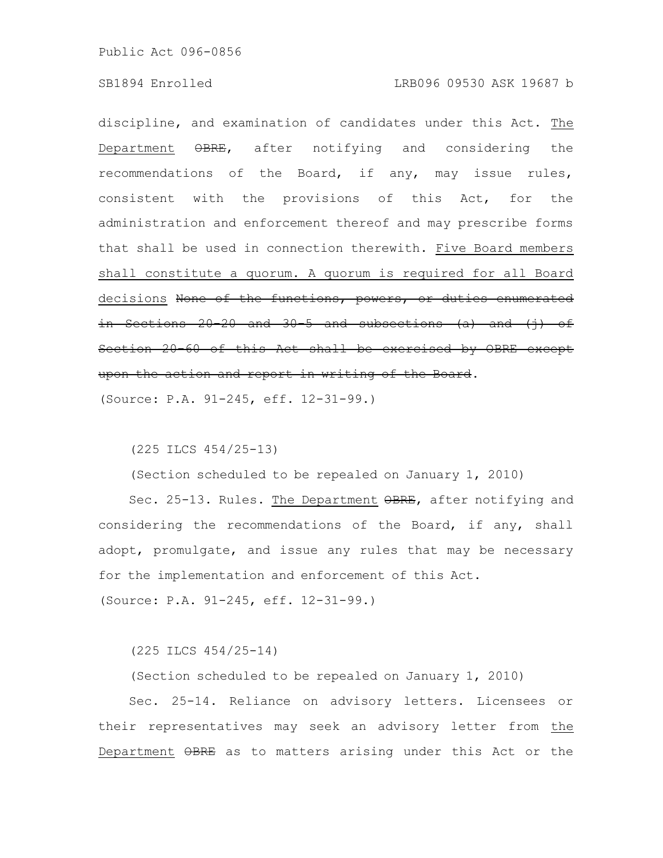### SB1894 Enrolled LRB096 09530 ASK 19687 b

discipline, and examination of candidates under this Act. The Department  $\Theta$ BRE, after notifying and considering the recommendations of the Board, if any, may issue rules, consistent with the provisions of this Act, for the administration and enforcement thereof and may prescribe forms that shall be used in connection therewith. Five Board members shall constitute a quorum. A quorum is required for all Board decisions None of the functions, powers, or duties enumerated in Sections 20-20 and 30-5 and subsections  $(a)$  and  $(i)$  of Section 20-60 of this Act shall be exercised by OBRE except upon the action and report in writing of the Board.

(Source: P.A. 91-245, eff. 12-31-99.)

(225 ILCS 454/25-13)

(Section scheduled to be repealed on January 1, 2010)

Sec. 25-13. Rules. The Department  $\theta$ BRE, after notifying and considering the recommendations of the Board, if any, shall adopt, promulgate, and issue any rules that may be necessary for the implementation and enforcement of this Act.

(Source: P.A. 91-245, eff. 12-31-99.)

(225 ILCS 454/25-14)

(Section scheduled to be repealed on January 1, 2010)

Sec. 25-14. Reliance on advisory letters. Licensees or their representatives may seek an advisory letter from the Department OBRE as to matters arising under this Act or the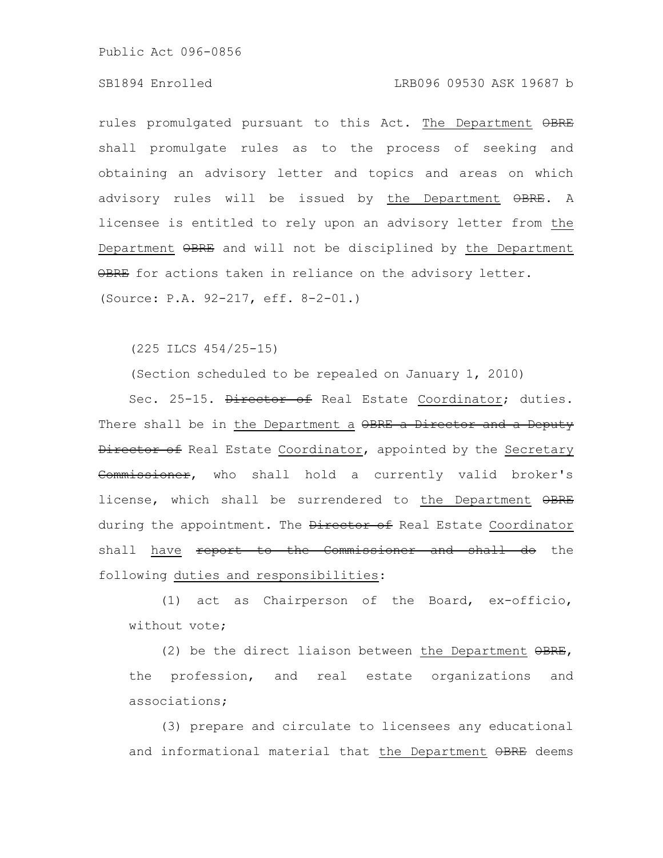### SB1894 Enrolled LRB096 09530 ASK 19687 b

rules promulgated pursuant to this Act. The Department OBRE shall promulgate rules as to the process of seeking and obtaining an advisory letter and topics and areas on which advisory rules will be issued by the Department OBRE. A licensee is entitled to rely upon an advisory letter from the Department OBRE and will not be disciplined by the Department OBRE for actions taken in reliance on the advisory letter. (Source: P.A. 92-217, eff. 8-2-01.)

(225 ILCS 454/25-15)

(Section scheduled to be repealed on January 1, 2010)

Sec. 25-15. Director of Real Estate Coordinator; duties. There shall be in the Department a OBRE a Director and a Deputy Director of Real Estate Coordinator, appointed by the Secretary Commissioner, who shall hold a currently valid broker's license, which shall be surrendered to the Department OBRE during the appointment. The **Director of** Real Estate Coordinator shall have report to the Commissioner and shall do the following duties and responsibilities:

(1) act as Chairperson of the Board, ex-officio, without vote;

(2) be the direct liaison between the Department OBRE, the profession, and real estate organizations and associations;

(3) prepare and circulate to licensees any educational and informational material that the Department OBRE deems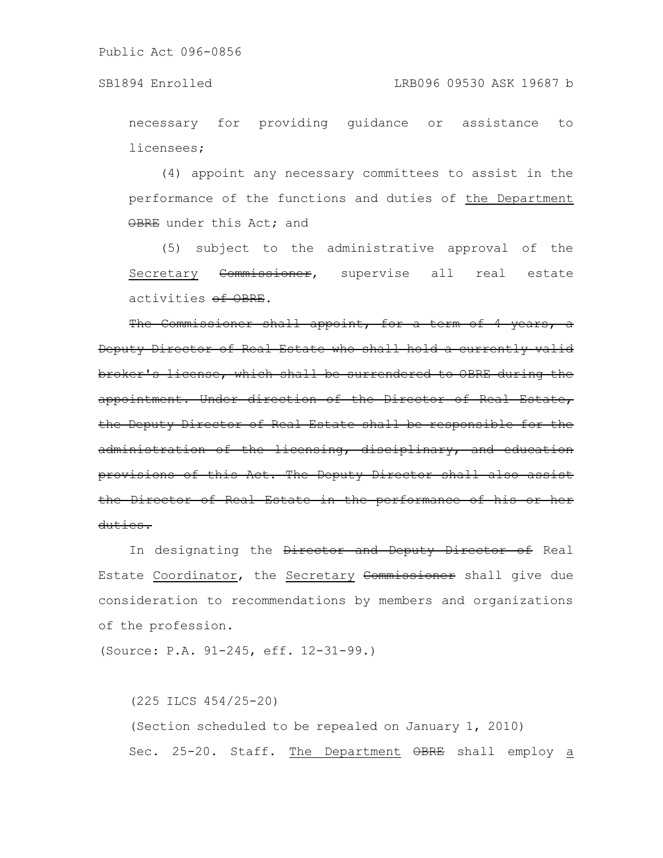necessary for providing guidance or assistance to licensees;

(4) appoint any necessary committees to assist in the performance of the functions and duties of the Department OBRE under this Act; and

(5) subject to the administrative approval of the Secretary Commissioner, supervise all real estate activities of OBRE.

The Commissioner shall appoint, for a term of 4 years, a Deputy Director of Real Estate who shall hold a currently valid broker's license, which shall be surrendered to OBRE during the appointment. Under direction of the Director of Real Estate, the Deputy Director of Real Estate shall be responsible for the administration of the licensing, disciplinary, and education provisions of this Act. The Deputy Director shall also assist the Director of Real Estate in the performance of duties.

In designating the Director and Deputy Director of Real Estate Coordinator, the Secretary Commissioner shall give due consideration to recommendations by members and organizations of the profession.

(Source: P.A. 91-245, eff. 12-31-99.)

(225 ILCS 454/25-20) (Section scheduled to be repealed on January 1, 2010) Sec. 25-20. Staff. The Department OBRE shall employ a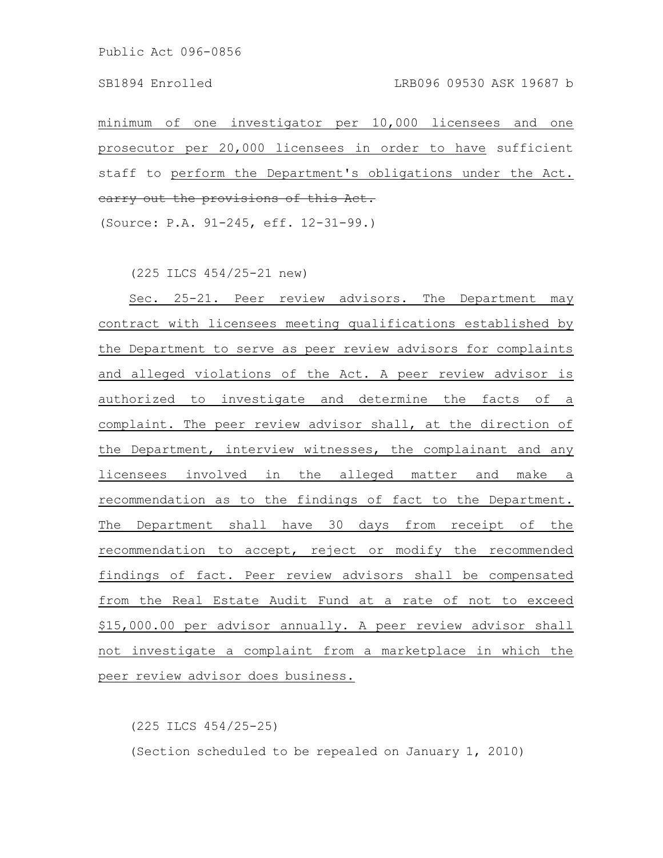minimum of one investigator per 10,000 licensees and one prosecutor per 20,000 licensees in order to have sufficient staff to perform the Department's obligations under the Act. carry out the provisions of this Act.

(Source: P.A. 91-245, eff. 12-31-99.)

(225 ILCS 454/25-21 new)

Sec. 25-21. Peer review advisors. The Department may contract with licensees meeting qualifications established by the Department to serve as peer review advisors for complaints and alleged violations of the Act. A peer review advisor is authorized to investigate and determine the facts of a complaint. The peer review advisor shall, at the direction of the Department, interview witnesses, the complainant and any licensees involved in the alleged matter and make a recommendation as to the findings of fact to the Department. The Department shall have 30 days from receipt of the recommendation to accept, reject or modify the recommended findings of fact. Peer review advisors shall be compensated from the Real Estate Audit Fund at a rate of not to exceed \$15,000.00 per advisor annually. A peer review advisor shall not investigate a complaint from a marketplace in which the peer review advisor does business.

(225 ILCS 454/25-25)

(Section scheduled to be repealed on January 1, 2010)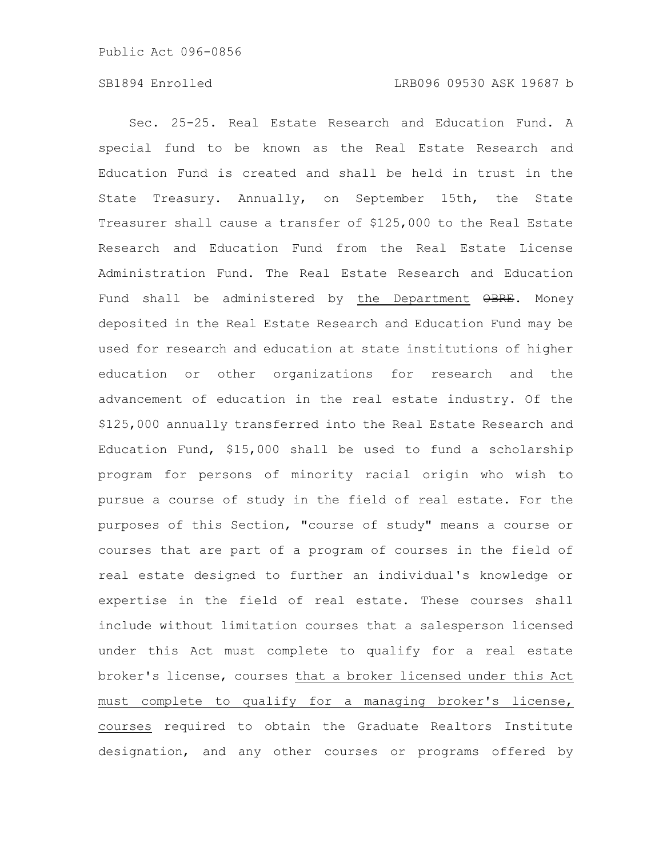# SB1894 Enrolled LRB096 09530 ASK 19687 b

Sec. 25-25. Real Estate Research and Education Fund. A special fund to be known as the Real Estate Research and Education Fund is created and shall be held in trust in the State Treasury. Annually, on September 15th, the State Treasurer shall cause a transfer of \$125,000 to the Real Estate Research and Education Fund from the Real Estate License Administration Fund. The Real Estate Research and Education Fund shall be administered by the Department OBRE. Money deposited in the Real Estate Research and Education Fund may be used for research and education at state institutions of higher education or other organizations for research and the advancement of education in the real estate industry. Of the \$125,000 annually transferred into the Real Estate Research and Education Fund, \$15,000 shall be used to fund a scholarship program for persons of minority racial origin who wish to pursue a course of study in the field of real estate. For the purposes of this Section, "course of study" means a course or courses that are part of a program of courses in the field of real estate designed to further an individual's knowledge or expertise in the field of real estate. These courses shall include without limitation courses that a salesperson licensed under this Act must complete to qualify for a real estate broker's license, courses that a broker licensed under this Act must complete to qualify for a managing broker's license, courses required to obtain the Graduate Realtors Institute designation, and any other courses or programs offered by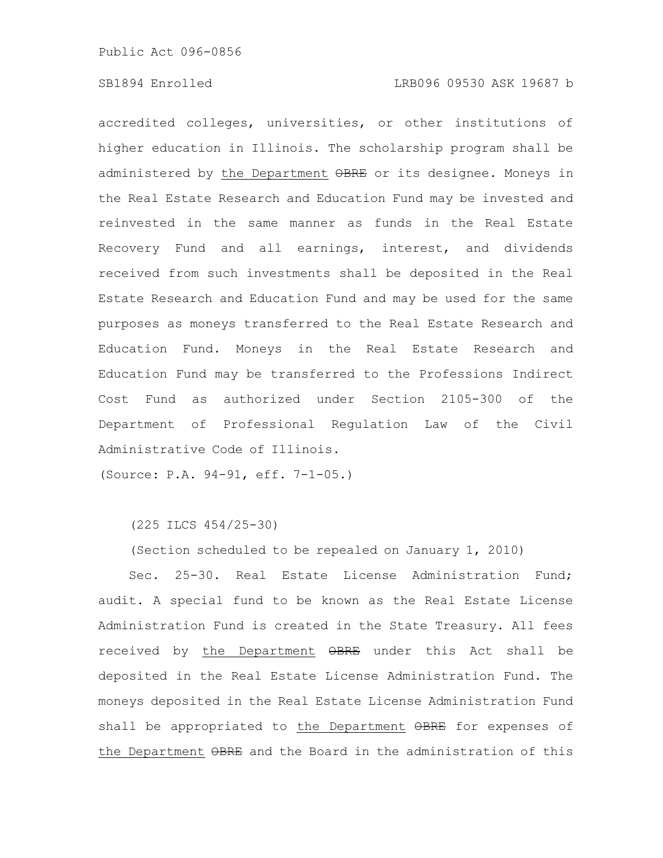# SB1894 Enrolled LRB096 09530 ASK 19687 b

accredited colleges, universities, or other institutions of higher education in Illinois. The scholarship program shall be administered by the Department OBRE or its designee. Moneys in the Real Estate Research and Education Fund may be invested and reinvested in the same manner as funds in the Real Estate Recovery Fund and all earnings, interest, and dividends received from such investments shall be deposited in the Real Estate Research and Education Fund and may be used for the same purposes as moneys transferred to the Real Estate Research and Education Fund. Moneys in the Real Estate Research and Education Fund may be transferred to the Professions Indirect Cost Fund as authorized under Section 2105-300 of the Department of Professional Regulation Law of the Civil Administrative Code of Illinois.

(Source: P.A. 94-91, eff. 7-1-05.)

(225 ILCS 454/25-30)

(Section scheduled to be repealed on January 1, 2010)

Sec. 25-30. Real Estate License Administration Fund; audit. A special fund to be known as the Real Estate License Administration Fund is created in the State Treasury. All fees received by the Department OBRE under this Act shall be deposited in the Real Estate License Administration Fund. The moneys deposited in the Real Estate License Administration Fund shall be appropriated to the Department OBRE for expenses of the Department  $\Theta$ BRE and the Board in the administration of this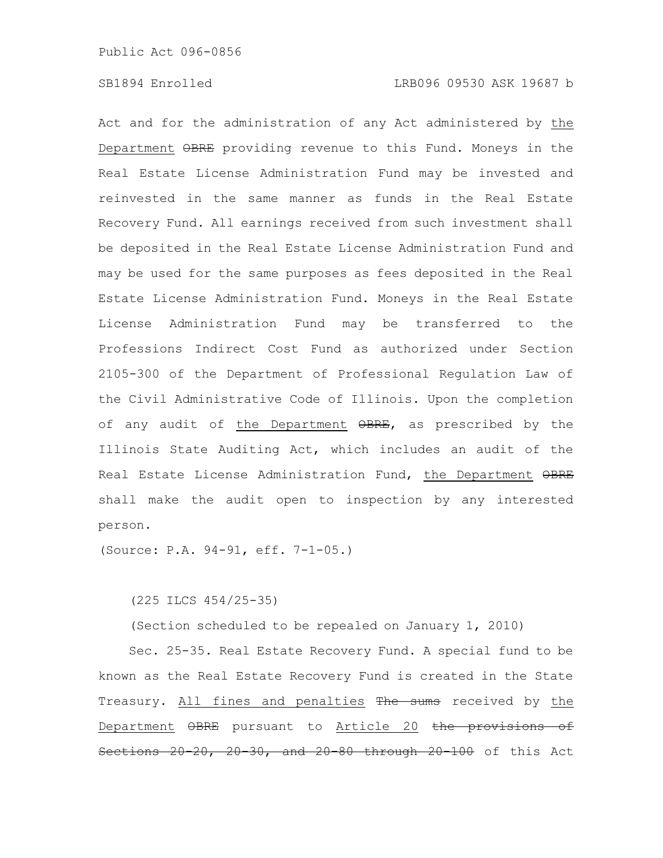Act and for the administration of any Act administered by the Department OBRE providing revenue to this Fund. Moneys in the Real Estate License Administration Fund may be invested and reinvested in the same manner as funds in the Real Estate Recovery Fund. All earnings received from such investment shall be deposited in the Real Estate License Administration Fund and may be used for the same purposes as fees deposited in the Real Estate License Administration Fund. Moneys in the Real Estate License Administration Fund may be transferred to the Professions Indirect Cost Fund as authorized under Section 2105-300 of the Department of Professional Regulation Law of the Civil Administrative Code of Illinois. Upon the completion of any audit of the Department  $\Theta$ BRE, as prescribed by the Illinois State Auditing Act, which includes an audit of the Real Estate License Administration Fund, the Department OBRE shall make the audit open to inspection by any interested person.

(Source: P.A. 94-91, eff. 7-1-05.)

(225 ILCS 454/25-35)

(Section scheduled to be repealed on January 1, 2010)

Sec. 25-35. Real Estate Recovery Fund. A special fund to be known as the Real Estate Recovery Fund is created in the State Treasury. All fines and penalties The sums received by the Department OBRE pursuant to Article 20 the provisions of Sections 20-20, 20-30, and 20-80 through 20-100 of this Act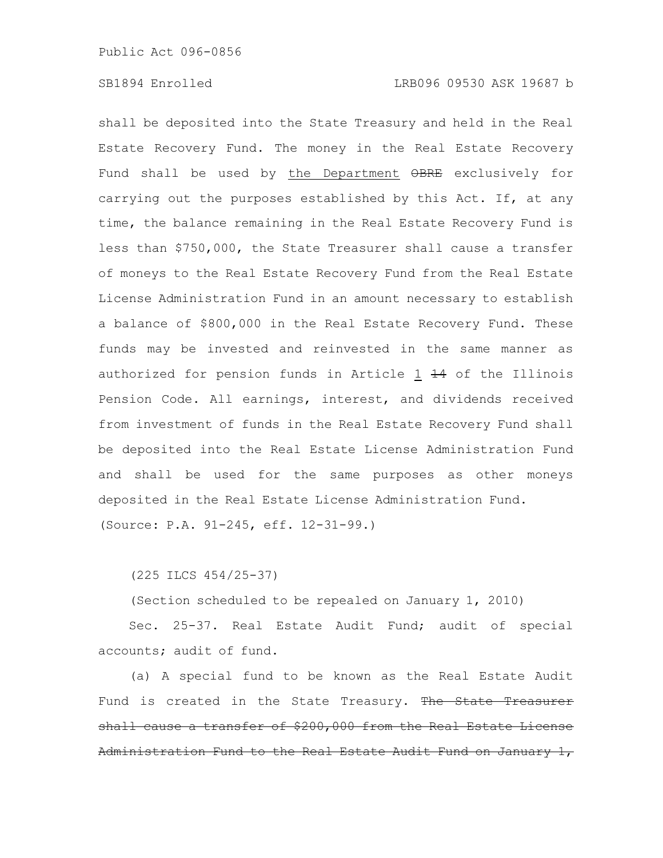shall be deposited into the State Treasury and held in the Real Estate Recovery Fund. The money in the Real Estate Recovery Fund shall be used by the Department OBRE exclusively for carrying out the purposes established by this Act. If, at any time, the balance remaining in the Real Estate Recovery Fund is less than \$750,000, the State Treasurer shall cause a transfer of moneys to the Real Estate Recovery Fund from the Real Estate License Administration Fund in an amount necessary to establish a balance of \$800,000 in the Real Estate Recovery Fund. These funds may be invested and reinvested in the same manner as authorized for pension funds in Article 1 44 of the Illinois Pension Code. All earnings, interest, and dividends received from investment of funds in the Real Estate Recovery Fund shall be deposited into the Real Estate License Administration Fund and shall be used for the same purposes as other moneys deposited in the Real Estate License Administration Fund. (Source: P.A. 91-245, eff. 12-31-99.)

(225 ILCS 454/25-37)

(Section scheduled to be repealed on January 1, 2010)

Sec. 25-37. Real Estate Audit Fund; audit of special accounts; audit of fund.

(a) A special fund to be known as the Real Estate Audit Fund is created in the State Treasury. The State Treasurer shall cause a transfer of \$200,000 from the Real Estate License Administration Fund to the Real Estate Audit Fund on January 1,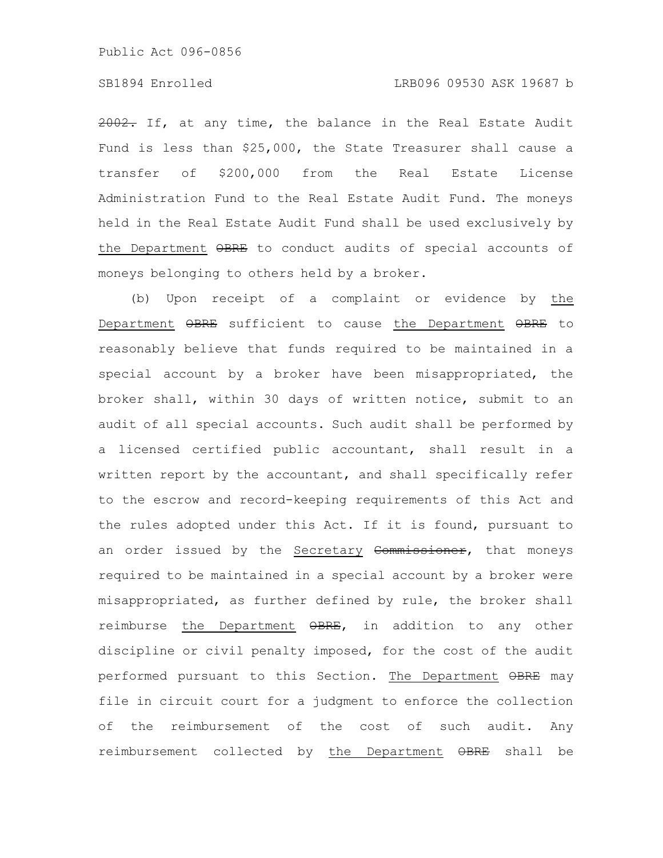# SB1894 Enrolled LRB096 09530 ASK 19687 b

2002. If, at any time, the balance in the Real Estate Audit Fund is less than \$25,000, the State Treasurer shall cause a transfer of \$200,000 from the Real Estate License Administration Fund to the Real Estate Audit Fund. The moneys held in the Real Estate Audit Fund shall be used exclusively by the Department  $\Theta$ BRE to conduct audits of special accounts of moneys belonging to others held by a broker.

(b) Upon receipt of a complaint or evidence by the Department  $\Theta$ BRE sufficient to cause the Department  $\Theta$ BRE to reasonably believe that funds required to be maintained in a special account by a broker have been misappropriated, the broker shall, within 30 days of written notice, submit to an audit of all special accounts. Such audit shall be performed by a licensed certified public accountant, shall result in a written report by the accountant, and shall specifically refer to the escrow and record-keeping requirements of this Act and the rules adopted under this Act. If it is found, pursuant to an order issued by the Secretary Commissioner, that moneys required to be maintained in a special account by a broker were misappropriated, as further defined by rule, the broker shall reimburse the Department OBRE, in addition to any other discipline or civil penalty imposed, for the cost of the audit performed pursuant to this Section. The Department  $\Theta$ BRE may file in circuit court for a judgment to enforce the collection of the reimbursement of the cost of such audit. Any reimbursement collected by the Department  $\Theta$ BRE shall be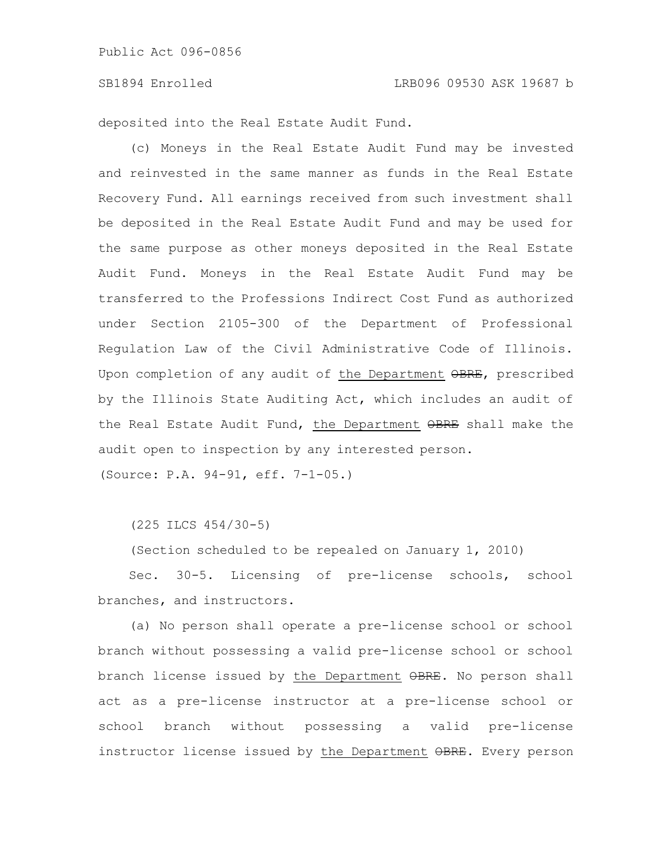deposited into the Real Estate Audit Fund.

(c) Moneys in the Real Estate Audit Fund may be invested and reinvested in the same manner as funds in the Real Estate Recovery Fund. All earnings received from such investment shall be deposited in the Real Estate Audit Fund and may be used for the same purpose as other moneys deposited in the Real Estate Audit Fund. Moneys in the Real Estate Audit Fund may be transferred to the Professions Indirect Cost Fund as authorized under Section 2105-300 of the Department of Professional Regulation Law of the Civil Administrative Code of Illinois. Upon completion of any audit of the Department OBRE, prescribed by the Illinois State Auditing Act, which includes an audit of the Real Estate Audit Fund, the Department OBRE shall make the audit open to inspection by any interested person.

(Source: P.A. 94-91, eff. 7-1-05.)

(225 ILCS 454/30-5)

(Section scheduled to be repealed on January 1, 2010)

Sec. 30-5. Licensing of pre-license schools, school branches, and instructors.

(a) No person shall operate a pre-license school or school branch without possessing a valid pre-license school or school branch license issued by the Department  $\theta$ BRE. No person shall act as a pre-license instructor at a pre-license school or school branch without possessing a valid pre-license instructor license issued by the Department OBRE. Every person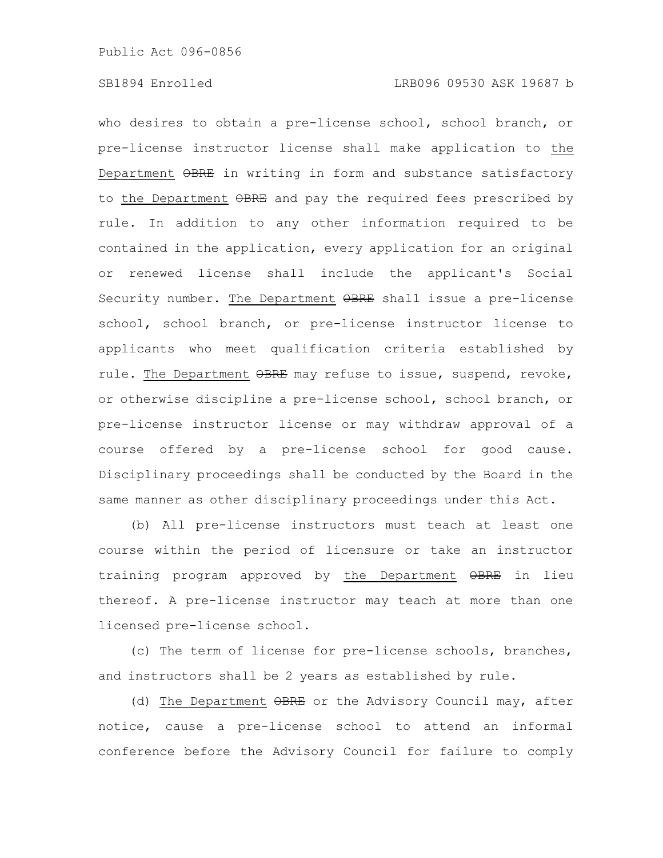who desires to obtain a pre-license school, school branch, or pre-license instructor license shall make application to the Department OBRE in writing in form and substance satisfactory to the Department  $\Theta$ BRE and pay the required fees prescribed by rule. In addition to any other information required to be contained in the application, every application for an original or renewed license shall include the applicant's Social Security number. The Department  $\Theta$ BRE shall issue a pre-license school, school branch, or pre-license instructor license to applicants who meet qualification criteria established by rule. The Department OBRE may refuse to issue, suspend, revoke, or otherwise discipline a pre-license school, school branch, or pre-license instructor license or may withdraw approval of a course offered by a pre-license school for good cause. Disciplinary proceedings shall be conducted by the Board in the same manner as other disciplinary proceedings under this Act.

(b) All pre-license instructors must teach at least one course within the period of licensure or take an instructor training program approved by the Department OBRE in lieu thereof. A pre-license instructor may teach at more than one licensed pre-license school.

(c) The term of license for pre-license schools, branches, and instructors shall be 2 years as established by rule.

(d) The Department OBRE or the Advisory Council may, after notice, cause a pre-license school to attend an informal conference before the Advisory Council for failure to comply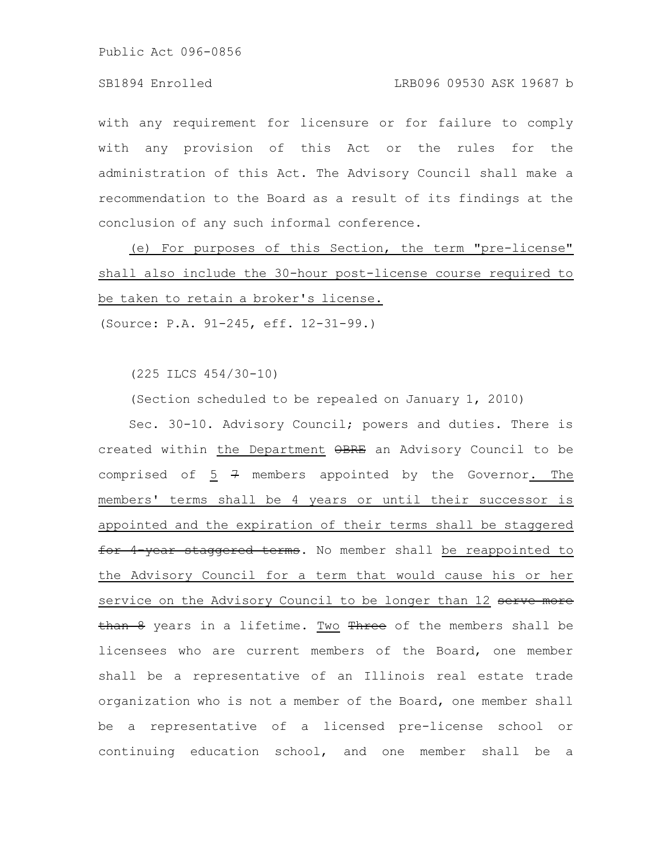# SB1894 Enrolled LRB096 09530 ASK 19687 b

with any requirement for licensure or for failure to comply with any provision of this Act or the rules for the administration of this Act. The Advisory Council shall make a recommendation to the Board as a result of its findings at the conclusion of any such informal conference.

(e) For purposes of this Section, the term "pre-license" shall also include the 30-hour post-license course required to be taken to retain a broker's license.

(Source: P.A. 91-245, eff. 12-31-99.)

(225 ILCS 454/30-10)

(Section scheduled to be repealed on January 1, 2010)

Sec. 30-10. Advisory Council; powers and duties. There is created within the Department OBRE an Advisory Council to be comprised of  $5$   $7$  members appointed by the Governor. The members' terms shall be 4 years or until their successor is appointed and the expiration of their terms shall be staggered for 4 year staggered terms. No member shall be reappointed to the Advisory Council for a term that would cause his or her service on the Advisory Council to be longer than 12 serve more than 8 years in a lifetime. Two Three of the members shall be licensees who are current members of the Board, one member shall be a representative of an Illinois real estate trade organization who is not a member of the Board, one member shall be a representative of a licensed pre-license school or continuing education school, and one member shall be a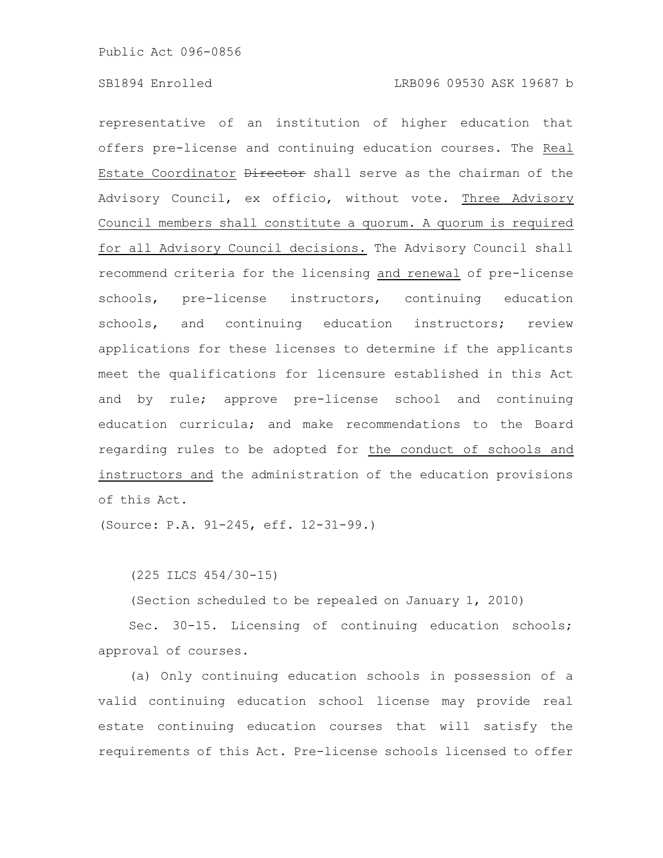representative of an institution of higher education that offers pre-license and continuing education courses. The Real Estate Coordinator Director shall serve as the chairman of the Advisory Council, ex officio, without vote. Three Advisory Council members shall constitute a quorum. A quorum is required for all Advisory Council decisions. The Advisory Council shall recommend criteria for the licensing and renewal of pre-license schools, pre-license instructors, continuing education schools, and continuing education instructors; review applications for these licenses to determine if the applicants meet the qualifications for licensure established in this Act and by rule; approve pre-license school and continuing education curricula; and make recommendations to the Board regarding rules to be adopted for the conduct of schools and instructors and the administration of the education provisions of this Act.

(Source: P.A. 91-245, eff. 12-31-99.)

(225 ILCS 454/30-15)

(Section scheduled to be repealed on January 1, 2010)

Sec. 30-15. Licensing of continuing education schools; approval of courses.

(a) Only continuing education schools in possession of a valid continuing education school license may provide real estate continuing education courses that will satisfy the requirements of this Act. Pre-license schools licensed to offer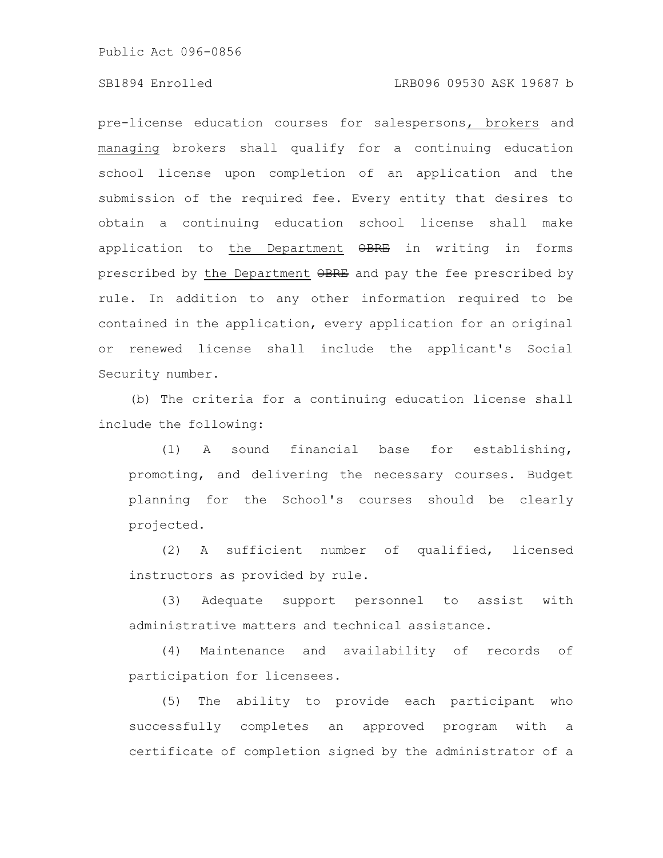#### SB1894 Enrolled LRB096 09530 ASK 19687 b

pre-license education courses for salespersons, brokers and managing brokers shall qualify for a continuing education school license upon completion of an application and the submission of the required fee. Every entity that desires to obtain a continuing education school license shall make application to the Department  $\Theta$ BRE in writing in forms prescribed by the Department OBRE and pay the fee prescribed by rule. In addition to any other information required to be contained in the application, every application for an original or renewed license shall include the applicant's Social Security number.

(b) The criteria for a continuing education license shall include the following:

(1) A sound financial base for establishing, promoting, and delivering the necessary courses. Budget planning for the School's courses should be clearly projected.

(2) A sufficient number of qualified, licensed instructors as provided by rule.

(3) Adequate support personnel to assist with administrative matters and technical assistance.

(4) Maintenance and availability of records of participation for licensees.

(5) The ability to provide each participant who successfully completes an approved program with a certificate of completion signed by the administrator of a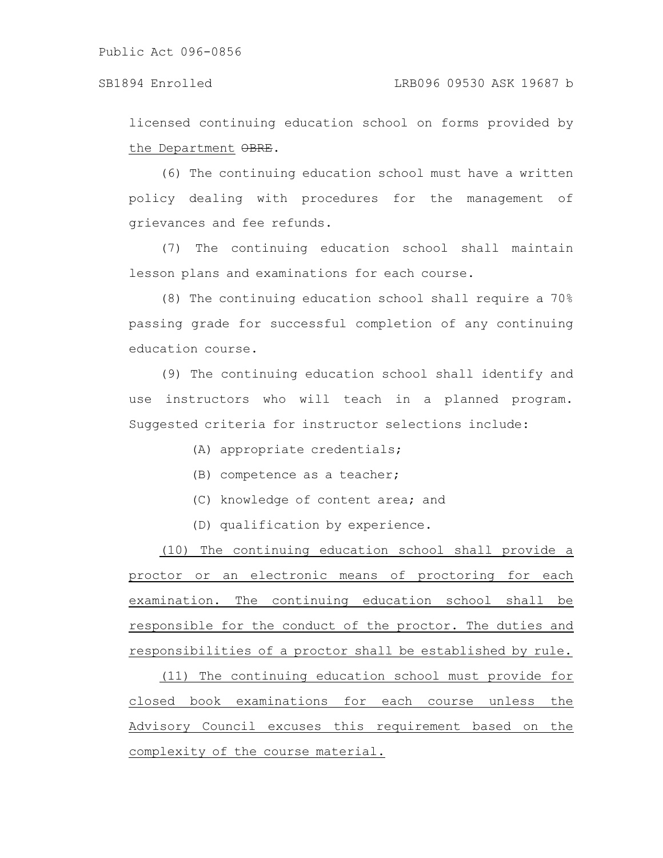licensed continuing education school on forms provided by the Department OBRE.

(6) The continuing education school must have a written policy dealing with procedures for the management of grievances and fee refunds.

(7) The continuing education school shall maintain lesson plans and examinations for each course.

(8) The continuing education school shall require a 70% passing grade for successful completion of any continuing education course.

(9) The continuing education school shall identify and use instructors who will teach in a planned program. Suggested criteria for instructor selections include:

- (A) appropriate credentials;
- (B) competence as a teacher;
- (C) knowledge of content area; and
- (D) qualification by experience.

(10) The continuing education school shall provide a proctor or an electronic means of proctoring for each examination. The continuing education school shall be responsible for the conduct of the proctor. The duties and responsibilities of a proctor shall be established by rule.

(11) The continuing education school must provide for closed book examinations for each course unless the Advisory Council excuses this requirement based on the complexity of the course material.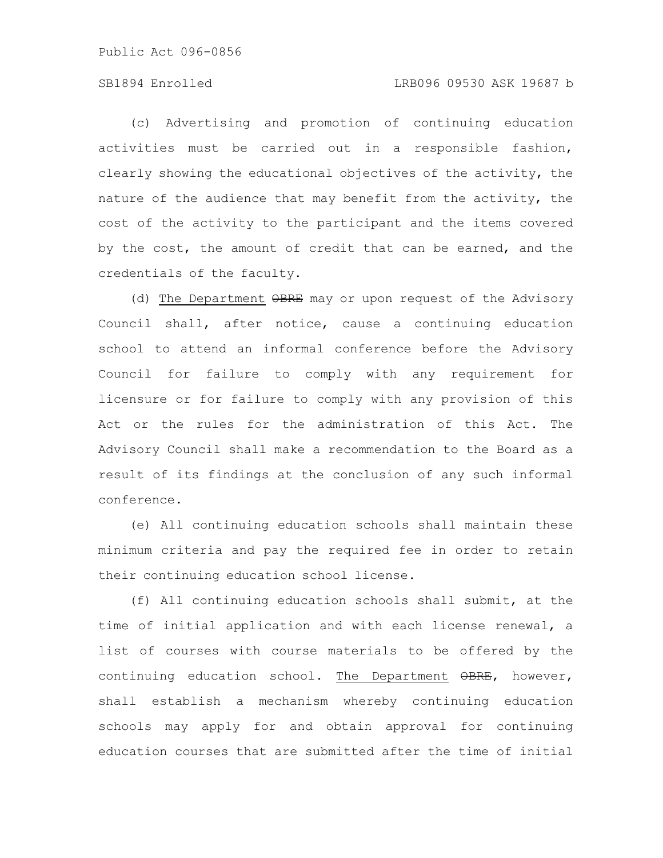# SB1894 Enrolled LRB096 09530 ASK 19687 b

(c) Advertising and promotion of continuing education activities must be carried out in a responsible fashion, clearly showing the educational objectives of the activity, the nature of the audience that may benefit from the activity, the cost of the activity to the participant and the items covered by the cost, the amount of credit that can be earned, and the credentials of the faculty.

(d) The Department OBRE may or upon request of the Advisory Council shall, after notice, cause a continuing education school to attend an informal conference before the Advisory Council for failure to comply with any requirement for licensure or for failure to comply with any provision of this Act or the rules for the administration of this Act. The Advisory Council shall make a recommendation to the Board as a result of its findings at the conclusion of any such informal conference.

(e) All continuing education schools shall maintain these minimum criteria and pay the required fee in order to retain their continuing education school license.

(f) All continuing education schools shall submit, at the time of initial application and with each license renewal, a list of courses with course materials to be offered by the continuing education school. The Department  $\theta$ BRE, however, shall establish a mechanism whereby continuing education schools may apply for and obtain approval for continuing education courses that are submitted after the time of initial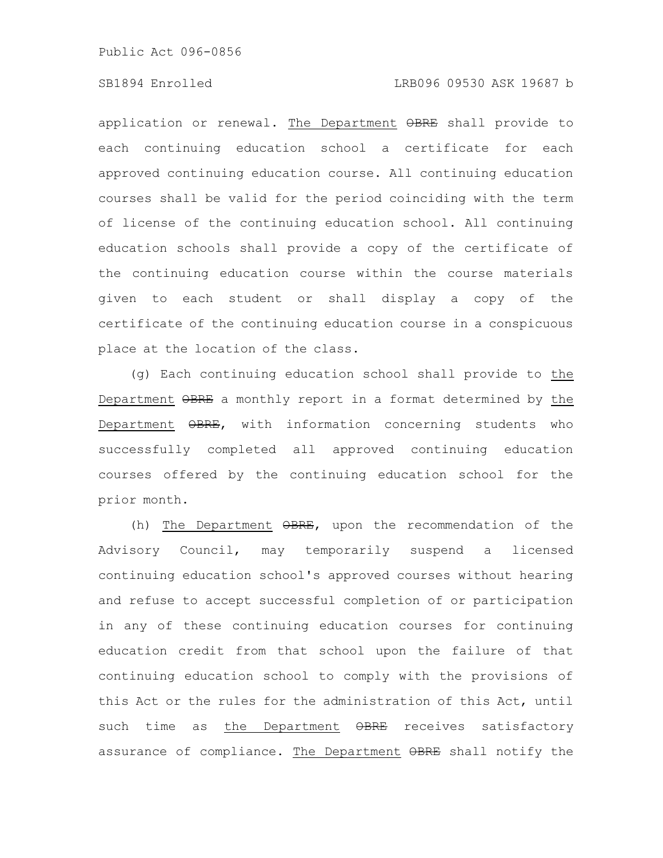# SB1894 Enrolled LRB096 09530 ASK 19687 b

application or renewal. The Department OBRE shall provide to each continuing education school a certificate for each approved continuing education course. All continuing education courses shall be valid for the period coinciding with the term of license of the continuing education school. All continuing education schools shall provide a copy of the certificate of the continuing education course within the course materials given to each student or shall display a copy of the certificate of the continuing education course in a conspicuous place at the location of the class.

(g) Each continuing education school shall provide to the Department OBRE a monthly report in a format determined by the Department OBRE, with information concerning students who successfully completed all approved continuing education courses offered by the continuing education school for the prior month.

(h) The Department  $\Theta$ BRE, upon the recommendation of the Advisory Council, may temporarily suspend a licensed continuing education school's approved courses without hearing and refuse to accept successful completion of or participation in any of these continuing education courses for continuing education credit from that school upon the failure of that continuing education school to comply with the provisions of this Act or the rules for the administration of this Act, until such time as the Department OBRE receives satisfactory assurance of compliance. The Department OBRE shall notify the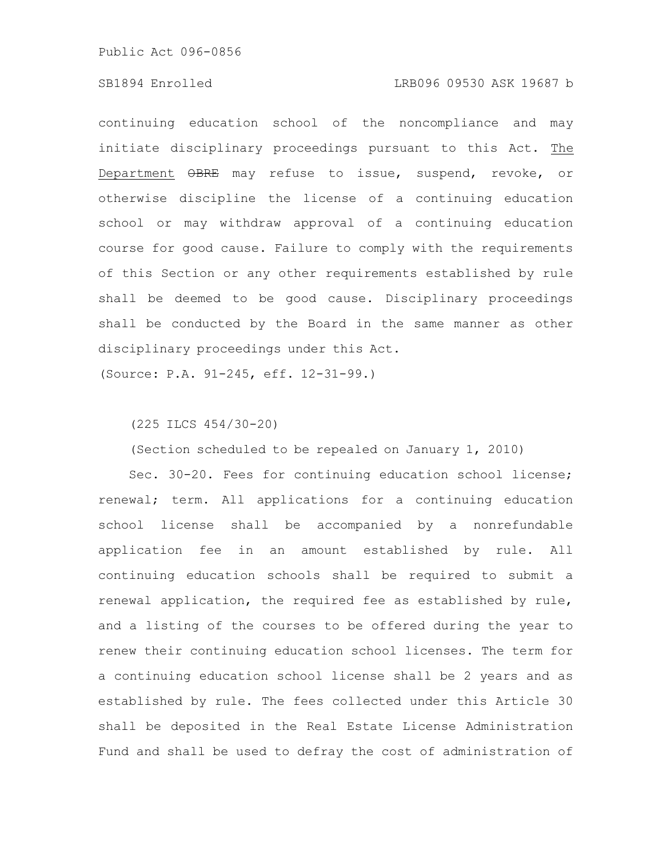### SB1894 Enrolled LRB096 09530 ASK 19687 b

continuing education school of the noncompliance and may initiate disciplinary proceedings pursuant to this Act. The Department OBRE may refuse to issue, suspend, revoke, or otherwise discipline the license of a continuing education school or may withdraw approval of a continuing education course for good cause. Failure to comply with the requirements of this Section or any other requirements established by rule shall be deemed to be good cause. Disciplinary proceedings shall be conducted by the Board in the same manner as other disciplinary proceedings under this Act.

(Source: P.A. 91-245, eff. 12-31-99.)

# (225 ILCS 454/30-20)

(Section scheduled to be repealed on January 1, 2010)

Sec. 30-20. Fees for continuing education school license; renewal; term. All applications for a continuing education school license shall be accompanied by a nonrefundable application fee in an amount established by rule. All continuing education schools shall be required to submit a renewal application, the required fee as established by rule, and a listing of the courses to be offered during the year to renew their continuing education school licenses. The term for a continuing education school license shall be 2 years and as established by rule. The fees collected under this Article 30 shall be deposited in the Real Estate License Administration Fund and shall be used to defray the cost of administration of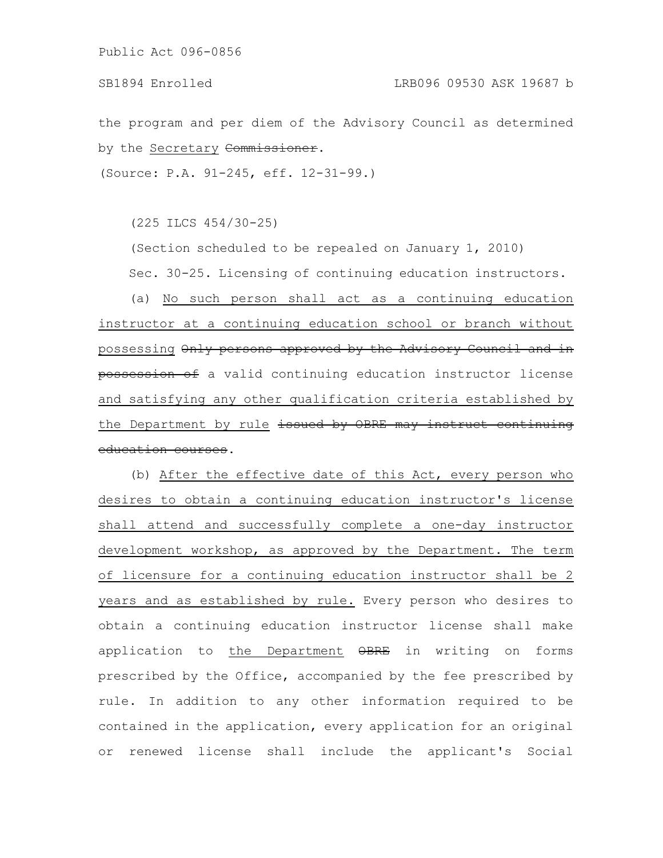the program and per diem of the Advisory Council as determined by the Secretary Commissioner.

(Source: P.A. 91-245, eff. 12-31-99.)

(225 ILCS 454/30-25)

(Section scheduled to be repealed on January 1, 2010) Sec. 30-25. Licensing of continuing education instructors.

(a) No such person shall act as a continuing education instructor at a continuing education school or branch without possessing Only persons approved by the Advisory Council and in possession of a valid continuing education instructor license and satisfying any other qualification criteria established by the Department by rule issued by OBRE may instruct education courses.

(b) After the effective date of this Act, every person who desires to obtain a continuing education instructor's license shall attend and successfully complete a one-day instructor development workshop, as approved by the Department. The term of licensure for a continuing education instructor shall be 2 years and as established by rule. Every person who desires to obtain a continuing education instructor license shall make application to the Department OBRE in writing on forms prescribed by the Office, accompanied by the fee prescribed by rule. In addition to any other information required to be contained in the application, every application for an original or renewed license shall include the applicant's Social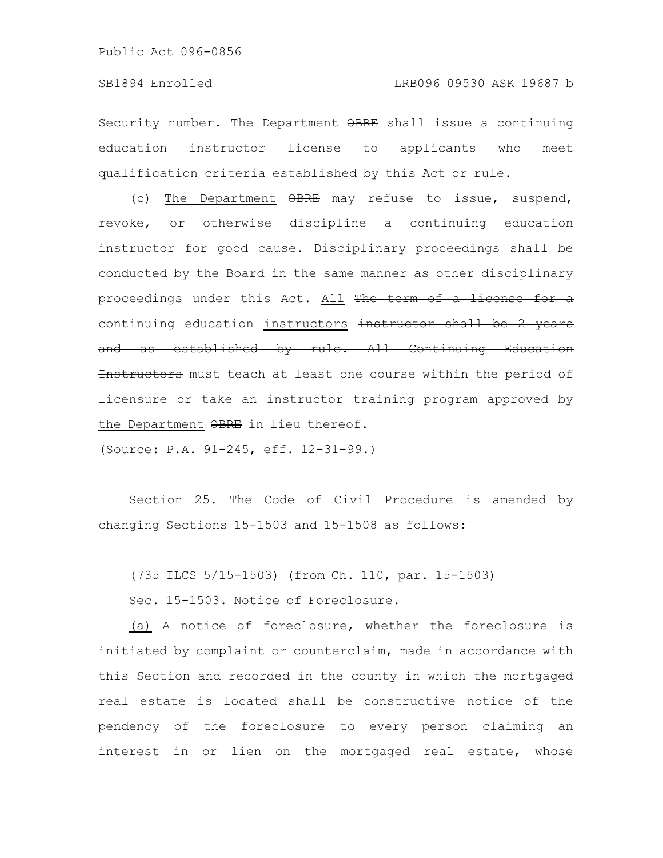Security number. The Department  $\Theta$ BRE shall issue a continuing education instructor license to applicants who meet qualification criteria established by this Act or rule.

(c) The Department OBRE may refuse to issue, suspend, revoke, or otherwise discipline a continuing education instructor for good cause. Disciplinary proceedings shall be conducted by the Board in the same manner as other disciplinary proceedings under this Act. All The term of a license for a continuing education instructors instructor shall be 2 years and as established by rule. All Continuing Education Instructors must teach at least one course within the period of licensure or take an instructor training program approved by the Department OBRE in lieu thereof.

(Source: P.A. 91-245, eff. 12-31-99.)

Section 25. The Code of Civil Procedure is amended by changing Sections 15-1503 and 15-1508 as follows:

(735 ILCS 5/15-1503) (from Ch. 110, par. 15-1503)

Sec. 15-1503. Notice of Foreclosure.

(a) A notice of foreclosure, whether the foreclosure is initiated by complaint or counterclaim, made in accordance with this Section and recorded in the county in which the mortgaged real estate is located shall be constructive notice of the pendency of the foreclosure to every person claiming an interest in or lien on the mortgaged real estate, whose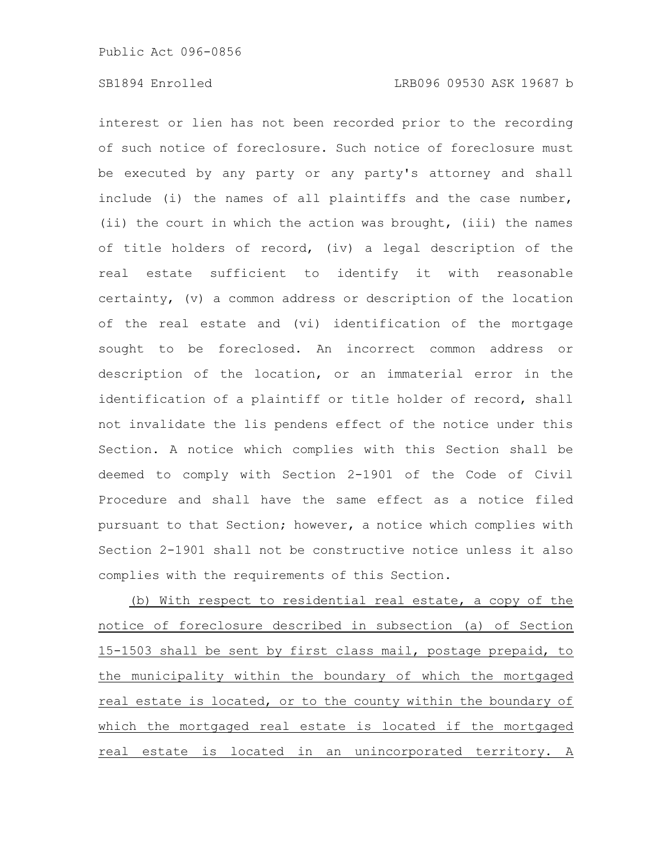interest or lien has not been recorded prior to the recording of such notice of foreclosure. Such notice of foreclosure must be executed by any party or any party's attorney and shall include (i) the names of all plaintiffs and the case number, (ii) the court in which the action was brought, (iii) the names of title holders of record, (iv) a legal description of the real estate sufficient to identify it with reasonable certainty, (v) a common address or description of the location of the real estate and (vi) identification of the mortgage sought to be foreclosed. An incorrect common address or description of the location, or an immaterial error in the identification of a plaintiff or title holder of record, shall not invalidate the lis pendens effect of the notice under this Section. A notice which complies with this Section shall be deemed to comply with Section 2-1901 of the Code of Civil Procedure and shall have the same effect as a notice filed pursuant to that Section; however, a notice which complies with Section 2-1901 shall not be constructive notice unless it also complies with the requirements of this Section.

(b) With respect to residential real estate, a copy of the notice of foreclosure described in subsection (a) of Section 15-1503 shall be sent by first class mail, postage prepaid, to the municipality within the boundary of which the mortgaged real estate is located, or to the county within the boundary of which the mortgaged real estate is located if the mortgaged real estate is located in an unincorporated territory. A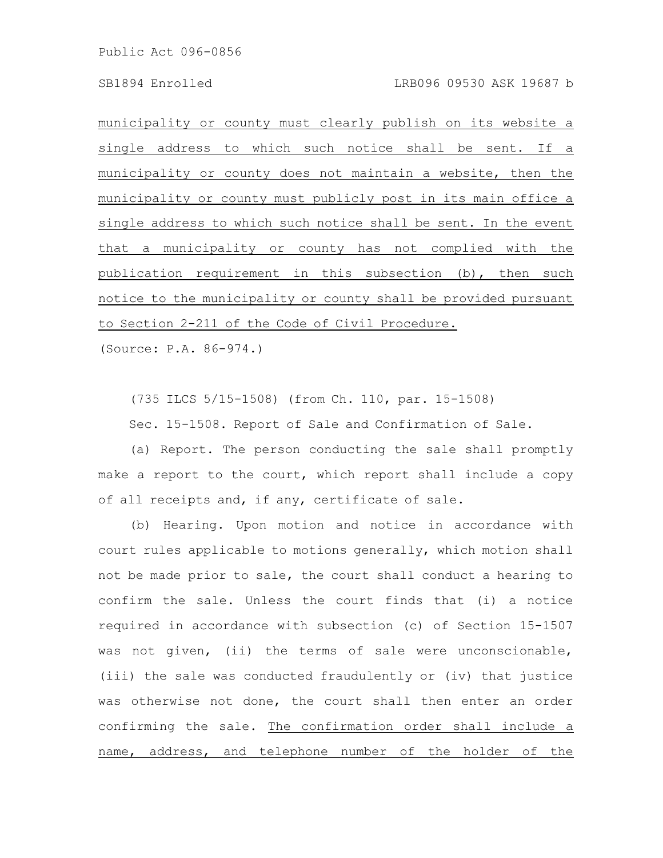municipality or county must clearly publish on its website a single address to which such notice shall be sent. If a municipality or county does not maintain a website, then the municipality or county must publicly post in its main office a single address to which such notice shall be sent. In the event that a municipality or county has not complied with the publication requirement in this subsection (b), then such notice to the municipality or county shall be provided pursuant to Section 2-211 of the Code of Civil Procedure.

(Source: P.A. 86-974.)

(735 ILCS 5/15-1508) (from Ch. 110, par. 15-1508)

Sec. 15-1508. Report of Sale and Confirmation of Sale.

(a) Report. The person conducting the sale shall promptly make a report to the court, which report shall include a copy of all receipts and, if any, certificate of sale.

(b) Hearing. Upon motion and notice in accordance with court rules applicable to motions generally, which motion shall not be made prior to sale, the court shall conduct a hearing to confirm the sale. Unless the court finds that (i) a notice required in accordance with subsection (c) of Section 15-1507 was not given, (ii) the terms of sale were unconscionable, (iii) the sale was conducted fraudulently or (iv) that justice was otherwise not done, the court shall then enter an order confirming the sale. The confirmation order shall include a name, address, and telephone number of the holder of the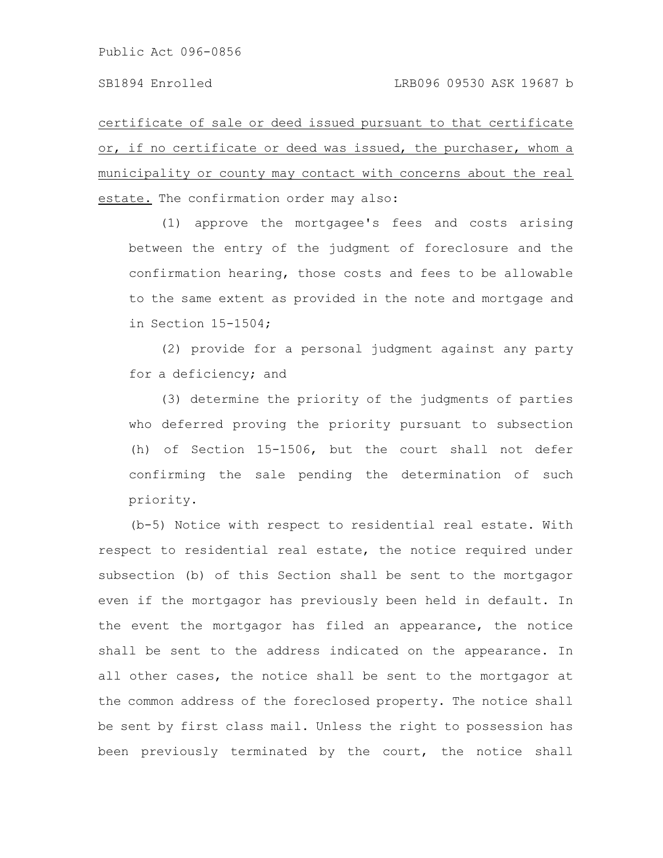certificate of sale or deed issued pursuant to that certificate or, if no certificate or deed was issued, the purchaser, whom a municipality or county may contact with concerns about the real estate. The confirmation order may also:

(1) approve the mortgagee's fees and costs arising between the entry of the judgment of foreclosure and the confirmation hearing, those costs and fees to be allowable to the same extent as provided in the note and mortgage and in Section 15-1504;

(2) provide for a personal judgment against any party for a deficiency; and

(3) determine the priority of the judgments of parties who deferred proving the priority pursuant to subsection (h) of Section 15-1506, but the court shall not defer confirming the sale pending the determination of such priority.

(b-5) Notice with respect to residential real estate. With respect to residential real estate, the notice required under subsection (b) of this Section shall be sent to the mortgagor even if the mortgagor has previously been held in default. In the event the mortgagor has filed an appearance, the notice shall be sent to the address indicated on the appearance. In all other cases, the notice shall be sent to the mortgagor at the common address of the foreclosed property. The notice shall be sent by first class mail. Unless the right to possession has been previously terminated by the court, the notice shall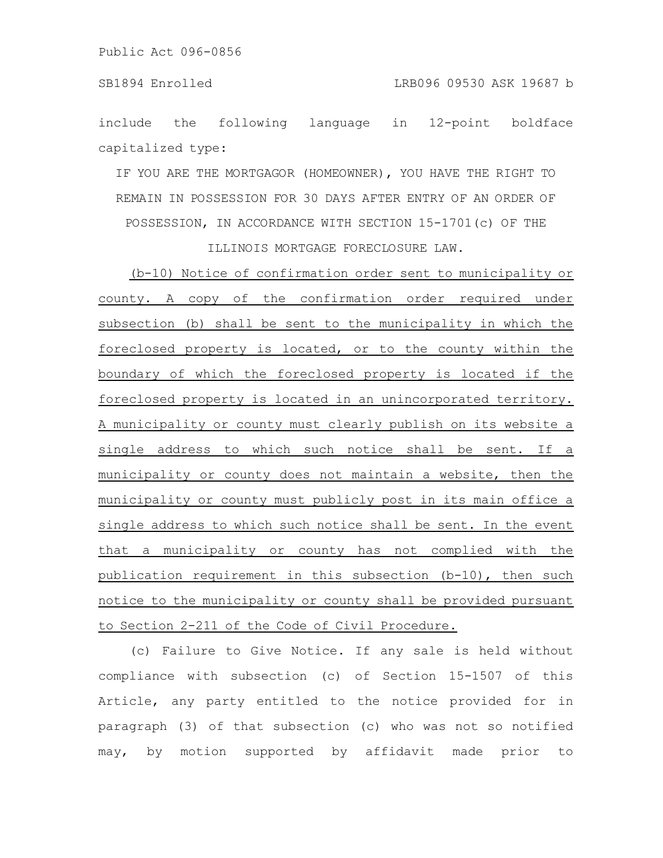include the following language in 12-point boldface capitalized type:

IF YOU ARE THE MORTGAGOR (HOMEOWNER), YOU HAVE THE RIGHT TO REMAIN IN POSSESSION FOR 30 DAYS AFTER ENTRY OF AN ORDER OF POSSESSION, IN ACCORDANCE WITH SECTION 15-1701(c) OF THE

ILLINOIS MORTGAGE FORECLOSURE LAW.

(b-10) Notice of confirmation order sent to municipality or county. A copy of the confirmation order required under subsection (b) shall be sent to the municipality in which the foreclosed property is located, or to the county within the boundary of which the foreclosed property is located if the foreclosed property is located in an unincorporated territory. A municipality or county must clearly publish on its website a single address to which such notice shall be sent. If a municipality or county does not maintain a website, then the municipality or county must publicly post in its main office a single address to which such notice shall be sent. In the event that a municipality or county has not complied with the publication requirement in this subsection (b-10), then such notice to the municipality or county shall be provided pursuant to Section 2-211 of the Code of Civil Procedure.

(c) Failure to Give Notice. If any sale is held without compliance with subsection (c) of Section 15-1507 of this Article, any party entitled to the notice provided for in paragraph (3) of that subsection (c) who was not so notified may, by motion supported by affidavit made prior to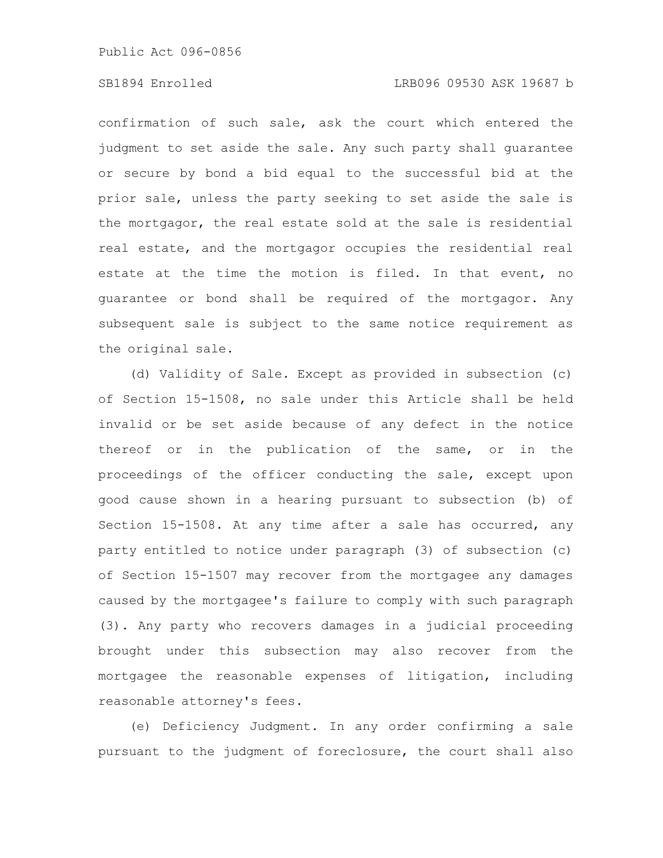# SB1894 Enrolled LRB096 09530 ASK 19687 b

confirmation of such sale, ask the court which entered the judgment to set aside the sale. Any such party shall guarantee or secure by bond a bid equal to the successful bid at the prior sale, unless the party seeking to set aside the sale is the mortgagor, the real estate sold at the sale is residential real estate, and the mortgagor occupies the residential real estate at the time the motion is filed. In that event, no guarantee or bond shall be required of the mortgagor. Any subsequent sale is subject to the same notice requirement as the original sale.

(d) Validity of Sale. Except as provided in subsection (c) of Section 15-1508, no sale under this Article shall be held invalid or be set aside because of any defect in the notice thereof or in the publication of the same, or in the proceedings of the officer conducting the sale, except upon good cause shown in a hearing pursuant to subsection (b) of Section 15-1508. At any time after a sale has occurred, any party entitled to notice under paragraph (3) of subsection (c) of Section 15-1507 may recover from the mortgagee any damages caused by the mortgagee's failure to comply with such paragraph (3). Any party who recovers damages in a judicial proceeding brought under this subsection may also recover from the mortgagee the reasonable expenses of litigation, including reasonable attorney's fees.

(e) Deficiency Judgment. In any order confirming a sale pursuant to the judgment of foreclosure, the court shall also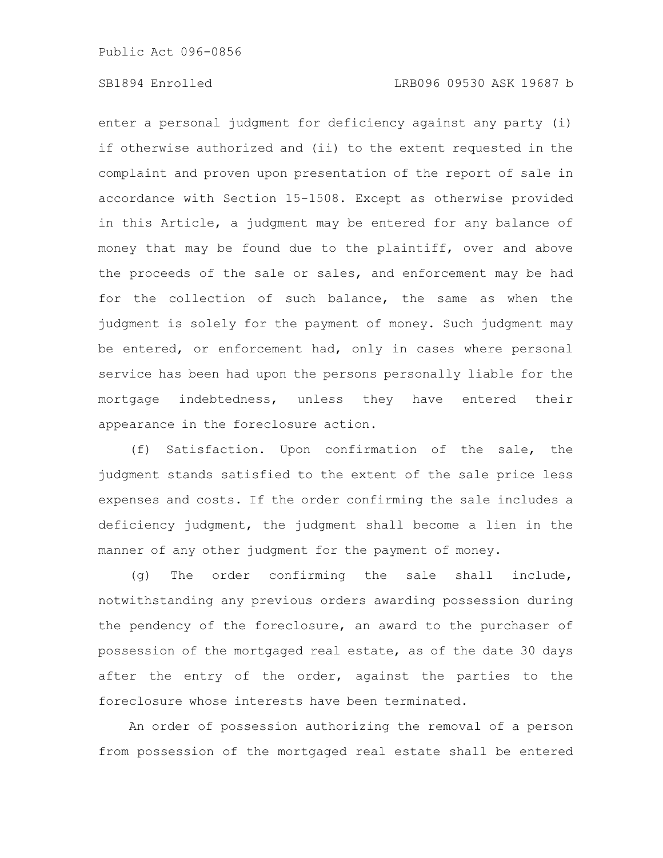enter a personal judgment for deficiency against any party (i) if otherwise authorized and (ii) to the extent requested in the complaint and proven upon presentation of the report of sale in accordance with Section 15-1508. Except as otherwise provided in this Article, a judgment may be entered for any balance of money that may be found due to the plaintiff, over and above the proceeds of the sale or sales, and enforcement may be had for the collection of such balance, the same as when the judgment is solely for the payment of money. Such judgment may be entered, or enforcement had, only in cases where personal service has been had upon the persons personally liable for the mortgage indebtedness, unless they have entered their appearance in the foreclosure action.

(f) Satisfaction. Upon confirmation of the sale, the judgment stands satisfied to the extent of the sale price less expenses and costs. If the order confirming the sale includes a deficiency judgment, the judgment shall become a lien in the manner of any other judgment for the payment of money.

(g) The order confirming the sale shall include, notwithstanding any previous orders awarding possession during the pendency of the foreclosure, an award to the purchaser of possession of the mortgaged real estate, as of the date 30 days after the entry of the order, against the parties to the foreclosure whose interests have been terminated.

An order of possession authorizing the removal of a person from possession of the mortgaged real estate shall be entered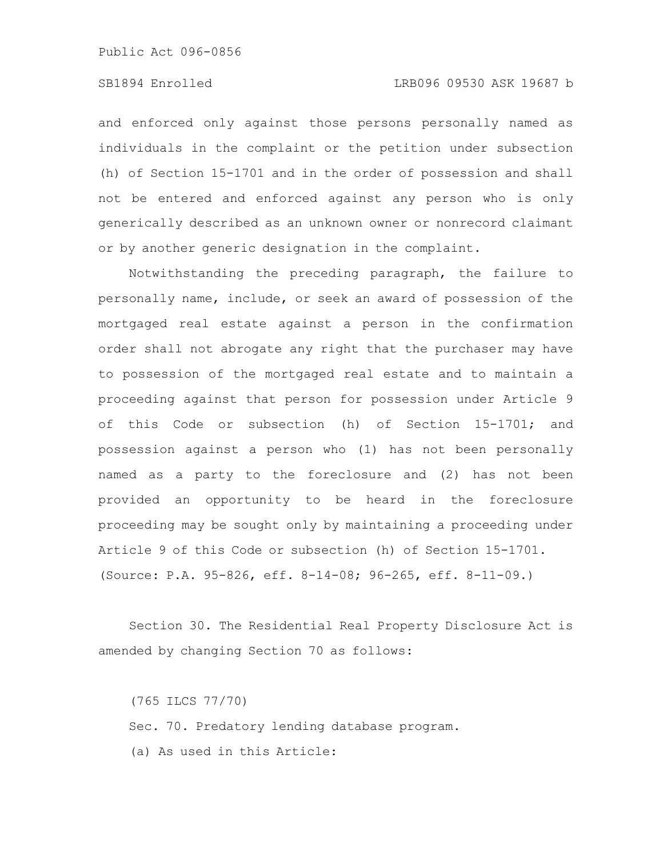### SB1894 Enrolled LRB096 09530 ASK 19687 b

and enforced only against those persons personally named as individuals in the complaint or the petition under subsection (h) of Section 15-1701 and in the order of possession and shall not be entered and enforced against any person who is only generically described as an unknown owner or nonrecord claimant or by another generic designation in the complaint.

Notwithstanding the preceding paragraph, the failure to personally name, include, or seek an award of possession of the mortgaged real estate against a person in the confirmation order shall not abrogate any right that the purchaser may have to possession of the mortgaged real estate and to maintain a proceeding against that person for possession under Article 9 of this Code or subsection (h) of Section 15-1701; and possession against a person who (1) has not been personally named as a party to the foreclosure and (2) has not been provided an opportunity to be heard in the foreclosure proceeding may be sought only by maintaining a proceeding under Article 9 of this Code or subsection (h) of Section 15-1701. (Source: P.A. 95-826, eff. 8-14-08; 96-265, eff. 8-11-09.)

Section 30. The Residential Real Property Disclosure Act is amended by changing Section 70 as follows:

(765 ILCS 77/70) Sec. 70. Predatory lending database program. (a) As used in this Article: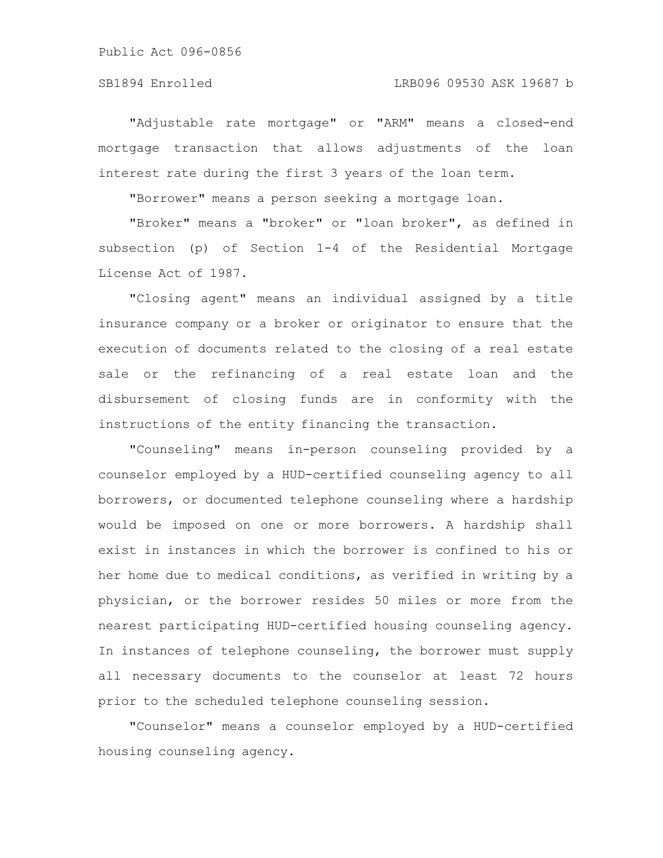#### SB1894 Enrolled LRB096 09530 ASK 19687 b

"Adjustable rate mortgage" or "ARM" means a closed-end mortgage transaction that allows adjustments of the loan interest rate during the first 3 years of the loan term.

"Borrower" means a person seeking a mortgage loan.

"Broker" means a "broker" or "loan broker", as defined in subsection (p) of Section 1-4 of the Residential Mortgage License Act of 1987.

"Closing agent" means an individual assigned by a title insurance company or a broker or originator to ensure that the execution of documents related to the closing of a real estate sale or the refinancing of a real estate loan and the disbursement of closing funds are in conformity with the instructions of the entity financing the transaction.

"Counseling" means in-person counseling provided by a counselor employed by a HUD-certified counseling agency to all borrowers, or documented telephone counseling where a hardship would be imposed on one or more borrowers. A hardship shall exist in instances in which the borrower is confined to his or her home due to medical conditions, as verified in writing by a physician, or the borrower resides 50 miles or more from the nearest participating HUD-certified housing counseling agency. In instances of telephone counseling, the borrower must supply all necessary documents to the counselor at least 72 hours prior to the scheduled telephone counseling session.

"Counselor" means a counselor employed by a HUD-certified housing counseling agency.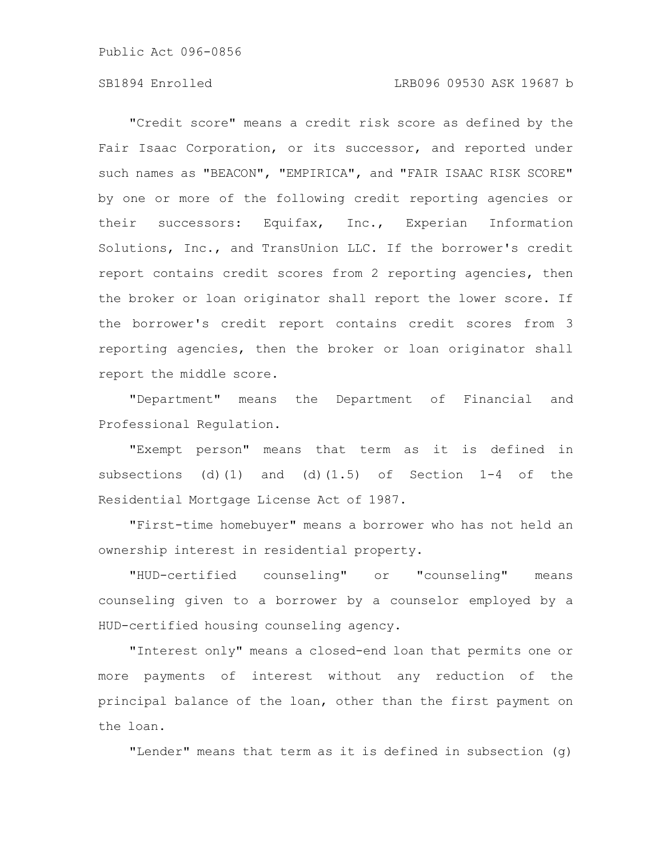#### SB1894 Enrolled LRB096 09530 ASK 19687 b

"Credit score" means a credit risk score as defined by the Fair Isaac Corporation, or its successor, and reported under such names as "BEACON", "EMPIRICA", and "FAIR ISAAC RISK SCORE" by one or more of the following credit reporting agencies or their successors: Equifax, Inc., Experian Information Solutions, Inc., and TransUnion LLC. If the borrower's credit report contains credit scores from 2 reporting agencies, then the broker or loan originator shall report the lower score. If the borrower's credit report contains credit scores from 3 reporting agencies, then the broker or loan originator shall report the middle score.

"Department" means the Department of Financial and Professional Regulation.

"Exempt person" means that term as it is defined in subsections (d)(1) and (d)(1.5) of Section  $1-4$  of the Residential Mortgage License Act of 1987.

"First-time homebuyer" means a borrower who has not held an ownership interest in residential property.

"HUD-certified counseling" or "counseling" means counseling given to a borrower by a counselor employed by a HUD-certified housing counseling agency.

"Interest only" means a closed-end loan that permits one or more payments of interest without any reduction of the principal balance of the loan, other than the first payment on the loan.

"Lender" means that term as it is defined in subsection (g)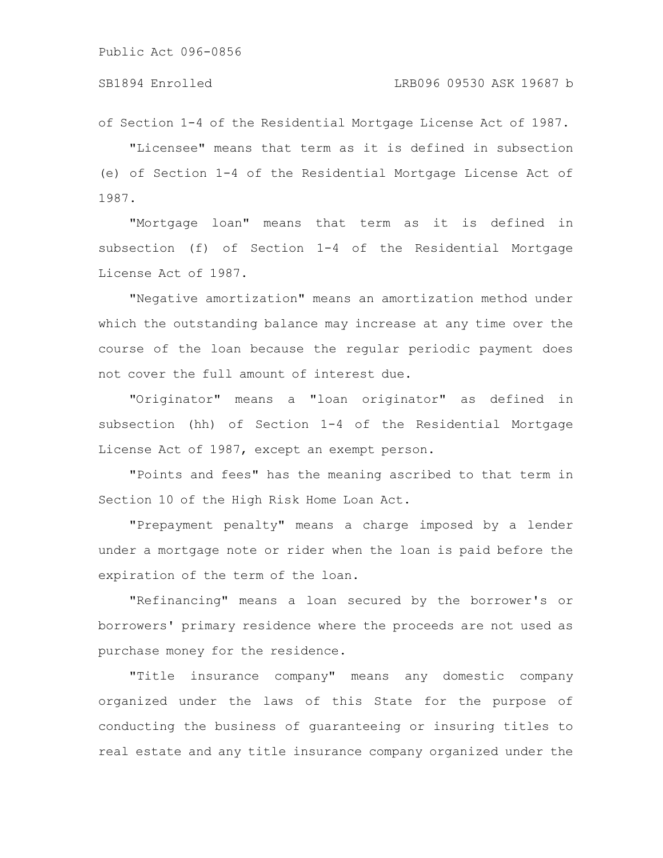of Section 1-4 of the Residential Mortgage License Act of 1987.

"Licensee" means that term as it is defined in subsection (e) of Section 1-4 of the Residential Mortgage License Act of 1987.

"Mortgage loan" means that term as it is defined in subsection (f) of Section 1-4 of the Residential Mortgage License Act of 1987.

"Negative amortization" means an amortization method under which the outstanding balance may increase at any time over the course of the loan because the regular periodic payment does not cover the full amount of interest due.

"Originator" means a "loan originator" as defined in subsection (hh) of Section 1-4 of the Residential Mortgage License Act of 1987, except an exempt person.

"Points and fees" has the meaning ascribed to that term in Section 10 of the High Risk Home Loan Act.

"Prepayment penalty" means a charge imposed by a lender under a mortgage note or rider when the loan is paid before the expiration of the term of the loan.

"Refinancing" means a loan secured by the borrower's or borrowers' primary residence where the proceeds are not used as purchase money for the residence.

"Title insurance company" means any domestic company organized under the laws of this State for the purpose of conducting the business of guaranteeing or insuring titles to real estate and any title insurance company organized under the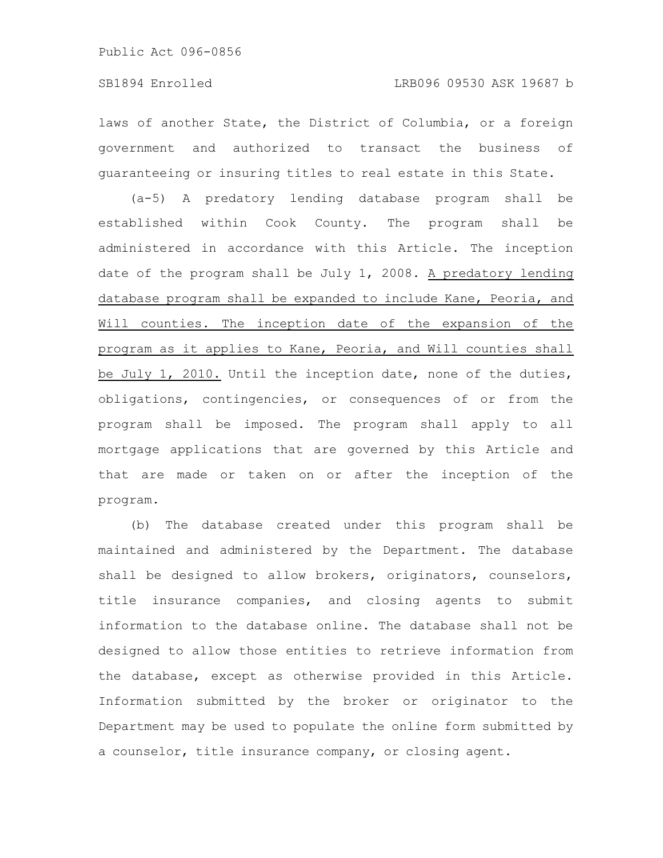laws of another State, the District of Columbia, or a foreign government and authorized to transact the business of guaranteeing or insuring titles to real estate in this State.

(a-5) A predatory lending database program shall be established within Cook County. The program shall be administered in accordance with this Article. The inception date of the program shall be July 1, 2008. A predatory lending database program shall be expanded to include Kane, Peoria, and Will counties. The inception date of the expansion of the program as it applies to Kane, Peoria, and Will counties shall be July 1, 2010. Until the inception date, none of the duties, obligations, contingencies, or consequences of or from the program shall be imposed. The program shall apply to all mortgage applications that are governed by this Article and that are made or taken on or after the inception of the program.

(b) The database created under this program shall be maintained and administered by the Department. The database shall be designed to allow brokers, originators, counselors, title insurance companies, and closing agents to submit information to the database online. The database shall not be designed to allow those entities to retrieve information from the database, except as otherwise provided in this Article. Information submitted by the broker or originator to the Department may be used to populate the online form submitted by a counselor, title insurance company, or closing agent.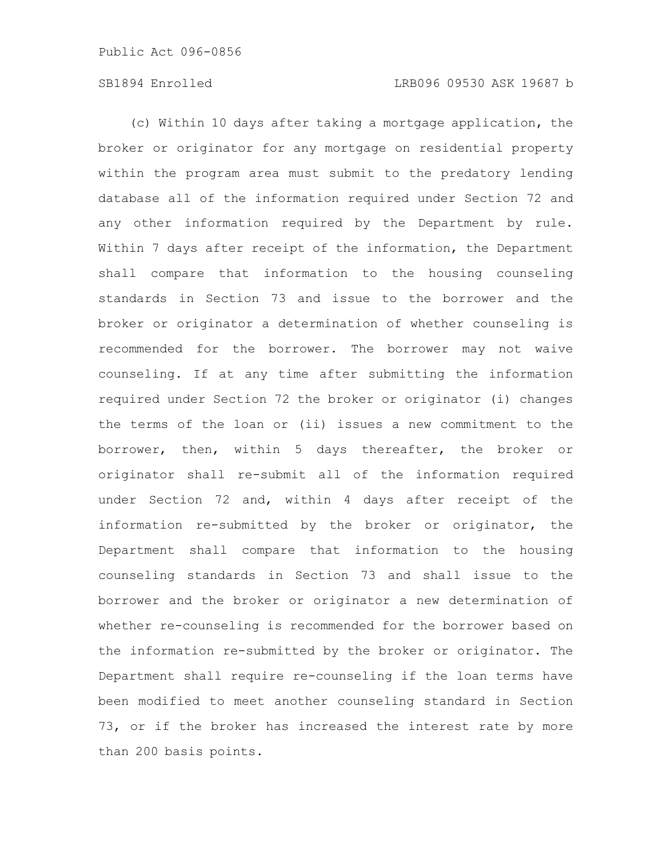# SB1894 Enrolled LRB096 09530 ASK 19687 b

(c) Within 10 days after taking a mortgage application, the broker or originator for any mortgage on residential property within the program area must submit to the predatory lending database all of the information required under Section 72 and any other information required by the Department by rule. Within 7 days after receipt of the information, the Department shall compare that information to the housing counseling standards in Section 73 and issue to the borrower and the broker or originator a determination of whether counseling is recommended for the borrower. The borrower may not waive counseling. If at any time after submitting the information required under Section 72 the broker or originator (i) changes the terms of the loan or (ii) issues a new commitment to the borrower, then, within 5 days thereafter, the broker or originator shall re-submit all of the information required under Section 72 and, within 4 days after receipt of the information re-submitted by the broker or originator, the Department shall compare that information to the housing counseling standards in Section 73 and shall issue to the borrower and the broker or originator a new determination of whether re-counseling is recommended for the borrower based on the information re-submitted by the broker or originator. The Department shall require re-counseling if the loan terms have been modified to meet another counseling standard in Section 73, or if the broker has increased the interest rate by more than 200 basis points.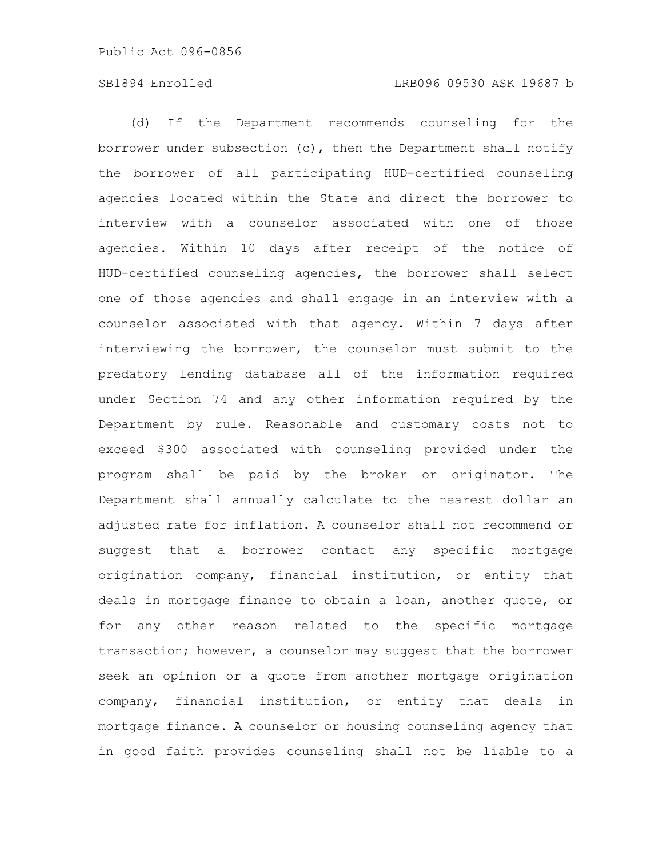# SB1894 Enrolled LRB096 09530 ASK 19687 b

(d) If the Department recommends counseling for the borrower under subsection (c), then the Department shall notify the borrower of all participating HUD-certified counseling agencies located within the State and direct the borrower to interview with a counselor associated with one of those agencies. Within 10 days after receipt of the notice of HUD-certified counseling agencies, the borrower shall select one of those agencies and shall engage in an interview with a counselor associated with that agency. Within 7 days after interviewing the borrower, the counselor must submit to the predatory lending database all of the information required under Section 74 and any other information required by the Department by rule. Reasonable and customary costs not to exceed \$300 associated with counseling provided under the program shall be paid by the broker or originator. The Department shall annually calculate to the nearest dollar an adjusted rate for inflation. A counselor shall not recommend or suggest that a borrower contact any specific mortgage origination company, financial institution, or entity that deals in mortgage finance to obtain a loan, another quote, or for any other reason related to the specific mortgage transaction; however, a counselor may suggest that the borrower seek an opinion or a quote from another mortgage origination company, financial institution, or entity that deals in mortgage finance. A counselor or housing counseling agency that in good faith provides counseling shall not be liable to a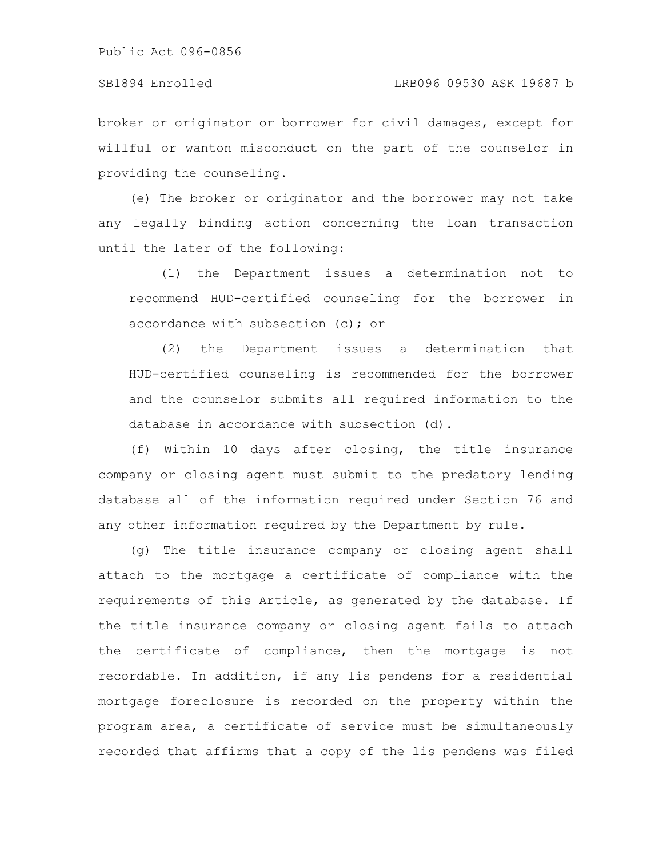#### SB1894 Enrolled LRB096 09530 ASK 19687 b

broker or originator or borrower for civil damages, except for willful or wanton misconduct on the part of the counselor in providing the counseling.

(e) The broker or originator and the borrower may not take any legally binding action concerning the loan transaction until the later of the following:

(1) the Department issues a determination not to recommend HUD-certified counseling for the borrower in accordance with subsection (c); or

(2) the Department issues a determination that HUD-certified counseling is recommended for the borrower and the counselor submits all required information to the database in accordance with subsection (d).

(f) Within 10 days after closing, the title insurance company or closing agent must submit to the predatory lending database all of the information required under Section 76 and any other information required by the Department by rule.

(g) The title insurance company or closing agent shall attach to the mortgage a certificate of compliance with the requirements of this Article, as generated by the database. If the title insurance company or closing agent fails to attach the certificate of compliance, then the mortgage is not recordable. In addition, if any lis pendens for a residential mortgage foreclosure is recorded on the property within the program area, a certificate of service must be simultaneously recorded that affirms that a copy of the lis pendens was filed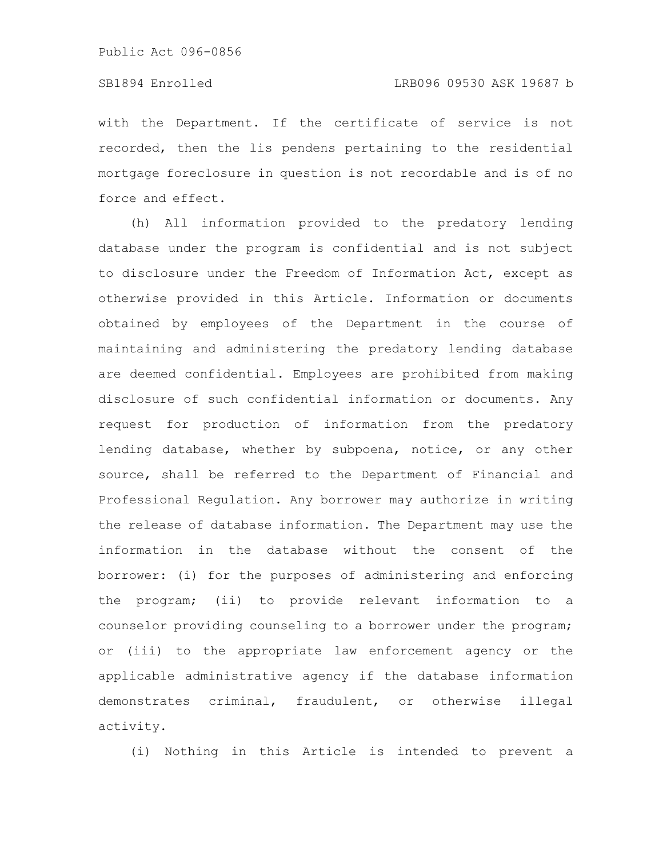# SB1894 Enrolled LRB096 09530 ASK 19687 b

with the Department. If the certificate of service is not recorded, then the lis pendens pertaining to the residential mortgage foreclosure in question is not recordable and is of no force and effect.

(h) All information provided to the predatory lending database under the program is confidential and is not subject to disclosure under the Freedom of Information Act, except as otherwise provided in this Article. Information or documents obtained by employees of the Department in the course of maintaining and administering the predatory lending database are deemed confidential. Employees are prohibited from making disclosure of such confidential information or documents. Any request for production of information from the predatory lending database, whether by subpoena, notice, or any other source, shall be referred to the Department of Financial and Professional Regulation. Any borrower may authorize in writing the release of database information. The Department may use the information in the database without the consent of the borrower: (i) for the purposes of administering and enforcing the program; (ii) to provide relevant information to a counselor providing counseling to a borrower under the program; or (iii) to the appropriate law enforcement agency or the applicable administrative agency if the database information demonstrates criminal, fraudulent, or otherwise illegal activity.

(i) Nothing in this Article is intended to prevent a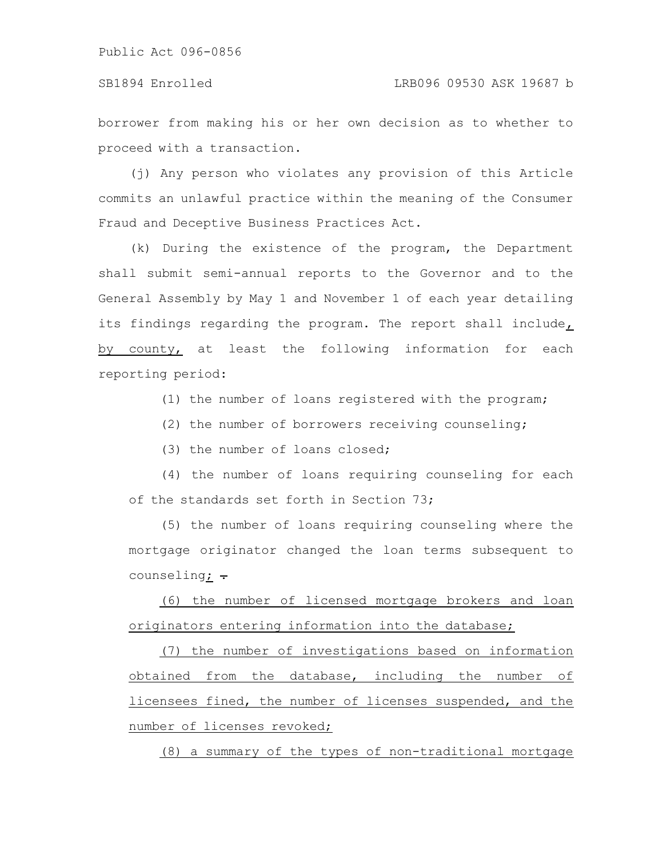borrower from making his or her own decision as to whether to proceed with a transaction.

(j) Any person who violates any provision of this Article commits an unlawful practice within the meaning of the Consumer Fraud and Deceptive Business Practices Act.

(k) During the existence of the program, the Department shall submit semi-annual reports to the Governor and to the General Assembly by May 1 and November 1 of each year detailing its findings regarding the program. The report shall include, by county, at least the following information for each reporting period:

(1) the number of loans registered with the program;

(2) the number of borrowers receiving counseling;

(3) the number of loans closed;

(4) the number of loans requiring counseling for each of the standards set forth in Section 73;

(5) the number of loans requiring counseling where the mortgage originator changed the loan terms subsequent to counseling;  $\div$ 

(6) the number of licensed mortgage brokers and loan originators entering information into the database;

(7) the number of investigations based on information obtained from the database, including the number of licensees fined, the number of licenses suspended, and the number of licenses revoked;

(8) a summary of the types of non-traditional mortgage